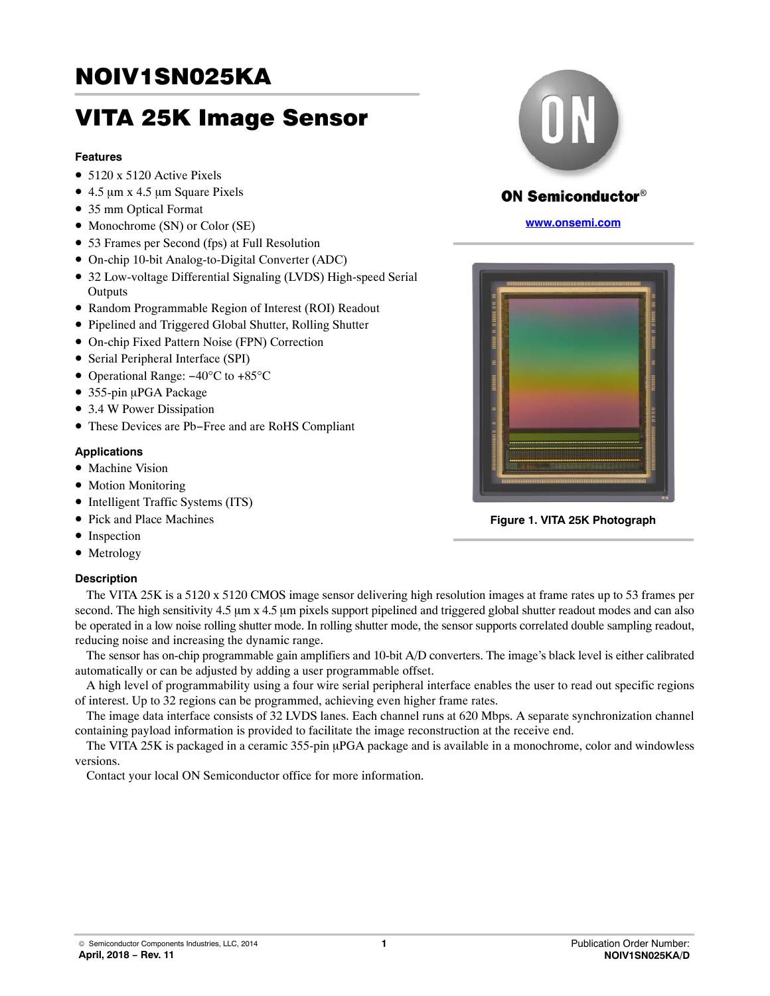# <span id="page-0-0"></span>**NOIV1SN025KA** NOIV1SN025KA

# VITA 25K Image Sensor

#### **Features**

- 5120 x 5120 Active Pixels
- $\bullet$  4.5 µm x 4.5 µm Square Pixels
- 35 mm Optical Format
- Monochrome (SN) or Color (SE)
- 53 Frames per Second (fps) at Full Resolution
- On-chip 10-bit Analog-to-Digital Converter (ADC)
- 32 Low-voltage Differential Signaling (LVDS) High-speed Serial **Outputs**
- Random Programmable Region of Interest (ROI) Readout
- Pipelined and Triggered Global Shutter, Rolling Shutter
- On-chip Fixed Pattern Noise (FPN) Correction
- Serial Peripheral Interface (SPI)
- Operational Range: −40°C to +85°C
- · 355-pin µPGA Package
- 3.4 W Power Dissipation
- These Devices are Pb−Free and are RoHS Compliant

#### **Applications**

- Machine Vision
- Motion Monitoring
- Intelligent Traffic Systems (ITS)
- Pick and Place Machines
- Inspection
- Metrology

## **Description**



The sensor has on-chip programmable gain amplifiers and 10-bit A/D converters. The image's black level is either calibrated automatically or can be adjusted by adding a user programmable offset.

A high level of programmability using a four wire serial peripheral interface enables the user to read out specific regions of interest. Up to 32 regions can be programmed, achieving even higher frame rates.

The image data interface consists of 32 LVDS lanes. Each channel runs at 620 Mbps. A separate synchronization channel containing payload information is provided to facilitate the image reconstruction at the receive end.

The VITA 25K is packaged in a ceramic 355-pin µPGA package and is available in a monochrome, color and windowless versions.

Contact your local ON Semiconductor office for more information.



# **ON Semiconductor®**

**[www.onsemi.com](http://onsemi.com)**



**Figure 1. VITA 25K Photograph**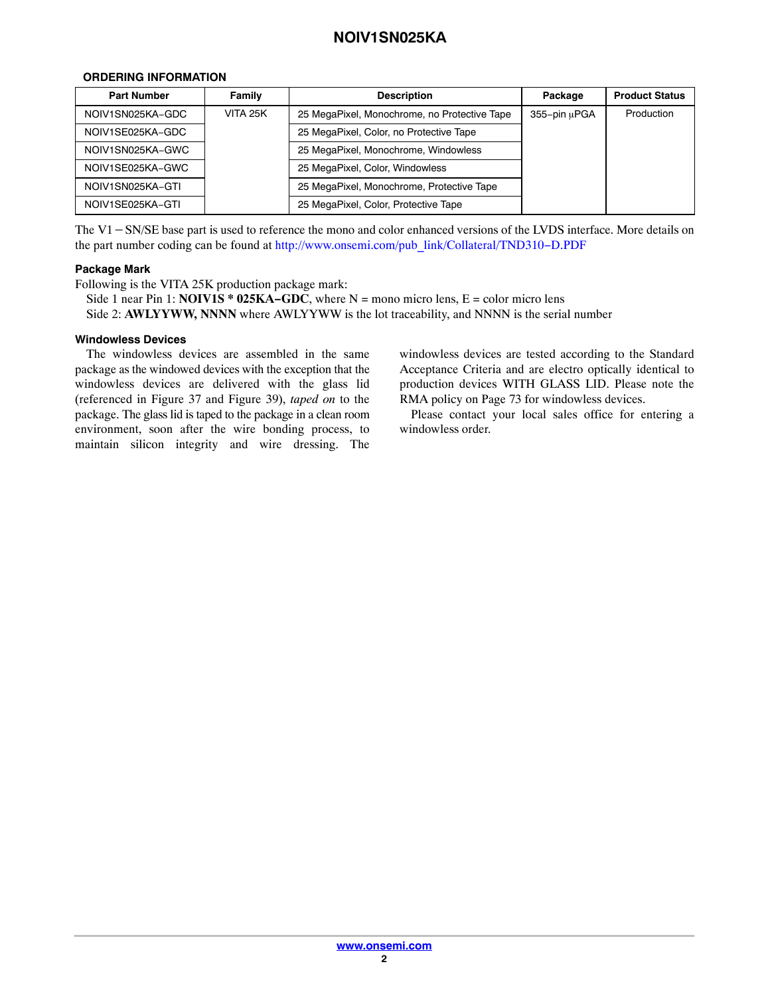## <span id="page-1-0"></span>**ORDERING INFORMATION**

| <b>Part Number</b>                                                                                                          | Family                                    | <b>Description</b>                           | Package      | <b>Product Status</b> |
|-----------------------------------------------------------------------------------------------------------------------------|-------------------------------------------|----------------------------------------------|--------------|-----------------------|
| NOIV1SN025KA-GDC                                                                                                            | VITA 25K                                  | 25 MegaPixel, Monochrome, no Protective Tape | 355-pin uPGA | Production            |
| NOIV1SE025KA-GDC                                                                                                            |                                           | 25 MegaPixel, Color, no Protective Tape      |              |                       |
| NOIV1SN025KA-GWC                                                                                                            |                                           | 25 MegaPixel, Monochrome, Windowless         |              |                       |
| NOIV1SE025KA-GWC                                                                                                            |                                           | 25 MegaPixel, Color, Windowless              |              |                       |
| NOIV1SN025KA-GTI                                                                                                            | 25 MegaPixel, Monochrome, Protective Tape |                                              |              |                       |
| NOIV1SE025KA-GTI                                                                                                            |                                           | 25 MegaPixel, Color, Protective Tape         |              |                       |
| The $V1 - SN/SE$ base part is used to reference the mono and color enhanced versions of the LVDS interface. More details on |                                           |                                              |              |                       |

the part number coding can be found at [http://www.onsemi.com/pub\\_link/Collateral/TND310](http://www.onsemi.com/pub_link/Collateral/TND310-D.PDF)−D.PDF

## **Package Mark**

Following is the VITA 25K production package mark:

Side 1 near Pin 1: **NOIV1S \* 025KA−GDC**, where N = mono micro lens, E = color micro lens Side 2: **AWLYYWW, NNNN** where AWLYYWW is the lot traceability, and NNNN is the serial number

#### **Windowless Devices**

The windowless devices are assembled in the same package as the windowed devices with the exception that the windowless devices are delivered with the glass lid (referenced in Figure [37](#page-69-0) and Figure [39](#page-71-0)), *taped on* to the package. The glass lid is taped to the package in a clean room environment, soon after the wire bonding process, to maintain silicon integrity and wire dressing. The windowless devices are tested according to the Standard Acceptance Criteria and are electro optically identical to production devices WITH GLASS LID. Please note the RMA policy on Page 73 for windowless devices.

Please contact your local sales office for entering a windowless order.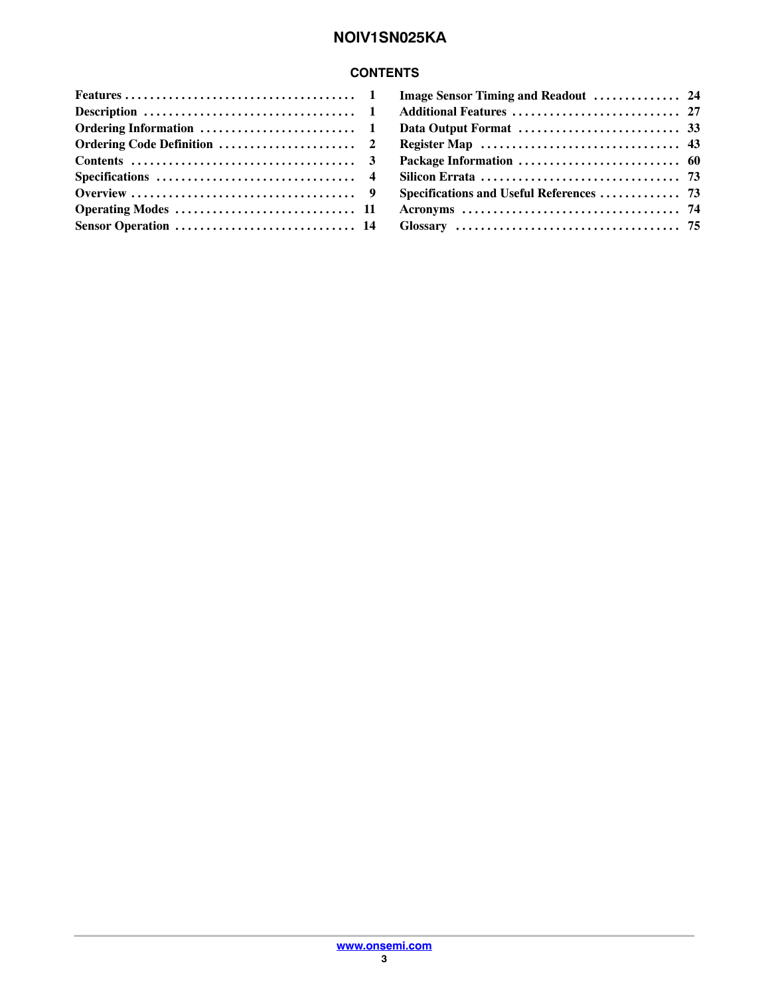# **CONTENTS**

| Image Sensor Timing and Readout  24      |  |
|------------------------------------------|--|
|                                          |  |
|                                          |  |
|                                          |  |
|                                          |  |
|                                          |  |
| Specifications and Useful References  73 |  |
|                                          |  |
|                                          |  |
|                                          |  |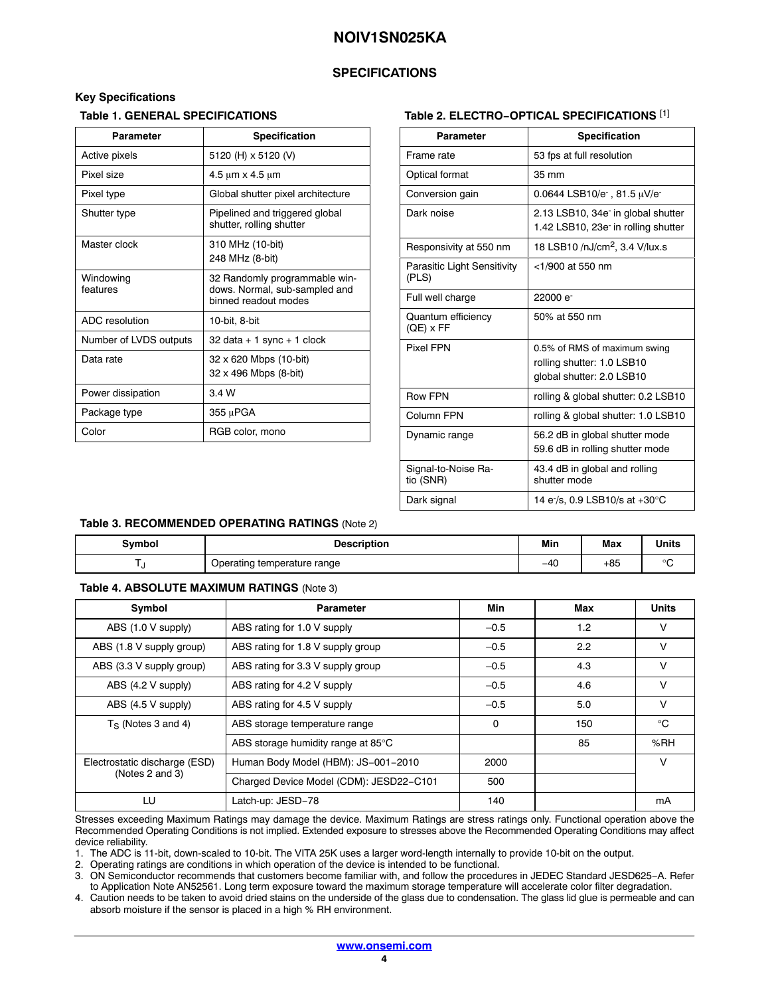## **SPECIFICATIONS**

#### <span id="page-3-0"></span>**Key Specifications**

#### **Table 1. GENERAL SPECIFICATIONS**

| <b>Parameter</b>       | <b>Specification</b>                                                                   |
|------------------------|----------------------------------------------------------------------------------------|
| Active pixels          | 5120 (H) x 5120 (V)                                                                    |
| Pixel size             | $4.5 \mu m \times 4.5 \mu m$                                                           |
| Pixel type             | Global shutter pixel architecture                                                      |
| Shutter type           | Pipelined and triggered global<br>shutter, rolling shutter                             |
| Master clock           | 310 MHz (10-bit)<br>248 MHz (8-bit)                                                    |
| Windowing<br>features  | 32 Randomly programmable win-<br>dows. Normal, sub-sampled and<br>binned readout modes |
| ADC resolution         | 10-bit, 8-bit                                                                          |
| Number of LVDS outputs | $32$ data + 1 sync + 1 clock                                                           |
| Data rate              | 32 x 620 Mbps (10-bit)<br>32 x 496 Mbps (8-bit)                                        |
| Power dissipation      | 3.4 W                                                                                  |
| Package type           | 355 µPGA                                                                               |
| Color                  | RGB color, mono                                                                        |

#### **Table 2. ELECTRO−OPTICAL SPECIFICATIONS** [1]

| <b>Parameter</b>                     | Specification                                                                        |
|--------------------------------------|--------------------------------------------------------------------------------------|
| Frame rate                           | 53 fps at full resolution                                                            |
| Optical format                       | 35 mm                                                                                |
| Conversion gain                      | 0.0644 LSB10/e $\cdot$ , 81.5 $\mu$ V/e                                              |
| Dark noise                           | 2.13 LSB10, 34e in global shutter<br>1.42 LSB10, 23e <sup>-</sup> in rolling shutter |
| Responsivity at 550 nm               | 18 LSB10 /nJ/cm <sup>2</sup> , 3.4 V/lux.s                                           |
| Parasitic Light Sensitivity<br>(PLS) | <1/900 at 550 nm                                                                     |
| Full well charge                     | 22000 e <sup>-</sup>                                                                 |
| Quantum efficiency<br>$(QE)$ x FF    | 50% at 550 nm                                                                        |
| <b>Pixel FPN</b>                     | 0.5% of RMS of maximum swing                                                         |
|                                      | rolling shutter: 1.0 LSB10                                                           |
|                                      | global shutter: 2.0 LSB10                                                            |
| <b>Row FPN</b>                       | rolling & global shutter: 0.2 LSB10                                                  |
| Column FPN                           | rolling & global shutter: 1.0 LSB10                                                  |
| Dynamic range                        | 56.2 dB in global shutter mode<br>59.6 dB in rolling shutter mode                    |
| Signal-to-Noise Ra-<br>tio (SNR)     | 43.4 dB in global and rolling<br>shutter mode                                        |
| Dark signal                          | 14 e /s, 0.9 LSB10/s at +30°C                                                        |

#### **Table 3. RECOMMENDED OPERATING RATINGS** (Note 2)

| Svmbol | <b>Description</b>          | Min<br>------ | <b>Max</b> | <b>Units</b> |
|--------|-----------------------------|---------------|------------|--------------|
|        | Operating temperature range | $-40$         | +85        | $\sim$       |

#### **Table 4. ABSOLUTE MAXIMUM RATINGS** (Note 3)

| Symbol                        | <b>Parameter</b>                        | Min    | Max | <b>Units</b> |
|-------------------------------|-----------------------------------------|--------|-----|--------------|
| ABS (1.0 V supply)            | ABS rating for 1.0 V supply             | $-0.5$ | 1.2 | v            |
| ABS (1.8 V supply group)      | ABS rating for 1.8 V supply group       | $-0.5$ | 2.2 | v            |
| ABS (3.3 V supply group)      | ABS rating for 3.3 V supply group       | $-0.5$ | 4.3 | v            |
| ABS (4.2 V supply)            | ABS rating for 4.2 V supply             | $-0.5$ | 4.6 | v            |
| ABS (4.5 V supply)            | ABS rating for 4.5 V supply             | $-0.5$ | 5.0 | $\vee$       |
| $T_S$ (Notes 3 and 4)         | ABS storage temperature range           | 0      | 150 | $^{\circ}$ C |
|                               | ABS storage humidity range at 85°C      |        | 85  | %RH          |
| Electrostatic discharge (ESD) | Human Body Model (HBM): JS-001-2010     | 2000   |     | v            |
| (Notes 2 and 3)               | Charged Device Model (CDM): JESD22-C101 | 500    |     |              |
| LU                            | Latch-up: JESD-78                       | 140    |     | mA           |

Stresses exceeding Maximum Ratings may damage the device. Maximum Ratings are stress ratings only. Functional operation above the Recommended Operating Conditions is not implied. Extended exposure to stresses above the Recommended Operating Conditions may affect device reliability.

1. The ADC is 11-bit, down-scaled to 10-bit. The VITA 25K uses a larger word-length internally to provide 10-bit on the output.

2. Operating ratings are conditions in which operation of the device is intended to be functional.

3. ON Semiconductor recommends that customers become familiar with, and follow the procedures in JEDEC Standard JESD625−A. Refer to Application Note AN52561. Long term exposure toward the maximum storage temperature will accelerate color filter degradation.

4. Caution needs to be taken to avoid dried stains on the underside of the glass due to condensation. The glass lid glue is permeable and can absorb moisture if the sensor is placed in a high % RH environment.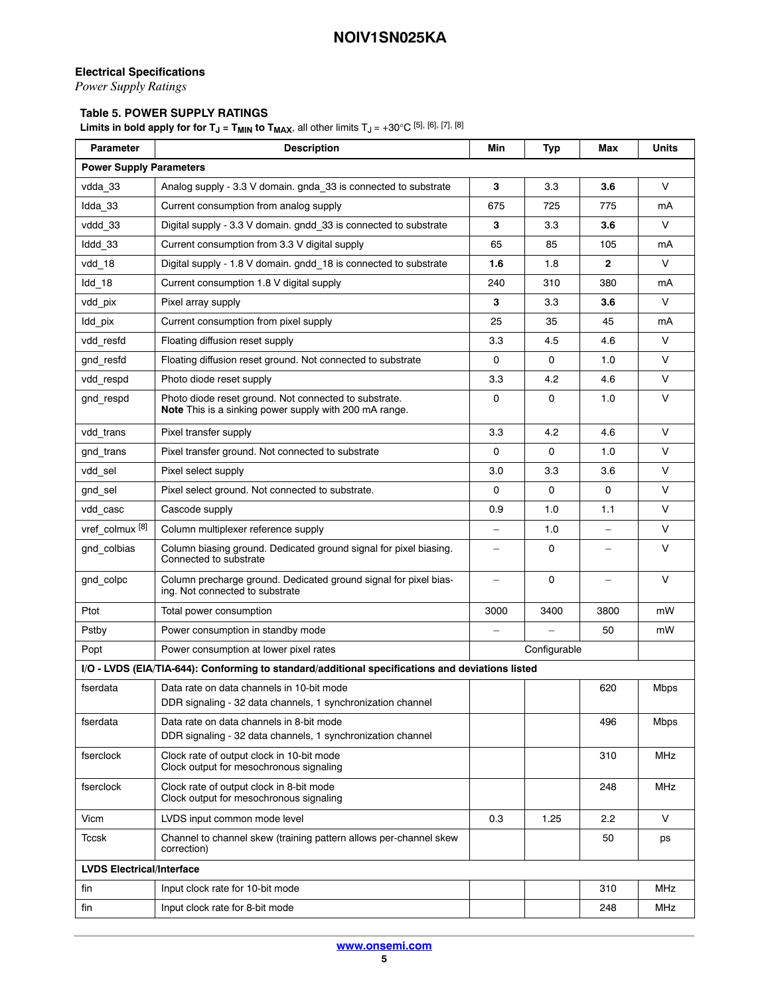# <span id="page-4-0"></span>**Electrical Specifications**

*Power Supply Ratings*

# **Table 5. POWER SUPPLY RATINGS**

**Limits in bold apply for for T<sub>J</sub> = T<sub>MIN</sub> to T<sub>MAX</sub>, all other limits T<sub>J</sub> = +30°C [[5](#page-5-0)], [[6](#page-5-0)], [[7](#page-5-0)], [[8](#page-5-0)]** 

| <b>Parameter</b>                 | <b>Description</b>                                                                                              | Min                      | Typ  | Max               | Units  |  |  |
|----------------------------------|-----------------------------------------------------------------------------------------------------------------|--------------------------|------|-------------------|--------|--|--|
|                                  | <b>Power Supply Parameters</b>                                                                                  |                          |      |                   |        |  |  |
| vdda 33                          | Analog supply - 3.3 V domain. gnda 33 is connected to substrate                                                 | 3                        | 3.3  | 3.6               | V      |  |  |
| Idda 33                          | Current consumption from analog supply                                                                          |                          | 725  | 775               | mA     |  |  |
| vddd_33                          | Digital supply - 3.3 V domain. gndd_33 is connected to substrate                                                | з                        | 3.3  | 3.6               | V      |  |  |
| Iddd 33                          | Current consumption from 3.3 V digital supply                                                                   | 65                       | 85   | 105               | mA     |  |  |
| vdd 18                           | Digital supply - 1.8 V domain. gndd 18 is connected to substrate                                                | 1.6                      | 1.8  | $\mathbf{2}$      | V      |  |  |
| $Idd_18$                         | Current consumption 1.8 V digital supply                                                                        | 240                      | 310  | 380               | mA     |  |  |
| vdd_pix                          | Pixel array supply                                                                                              | з                        | 3.3  | 3.6               | V      |  |  |
| Idd pix                          | Current consumption from pixel supply                                                                           | 25                       | 35   | 45                | mA     |  |  |
| vdd resfd                        | Floating diffusion reset supply                                                                                 | 3.3                      | 4.5  | 4.6               | V      |  |  |
| gnd resfd                        | Floating diffusion reset ground. Not connected to substrate                                                     | 0                        | 0    | 1.0               | V      |  |  |
| vdd respd                        | Photo diode reset supply                                                                                        | 3.3                      | 4.2  | 4.6               | V      |  |  |
| gnd respd                        | Photo diode reset ground. Not connected to substrate.<br>Note This is a sinking power supply with 200 mA range. | 0                        | 0    | 1.0               | V      |  |  |
| vdd_trans                        | Pixel transfer supply                                                                                           | 3.3                      | 4.2  | 4.6               | $\vee$ |  |  |
| gnd trans                        | Pixel transfer ground. Not connected to substrate                                                               | 0                        | 0    | 1.0               | V      |  |  |
| vdd sel                          | Pixel select supply                                                                                             | 3.0                      | 3.3  | 3.6               | V      |  |  |
| gnd sel                          | Pixel select ground. Not connected to substrate.                                                                |                          | 0    | 0                 | V      |  |  |
| vdd casc                         | Cascode supply                                                                                                  | 0.9                      | 1.0  | 1.1               | V      |  |  |
| vref colmux <sup>[8]</sup>       | Column multiplexer reference supply                                                                             | $\qquad \qquad -$        | 1.0  | $\qquad \qquad -$ | V      |  |  |
| gnd colbias                      | Column biasing ground. Dedicated ground signal for pixel biasing.<br>Connected to substrate                     |                          | 0    |                   | V      |  |  |
| gnd colpc                        | Column precharge ground. Dedicated ground signal for pixel bias-<br>ing. Not connected to substrate             | $\overline{\phantom{0}}$ | 0    |                   | V      |  |  |
| Ptot                             | Total power consumption                                                                                         | 3000                     | 3400 | 3800              | mW     |  |  |
| Pstby                            | Power consumption in standby mode                                                                               |                          |      | 50                | mW     |  |  |
| Popt                             | Power consumption at lower pixel rates                                                                          | Configurable             |      |                   |        |  |  |
|                                  | I/O - LVDS (EIA/TIA-644): Conforming to standard/additional specifications and deviations listed                |                          |      |                   |        |  |  |
| fserdata                         | Data rate on data channels in 10-bit mode<br>DDR signaling - 32 data channels, 1 synchronization channel        |                          |      | 620               | Mbps   |  |  |
| fserdata                         | Data rate on data channels in 8-bit mode<br>DDR signaling - 32 data channels, 1 synchronization channel         |                          |      | 496               | Mbps   |  |  |
| fserclock                        | Clock rate of output clock in 10-bit mode<br>Clock output for mesochronous signaling                            |                          |      | 310               | MHz    |  |  |
| fserclock                        | Clock rate of output clock in 8-bit mode<br>Clock output for mesochronous signaling                             |                          |      | 248               | MHz    |  |  |
| Vicm                             | LVDS input common mode level                                                                                    | 0.3                      | 1.25 | 2.2               | V      |  |  |
| Tccsk                            | Channel to channel skew (training pattern allows per-channel skew<br>correction)                                |                          |      | 50                | ps     |  |  |
| <b>LVDS Electrical/Interface</b> |                                                                                                                 |                          |      |                   |        |  |  |
| fin                              | Input clock rate for 10-bit mode                                                                                |                          |      | 310               | MHz    |  |  |
| fin                              | Input clock rate for 8-bit mode                                                                                 |                          |      | 248               | MHz    |  |  |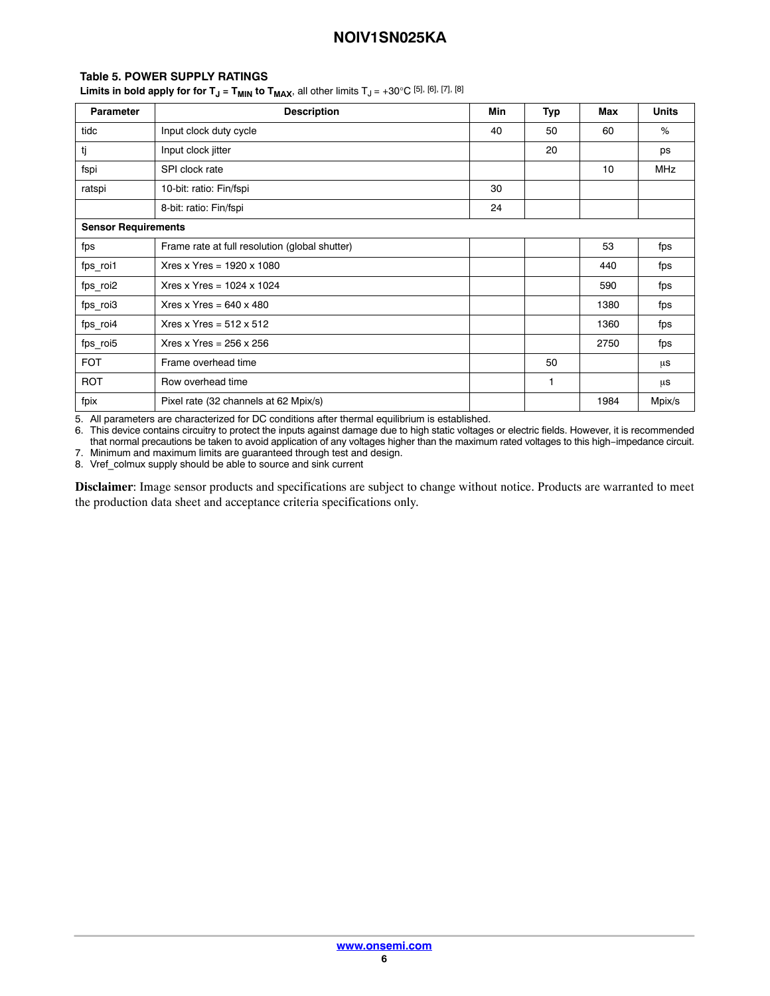## <span id="page-5-0"></span>**Table [5](#page-4-0). POWER SUPPLY RATINGS**

**Limits in bold apply for for T<sub>J</sub> = T<sub>MIN</sub> to T<sub>MAX</sub>, all other limits T<sub>J</sub> = +30°C [5], [6], [7], [8]** 

| <b>Parameter</b>           | <b>Description</b>                             | Min | Typ | Max  | <b>Units</b> |
|----------------------------|------------------------------------------------|-----|-----|------|--------------|
| tidc                       | Input clock duty cycle                         | 40  | 50  | 60   | %            |
| tj                         | Input clock jitter                             |     | 20  |      | ps           |
| fspi                       | SPI clock rate                                 |     |     | 10   | <b>MHz</b>   |
| ratspi                     | 10-bit: ratio: Fin/fspi                        | 30  |     |      |              |
|                            | 8-bit: ratio: Fin/fspi                         | 24  |     |      |              |
| <b>Sensor Requirements</b> |                                                |     |     |      |              |
| fps                        | Frame rate at full resolution (global shutter) |     |     | 53   | fps          |
| fps_roi1                   | Xres x Yres = $1920 \times 1080$               |     |     | 440  | fps          |
| fps_roi2                   | Xres x Yres = $1024 \times 1024$               |     |     | 590  | fps          |
| fps_roi3                   | Xres x Yres = $640 \times 480$                 |     |     | 1380 | fps          |
| fps_roi4                   | Xres x Yres = $512 \times 512$                 |     |     | 1360 | fps          |
| fps_roi5                   | Xres x Yres = $256 \times 256$                 |     |     | 2750 | fps          |
| <b>FOT</b>                 | Frame overhead time                            |     | 50  |      | μs           |
| <b>ROT</b>                 | Row overhead time                              |     | 1   |      | μs           |
| fpix                       | Pixel rate (32 channels at 62 Mpix/s)          |     |     | 1984 | Mpix/s       |

5. All parameters are characterized for DC conditions after thermal equilibrium is established.

6. This device contains circuitry to protect the inputs against damage due to high static voltages or electric fields. However, it is recommended that normal precautions be taken to avoid application of any voltages higher than the maximum rated voltages to this high−impedance circuit. 7. Minimum and maximum limits are guaranteed through test and design.

8. Vref\_colmux supply should be able to source and sink current

**Disclaimer**: Image sensor products and specifications are subject to change without notice. Products are warranted to meet the production data sheet and acceptance criteria specifications only.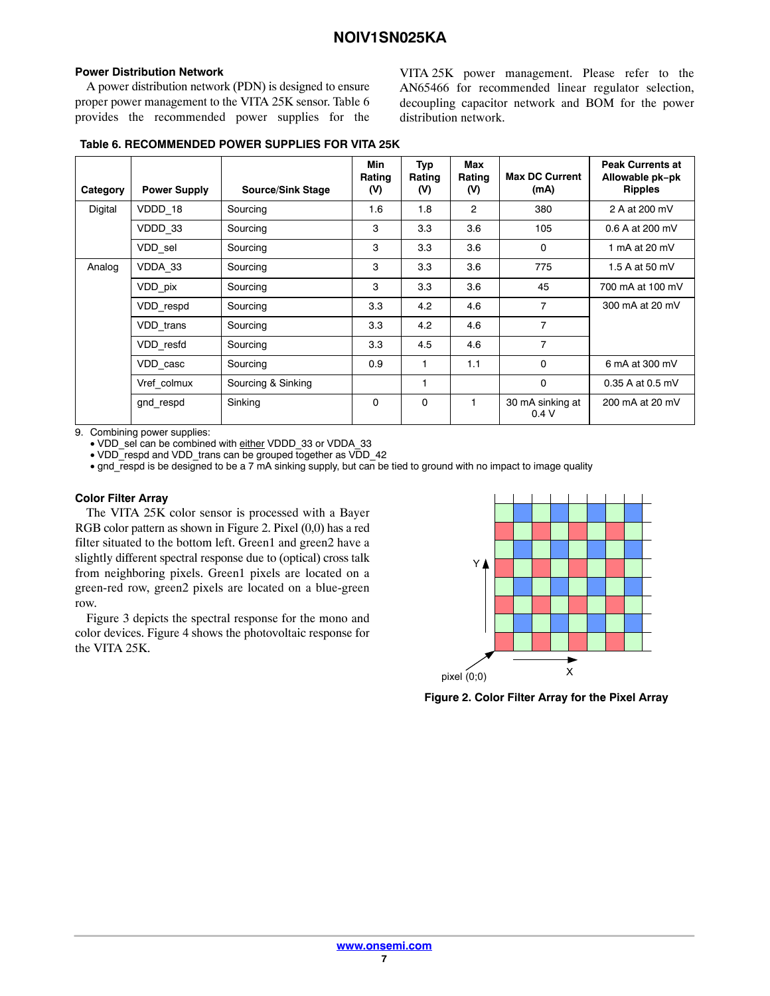#### <span id="page-6-0"></span>**Power Distribution Network**

A power distribution network (PDN) is designed to ensure proper power management to the VITA 25K sensor. Table 6 provides the recommended power supplies for the VITA 25K power management. Please refer to the AN65466 for recommended linear regulator selection, decoupling capacitor network and BOM for the power distribution network.

|  | Table 6. RECOMMENDED POWER SUPPLIES FOR VITA 25K |  |  |  |  |
|--|--------------------------------------------------|--|--|--|--|
|--|--------------------------------------------------|--|--|--|--|

|          |                     |                          | Min<br>Rating | Typ<br>Rating | Max<br>Rating  | <b>Max DC Current</b>    | <b>Peak Currents at</b><br>Allowable pk-pk |
|----------|---------------------|--------------------------|---------------|---------------|----------------|--------------------------|--------------------------------------------|
| Category | <b>Power Supply</b> | <b>Source/Sink Stage</b> | (V)           | (V)           | (V)            | (mA)                     | <b>Ripples</b>                             |
| Digital  | VDDD 18             | Sourcing                 | 1.6           | 1.8           | $\overline{2}$ | 380                      | 2 A at 200 mV                              |
|          | VDDD 33             | Sourcing                 | 3             | 3.3           | 3.6            | 105                      | 0.6 A at 200 mV                            |
|          | VDD sel             | Sourcing                 | 3             | 3.3           | 3.6            | $\mathbf 0$              | 1 mA at $20$ mV                            |
| Analog   | VDDA 33             | Sourcing                 | 3             | 3.3           | 3.6            | 775                      | 1.5 A at 50 mV                             |
|          | VDD pix             | Sourcing                 | 3             | 3.3           | 3.6            | 45                       | 700 mA at 100 mV                           |
|          | VDD respd           | Sourcing                 | 3.3           | 4.2           | 4.6            | $\overline{7}$           | 300 mA at 20 mV                            |
|          | VDD trans           | Sourcing                 | 3.3           | 4.2           | 4.6            | $\overline{7}$           |                                            |
|          | VDD resfd           | Sourcing                 | 3.3           | 4.5           | 4.6            | $\overline{7}$           |                                            |
|          | VDD casc            | Sourcing                 | 0.9           | 1             | 1.1            | $\mathbf{0}$             | 6 mA at 300 mV                             |
|          | Vref colmux         | Sourcing & Sinking       |               | 1             |                | $\mathbf 0$              | 0.35 A at 0.5 mV                           |
|          | gnd respd           | Sinking                  | 0             | 0             |                | 30 mA sinking at<br>0.4V | 200 mA at 20 mV                            |

9. Combining power supplies:

• VDD\_sel can be combined with either VDDD\_33 or VDDA\_33

• VDD<sup>-</sup>respd and VDD\_trans can be grouped together as VDD\_42

• gnd respd is be designed to be a 7 mA sinking supply, but can be tied to ground with no impact to image quality

#### **Color Filter Array**

The VITA 25K color sensor is processed with a Bayer RGB color pattern as shown in Figure 2. Pixel (0,0) has a red filter situated to the bottom left. Green1 and green2 have a slightly different spectral response due to (optical) cross talk from neighboring pixels. Green1 pixels are located on a green-red row, green2 pixels are located on a blue-green row.

Figure [3](#page-7-0) depicts the spectral response for the mono and color devices. Figure [4](#page-7-0) shows the photovoltaic response for the VITA 25K.



**Figure 2. Color Filter Array for the Pixel Array**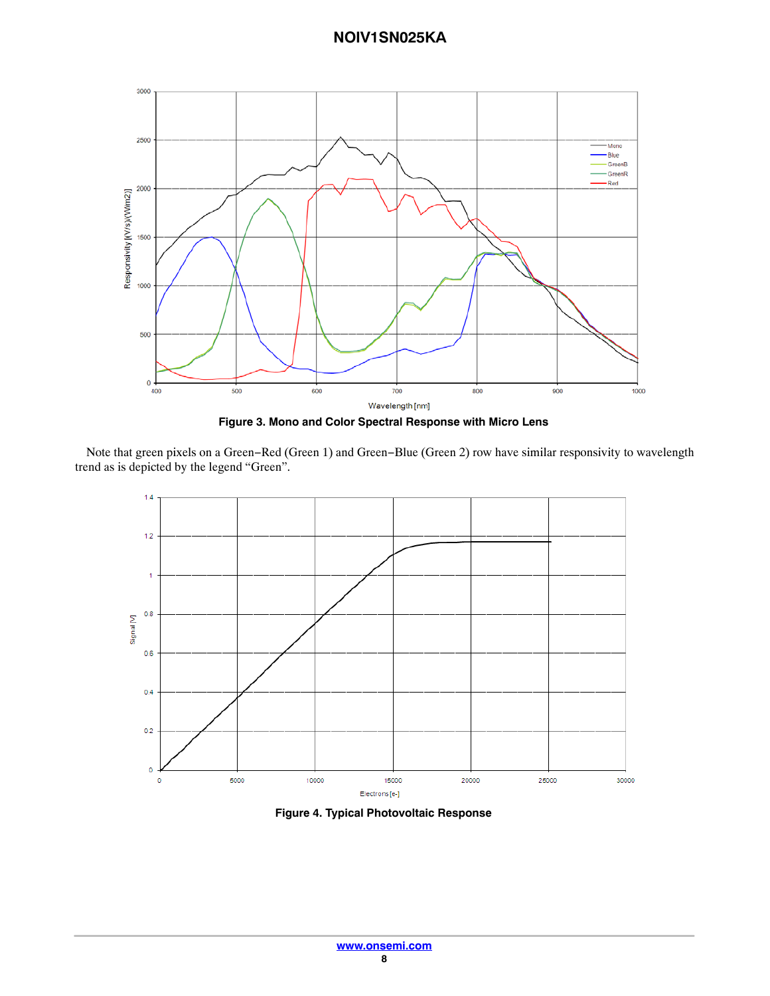<span id="page-7-0"></span>

**Figure 3. Mono and Color Spectral Response with Micro Lens**

Note that green pixels on a Green−Red (Green 1) and Green−Blue (Green 2) row have similar responsivity to wavelength trend as is depicted by the legend "Green".



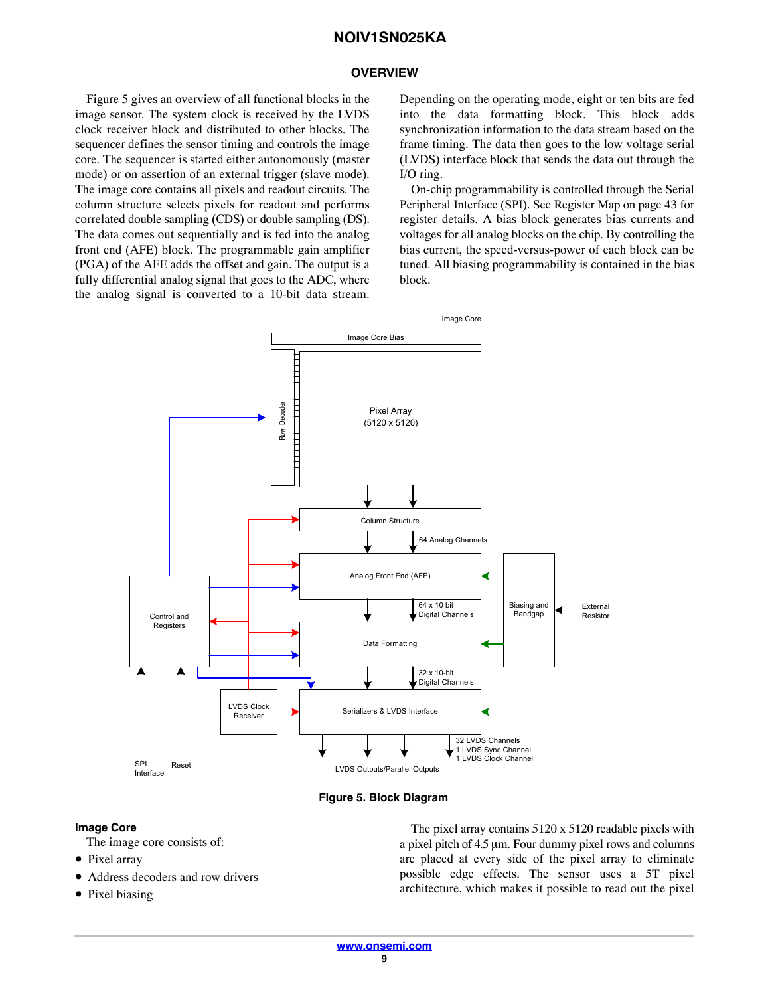#### **OVERVIEW**

<span id="page-8-0"></span>Figure 5 gives an overview of all functional blocks in the image sensor. The system clock is received by the LVDS clock receiver block and distributed to other blocks. The sequencer defines the sensor timing and controls the image core. The sequencer is started either autonomously (master mode) or on assertion of an external trigger (slave mode). The image core contains all pixels and readout circuits. The column structure selects pixels for readout and performs correlated double sampling (CDS) or double sampling (DS). The data comes out sequentially and is fed into the analog front end (AFE) block. The programmable gain amplifier (PGA) of the AFE adds the offset and gain. The output is a fully differential analog signal that goes to the ADC, where the analog signal is converted to a 10-bit data stream.

Depending on the operating mode, eight or ten bits are fed into the data formatting block. This block adds synchronization information to the data stream based on the frame timing. The data then goes to the low voltage serial (LVDS) interface block that sends the data out through the I/O ring.

On-chip programmability is controlled through the Serial Peripheral Interface (SPI). See Register Map on page [43](#page-42-0) for register details. A bias block generates bias currents and voltages for all analog blocks on the chip. By controlling the bias current, the speed-versus-power of each block can be tuned. All biasing programmability is contained in the bias block.



**Figure 5. Block Diagram**

#### **Image Core**

- The image core consists of:
- Pixel array
- Address decoders and row drivers
- Pixel biasing

The pixel array contains 5120 x 5120 readable pixels with a pixel pitch of  $4.5 \mu m$ . Four dummy pixel rows and columns are placed at every side of the pixel array to eliminate possible edge effects. The sensor uses a 5T pixel architecture, which makes it possible to read out the pixel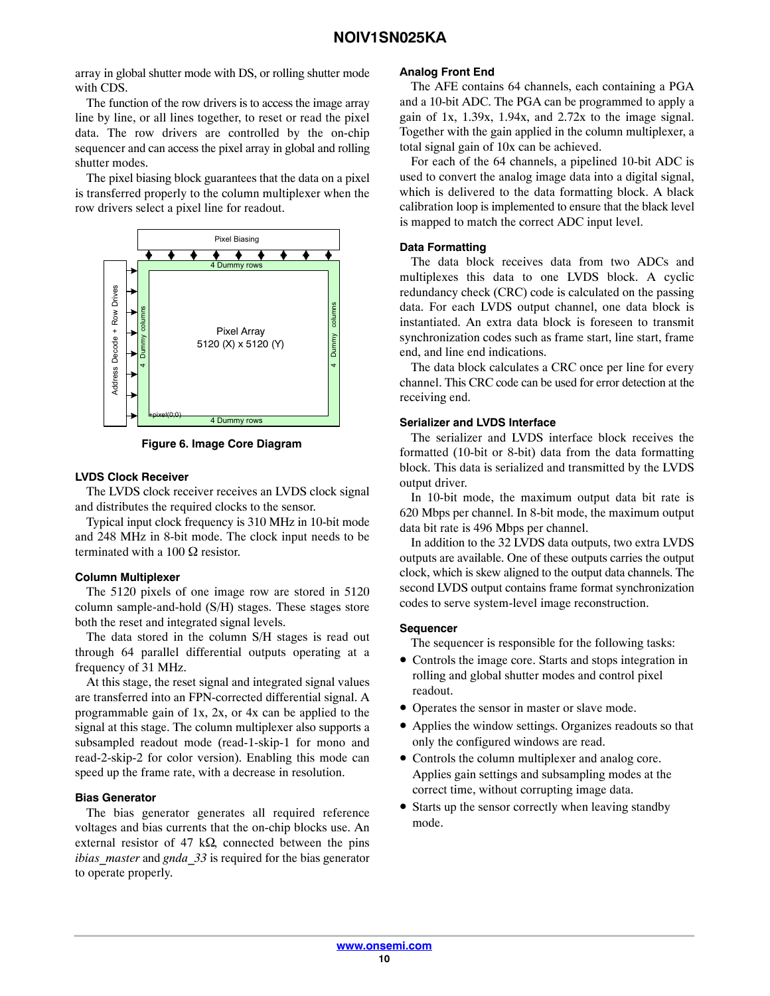array in global shutter mode with DS, or rolling shutter mode with CDS.

The function of the row drivers is to access the image array line by line, or all lines together, to reset or read the pixel data. The row drivers are controlled by the on-chip sequencer and can access the pixel array in global and rolling shutter modes.

The pixel biasing block guarantees that the data on a pixel is transferred properly to the column multiplexer when the row drivers select a pixel line for readout.



**Figure 6. Image Core Diagram**

#### **LVDS Clock Receiver**

The LVDS clock receiver receives an LVDS clock signal and distributes the required clocks to the sensor.

Typical input clock frequency is 310 MHz in 10-bit mode and 248 MHz in 8-bit mode. The clock input needs to be terminated with a 100  $\Omega$  resistor.

#### **Column Multiplexer**

The 5120 pixels of one image row are stored in 5120 column sample-and-hold (S/H) stages. These stages store both the reset and integrated signal levels.

The data stored in the column S/H stages is read out through 64 parallel differential outputs operating at a frequency of 31 MHz.

At this stage, the reset signal and integrated signal values are transferred into an FPN-corrected differential signal. A programmable gain of 1x, 2x, or 4x can be applied to the signal at this stage. The column multiplexer also supports a subsampled readout mode (read-1-skip-1 for mono and read-2-skip-2 for color version). Enabling this mode can speed up the frame rate, with a decrease in resolution.

#### **Bias Generator**

The bias generator generates all required reference voltages and bias currents that the on-chip blocks use. An external resistor of 47 k $\Omega$ , connected between the pins *ibias master* and *gnda* 33 is required for the bias generator to operate properly.

#### **Analog Front End**

The AFE contains 64 channels, each containing a PGA and a 10-bit ADC. The PGA can be programmed to apply a gain of  $1x$ ,  $1.39x$ ,  $1.94x$ , and  $2.72x$  to the image signal. Together with the gain applied in the column multiplexer, a total signal gain of 10x can be achieved.

For each of the 64 channels, a pipelined 10-bit ADC is used to convert the analog image data into a digital signal, which is delivered to the data formatting block. A black calibration loop is implemented to ensure that the black level is mapped to match the correct ADC input level.

#### **Data Formatting**

The data block receives data from two ADCs and multiplexes this data to one LVDS block. A cyclic redundancy check (CRC) code is calculated on the passing data. For each LVDS output channel, one data block is instantiated. An extra data block is foreseen to transmit synchronization codes such as frame start, line start, frame end, and line end indications.

The data block calculates a CRC once per line for every channel. This CRC code can be used for error detection at the receiving end.

#### **Serializer and LVDS Interface**

The serializer and LVDS interface block receives the formatted (10-bit or 8-bit) data from the data formatting block. This data is serialized and transmitted by the LVDS output driver.

In 10-bit mode, the maximum output data bit rate is 620 Mbps per channel. In 8-bit mode, the maximum output data bit rate is 496 Mbps per channel.

In addition to the 32 LVDS data outputs, two extra LVDS outputs are available. One of these outputs carries the output clock, which is skew aligned to the output data channels. The second LVDS output contains frame format synchronization codes to serve system-level image reconstruction.

#### **Sequencer**

The sequencer is responsible for the following tasks:

- Controls the image core. Starts and stops integration in rolling and global shutter modes and control pixel readout.
- Operates the sensor in master or slave mode.
- Applies the window settings. Organizes readouts so that only the configured windows are read.
- Controls the column multiplexer and analog core. Applies gain settings and subsampling modes at the correct time, without corrupting image data.
- Starts up the sensor correctly when leaving standby mode.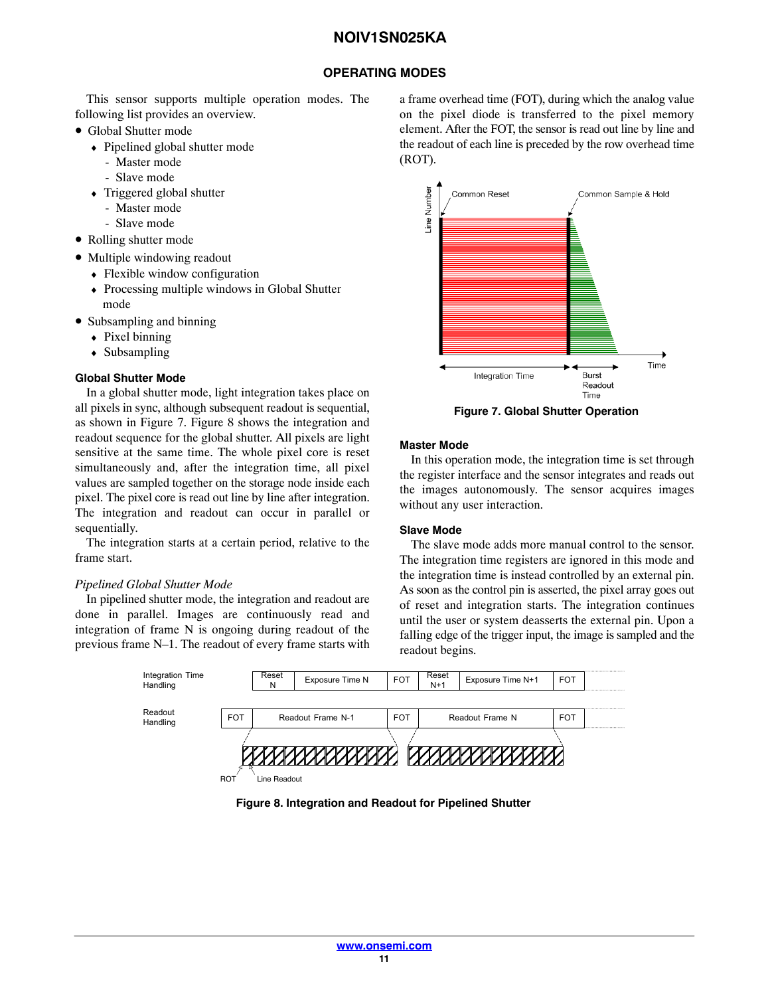# **OPERATING MODES**

<span id="page-10-0"></span>This sensor supports multiple operation modes. The following list provides an overview.

- Global Shutter mode
	- ♦ Pipelined global shutter mode
		- Master mode
		- Slave mode
	- ♦ Triggered global shutter
		- Master mode
		- Slave mode
- Rolling shutter mode
- Multiple windowing readout
	- Flexible window configuration
	- ♦ Processing multiple windows in Global Shutter mode
- Subsampling and binning
	- $\rightarrow$  Pixel binning
	- ♦ Subsampling

#### **Global Shutter Mode**

In a global shutter mode, light integration takes place on all pixels in sync, although subsequent readout is sequential, as shown in Figure 7. Figure 8 shows the integration and readout sequence for the global shutter. All pixels are light sensitive at the same time. The whole pixel core is reset simultaneously and, after the integration time, all pixel values are sampled together on the storage node inside each pixel. The pixel core is read out line by line after integration. The integration and readout can occur in parallel or sequentially.

The integration starts at a certain period, relative to the frame start.

## *Pipelined Global Shutter Mode*

In pipelined shutter mode, the integration and readout are done in parallel. Images are continuously read and integration of frame N is ongoing during readout of the previous frame N–1. The readout of every frame starts with a frame overhead time (FOT), during which the analog value on the pixel diode is transferred to the pixel memory element. After the FOT, the sensor is read out line by line and the readout of each line is preceded by the row overhead time (ROT).



**Figure 7. Global Shutter Operation**

#### **Master Mode**

In this operation mode, the integration time is set through the register interface and the sensor integrates and reads out the images autonomously. The sensor acquires images without any user interaction.

#### **Slave Mode**

The slave mode adds more manual control to the sensor. The integration time registers are ignored in this mode and the integration time is instead controlled by an external pin. As soon as the control pin is asserted, the pixel array goes out of reset and integration starts. The integration continues until the user or system deasserts the external pin. Upon a falling edge of the trigger input, the image is sampled and the readout begins.



**Figure 8. Integration and Readout for Pipelined Shutter**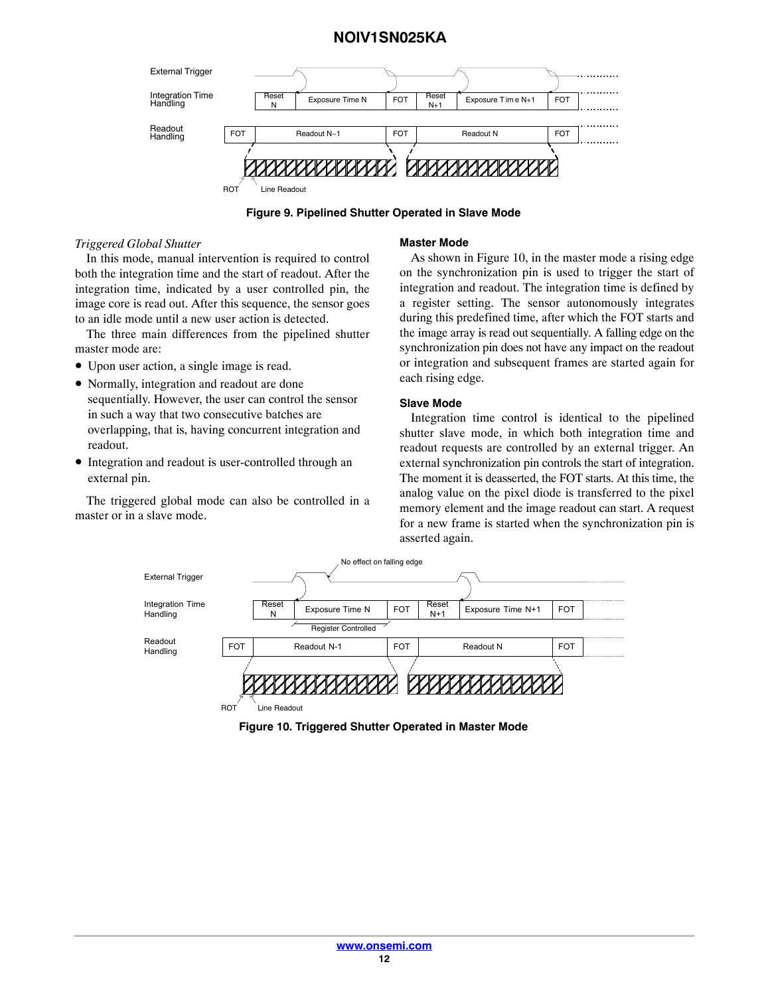

**Figure 9. Pipelined Shutter Operated in Slave Mode**

#### *Triggered Global Shutter*

In this mode, manual intervention is required to control both the integration time and the start of readout. After the integration time, indicated by a user controlled pin, the image core is read out. After this sequence, the sensor goes to an idle mode until a new user action is detected.

The three main differences from the pipelined shutter master mode are:

- Upon user action, a single image is read.
- Normally, integration and readout are done sequentially. However, the user can control the sensor in such a way that two consecutive batches are overlapping, that is, having concurrent integration and readout.
- Integration and readout is user-controlled through an external pin.

The triggered global mode can also be controlled in a master or in a slave mode.

#### **Master Mode**

As shown in Figure 10, in the master mode a rising edge on the synchronization pin is used to trigger the start of integration and readout. The integration time is defined by a register setting. The sensor autonomously integrates during this predefined time, after which the FOT starts and the image array is read out sequentially. A falling edge on the synchronization pin does not have any impact on the readout or integration and subsequent frames are started again for each rising edge.

#### **Slave Mode**

Integration time control is identical to the pipelined shutter slave mode, in which both integration time and readout requests are controlled by an external trigger. An external synchronization pin controls the start of integration. The moment it is deasserted, the FOT starts. At this time, the analog value on the pixel diode is transferred to the pixel memory element and the image readout can start. A request for a new frame is started when the synchronization pin is asserted again.



**Figure 10. Triggered Shutter Operated in Master Mode**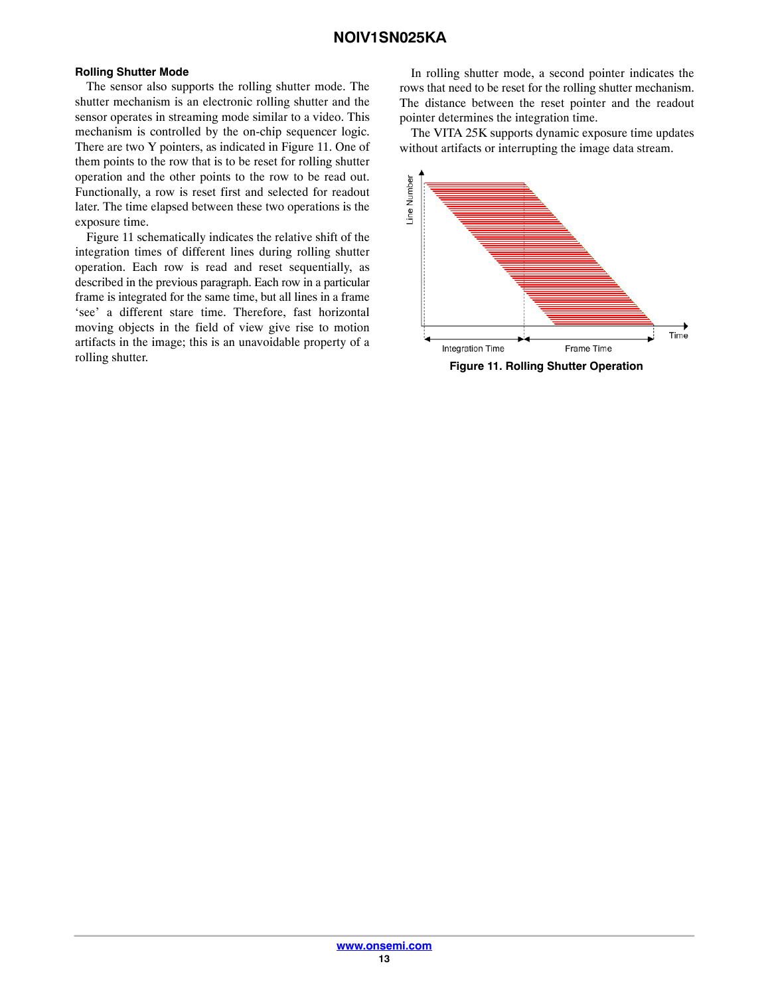#### **Rolling Shutter Mode**

The sensor also supports the rolling shutter mode. The shutter mechanism is an electronic rolling shutter and the sensor operates in streaming mode similar to a video. This mechanism is controlled by the on-chip sequencer logic. There are two Y pointers, as indicated in Figure 11. One of them points to the row that is to be reset for rolling shutter operation and the other points to the row to be read out. Functionally, a row is reset first and selected for readout later. The time elapsed between these two operations is the exposure time.

Figure 11 schematically indicates the relative shift of the integration times of different lines during rolling shutter operation. Each row is read and reset sequentially, as described in the previous paragraph. Each row in a particular frame is integrated for the same time, but all lines in a frame 'see' a different stare time. Therefore, fast horizontal moving objects in the field of view give rise to motion artifacts in the image; this is an unavoidable property of a rolling shutter.

In rolling shutter mode, a second pointer indicates the rows that need to be reset for the rolling shutter mechanism. The distance between the reset pointer and the readout pointer determines the integration time.

The VITA 25K supports dynamic exposure time updates without artifacts or interrupting the image data stream.



**Figure 11. Rolling Shutter Operation**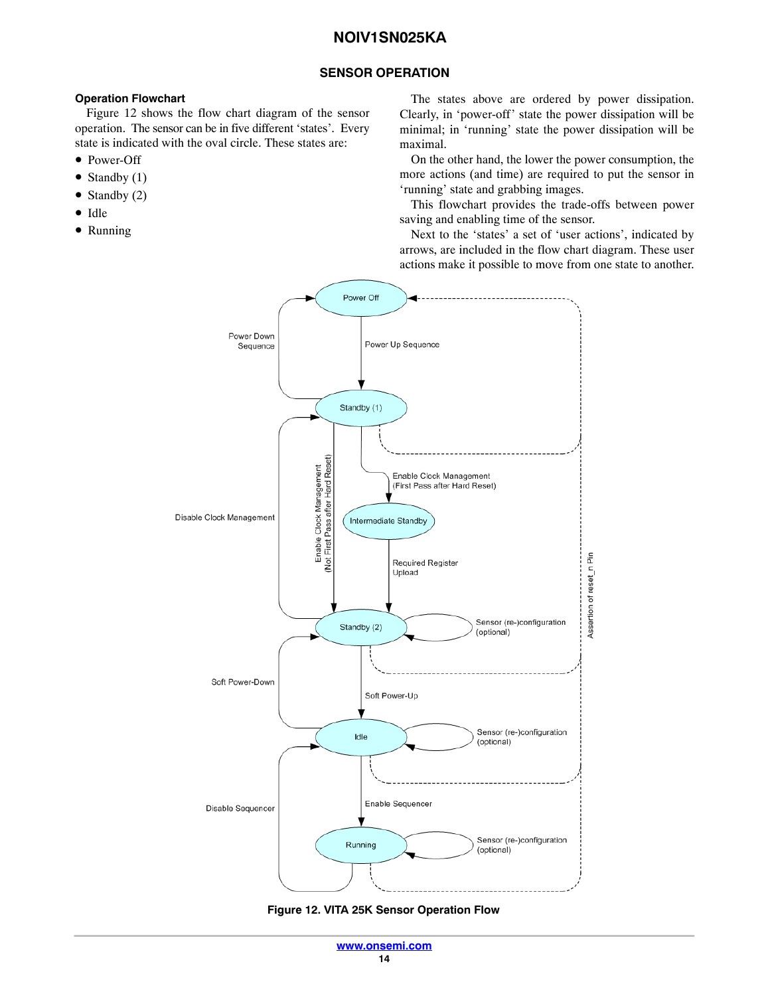## **SENSOR OPERATION**

#### <span id="page-13-0"></span>**Operation Flowchart**

Figure 12 shows the flow chart diagram of the sensor operation. The sensor can be in five different 'states'. Every state is indicated with the oval circle. These states are:

- Power-Off
- Standby  $(1)$
- Standby (2)
- Idle
- Running

The states above are ordered by power dissipation. Clearly, in 'power-off' state the power dissipation will be minimal; in 'running' state the power dissipation will be maximal.

On the other hand, the lower the power consumption, the more actions (and time) are required to put the sensor in 'running' state and grabbing images.

This flowchart provides the trade-offs between power saving and enabling time of the sensor.

Next to the 'states' a set of 'user actions', indicated by arrows, are included in the flow chart diagram. These user actions make it possible to move from one state to another.



**Figure 12. VITA 25K Sensor Operation Flow**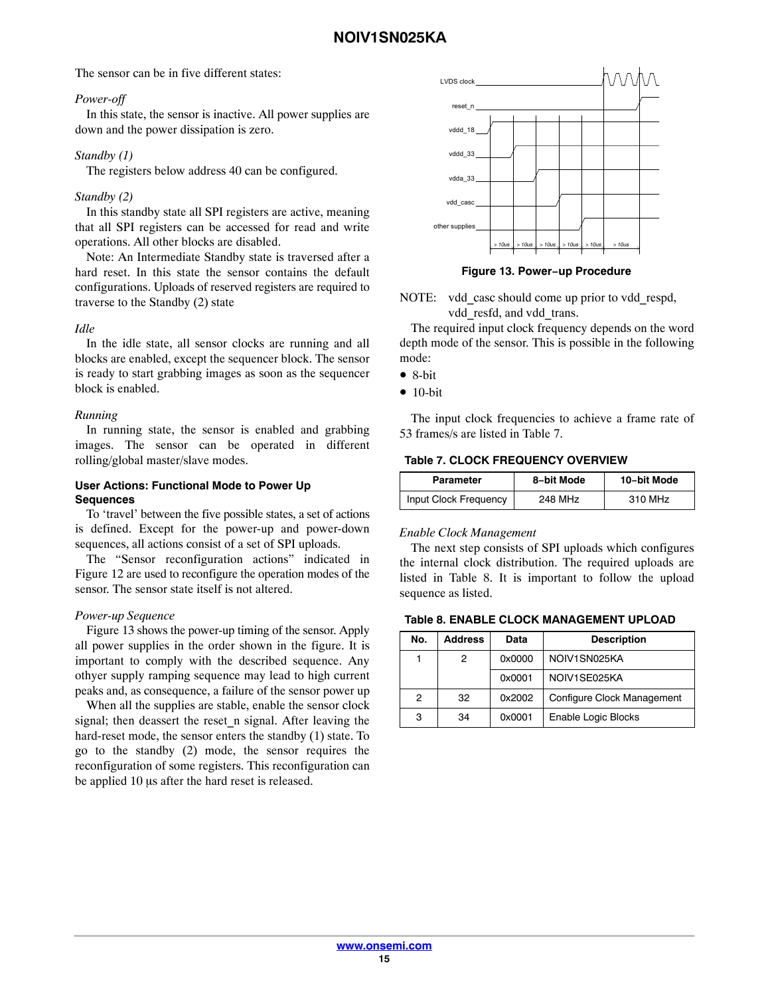The sensor can be in five different states:

#### *Power-off*

In this state, the sensor is inactive. All power supplies are down and the power dissipation is zero.

#### *Standby (1)*

The registers below address 40 can be configured.

## *Standby (2)*

In this standby state all SPI registers are active, meaning that all SPI registers can be accessed for read and write operations. All other blocks are disabled.

Note: An Intermediate Standby state is traversed after a hard reset. In this state the sensor contains the default configurations. Uploads of reserved registers are required to traverse to the Standby (2) state

#### *Idle*

In the idle state, all sensor clocks are running and all blocks are enabled, except the sequencer block. The sensor is ready to start grabbing images as soon as the sequencer block is enabled.

#### *Running*

In running state, the sensor is enabled and grabbing images. The sensor can be operated in different rolling/global master/slave modes.

#### **User Actions: Functional Mode to Power Up Sequences**

To 'travel' between the five possible states, a set of actions is defined. Except for the power-up and power-down sequences, all actions consist of a set of SPI uploads.

The "Sensor reconfiguration actions" indicated in Figure [12](#page-13-0) are used to reconfigure the operation modes of the sensor. The sensor state itself is not altered.

#### *Power-up Sequence*

Figure 13 shows the power-up timing of the sensor. Apply all power supplies in the order shown in the figure. It is important to comply with the described sequence. Any othyer supply ramping sequence may lead to high current peaks and, as consequence, a failure of the sensor power up

When all the supplies are stable, enable the sensor clock signal; then deassert the reset n signal. After leaving the hard-reset mode, the sensor enters the standby (1) state. To go to the standby (2) mode, the sensor requires the reconfiguration of some registers. This reconfiguration can be applied 10 µs after the hard reset is released.



**Figure 13. Power−up Procedure**

NOTE: vdd casc should come up prior to vdd respd, vdd resfd, and vdd trans.

The required input clock frequency depends on the word depth mode of the sensor. This is possible in the following mode:

• 8-bit

 $• 10-bit$ 

The input clock frequencies to achieve a frame rate of 53 frames/s are listed in Table 7.

#### **Table 7. CLOCK FREQUENCY OVERVIEW**

| Parameter             | 8-bit Mode          | 10-bit Mode         |
|-----------------------|---------------------|---------------------|
| Input Clock Frequency | 248 MH <sub>7</sub> | 310 MH <sub>7</sub> |

#### *Enable Clock Management*

The next step consists of SPI uploads which configures the internal clock distribution. The required uploads are listed in Table 8. It is important to follow the upload sequence as listed.

#### **Table 8. ENABLE CLOCK MANAGEMENT UPLOAD**

| No. | <b>Address</b> | Data   | <b>Description</b>         |
|-----|----------------|--------|----------------------------|
|     | 2              | 0x0000 | NOIV1SN025KA               |
|     |                | 0x0001 | NOIV1SF025KA               |
| 2   | 32             | 0x2002 | Configure Clock Management |
| 3   | 34             | 0x0001 | Enable Logic Blocks        |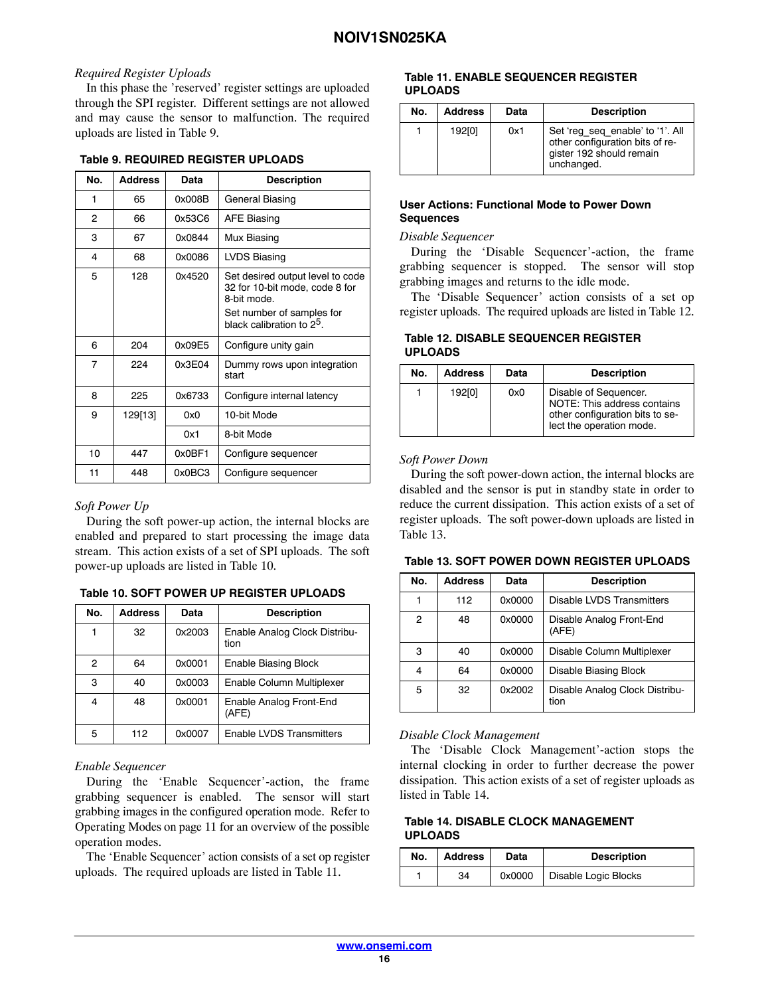## *Required Register Uploads*

In this phase the 'reserved' register settings are uploaded through the SPI register. Different settings are not allowed and may cause the sensor to malfunction. The required uploads are listed in Table 9.

#### **Table 9. REQUIRED REGISTER UPLOADS**

| No.            | <b>Address</b> | Data   | <b>Description</b>                                                                                                                                      |
|----------------|----------------|--------|---------------------------------------------------------------------------------------------------------------------------------------------------------|
| 1              | 65             | 0x008B | General Biasing                                                                                                                                         |
| 2              | 66             | 0x53C6 | <b>AFE Biasing</b>                                                                                                                                      |
| 3              | 67             | 0x0844 | Mux Biasing                                                                                                                                             |
| 4              | 68             | 0x0086 | LVDS Biasing                                                                                                                                            |
| 5              | 128            | 0x4520 | Set desired output level to code<br>32 for 10-bit mode, code 8 for<br>8-bit mode.<br>Set number of samples for<br>black calibration to 2 <sup>5</sup> . |
| 6              | 204            | 0x09E5 | Configure unity gain                                                                                                                                    |
| $\overline{7}$ | 224            | 0x3F04 | Dummy rows upon integration<br>start                                                                                                                    |
| 8              | 225            | 0x6733 | Configure internal latency                                                                                                                              |
| 9              | 129[13]        | 0x0    | 10-bit Mode                                                                                                                                             |
|                |                | 0x1    | 8-bit Mode                                                                                                                                              |
| 10             | 447            | 0x0BF1 | Configure sequencer                                                                                                                                     |
| 11             | 448            | 0x0BC3 | Configure sequencer                                                                                                                                     |

#### *Soft Power Up*

During the soft power-up action, the internal blocks are enabled and prepared to start processing the image data stream. This action exists of a set of SPI uploads. The soft power-up uploads are listed in Table 10.

#### **Table 10. SOFT POWER UP REGISTER UPLOADS**

| No.            | <b>Address</b> | Data   | <b>Description</b>                    |
|----------------|----------------|--------|---------------------------------------|
|                | 32             | 0x2003 | Enable Analog Clock Distribu-<br>tion |
| $\mathcal{P}$  | 64             | 0x0001 | Enable Biasing Block                  |
| з              | 40             | 0x0003 | Enable Column Multiplexer             |
| $\overline{4}$ | 48             | 0x0001 | Enable Analog Front-End<br>(AFE)      |
| 5              | 112            | 0x0007 | Enable LVDS Transmitters              |

#### *Enable Sequencer*

During the 'Enable Sequencer'-action, the frame grabbing sequencer is enabled. The sensor will start grabbing images in the configured operation mode. Refer to Operating Modes on page [11](#page-10-0) for an overview of the possible operation modes.

The 'Enable Sequencer' action consists of a set op register uploads. The required uploads are listed in Table 11.

#### **Table 11. ENABLE SEQUENCER REGISTER UPLOADS**

| No. | <b>Address</b> | Data | <b>Description</b>                                                                                            |
|-----|----------------|------|---------------------------------------------------------------------------------------------------------------|
|     | 192[0]         | 0x1  | Set 'reg seg enable' to '1'. All<br>other configuration bits of re-<br>gister 192 should remain<br>unchanged. |

#### **User Actions: Functional Mode to Power Down Sequences**

#### *Disable Sequencer*

During the 'Disable Sequencer'-action, the frame grabbing sequencer is stopped. The sensor will stop grabbing images and returns to the idle mode.

The 'Disable Sequencer' action consists of a set op register uploads. The required uploads are listed in Table 12.

#### **Table 12. DISABLE SEQUENCER REGISTER UPLOADS**

| No. | <b>Address</b> | Data | <b>Description</b>                                                                                                  |
|-----|----------------|------|---------------------------------------------------------------------------------------------------------------------|
|     | 192[0]         | 0x0  | Disable of Sequencer.<br>NOTE: This address contains<br>other configuration bits to se-<br>lect the operation mode. |

#### *Soft Power Down*

During the soft power-down action, the internal blocks are disabled and the sensor is put in standby state in order to reduce the current dissipation. This action exists of a set of register uploads. The soft power-down uploads are listed in Table 13.

| Table 13. SOFT POWER DOWN REGISTER UPLOADS |
|--------------------------------------------|
|--------------------------------------------|

| No. | <b>Address</b> | Data   | <b>Description</b>                     |
|-----|----------------|--------|----------------------------------------|
|     | 112            | 0x0000 | Disable LVDS Transmitters              |
| 2   | 48             | 0x0000 | Disable Analog Front-End<br>(AFE)      |
| 3   | 40             | 0x0000 | Disable Column Multiplexer             |
| 4   | 64             | 0x0000 | Disable Biasing Block                  |
| 5   | 32             | 0x2002 | Disable Analog Clock Distribu-<br>tion |

#### *Disable Clock Management*

The 'Disable Clock Management'-action stops the internal clocking in order to further decrease the power dissipation. This action exists of a set of register uploads as listed in Table 14.

#### **Table 14. DISABLE CLOCK MANAGEMENT UPLOADS**

| No. | <b>Address</b> | Data   | <b>Description</b>   |
|-----|----------------|--------|----------------------|
|     | 34             | 0x0000 | Disable Logic Blocks |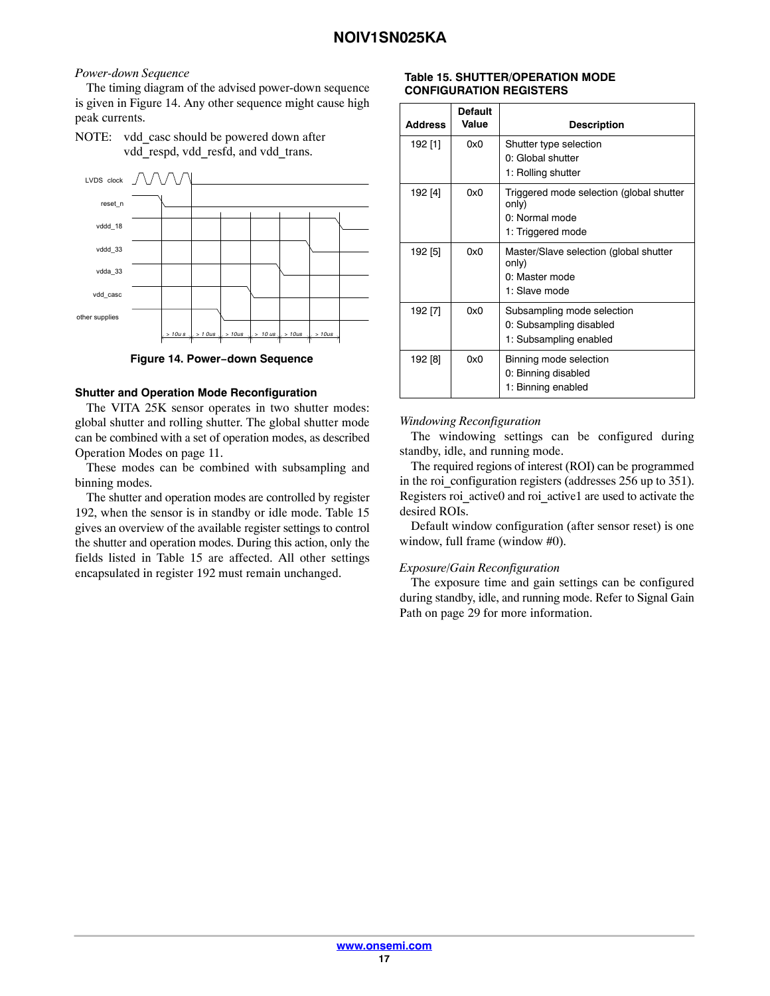#### *Power-down Sequence*

The timing diagram of the advised power-down sequence is given in Figure 14. Any other sequence might cause high peak currents.

NOTE: vdd casc should be powered down after vdd respd, vdd resfd, and vdd trans.



**Figure 14. Power−down Sequence**

#### **Shutter and Operation Mode Reconfiguration**

The VITA 25K sensor operates in two shutter modes: global shutter and rolling shutter. The global shutter mode can be combined with a set of operation modes, as described Operation Modes on page [11](#page-10-0).

These modes can be combined with subsampling and binning modes.

The shutter and operation modes are controlled by register 192, when the sensor is in standby or idle mode. Table 15 gives an overview of the available register settings to control the shutter and operation modes. During this action, only the fields listed in Table 15 are affected. All other settings encapsulated in register 192 must remain unchanged.

#### **Table 15. SHUTTER/OPERATION MODE CONFIGURATION REGISTERS**

| <b>Address</b> | <b>Default</b><br>Value | <b>Description</b>                                                                       |
|----------------|-------------------------|------------------------------------------------------------------------------------------|
| 192 [1]        | 0x0                     | Shutter type selection<br>0: Global shutter<br>1: Rolling shutter                        |
| 192 [4]        | 0x0                     | Triggered mode selection (global shutter<br>only)<br>0: Normal mode<br>1: Triggered mode |
| 192 [5]        | 0x0                     | Master/Slave selection (global shutter<br>only)<br>0: Master mode<br>1: Slave mode       |
| 192 [7]        | 0x0                     | Subsampling mode selection<br>0: Subsampling disabled<br>1: Subsampling enabled          |
| 192 [8]        | 0x0                     | Binning mode selection<br>0: Binning disabled<br>1: Binning enabled                      |

## *Windowing Reconfiguration*

The windowing settings can be configured during standby, idle, and running mode.

The required regions of interest (ROI) can be programmed in the roi\_configuration registers (addresses 256 up to 351). Registers roi\_active0 and roi\_active1 are used to activate the desired ROIs.

Default window configuration (after sensor reset) is one window, full frame (window #0).

## *Exposure/Gain Reconfiguration*

The exposure time and gain settings can be configured during standby, idle, and running mode. Refer to Signal Gain Path on page [29](#page-28-0) for more information.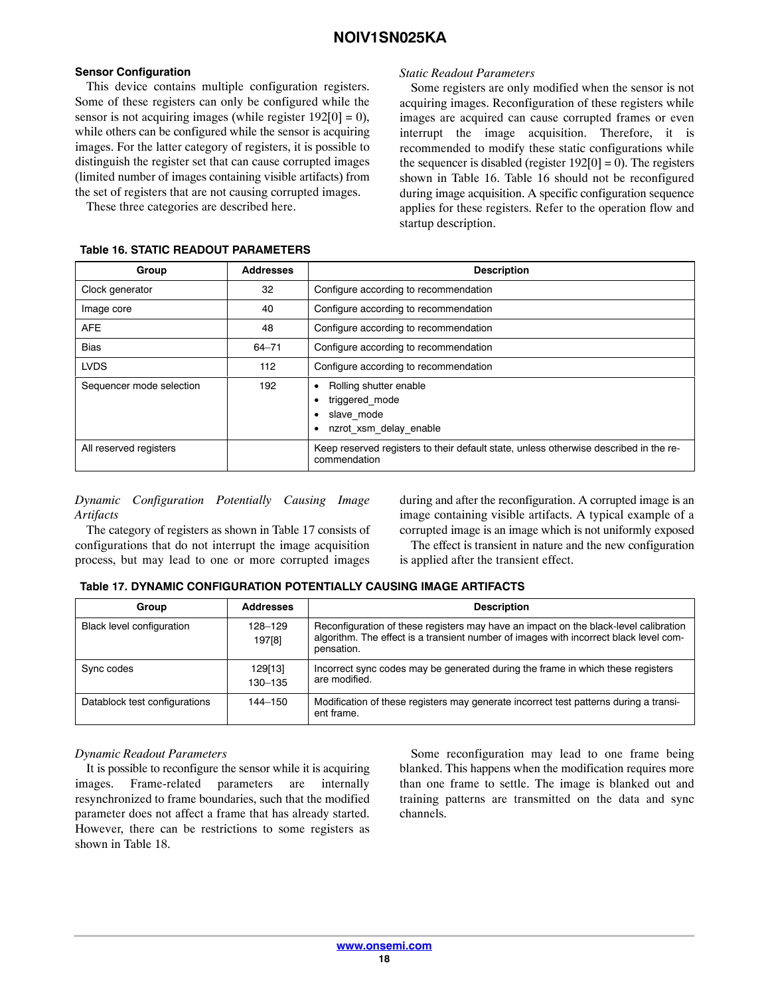#### **Sensor Configuration**

This device contains multiple configuration registers. Some of these registers can only be configured while the sensor is not acquiring images (while register  $192[0] = 0$ ), while others can be configured while the sensor is acquiring images. For the latter category of registers, it is possible to distinguish the register set that can cause corrupted images (limited number of images containing visible artifacts) from the set of registers that are not causing corrupted images.

These three categories are described here.

# the sequencer is disabled (register  $192[0] = 0$ ). The registers shown in Table 16. Table 16 should not be reconfigured during image acquisition. A specific configuration sequence applies for these registers. Refer to the operation flow and startup description. **Table 16. STATIC READOUT PARAMETERS**

*Static Readout Parameters*

| Group                    | <b>Addresses</b> | <b>Description</b>                                                                                    |
|--------------------------|------------------|-------------------------------------------------------------------------------------------------------|
| Clock generator          | 32               | Configure according to recommendation                                                                 |
| Image core               | 40               | Configure according to recommendation                                                                 |
| <b>AFE</b>               | 48               | Configure according to recommendation                                                                 |
| <b>Bias</b>              | $64 - 71$        | Configure according to recommendation                                                                 |
| <b>LVDS</b>              | 112              | Configure according to recommendation                                                                 |
| Sequencer mode selection | 192              | Rolling shutter enable<br>٠<br>triggered mode<br>slave mode<br>٠<br>nzrot xsm delay enable            |
| All reserved registers   |                  | Keep reserved registers to their default state, unless otherwise described in the re-<br>commendation |

#### *Dynamic Configuration Potentially Causing Image Artifacts*

The category of registers as shown in Table 17 consists of configurations that do not interrupt the image acquisition process, but may lead to one or more corrupted images

during and after the reconfiguration. A corrupted image is an image containing visible artifacts. A typical example of a corrupted image is an image which is not uniformly exposed

Some registers are only modified when the sensor is not acquiring images. Reconfiguration of these registers while images are acquired can cause corrupted frames or even interrupt the image acquisition. Therefore, it is recommended to modify these static configurations while

The effect is transient in nature and the new configuration is applied after the transient effect.

## **Table 17. DYNAMIC CONFIGURATION POTENTIALLY CAUSING IMAGE ARTIFACTS**

| Group                         | <b>Addresses</b>   | <b>Description</b>                                                                                                                                                                          |
|-------------------------------|--------------------|---------------------------------------------------------------------------------------------------------------------------------------------------------------------------------------------|
| Black level configuration     | 128-129<br>197[8]  | Reconfiguration of these registers may have an impact on the black-level calibration<br>algorithm. The effect is a transient number of images with incorrect black level com-<br>pensation. |
| Sync codes                    | 129[13]<br>130-135 | Incorrect sync codes may be generated during the frame in which these registers<br>are modified.                                                                                            |
| Datablock test configurations | 144-150            | Modification of these registers may generate incorrect test patterns during a transi-<br>ent frame.                                                                                         |

## *Dynamic Readout Parameters*

It is possible to reconfigure the sensor while it is acquiring images. Frame-related parameters are internally resynchronized to frame boundaries, such that the modified parameter does not affect a frame that has already started. However, there can be restrictions to some registers as shown in Table [18](#page-18-0).

Some reconfiguration may lead to one frame being blanked. This happens when the modification requires more than one frame to settle. The image is blanked out and training patterns are transmitted on the data and sync channels.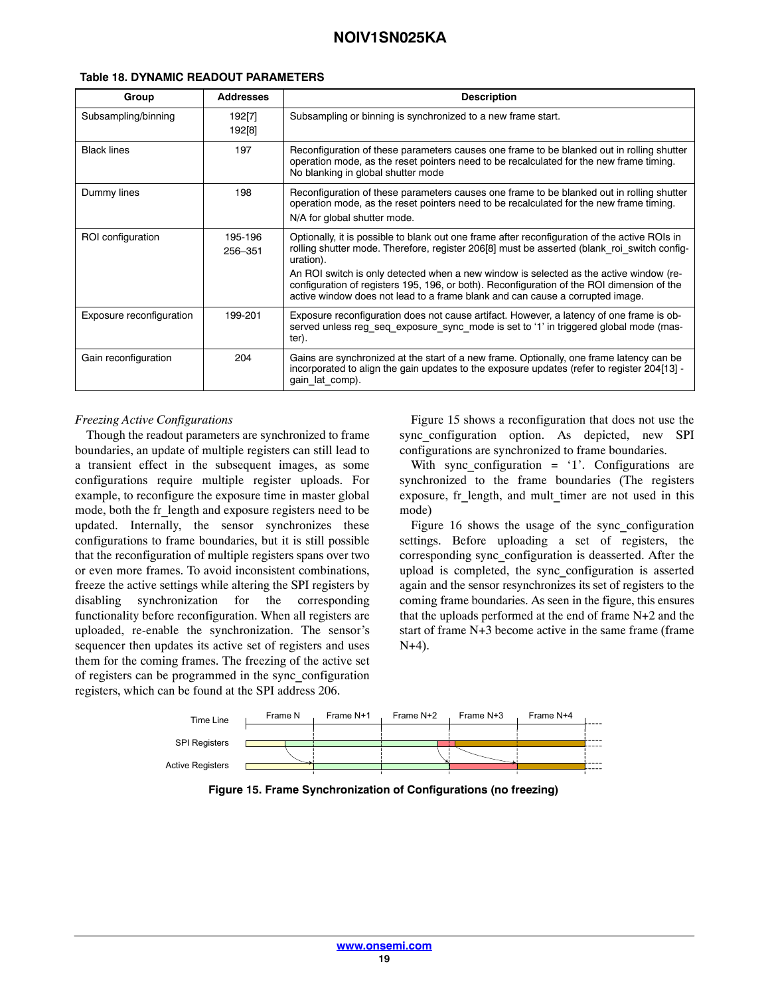| Group                    | <b>Addresses</b>   | <b>Description</b>                                                                                                                                                                                                                                                                                                                                                                                                                                                                 |
|--------------------------|--------------------|------------------------------------------------------------------------------------------------------------------------------------------------------------------------------------------------------------------------------------------------------------------------------------------------------------------------------------------------------------------------------------------------------------------------------------------------------------------------------------|
| Subsampling/binning      | 192[7]<br>192[8]   | Subsampling or binning is synchronized to a new frame start.                                                                                                                                                                                                                                                                                                                                                                                                                       |
| <b>Black lines</b>       | 197                | Reconfiguration of these parameters causes one frame to be blanked out in rolling shutter<br>operation mode, as the reset pointers need to be recalculated for the new frame timing.<br>No blanking in global shutter mode                                                                                                                                                                                                                                                         |
| Dummy lines              | 198                | Reconfiguration of these parameters causes one frame to be blanked out in rolling shutter<br>operation mode, as the reset pointers need to be recalculated for the new frame timing.<br>N/A for global shutter mode.                                                                                                                                                                                                                                                               |
| ROI configuration        | 195-196<br>256-351 | Optionally, it is possible to blank out one frame after reconfiguration of the active ROIs in<br>rolling shutter mode. Therefore, register 206[8] must be asserted (blank roi switch config-<br>uration).<br>An ROI switch is only detected when a new window is selected as the active window (re-<br>configuration of registers 195, 196, or both). Reconfiguration of the ROI dimension of the<br>active window does not lead to a frame blank and can cause a corrupted image. |
| Exposure reconfiguration | 199-201            | Exposure reconfiguration does not cause artifact. However, a latency of one frame is ob-<br>served unless reg_seq_exposure_sync_mode is set to '1' in triggered global mode (mas-<br>ter).                                                                                                                                                                                                                                                                                         |
| Gain reconfiguration     | 204                | Gains are synchronized at the start of a new frame. Optionally, one frame latency can be<br>incorporated to align the gain updates to the exposure updates (refer to register 204[13] -<br>gain lat comp).                                                                                                                                                                                                                                                                         |

#### <span id="page-18-0"></span>**Table 18. DYNAMIC READOUT PARAMETERS**

#### *Freezing Active Configurations*

Though the readout parameters are synchronized to frame boundaries, an update of multiple registers can still lead to a transient effect in the subsequent images, as some configurations require multiple register uploads. For example, to reconfigure the exposure time in master global mode, both the fr\_length and exposure registers need to be updated. Internally, the sensor synchronizes these configurations to frame boundaries, but it is still possible that the reconfiguration of multiple registers spans over two or even more frames. To avoid inconsistent combinations, freeze the active settings while altering the SPI registers by disabling synchronization for the corresponding functionality before reconfiguration. When all registers are uploaded, re-enable the synchronization. The sensor's sequencer then updates its active set of registers and uses them for the coming frames. The freezing of the active set of registers can be programmed in the sync\_configuration registers, which can be found at the SPI address 206.

Figure 15 shows a reconfiguration that does not use the sync\_configuration option. As depicted, new SPI configurations are synchronized to frame boundaries.

With sync\_configuration =  $'1'$ . Configurations are synchronized to the frame boundaries (The registers exposure, fr\_length, and mult\_timer are not used in this mode)

Figure [16](#page-19-0) shows the usage of the sync\_configuration settings. Before uploading a set of registers, the corresponding sync\_configuration is deasserted. After the upload is completed, the sync\_configuration is asserted again and the sensor resynchronizes its set of registers to the coming frame boundaries. As seen in the figure, this ensures that the uploads performed at the end of frame N+2 and the start of frame N+3 become active in the same frame (frame N+4).



**Figure 15. Frame Synchronization of Configurations (no freezing)**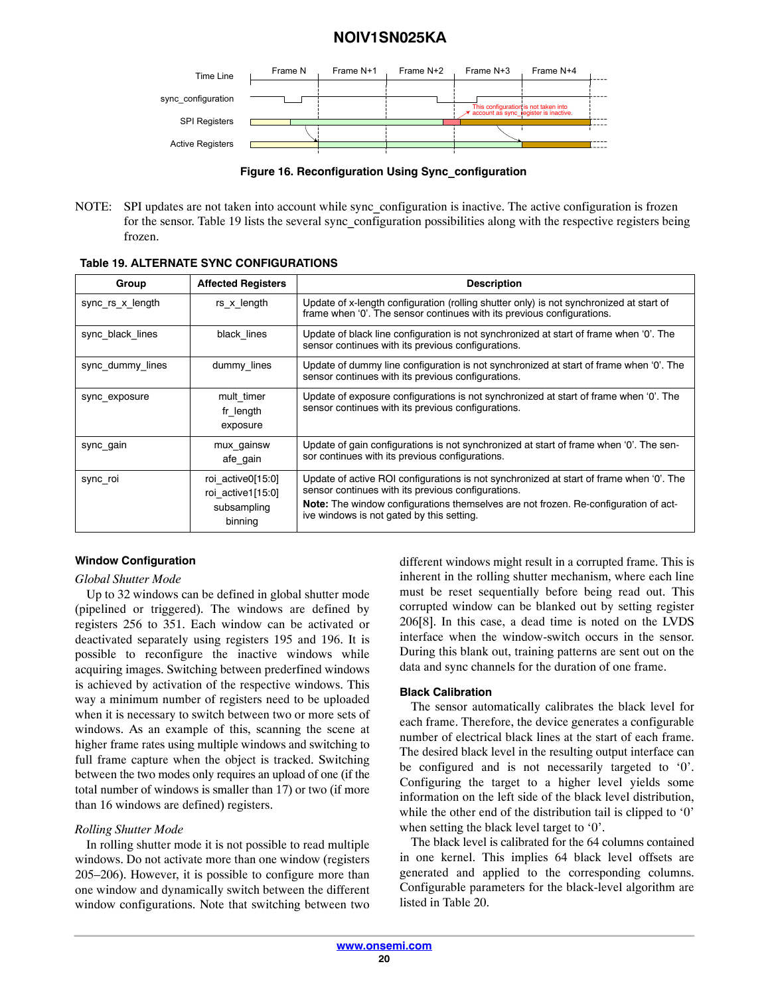<span id="page-19-0"></span>

**Figure 16. Reconfiguration Using Sync\_configuration**

NOTE: SPI updates are not taken into account while sync\_configuration is inactive. The active configuration is frozen for the sensor. Table 19 lists the several sync\_configuration possibilities along with the respective registers being frozen.

| Group            | <b>Affected Registers</b>                                        | <b>Description</b>                                                                                                                                                                                                                                                                |
|------------------|------------------------------------------------------------------|-----------------------------------------------------------------------------------------------------------------------------------------------------------------------------------------------------------------------------------------------------------------------------------|
| sync rs x length | rs x length                                                      | Update of x-length configuration (rolling shutter only) is not synchronized at start of<br>frame when '0'. The sensor continues with its previous configurations.                                                                                                                 |
| sync black lines | black lines                                                      | Update of black line configuration is not synchronized at start of frame when '0'. The<br>sensor continues with its previous configurations.                                                                                                                                      |
| sync dummy lines | dummy lines                                                      | Update of dummy line configuration is not synchronized at start of frame when '0'. The<br>sensor continues with its previous configurations.                                                                                                                                      |
| sync exposure    | mult timer<br>fr length<br>exposure                              | Update of exposure configurations is not synchronized at start of frame when '0'. The<br>sensor continues with its previous configurations.                                                                                                                                       |
| sync gain        | mux gainsw<br>afe gain                                           | Update of gain configurations is not synchronized at start of frame when '0'. The sen-<br>sor continues with its previous configurations.                                                                                                                                         |
| sync roi         | roi active0[15:0]<br>roi active1[15:0]<br>subsampling<br>binning | Update of active ROI configurations is not synchronized at start of frame when '0'. The<br>sensor continues with its previous configurations.<br>Note: The window configurations themselves are not frozen. Re-configuration of act-<br>ive windows is not gated by this setting. |

**Table 19. ALTERNATE SYNC CONFIGURATIONS**

## **Window Configuration**

#### *Global Shutter Mode*

Up to 32 windows can be defined in global shutter mode (pipelined or triggered). The windows are defined by registers 256 to 351. Each window can be activated or deactivated separately using registers 195 and 196. It is possible to reconfigure the inactive windows while acquiring images. Switching between prederfined windows is achieved by activation of the respective windows. This way a minimum number of registers need to be uploaded when it is necessary to switch between two or more sets of windows. As an example of this, scanning the scene at higher frame rates using multiple windows and switching to full frame capture when the object is tracked. Switching between the two modes only requires an upload of one (if the total number of windows is smaller than 17) or two (if more than 16 windows are defined) registers.

#### *Rolling Shutter Mode*

In rolling shutter mode it is not possible to read multiple windows. Do not activate more than one window (registers 205–206). However, it is possible to configure more than one window and dynamically switch between the different window configurations. Note that switching between two

different windows might result in a corrupted frame. This is inherent in the rolling shutter mechanism, where each line must be reset sequentially before being read out. This corrupted window can be blanked out by setting register 206[8]. In this case, a dead time is noted on the LVDS interface when the window-switch occurs in the sensor. During this blank out, training patterns are sent out on the data and sync channels for the duration of one frame.

#### **Black Calibration**

The sensor automatically calibrates the black level for each frame. Therefore, the device generates a configurable number of electrical black lines at the start of each frame. The desired black level in the resulting output interface can be configured and is not necessarily targeted to '0'. Configuring the target to a higher level yields some information on the left side of the black level distribution, while the other end of the distribution tail is clipped to '0' when setting the black level target to '0'.

The black level is calibrated for the 64 columns contained in one kernel. This implies 64 black level offsets are generated and applied to the corresponding columns. Configurable parameters for the black-level algorithm are listed in Table [20.](#page-20-0)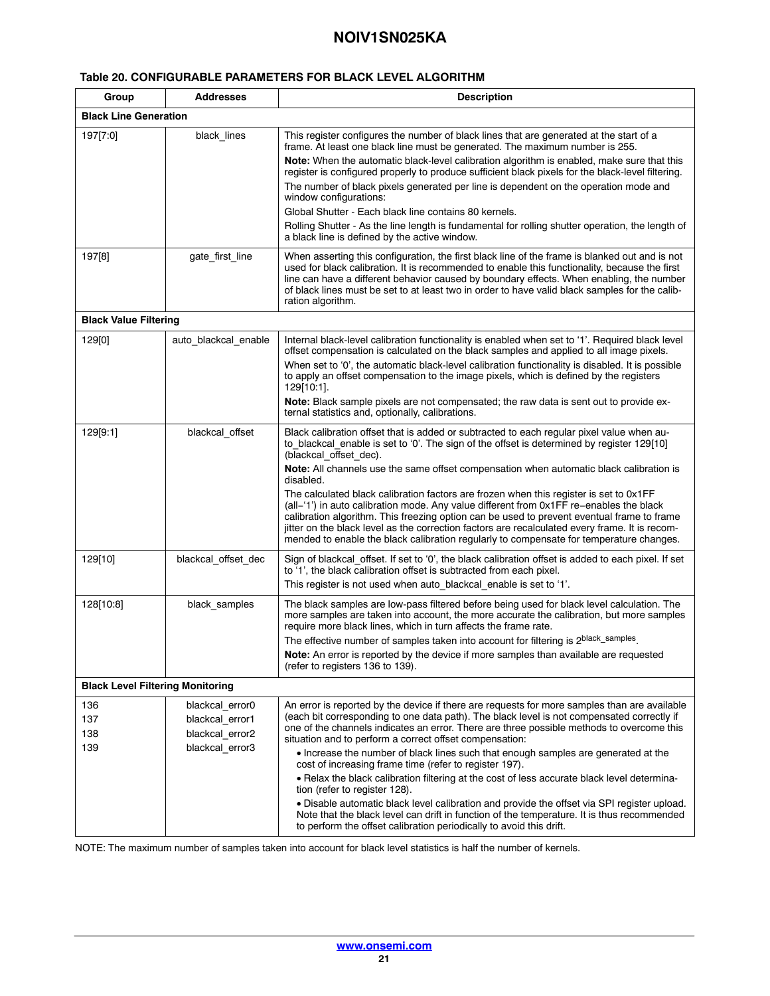## <span id="page-20-0"></span>**Table 20. CONFIGURABLE PARAMETERS FOR BLACK LEVEL ALGORITHM**

| Group                                   | <b>Addresses</b>                                      | <b>Description</b>                                                                                                                                                                                                                                                                                                                                                                                                                                                           |
|-----------------------------------------|-------------------------------------------------------|------------------------------------------------------------------------------------------------------------------------------------------------------------------------------------------------------------------------------------------------------------------------------------------------------------------------------------------------------------------------------------------------------------------------------------------------------------------------------|
| <b>Black Line Generation</b>            |                                                       |                                                                                                                                                                                                                                                                                                                                                                                                                                                                              |
| 197[7:0]                                | black_lines                                           | This register configures the number of black lines that are generated at the start of a<br>frame. At least one black line must be generated. The maximum number is 255.                                                                                                                                                                                                                                                                                                      |
|                                         |                                                       | <b>Note:</b> When the automatic black-level calibration algorithm is enabled, make sure that this<br>register is configured properly to produce sufficient black pixels for the black-level filtering.<br>The number of black pixels generated per line is dependent on the operation mode and<br>window configurations:                                                                                                                                                     |
|                                         |                                                       | Global Shutter - Each black line contains 80 kernels.                                                                                                                                                                                                                                                                                                                                                                                                                        |
|                                         |                                                       | Rolling Shutter - As the line length is fundamental for rolling shutter operation, the length of<br>a black line is defined by the active window.                                                                                                                                                                                                                                                                                                                            |
| 197[8]                                  | gate first line                                       | When asserting this configuration, the first black line of the frame is blanked out and is not<br>used for black calibration. It is recommended to enable this functionality, because the first<br>line can have a different behavior caused by boundary effects. When enabling, the number<br>of black lines must be set to at least two in order to have valid black samples for the calib-<br>ration algorithm.                                                           |
| <b>Black Value Filtering</b>            |                                                       |                                                                                                                                                                                                                                                                                                                                                                                                                                                                              |
| 129[0]                                  | auto blackcal enable                                  | Internal black-level calibration functionality is enabled when set to '1'. Required black level<br>offset compensation is calculated on the black samples and applied to all image pixels.                                                                                                                                                                                                                                                                                   |
|                                         |                                                       | When set to '0', the automatic black-level calibration functionality is disabled. It is possible<br>to apply an offset compensation to the image pixels, which is defined by the registers<br>129[10:1].                                                                                                                                                                                                                                                                     |
|                                         |                                                       | Note: Black sample pixels are not compensated; the raw data is sent out to provide ex-<br>ternal statistics and, optionally, calibrations.                                                                                                                                                                                                                                                                                                                                   |
| 129[9:1]                                | blackcal offset                                       | Black calibration offset that is added or subtracted to each regular pixel value when au-<br>to_blackcal_enable is set to '0'. The sign of the offset is determined by register 129[10]<br>(blackcal offset dec).                                                                                                                                                                                                                                                            |
|                                         |                                                       | Note: All channels use the same offset compensation when automatic black calibration is<br>disabled.                                                                                                                                                                                                                                                                                                                                                                         |
|                                         |                                                       | The calculated black calibration factors are frozen when this register is set to 0x1FF<br>(all-'1') in auto calibration mode. Any value different from 0x1FF re-enables the black<br>calibration algorithm. This freezing option can be used to prevent eventual frame to frame<br>jitter on the black level as the correction factors are recalculated every frame. It is recom-<br>mended to enable the black calibration regularly to compensate for temperature changes. |
| 129[10]                                 | blackcal_offset_dec                                   | Sign of blackcal offset. If set to '0', the black calibration offset is added to each pixel. If set<br>to '1', the black calibration offset is subtracted from each pixel.                                                                                                                                                                                                                                                                                                   |
|                                         |                                                       | This register is not used when auto blackcal enable is set to '1'.                                                                                                                                                                                                                                                                                                                                                                                                           |
| 128[10:8]                               | black_samples                                         | The black samples are low-pass filtered before being used for black level calculation. The<br>more samples are taken into account, the more accurate the calibration, but more samples<br>require more black lines, which in turn affects the frame rate.                                                                                                                                                                                                                    |
|                                         |                                                       | The effective number of samples taken into account for filtering is 2black_samples.<br>Note: An error is reported by the device if more samples than available are requested<br>(refer to registers 136 to 139).                                                                                                                                                                                                                                                             |
| <b>Black Level Filtering Monitoring</b> |                                                       |                                                                                                                                                                                                                                                                                                                                                                                                                                                                              |
| 136<br>137<br>138                       | blackcal error0<br>blackcal error1<br>blackcal error2 | An error is reported by the device if there are requests for more samples than are available<br>(each bit corresponding to one data path). The black level is not compensated correctly if<br>one of the channels indicates an error. There are three possible methods to overcome this<br>situation and to perform a correct offset compensation:                                                                                                                           |
| 139                                     | blackcal error3                                       | • Increase the number of black lines such that enough samples are generated at the<br>cost of increasing frame time (refer to register 197).                                                                                                                                                                                                                                                                                                                                 |
|                                         |                                                       | • Relax the black calibration filtering at the cost of less accurate black level determina-<br>tion (refer to register 128).                                                                                                                                                                                                                                                                                                                                                 |
|                                         |                                                       | • Disable automatic black level calibration and provide the offset via SPI register upload.<br>Note that the black level can drift in function of the temperature. It is thus recommended<br>to perform the offset calibration periodically to avoid this drift.                                                                                                                                                                                                             |

NOTE: The maximum number of samples taken into account for black level statistics is half the number of kernels.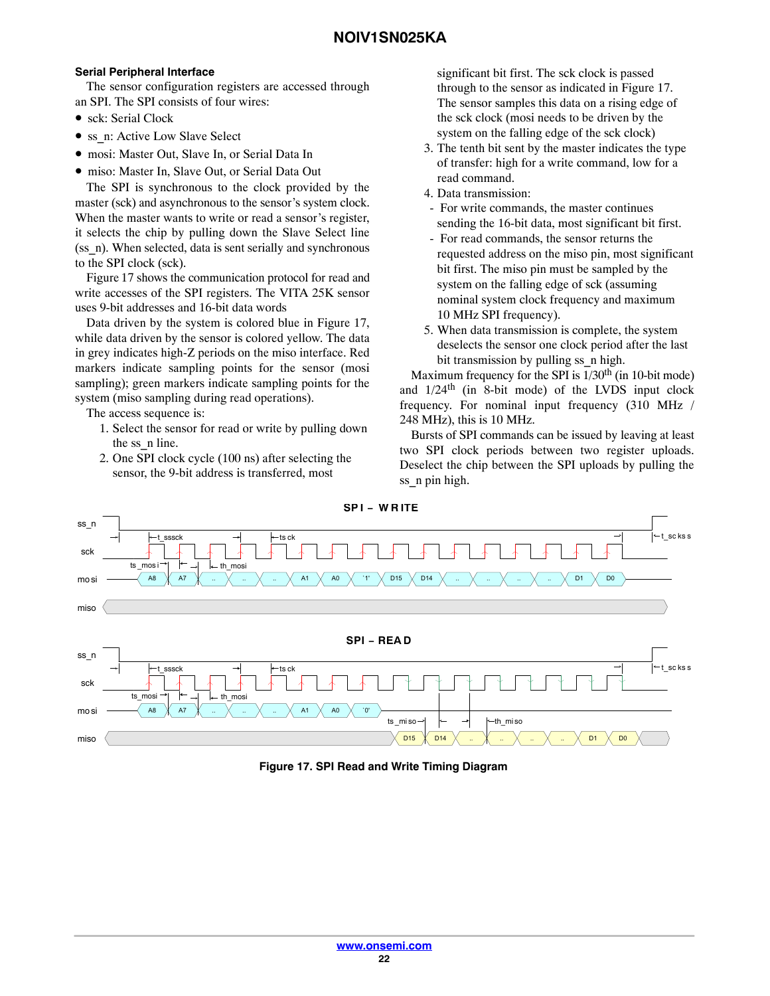#### **Serial Peripheral Interface**

The sensor configuration registers are accessed through an SPI. The SPI consists of four wires:

- sck: Serial Clock
- ss\_n: Active Low Slave Select
- mosi: Master Out, Slave In, or Serial Data In
- miso: Master In, Slave Out, or Serial Data Out

The SPI is synchronous to the clock provided by the master (sck) and asynchronous to the sensor's system clock. When the master wants to write or read a sensor's register, it selects the chip by pulling down the Slave Select line (ss\_n). When selected, data is sent serially and synchronous to the SPI clock (sck).

Figure 17 shows the communication protocol for read and write accesses of the SPI registers. The VITA 25K sensor uses 9-bit addresses and 16-bit data words

Data driven by the system is colored blue in Figure 17, while data driven by the sensor is colored yellow. The data in grey indicates high-Z periods on the miso interface. Red markers indicate sampling points for the sensor (mosi sampling); green markers indicate sampling points for the system (miso sampling during read operations).

The access sequence is:

- 1. Select the sensor for read or write by pulling down the ss\_n line.
- 2. One SPI clock cycle (100 ns) after selecting the sensor, the 9-bit address is transferred, most

significant bit first. The sck clock is passed through to the sensor as indicated in Figure 17. The sensor samples this data on a rising edge of the sck clock (mosi needs to be driven by the system on the falling edge of the sck clock)

- 3. The tenth bit sent by the master indicates the type of transfer: high for a write command, low for a read command.
- 4. Data transmission:
- For write commands, the master continues sending the 16-bit data, most significant bit first.
- For read commands, the sensor returns the requested address on the miso pin, most significant bit first. The miso pin must be sampled by the system on the falling edge of sck (assuming nominal system clock frequency and maximum 10 MHz SPI frequency).
- 5. When data transmission is complete, the system deselects the sensor one clock period after the last bit transmission by pulling ss\_n high.

Maximum frequency for the SPI is  $1/30<sup>th</sup>$  (in 10-bit mode) and  $1/24$ <sup>th</sup> (in 8-bit mode) of the LVDS input clock frequency. For nominal input frequency (310 MHz / 248 MHz), this is 10 MHz.

Bursts of SPI commands can be issued by leaving at least two SPI clock periods between two register uploads. Deselect the chip between the SPI uploads by pulling the ss n pin high.



**Figure 17. SPI Read and Write Timing Diagram**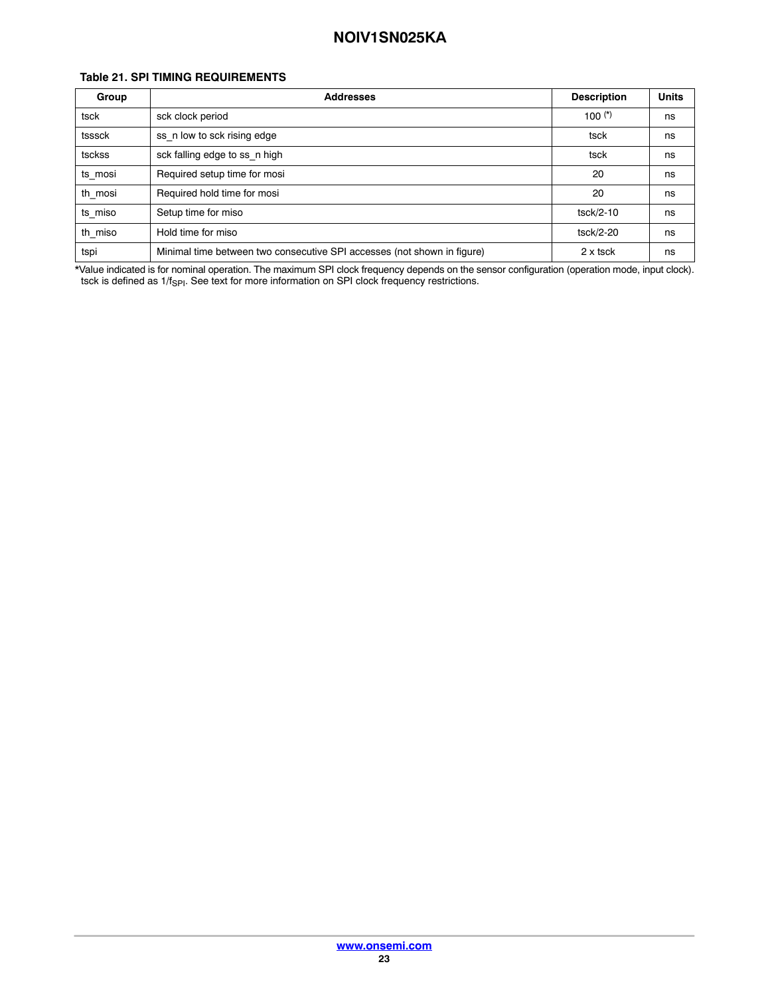#### **Table 21. SPI TIMING REQUIREMENTS**

| Group   | <b>Addresses</b>                                                        | <b>Description</b> | <b>Units</b> |  |
|---------|-------------------------------------------------------------------------|--------------------|--------------|--|
| tsck    | sck clock period                                                        | 100 $(*)$          | ns           |  |
| tsssck  | ss n low to sck rising edge<br>tsck                                     |                    |              |  |
| tsckss  | sck falling edge to ss n high                                           | tsck               | ns           |  |
| ts mosi | Required setup time for mosi                                            | 20                 | ns           |  |
| th mosi | Required hold time for mosi<br>20                                       |                    |              |  |
| ts miso | Setup time for miso<br>tsck/2-10                                        |                    |              |  |
| th_miso | Hold time for miso                                                      | tsck/2-20          | ns           |  |
| tspi    | Minimal time between two consecutive SPI accesses (not shown in figure) | 2 x tsck           | ns           |  |

\*Value indicated is for nominal operation. The maximum SPI clock frequency depends on the sensor configuration (operation mode, input clock). tsck is defined as 1/f<sub>SPI</sub>. See text for more information on SPI clock frequency restrictions.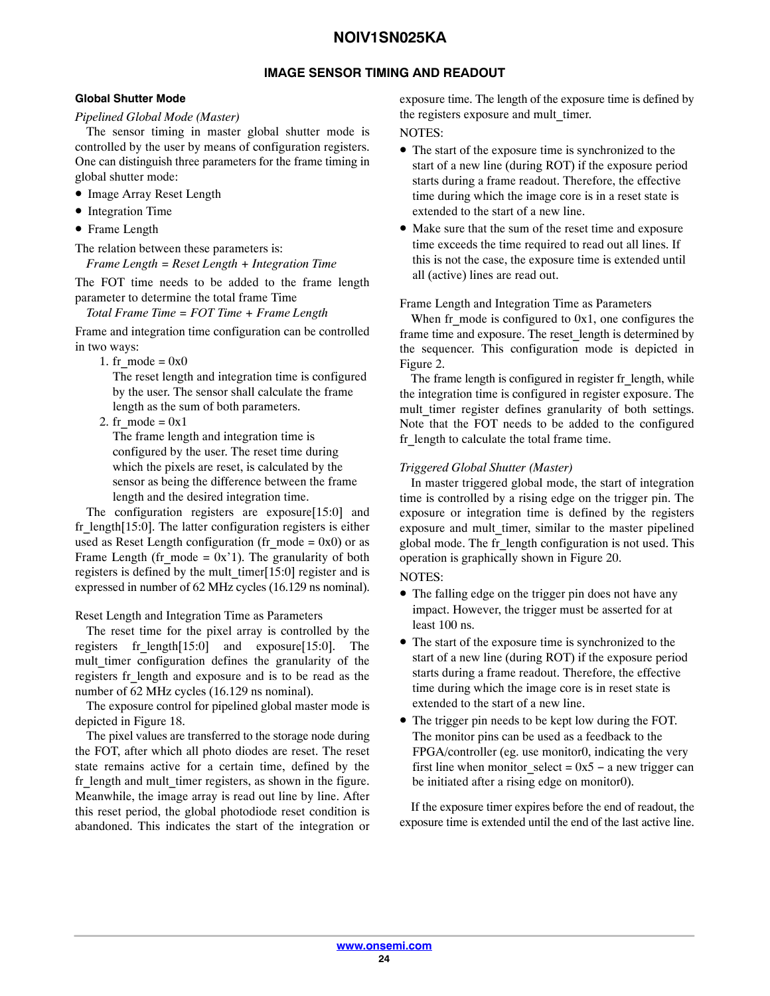# **IMAGE SENSOR TIMING AND READOUT**

## <span id="page-23-0"></span>**Global Shutter Mode**

## *Pipelined Global Mode (Master)*

The sensor timing in master global shutter mode is controlled by the user by means of configuration registers. One can distinguish three parameters for the frame timing in global shutter mode:

- Image Array Reset Length
- Integration Time
- Frame Length

The relation between these parameters is:

*Frame Length = Reset Length + Integration Time*

The FOT time needs to be added to the frame length parameter to determine the total frame Time

*Total Frame Time = FOT Time + Frame Length*

Frame and integration time configuration can be controlled in two ways:

1. fr\_mode =  $0x0$ 

The reset length and integration time is configured by the user. The sensor shall calculate the frame length as the sum of both parameters.

2. fr\_mode =  $0x1$ 

The frame length and integration time is configured by the user. The reset time during which the pixels are reset, is calculated by the sensor as being the difference between the frame length and the desired integration time.

The configuration registers are exposure[15:0] and fr length $[15:0]$ . The latter configuration registers is either used as Reset Length configuration (fr\_mode =  $0x0$ ) or as Frame Length (fr\_mode =  $0x'1$ ). The granularity of both registers is defined by the mult timer $[15:0]$  register and is expressed in number of 62 MHz cycles (16.129 ns nominal).

## Reset Length and Integration Time as Parameters

The reset time for the pixel array is controlled by the registers fr length $[15:0]$  and exposure $[15:0]$ . The mult timer configuration defines the granularity of the registers fr\_length and exposure and is to be read as the number of 62 MHz cycles (16.129 ns nominal).

The exposure control for pipelined global master mode is depicted in Figure [18.](#page-24-0)

The pixel values are transferred to the storage node during the FOT, after which all photo diodes are reset. The reset state remains active for a certain time, defined by the fr\_length and mult\_timer registers, as shown in the figure. Meanwhile, the image array is read out line by line. After this reset period, the global photodiode reset condition is abandoned. This indicates the start of the integration or

exposure time. The length of the exposure time is defined by the registers exposure and mult\_timer.

# NOTES:

- The start of the exposure time is synchronized to the start of a new line (during ROT) if the exposure period starts during a frame readout. Therefore, the effective time during which the image core is in a reset state is extended to the start of a new line.
- Make sure that the sum of the reset time and exposure time exceeds the time required to read out all lines. If this is not the case, the exposure time is extended until all (active) lines are read out.

#### Frame Length and Integration Time as Parameters

When fr\_mode is configured to  $0x1$ , one configures the frame time and exposure. The reset length is determined by the sequencer. This configuration mode is depicted in Figure [2](#page-6-0).

The frame length is configured in register fr\_length, while the integration time is configured in register exposure. The mult timer register defines granularity of both settings. Note that the FOT needs to be added to the configured fr length to calculate the total frame time.

## *Triggered Global Shutter (Master)*

In master triggered global mode, the start of integration time is controlled by a rising edge on the trigger pin. The exposure or integration time is defined by the registers exposure and mult timer, similar to the master pipelined global mode. The fr\_length configuration is not used. This operation is graphically shown in Figure [20.](#page-24-0)

## NOTES:

- The falling edge on the trigger pin does not have any impact. However, the trigger must be asserted for at least 100 ns.
- The start of the exposure time is synchronized to the start of a new line (during ROT) if the exposure period starts during a frame readout. Therefore, the effective time during which the image core is in reset state is extended to the start of a new line.
- The trigger pin needs to be kept low during the FOT. The monitor pins can be used as a feedback to the FPGA/controller (eg. use monitor0, indicating the very first line when monitor select =  $0x5 - a$  new trigger can be initiated after a rising edge on monitor0).

If the exposure timer expires before the end of readout, the exposure time is extended until the end of the last active line.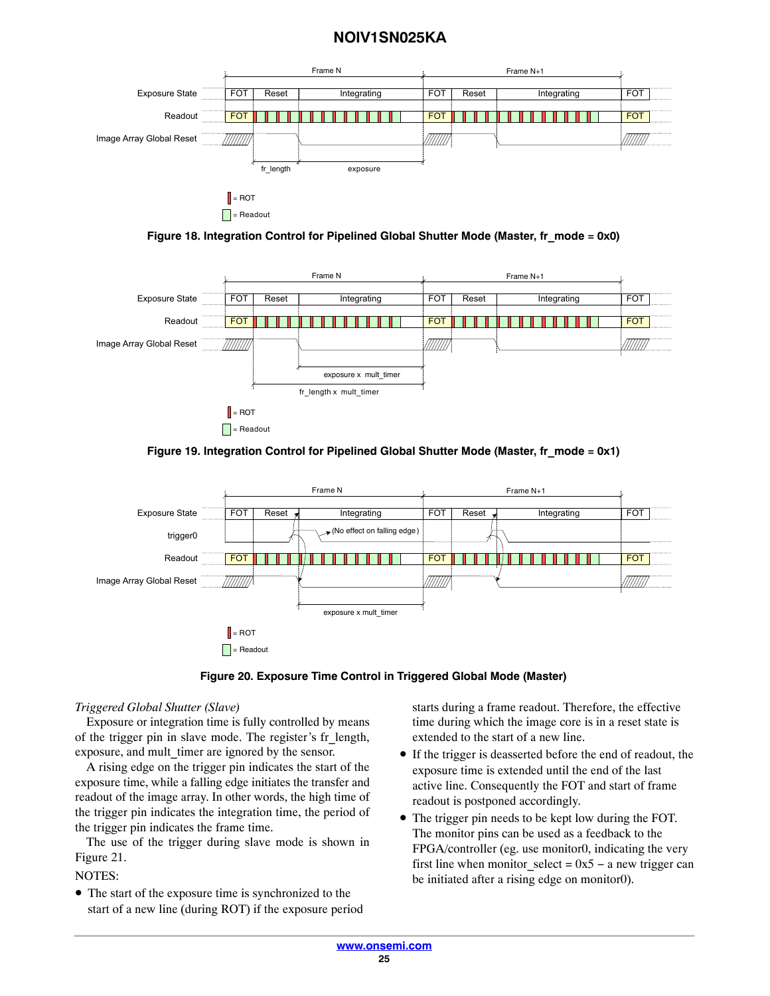<span id="page-24-0"></span>

**Figure 18. Integration Control for Pipelined Global Shutter Mode (Master, fr\_mode = 0x0)**









#### *Triggered Global Shutter (Slave)*

Exposure or integration time is fully controlled by means of the trigger pin in slave mode. The register's fr\_length, exposure, and mult timer are ignored by the sensor.

A rising edge on the trigger pin indicates the start of the exposure time, while a falling edge initiates the transfer and readout of the image array. In other words, the high time of the trigger pin indicates the integration time, the period of the trigger pin indicates the frame time.

The use of the trigger during slave mode is shown in Figure [21](#page-25-0).

NOTES:

• The start of the exposure time is synchronized to the start of a new line (during ROT) if the exposure period starts during a frame readout. Therefore, the effective time during which the image core is in a reset state is extended to the start of a new line.

- If the trigger is deasserted before the end of readout, the exposure time is extended until the end of the last active line. Consequently the FOT and start of frame readout is postponed accordingly.
- The trigger pin needs to be kept low during the FOT. The monitor pins can be used as a feedback to the FPGA/controller (eg. use monitor0, indicating the very first line when monitor\_select =  $0x5 - a$  new trigger can be initiated after a rising edge on monitor0).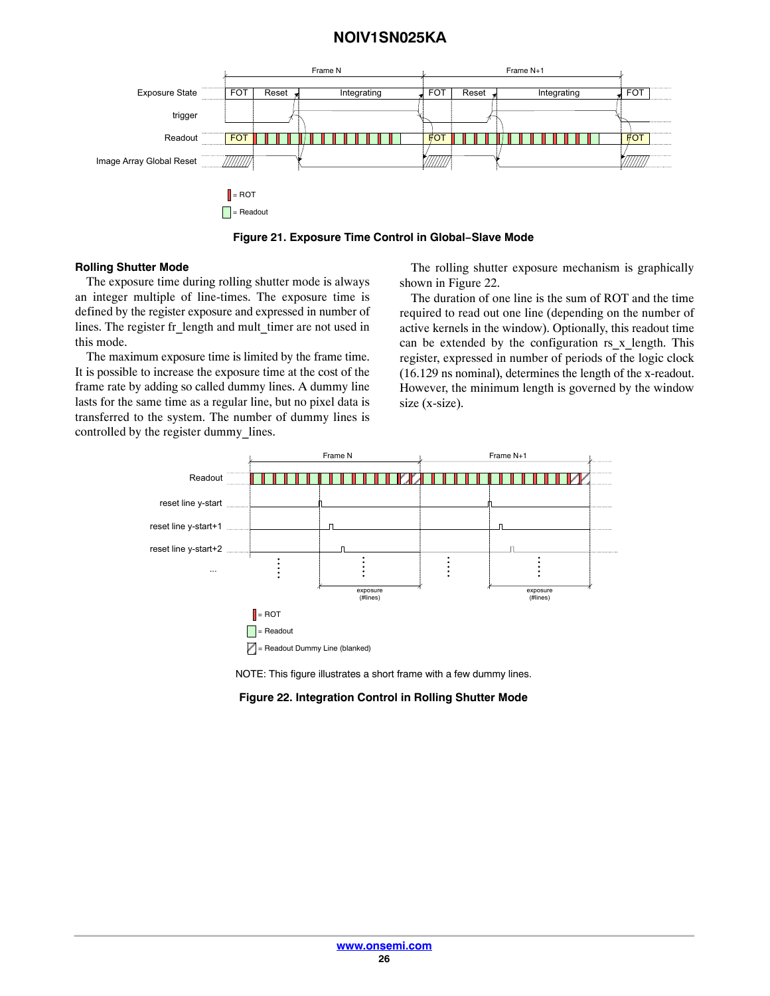<span id="page-25-0"></span>

**Figure 21. Exposure Time Control in Global−Slave Mode**

#### **Rolling Shutter Mode**

The exposure time during rolling shutter mode is always an integer multiple of line-times. The exposure time is defined by the register exposure and expressed in number of lines. The register fr\_length and mult\_timer are not used in this mode.

The maximum exposure time is limited by the frame time. It is possible to increase the exposure time at the cost of the frame rate by adding so called dummy lines. A dummy line lasts for the same time as a regular line, but no pixel data is transferred to the system. The number of dummy lines is controlled by the register dummy\_lines.

The rolling shutter exposure mechanism is graphically shown in Figure 22.

The duration of one line is the sum of ROT and the time required to read out one line (depending on the number of active kernels in the window). Optionally, this readout time can be extended by the configuration rs x length. This register, expressed in number of periods of the logic clock (16.129 ns nominal), determines the length of the x-readout. However, the minimum length is governed by the window size (x-size).



NOTE: This figure illustrates a short frame with a few dummy lines.

#### **Figure 22. Integration Control in Rolling Shutter Mode**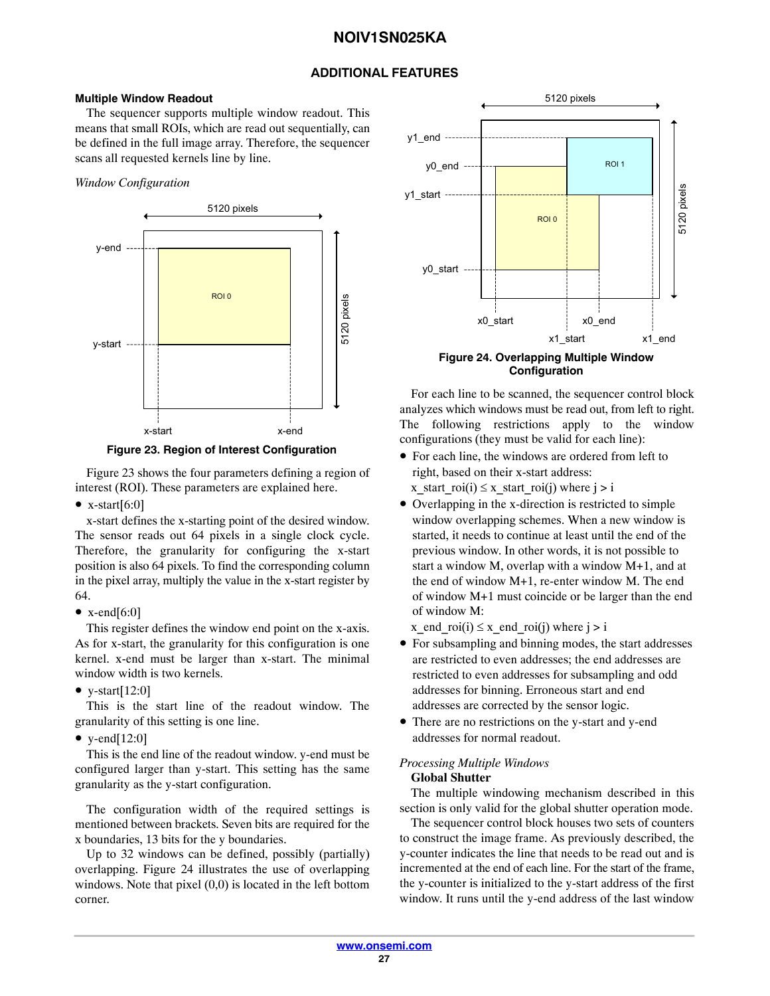# **ADDITIONAL FEATURES**

#### <span id="page-26-0"></span>**Multiple Window Readout**

The sequencer supports multiple window readout. This means that small ROIs, which are read out sequentially, can be defined in the full image array. Therefore, the sequencer scans all requested kernels line by line.

## *Window Configuration*





Figure 23 shows the four parameters defining a region of interest (ROI). These parameters are explained here.

•  $x$ -start $[6:0]$ 

x-start defines the x-starting point of the desired window. The sensor reads out 64 pixels in a single clock cycle. Therefore, the granularity for configuring the x-start position is also 64 pixels. To find the corresponding column in the pixel array, multiply the value in the x-start register by 64.

•  $x$ -end[6:0]

This register defines the window end point on the x-axis. As for x-start, the granularity for this configuration is one kernel. x-end must be larger than x-start. The minimal window width is two kernels.

• y-start $[12:0]$ 

This is the start line of the readout window. The granularity of this setting is one line.

• y-end $[12:0]$ 

This is the end line of the readout window. y-end must be configured larger than y-start. This setting has the same granularity as the y-start configuration.

The configuration width of the required settings is mentioned between brackets. Seven bits are required for the x boundaries, 13 bits for the y boundaries.

Up to 32 windows can be defined, possibly (partially) overlapping. Figure 24 illustrates the use of overlapping windows. Note that pixel (0,0) is located in the left bottom corner.



**Configuration**

For each line to be scanned, the sequencer control block analyzes which windows must be read out, from left to right. The following restrictions apply to the window configurations (they must be valid for each line):

- For each line, the windows are ordered from left to right, based on their x-start address: x\_start\_roi(i)  $\leq$  x\_start\_roi(j) where j > i
- Overlapping in the x-direction is restricted to simple window overlapping schemes. When a new window is started, it needs to continue at least until the end of the previous window. In other words, it is not possible to start a window M, overlap with a window M+1, and at the end of window M+1, re-enter window M. The end of window M+1 must coincide or be larger than the end of window M:

x\_end\_roi(i)  $\leq$  x\_end\_roi(j) where j > i

- For subsampling and binning modes, the start addresses are restricted to even addresses; the end addresses are restricted to even addresses for subsampling and odd addresses for binning. Erroneous start and end addresses are corrected by the sensor logic.
- There are no restrictions on the y-start and y-end addresses for normal readout.

## *Processing Multiple Windows* **Global Shutter**

The multiple windowing mechanism described in this section is only valid for the global shutter operation mode.

The sequencer control block houses two sets of counters to construct the image frame. As previously described, the y-counter indicates the line that needs to be read out and is incremented at the end of each line. For the start of the frame, the y-counter is initialized to the y-start address of the first window. It runs until the y-end address of the last window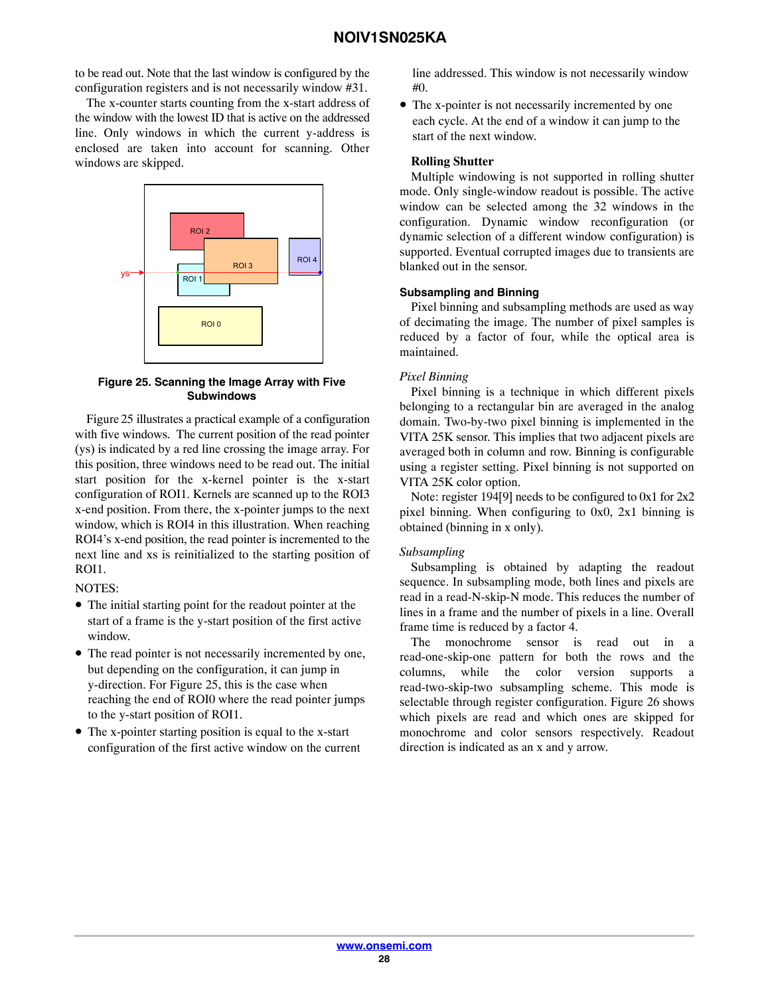to be read out. Note that the last window is configured by the configuration registers and is not necessarily window #31.

The x-counter starts counting from the x-start address of the window with the lowest ID that is active on the addressed line. Only windows in which the current y-address is enclosed are taken into account for scanning. Other windows are skipped.



#### **Figure 25. Scanning the Image Array with Five Subwindows**

Figure 25 illustrates a practical example of a configuration with five windows. The current position of the read pointer (ys) is indicated by a red line crossing the image array. For this position, three windows need to be read out. The initial start position for the x-kernel pointer is the x-start configuration of ROI1. Kernels are scanned up to the ROI3 x-end position. From there, the x-pointer jumps to the next window, which is ROI4 in this illustration. When reaching ROI4's x-end position, the read pointer is incremented to the next line and xs is reinitialized to the starting position of ROI1.

NOTES:

- The initial starting point for the readout pointer at the start of a frame is the y-start position of the first active window.
- The read pointer is not necessarily incremented by one, but depending on the configuration, it can jump in y-direction. For Figure 25, this is the case when reaching the end of ROI0 where the read pointer jumps to the y-start position of ROI1.
- The x-pointer starting position is equal to the x-start configuration of the first active window on the current

line addressed. This window is not necessarily window #0.

• The x-pointer is not necessarily incremented by one each cycle. At the end of a window it can jump to the start of the next window.

#### **Rolling Shutter**

Multiple windowing is not supported in rolling shutter mode. Only single-window readout is possible. The active window can be selected among the 32 windows in the configuration. Dynamic window reconfiguration (or dynamic selection of a different window configuration) is supported. Eventual corrupted images due to transients are blanked out in the sensor.

#### **Subsampling and Binning**

Pixel binning and subsampling methods are used as way of decimating the image. The number of pixel samples is reduced by a factor of four, while the optical area is maintained.

## *Pixel Binning*

Pixel binning is a technique in which different pixels belonging to a rectangular bin are averaged in the analog domain. Two-by-two pixel binning is implemented in the VITA 25K sensor. This implies that two adjacent pixels are averaged both in column and row. Binning is configurable using a register setting. Pixel binning is not supported on VITA 25K color option.

Note: register 194[9] needs to be configured to 0x1 for 2x2 pixel binning. When configuring to 0x0, 2x1 binning is obtained (binning in x only).

## *Subsampling*

Subsampling is obtained by adapting the readout sequence. In subsampling mode, both lines and pixels are read in a read-N-skip-N mode. This reduces the number of lines in a frame and the number of pixels in a line. Overall frame time is reduced by a factor 4.

The monochrome sensor is read out in a read-one-skip-one pattern for both the rows and the columns, while the color version supports a read-two-skip-two subsampling scheme. This mode is selectable through register configuration. Figure [26](#page-28-0) shows which pixels are read and which ones are skipped for monochrome and color sensors respectively. Readout direction is indicated as an x and y arrow.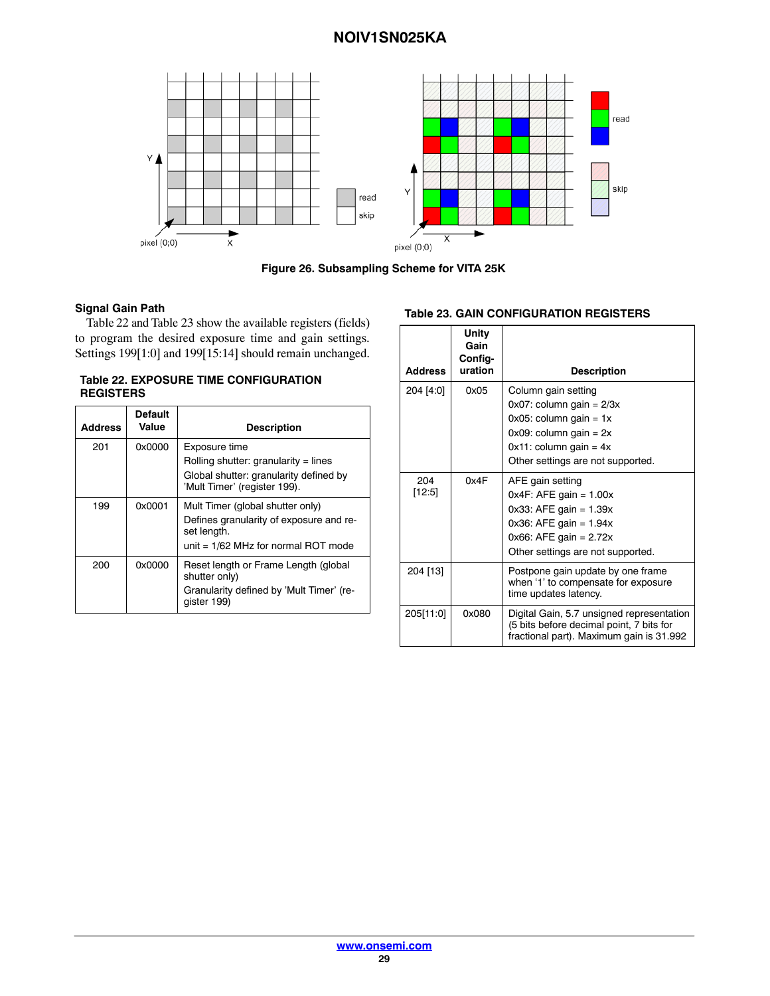<span id="page-28-0"></span>

**Figure 26. Subsampling Scheme for VITA 25K**

#### **Signal Gain Path**

Table 22 and Table 23 show the available registers (fields) to program the desired exposure time and gain settings. Settings 199[1:0] and 199[15:14] should remain unchanged.

# **Table 22. EXPOSURE TIME CONFIGURATION REGISTERS**

| <b>Address</b> | <b>Default</b><br>Value | <b>Description</b>                                                                                                                  |
|----------------|-------------------------|-------------------------------------------------------------------------------------------------------------------------------------|
| 201            | 0x0000                  | Exposure time<br>Rolling shutter: granularity = lines<br>Global shutter: granularity defined by<br>'Mult Timer' (register 199).     |
| 199            | 0x0001                  | Mult Timer (global shutter only)<br>Defines granularity of exposure and re-<br>set length.<br>unit = $1/62$ MHz for normal ROT mode |
| 200            | 0x0000                  | Reset length or Frame Length (global<br>shutter only)<br>Granularity defined by 'Mult Timer' (re-<br>qister 199)                    |

#### **Table 23. GAIN CONFIGURATION REGISTERS**

| <b>Address</b> | Unity<br>Gain<br>Config-<br>uration | <b>Description</b>                                                                                                                                                                   |
|----------------|-------------------------------------|--------------------------------------------------------------------------------------------------------------------------------------------------------------------------------------|
| 204 [4:0]      | 0x05                                | Column gain setting<br>$0x07$ : column gain = $2/3x$<br>$0x05$ : column gain = 1x<br>$0x09$ : column gain = $2x$<br>$0x11$ : column gain = $4x$<br>Other settings are not supported. |
| 204<br>[12:5]  | 0x4F                                | AFE gain setting<br>$0x4F$ : AFE gain = 1.00 $x$<br>$0x33$ : AFE gain = 1.39 $x$<br>0x36: AFE gain = 1.94x<br>$0x66$ : AFE gain = 2.72 $x$<br>Other settings are not supported.      |
| 204 [13]       |                                     | Postpone gain update by one frame<br>when '1' to compensate for exposure<br>time updates latency.                                                                                    |
| 205[11:0]      | 0x080                               | Digital Gain, 5.7 unsigned representation<br>(5 bits before decimal point, 7 bits for<br>fractional part). Maximum gain is 31.992                                                    |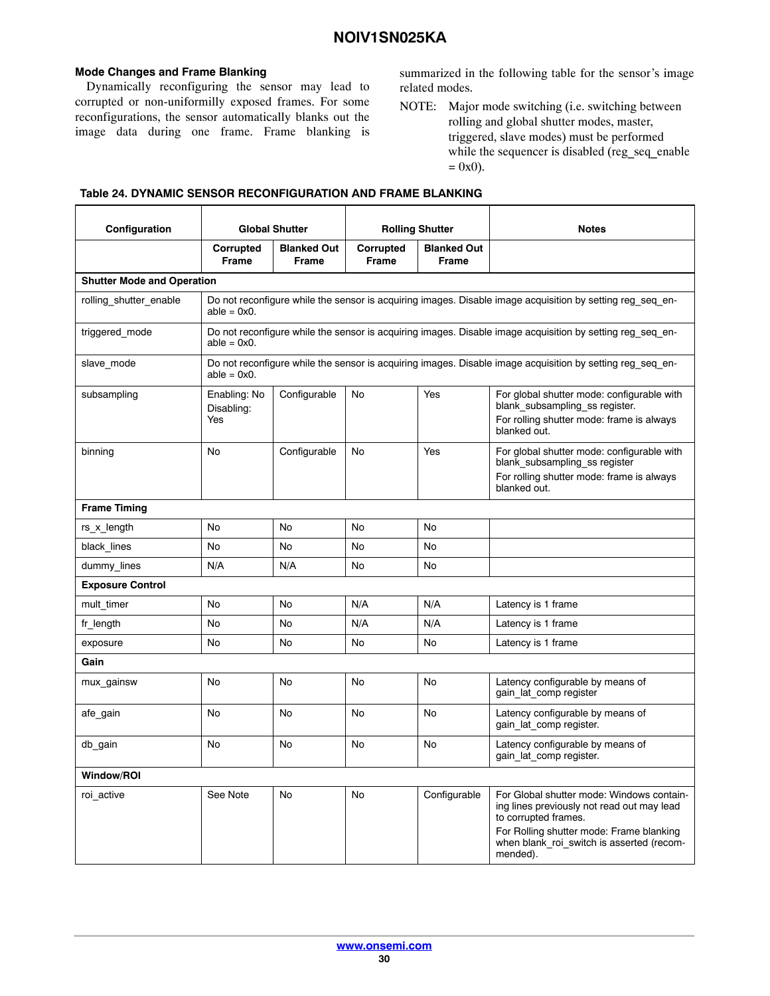#### <span id="page-29-0"></span>**Mode Changes and Frame Blanking**

Dynamically reconfiguring the sensor may lead to corrupted or non-uniformilly exposed frames. For some reconfigurations, the sensor automatically blanks out the image data during one frame. Frame blanking is

summarized in the following table for the sensor's image related modes.

NOTE: Major mode switching (i.e. switching between rolling and global shutter modes, master, triggered, slave modes) must be performed while the sequencer is disabled (reg\_seq\_enable  $= 0x0$ ).

| Configuration                     | <b>Global Shutter</b>             |                                                                                                           | <b>Rolling Shutter</b>    |                                    | <b>Notes</b>                                                                                                                                                                                                         |
|-----------------------------------|-----------------------------------|-----------------------------------------------------------------------------------------------------------|---------------------------|------------------------------------|----------------------------------------------------------------------------------------------------------------------------------------------------------------------------------------------------------------------|
|                                   | Corrupted<br><b>Frame</b>         | <b>Blanked Out</b><br>Frame                                                                               | Corrupted<br><b>Frame</b> | <b>Blanked Out</b><br><b>Frame</b> |                                                                                                                                                                                                                      |
| <b>Shutter Mode and Operation</b> |                                   |                                                                                                           |                           |                                    |                                                                                                                                                                                                                      |
| rolling shutter enable            | $able = 0x0.$                     | Do not reconfigure while the sensor is acquiring images. Disable image acquisition by setting reg seq en- |                           |                                    |                                                                                                                                                                                                                      |
| triggered_mode                    | able = $0 \times 0$ .             |                                                                                                           |                           |                                    | Do not reconfigure while the sensor is acquiring images. Disable image acquisition by setting reg seq en-                                                                                                            |
| slave mode                        | able = $0x0$ .                    |                                                                                                           |                           |                                    | Do not reconfigure while the sensor is acquiring images. Disable image acquisition by setting reg seq en-                                                                                                            |
| subsampling                       | Enabling: No<br>Disabling:<br>Yes | Configurable                                                                                              | No                        | Yes                                | For global shutter mode: configurable with<br>blank subsampling ss register.<br>For rolling shutter mode: frame is always<br>blanked out.                                                                            |
| binning                           | No                                | Configurable                                                                                              | <b>No</b>                 | Yes                                | For global shutter mode: configurable with<br>blank subsampling ss register<br>For rolling shutter mode: frame is always<br>blanked out.                                                                             |
| <b>Frame Timing</b>               |                                   |                                                                                                           |                           |                                    |                                                                                                                                                                                                                      |
| rs_x_length                       | No                                | No                                                                                                        | No                        | No                                 |                                                                                                                                                                                                                      |
| black lines                       | No                                | No                                                                                                        | No                        | No                                 |                                                                                                                                                                                                                      |
| dummy lines                       | N/A                               | N/A                                                                                                       | No                        | No                                 |                                                                                                                                                                                                                      |
| <b>Exposure Control</b>           |                                   |                                                                                                           |                           |                                    |                                                                                                                                                                                                                      |
| mult_timer                        | No                                | No                                                                                                        | N/A                       | N/A                                | Latency is 1 frame                                                                                                                                                                                                   |
| fr length                         | No                                | No                                                                                                        | N/A                       | N/A                                | Latency is 1 frame                                                                                                                                                                                                   |
| exposure                          | No                                | No                                                                                                        | No                        | No                                 | Latency is 1 frame                                                                                                                                                                                                   |
| Gain                              |                                   |                                                                                                           |                           |                                    |                                                                                                                                                                                                                      |
| mux gainsw                        | No                                | No                                                                                                        | No                        | No                                 | Latency configurable by means of<br>gain lat comp register                                                                                                                                                           |
| afe_gain                          | No                                | No                                                                                                        | No                        | No                                 | Latency configurable by means of<br>gain lat comp register.                                                                                                                                                          |
| db_gain                           | No                                | No                                                                                                        | No                        | No                                 | Latency configurable by means of<br>gain lat comp register.                                                                                                                                                          |
| <b>Window/ROI</b>                 |                                   |                                                                                                           |                           |                                    |                                                                                                                                                                                                                      |
| roi active                        | See Note                          | No                                                                                                        | No                        | Configurable                       | For Global shutter mode: Windows contain-<br>ing lines previously not read out may lead<br>to corrupted frames.<br>For Rolling shutter mode: Frame blanking<br>when blank roi switch is asserted (recom-<br>mended). |

#### **Table 24. DYNAMIC SENSOR RECONFIGURATION AND FRAME BLANKING**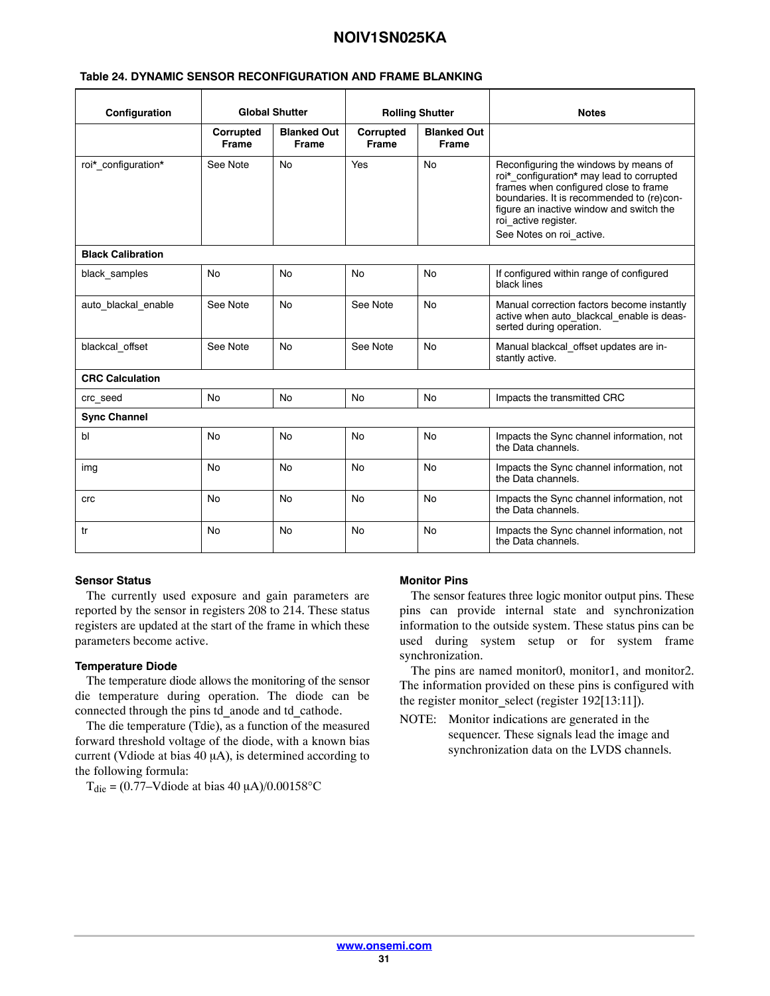#### **Table [24](#page-29-0). DYNAMIC SENSOR RECONFIGURATION AND FRAME BLANKING**

| Configuration            | <b>Global Shutter</b>     |                             | <b>Rolling Shutter</b>    |                                    | <b>Notes</b>                                                                                                                                                                                                                                                             |
|--------------------------|---------------------------|-----------------------------|---------------------------|------------------------------------|--------------------------------------------------------------------------------------------------------------------------------------------------------------------------------------------------------------------------------------------------------------------------|
|                          | Corrupted<br><b>Frame</b> | <b>Blanked Out</b><br>Frame | Corrupted<br><b>Frame</b> | <b>Blanked Out</b><br><b>Frame</b> |                                                                                                                                                                                                                                                                          |
| roi*_configuration*      | See Note                  | <b>No</b>                   | Yes                       | <b>No</b>                          | Reconfiguring the windows by means of<br>roi* configuration* may lead to corrupted<br>frames when configured close to frame<br>boundaries. It is recommended to (re)con-<br>figure an inactive window and switch the<br>roi active register.<br>See Notes on roi active. |
| <b>Black Calibration</b> |                           |                             |                           |                                    |                                                                                                                                                                                                                                                                          |
| black samples            | No                        | <b>No</b>                   | N٥                        | <b>No</b>                          | If configured within range of configured<br>black lines                                                                                                                                                                                                                  |
| auto blackal enable      | See Note                  | <b>No</b>                   | See Note                  | <b>No</b>                          | Manual correction factors become instantly<br>active when auto_blackcal_enable is deas-<br>serted during operation.                                                                                                                                                      |
| blackcal offset          | See Note                  | <b>No</b>                   | See Note                  | <b>No</b>                          | Manual blackcal offset updates are in-<br>stantly active.                                                                                                                                                                                                                |
| <b>CRC Calculation</b>   |                           |                             |                           |                                    |                                                                                                                                                                                                                                                                          |
| crc seed                 | <b>No</b>                 | <b>No</b>                   | <b>No</b>                 | No.                                | Impacts the transmitted CRC                                                                                                                                                                                                                                              |
| <b>Sync Channel</b>      |                           |                             |                           |                                    |                                                                                                                                                                                                                                                                          |
| bl                       | No                        | <b>No</b>                   | No                        | No                                 | Impacts the Sync channel information, not<br>the Data channels.                                                                                                                                                                                                          |
| img                      | No                        | No                          | No                        | No                                 | Impacts the Sync channel information, not<br>the Data channels.                                                                                                                                                                                                          |
| crc                      | No                        | <b>No</b>                   | No                        | <b>No</b>                          | Impacts the Sync channel information, not<br>the Data channels.                                                                                                                                                                                                          |
| tr                       | <b>No</b>                 | <b>No</b>                   | No                        | <b>No</b>                          | Impacts the Sync channel information, not<br>the Data channels.                                                                                                                                                                                                          |

#### **Sensor Status**

The currently used exposure and gain parameters are reported by the sensor in registers 208 to 214. These status registers are updated at the start of the frame in which these parameters become active.

#### **Temperature Diode**

The temperature diode allows the monitoring of the sensor die temperature during operation. The diode can be connected through the pins td\_anode and td\_cathode.

The die temperature (Tdie), as a function of the measured forward threshold voltage of the diode, with a known bias current (Vdiode at bias  $40 \mu A$ ), is determined according to the following formula:

 $T_{\text{die}} = (0.77 - \text{V diode at bias } 40 \,\mu\text{A})/0.00158\text{°C}$ 

#### **Monitor Pins**

The sensor features three logic monitor output pins. These pins can provide internal state and synchronization information to the outside system. These status pins can be used during system setup or for system frame synchronization.

The pins are named monitor0, monitor1, and monitor2. The information provided on these pins is configured with the register monitor select (register 192[13:11]).

NOTE: Monitor indications are generated in the sequencer. These signals lead the image and synchronization data on the LVDS channels.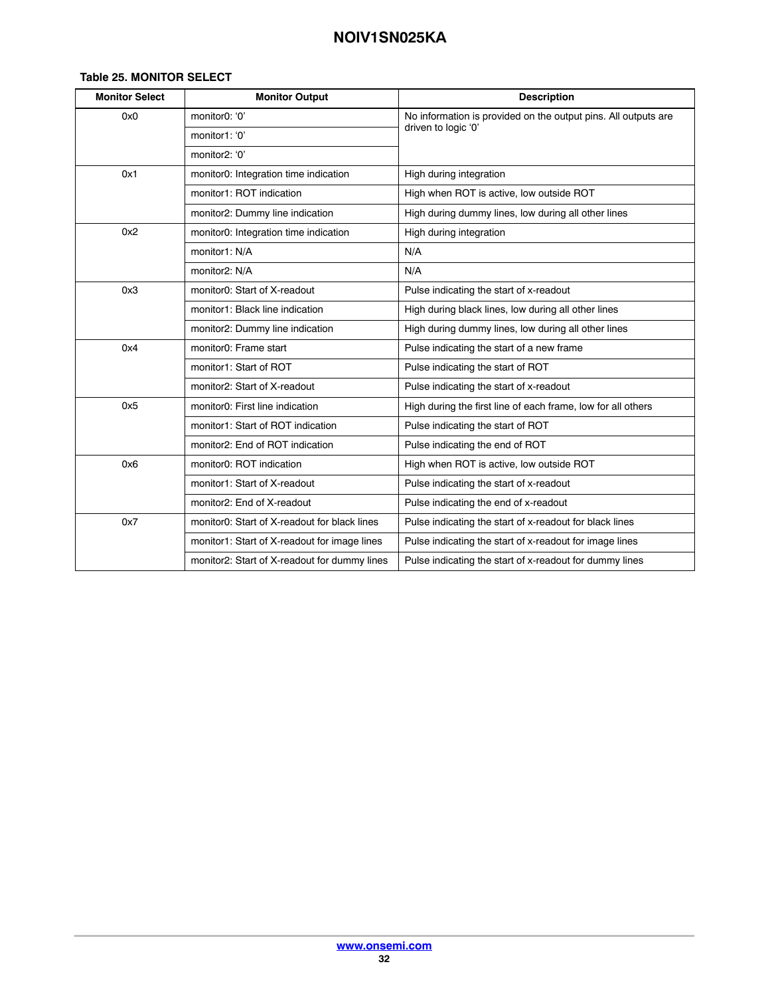#### **Table 25. MONITOR SELECT**

| <b>Monitor Select</b> | <b>Monitor Output</b>                        | <b>Description</b>                                             |  |
|-----------------------|----------------------------------------------|----------------------------------------------------------------|--|
| 0x0                   | monitor0: '0'                                | No information is provided on the output pins. All outputs are |  |
|                       | monitor1: '0'                                | driven to logic '0'                                            |  |
|                       | monitor2: '0'                                |                                                                |  |
| 0x1                   | monitor0: Integration time indication        | High during integration                                        |  |
|                       | monitor1: ROT indication                     | High when ROT is active, low outside ROT                       |  |
|                       | monitor2: Dummy line indication              | High during dummy lines, low during all other lines            |  |
| 0x2                   | monitor0: Integration time indication        | High during integration                                        |  |
|                       | monitor1: N/A                                | N/A                                                            |  |
|                       | monitor2: N/A                                | N/A                                                            |  |
| 0x3                   | monitor0: Start of X-readout                 | Pulse indicating the start of x-readout                        |  |
|                       | monitor1: Black line indication              | High during black lines, low during all other lines            |  |
|                       | monitor2: Dummy line indication              | High during dummy lines, low during all other lines            |  |
| 0x4                   | monitor0: Frame start                        | Pulse indicating the start of a new frame                      |  |
|                       | monitor1: Start of ROT                       | Pulse indicating the start of ROT                              |  |
|                       | monitor2: Start of X-readout                 | Pulse indicating the start of x-readout                        |  |
| 0x5                   | monitor0: First line indication              | High during the first line of each frame, low for all others   |  |
|                       | monitor1: Start of ROT indication            | Pulse indicating the start of ROT                              |  |
|                       | monitor2: End of ROT indication              | Pulse indicating the end of ROT                                |  |
| 0x6                   | monitor0: ROT indication                     | High when ROT is active, low outside ROT                       |  |
|                       | monitor1: Start of X-readout                 | Pulse indicating the start of x-readout                        |  |
|                       | monitor2: End of X-readout                   | Pulse indicating the end of x-readout                          |  |
| 0x7                   | monitor0: Start of X-readout for black lines | Pulse indicating the start of x-readout for black lines        |  |
|                       | monitor1: Start of X-readout for image lines | Pulse indicating the start of x-readout for image lines        |  |
|                       | monitor2: Start of X-readout for dummy lines | Pulse indicating the start of x-readout for dummy lines        |  |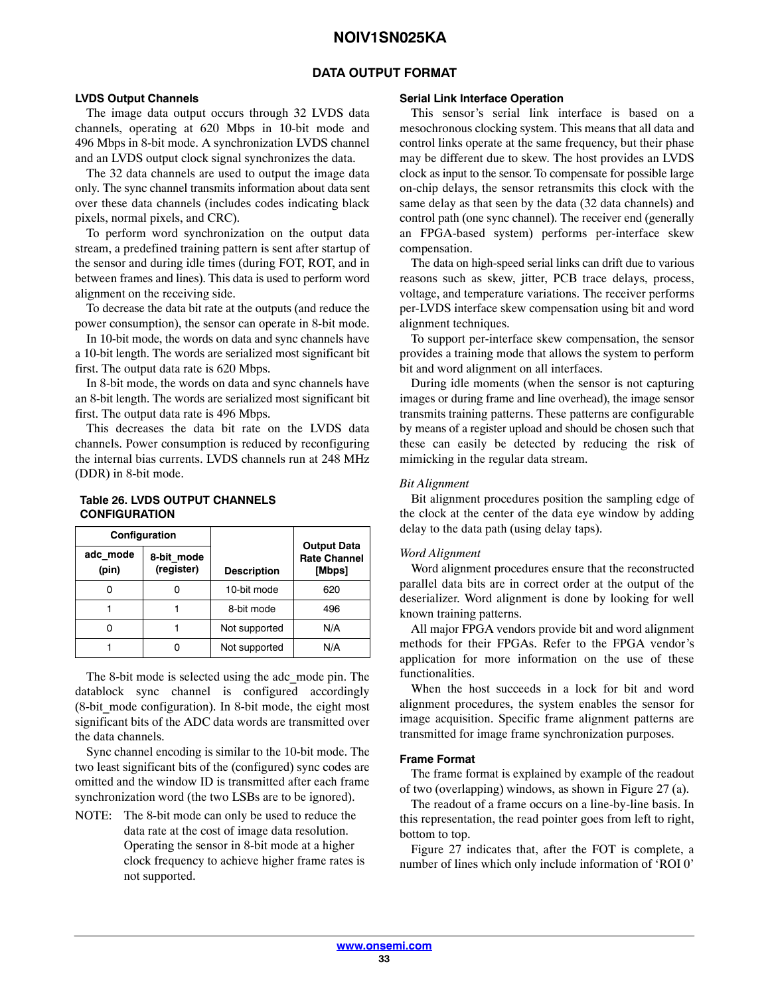#### **DATA OUTPUT FORMAT**

#### <span id="page-32-0"></span>**LVDS Output Channels**

The image data output occurs through 32 LVDS data channels, operating at 620 Mbps in 10-bit mode and 496 Mbps in 8-bit mode. A synchronization LVDS channel and an LVDS output clock signal synchronizes the data.

The 32 data channels are used to output the image data only. The sync channel transmits information about data sent over these data channels (includes codes indicating black pixels, normal pixels, and CRC).

To perform word synchronization on the output data stream, a predefined training pattern is sent after startup of the sensor and during idle times (during FOT, ROT, and in between frames and lines). This data is used to perform word alignment on the receiving side.

To decrease the data bit rate at the outputs (and reduce the power consumption), the sensor can operate in 8-bit mode.

In 10-bit mode, the words on data and sync channels have a 10-bit length. The words are serialized most significant bit first. The output data rate is 620 Mbps.

In 8-bit mode, the words on data and sync channels have an 8-bit length. The words are serialized most significant bit first. The output data rate is 496 Mbps.

This decreases the data bit rate on the LVDS data channels. Power consumption is reduced by reconfiguring the internal bias currents. LVDS channels run at 248 MHz (DDR) in 8-bit mode.

#### **Table 26. LVDS OUTPUT CHANNELS CONFIGURATION**

|                   | Configuration            |                    |                                                     |
|-------------------|--------------------------|--------------------|-----------------------------------------------------|
| adc mode<br>(pin) | 8-bit_mode<br>(register) | <b>Description</b> | <b>Output Data</b><br><b>Rate Channel</b><br>[Mbps] |
|                   |                          | 10-bit mode        | 620                                                 |
|                   |                          | 8-bit mode         | 496                                                 |
|                   |                          | Not supported      | N/A                                                 |
|                   |                          | Not supported      | N/A                                                 |

The 8-bit mode is selected using the adc\_mode pin. The datablock sync channel is configured accordingly  $(8-bit mode configuration)$ . In 8-bit mode, the eight most significant bits of the ADC data words are transmitted over the data channels.

Sync channel encoding is similar to the 10-bit mode. The two least significant bits of the (configured) sync codes are omitted and the window ID is transmitted after each frame synchronization word (the two LSBs are to be ignored).

NOTE: The 8-bit mode can only be used to reduce the data rate at the cost of image data resolution. Operating the sensor in 8-bit mode at a higher clock frequency to achieve higher frame rates is not supported.

#### **Serial Link Interface Operation**

This sensor's serial link interface is based on a mesochronous clocking system. This means that all data and control links operate at the same frequency, but their phase may be different due to skew. The host provides an LVDS clock as input to the sensor. To compensate for possible large on-chip delays, the sensor retransmits this clock with the same delay as that seen by the data (32 data channels) and control path (one sync channel). The receiver end (generally an FPGA-based system) performs per-interface skew compensation.

The data on high-speed serial links can drift due to various reasons such as skew, jitter, PCB trace delays, process, voltage, and temperature variations. The receiver performs per-LVDS interface skew compensation using bit and word alignment techniques.

To support per-interface skew compensation, the sensor provides a training mode that allows the system to perform bit and word alignment on all interfaces.

During idle moments (when the sensor is not capturing images or during frame and line overhead), the image sensor transmits training patterns. These patterns are configurable by means of a register upload and should be chosen such that these can easily be detected by reducing the risk of mimicking in the regular data stream.

#### *Bit Alignment*

Bit alignment procedures position the sampling edge of the clock at the center of the data eye window by adding delay to the data path (using delay taps).

#### *Word Alignment*

Word alignment procedures ensure that the reconstructed parallel data bits are in correct order at the output of the deserializer. Word alignment is done by looking for well known training patterns.

All major FPGA vendors provide bit and word alignment methods for their FPGAs. Refer to the FPGA vendor's application for more information on the use of these functionalities.

When the host succeeds in a lock for bit and word alignment procedures, the system enables the sensor for image acquisition. Specific frame alignment patterns are transmitted for image frame synchronization purposes.

#### **Frame Format**

The frame format is explained by example of the readout of two (overlapping) windows, as shown in Figure [27](#page-33-0) (a).

The readout of a frame occurs on a line-by-line basis. In this representation, the read pointer goes from left to right, bottom to top.

Figure [27](#page-33-0) indicates that, after the FOT is complete, a number of lines which only include information of 'ROI 0'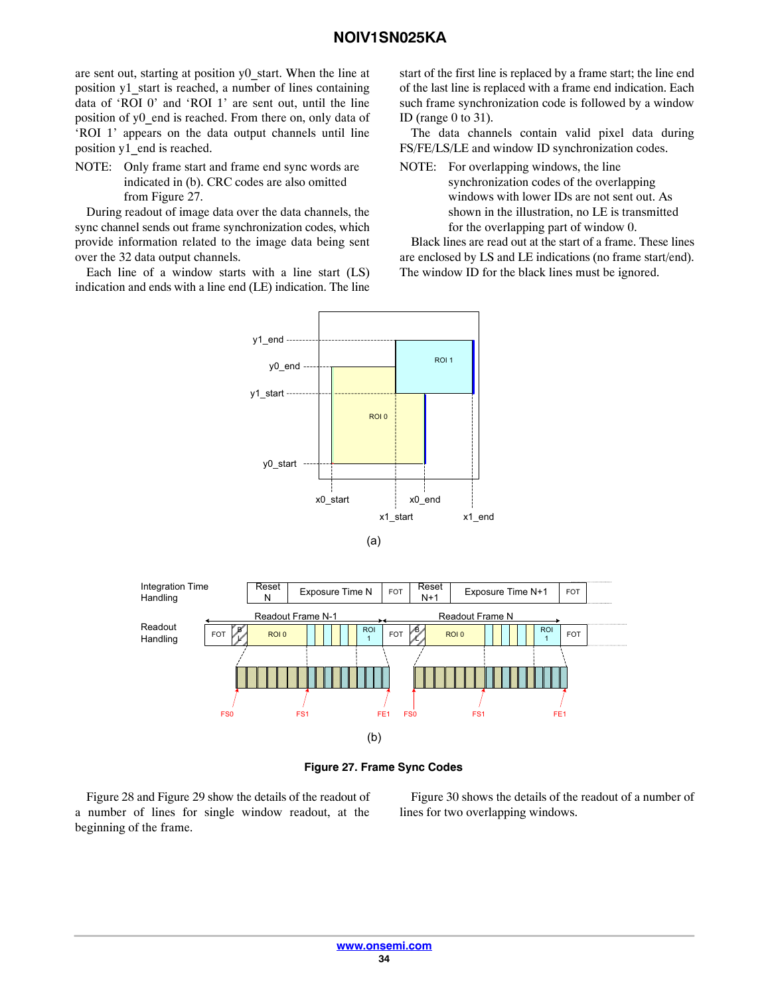<span id="page-33-0"></span>are sent out, starting at position y0\_start. When the line at position y1\_start is reached, a number of lines containing data of 'ROI 0' and 'ROI 1' are sent out, until the line position of y0 end is reached. From there on, only data of 'ROI 1' appears on the data output channels until line position y1\_end is reached.

NOTE: Only frame start and frame end sync words are indicated in (b). CRC codes are also omitted from Figure 27.

During readout of image data over the data channels, the sync channel sends out frame synchronization codes, which provide information related to the image data being sent over the 32 data output channels.

Each line of a window starts with a line start (LS) indication and ends with a line end (LE) indication. The line

start of the first line is replaced by a frame start; the line end of the last line is replaced with a frame end indication. Each such frame synchronization code is followed by a window ID (range 0 to 31).

The data channels contain valid pixel data during FS/FE/LS/LE and window ID synchronization codes.

NOTE: For overlapping windows, the line synchronization codes of the overlapping windows with lower IDs are not sent out. As shown in the illustration, no LE is transmitted for the overlapping part of window 0.

Black lines are read out at the start of a frame. These lines are enclosed by LS and LE indications (no frame start/end). The window ID for the black lines must be ignored.







Figure [28](#page-34-0) and Figure [29](#page-34-0) show the details of the readout of a number of lines for single window readout, at the beginning of the frame.

Figure [30](#page-34-0) shows the details of the readout of a number of lines for two overlapping windows.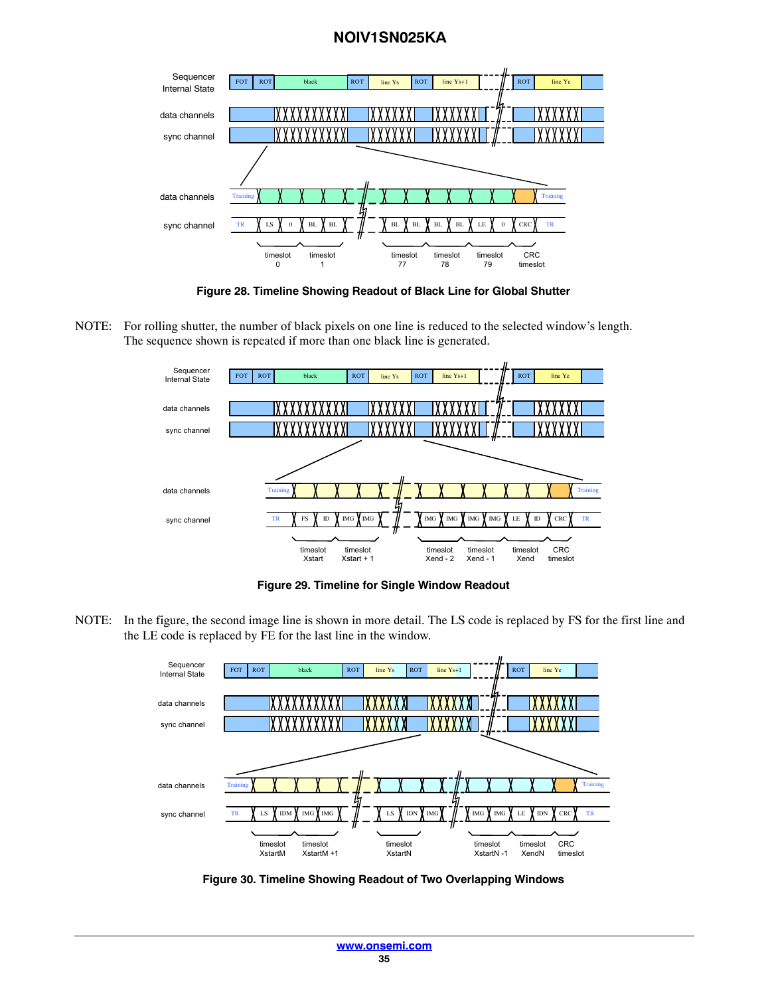<span id="page-34-0"></span>

**Figure 28. Timeline Showing Readout of Black Line for Global Shutter**

NOTE: For rolling shutter, the number of black pixels on one line is reduced to the selected window's length. The sequence shown is repeated if more than one black line is generated.



**Figure 29. Timeline for Single Window Readout**

NOTE: In the figure, the second image line is shown in more detail. The LS code is replaced by FS for the first line and the LE code is replaced by FE for the last line in the window.



**Figure 30. Timeline Showing Readout of Two Overlapping Windows**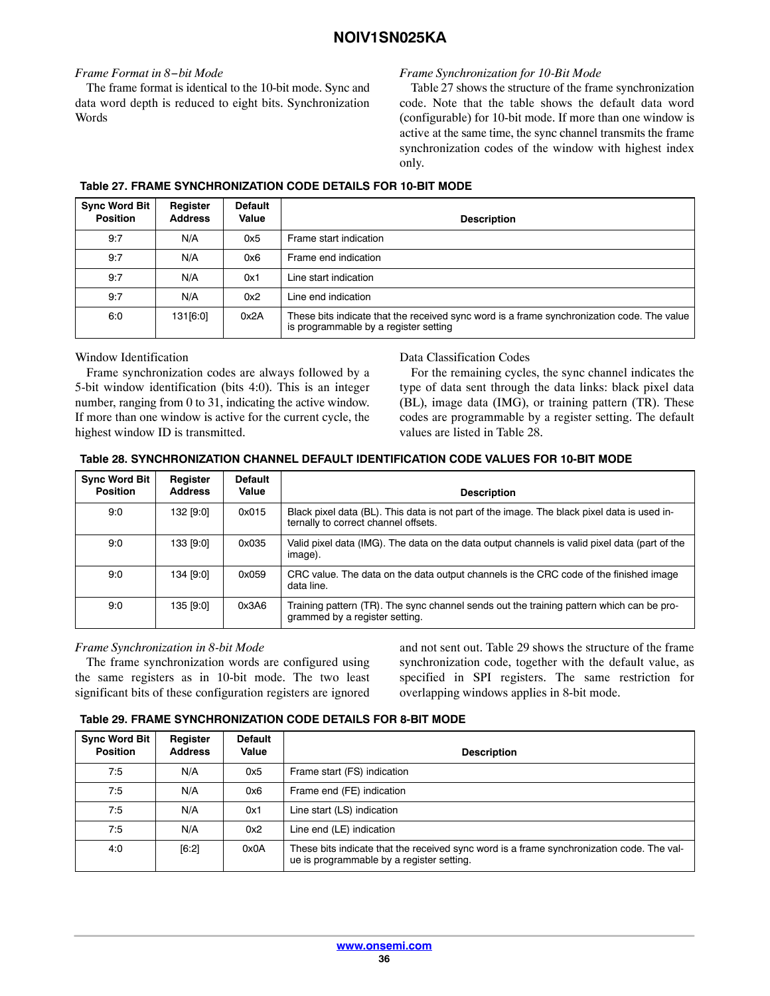## *Frame Format in 8−bit Mode*

The frame format is identical to the 10-bit mode. Sync and data word depth is reduced to eight bits. Synchronization Words

## *Frame Synchronization for 10-Bit Mode*

Table 27 shows the structure of the frame synchronization code. Note that the table shows the default data word (configurable) for 10-bit mode. If more than one window is active at the same time, the sync channel transmits the frame synchronization codes of the window with highest index only.

# **Table 27. FRAME SYNCHRONIZATION CODE DETAILS FOR 10-BIT MODE**

| <b>Sync Word Bit</b><br><b>Position</b> | Register<br><b>Address</b> | Default<br>Value | <b>Description</b>                                                                                                                  |
|-----------------------------------------|----------------------------|------------------|-------------------------------------------------------------------------------------------------------------------------------------|
| 9:7                                     | N/A                        | 0x5              | Frame start indication                                                                                                              |
| 9:7                                     | N/A                        | 0x6              | Frame end indication                                                                                                                |
| 9:7                                     | N/A                        | 0x1              | Line start indication                                                                                                               |
| 9:7                                     | N/A                        | 0x2              | Line end indication                                                                                                                 |
| 6:0                                     | 131[6:0]                   | 0x2A             | These bits indicate that the received sync word is a frame synchronization code. The value<br>is programmable by a register setting |

Window Identification

Frame synchronization codes are always followed by a 5-bit window identification (bits 4:0). This is an integer number, ranging from 0 to 31, indicating the active window. If more than one window is active for the current cycle, the highest window ID is transmitted.

Data Classification Codes

For the remaining cycles, the sync channel indicates the type of data sent through the data links: black pixel data (BL), image data (IMG), or training pattern (TR). These codes are programmable by a register setting. The default values are listed in Table 28.

| Table 28. SYNCHRONIZATION CHANNEL DEFAULT IDENTIFICATION CODE VALUES FOR 10-BIT MODE |
|--------------------------------------------------------------------------------------|
|--------------------------------------------------------------------------------------|

| <b>Sync Word Bit</b><br><b>Position</b> | Register<br><b>Address</b> | <b>Default</b><br>Value | <b>Description</b>                                                                                                                  |
|-----------------------------------------|----------------------------|-------------------------|-------------------------------------------------------------------------------------------------------------------------------------|
| 9:0                                     | 132 [9:0]                  | 0x015                   | Black pixel data (BL). This data is not part of the image. The black pixel data is used in-<br>ternally to correct channel offsets. |
| 9:0                                     | 133 [9:0]                  | 0x035                   | Valid pixel data (IMG). The data on the data output channels is valid pixel data (part of the<br>image).                            |
| 9:0                                     | 134 [9:0]                  | 0x059                   | CRC value. The data on the data output channels is the CRC code of the finished image<br>data line.                                 |
| 9:0                                     | 135 [9:0]                  | 0x3A6                   | Training pattern (TR). The sync channel sends out the training pattern which can be pro-<br>grammed by a register setting.          |

## *Frame Synchronization in 8-bit Mode*

The frame synchronization words are configured using the same registers as in 10-bit mode. The two least significant bits of these configuration registers are ignored

and not sent out. Table 29 shows the structure of the frame synchronization code, together with the default value, as specified in SPI registers. The same restriction for overlapping windows applies in 8-bit mode.

#### **Table 29. FRAME SYNCHRONIZATION CODE DETAILS FOR 8-BIT MODE**

| <b>Sync Word Bit</b><br><b>Position</b> | Register<br><b>Address</b> | <b>Default</b><br>Value | <b>Description</b>                                                                                                                     |
|-----------------------------------------|----------------------------|-------------------------|----------------------------------------------------------------------------------------------------------------------------------------|
| 7:5                                     | N/A                        | 0x5                     | Frame start (FS) indication                                                                                                            |
| 7:5                                     | N/A                        | 0x6                     | Frame end (FE) indication                                                                                                              |
| 7:5                                     | N/A                        | 0x1                     | Line start (LS) indication                                                                                                             |
| 7:5                                     | N/A                        | 0x2                     | Line end (LE) indication                                                                                                               |
| 4:0                                     | [6:2]                      | 0x0A                    | These bits indicate that the received sync word is a frame synchronization code. The val-<br>ue is programmable by a register setting. |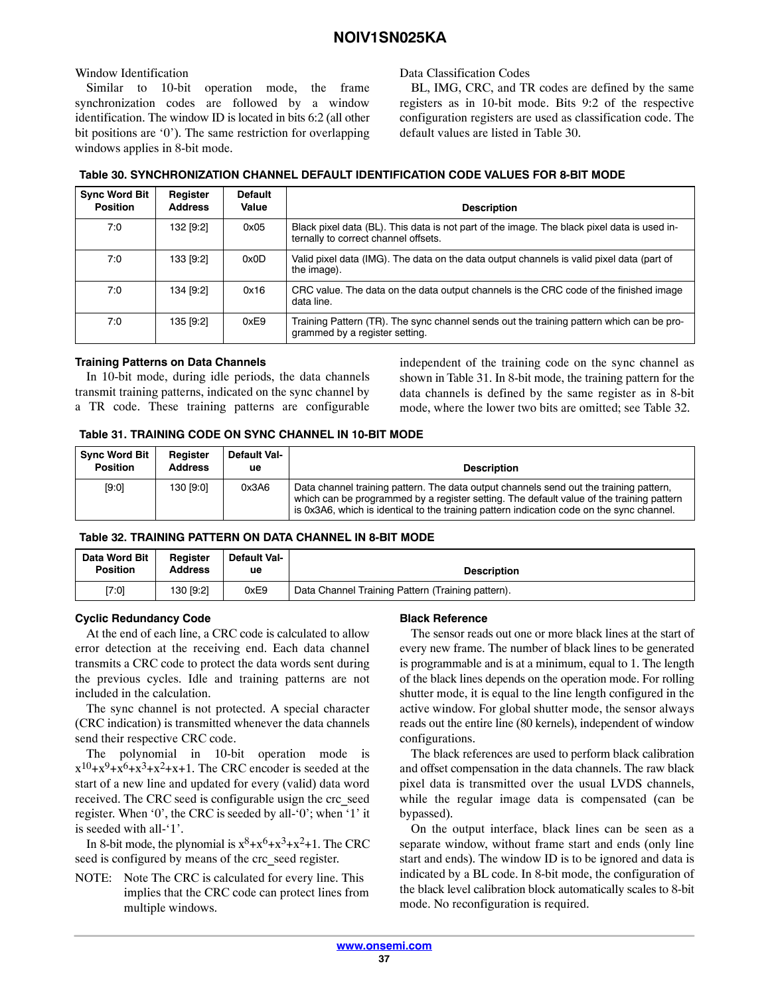### Window Identification

Similar to 10-bit operation mode, the frame synchronization codes are followed by a window identification. The window ID is located in bits 6:2 (all other bit positions are '0'). The same restriction for overlapping windows applies in 8-bit mode.

Data Classification Codes

BL, IMG, CRC, and TR codes are defined by the same registers as in 10-bit mode. Bits 9:2 of the respective configuration registers are used as classification code. The default values are listed in Table 30.

| <b>Sync Word Bit</b><br><b>Position</b> | Register<br><b>Address</b> | <b>Default</b><br>Value | <b>Description</b>                                                                                                                  |
|-----------------------------------------|----------------------------|-------------------------|-------------------------------------------------------------------------------------------------------------------------------------|
| 7:0                                     | 132 [9:2]                  | 0x05                    | Black pixel data (BL). This data is not part of the image. The black pixel data is used in-<br>ternally to correct channel offsets. |
| 7:0                                     | 133 [9:2]                  | 0x0D                    | Valid pixel data (IMG). The data on the data output channels is valid pixel data (part of<br>the image).                            |
| 7:0                                     | 134 [9:2]                  | 0x16                    | CRC value. The data on the data output channels is the CRC code of the finished image<br>data line.                                 |
| 7:0                                     | 135 [9:2]                  | 0xE9                    | Training Pattern (TR). The sync channel sends out the training pattern which can be pro-<br>grammed by a register setting.          |

#### **Table 30. SYNCHRONIZATION CHANNEL DEFAULT IDENTIFICATION CODE VALUES FOR 8-BIT MODE**

### **Training Patterns on Data Channels**

In 10-bit mode, during idle periods, the data channels transmit training patterns, indicated on the sync channel by a TR code. These training patterns are configurable

independent of the training code on the sync channel as shown in Table 31. In 8-bit mode, the training pattern for the data channels is defined by the same register as in 8-bit mode, where the lower two bits are omitted; see Table 32.

### **Table 31. TRAINING CODE ON SYNC CHANNEL IN 10-BIT MODE**

| <b>Sync Word Bit</b> | Register       | <b>Default Val-</b> | <b>Description</b>                                                                                                                                                                                                                                                              |
|----------------------|----------------|---------------------|---------------------------------------------------------------------------------------------------------------------------------------------------------------------------------------------------------------------------------------------------------------------------------|
| <b>Position</b>      | <b>Address</b> | ue                  |                                                                                                                                                                                                                                                                                 |
| [9:0]                | 130 [9:0]      | 0x3A6               | Data channel training pattern. The data output channels send out the training pattern,<br>which can be programmed by a register setting. The default value of the training pattern<br>is 0x3A6, which is identical to the training pattern indication code on the sync channel. |

### **Table 32. TRAINING PATTERN ON DATA CHANNEL IN 8-BIT MODE**

| Data Word Bit   | Reaister       | <b>Default Val-</b> | <b>Description</b>                                |
|-----------------|----------------|---------------------|---------------------------------------------------|
| <b>Position</b> | <b>Address</b> | ue                  |                                                   |
| [7:0]           | 130 [9:2]      | 0xE9                | Data Channel Training Pattern (Training pattern). |

### **Cyclic Redundancy Code**

At the end of each line, a CRC code is calculated to allow error detection at the receiving end. Each data channel transmits a CRC code to protect the data words sent during the previous cycles. Idle and training patterns are not included in the calculation.

The sync channel is not protected. A special character (CRC indication) is transmitted whenever the data channels send their respective CRC code.

The polynomial in 10-bit operation mode is  $x^{10}+x^9+x^6+x^3+x^2+x+1$ . The CRC encoder is seeded at the start of a new line and updated for every (valid) data word received. The CRC seed is configurable usign the crc\_seed register. When '0', the CRC is seeded by all-'0'; when '1' it is seeded with all-'1'.

In 8-bit mode, the plynomial is  $x^8 + x^6 + x^3 + x^2 + 1$ . The CRC seed is configured by means of the crc\_seed register.

NOTE: Note The CRC is calculated for every line. This implies that the CRC code can protect lines from multiple windows.

### **Black Reference**

The sensor reads out one or more black lines at the start of every new frame. The number of black lines to be generated is programmable and is at a minimum, equal to 1. The length of the black lines depends on the operation mode. For rolling shutter mode, it is equal to the line length configured in the active window. For global shutter mode, the sensor always reads out the entire line (80 kernels), independent of window configurations.

The black references are used to perform black calibration and offset compensation in the data channels. The raw black pixel data is transmitted over the usual LVDS channels, while the regular image data is compensated (can be bypassed).

On the output interface, black lines can be seen as a separate window, without frame start and ends (only line start and ends). The window ID is to be ignored and data is indicated by a BL code. In 8-bit mode, the configuration of the black level calibration block automatically scales to 8-bit mode. No reconfiguration is required.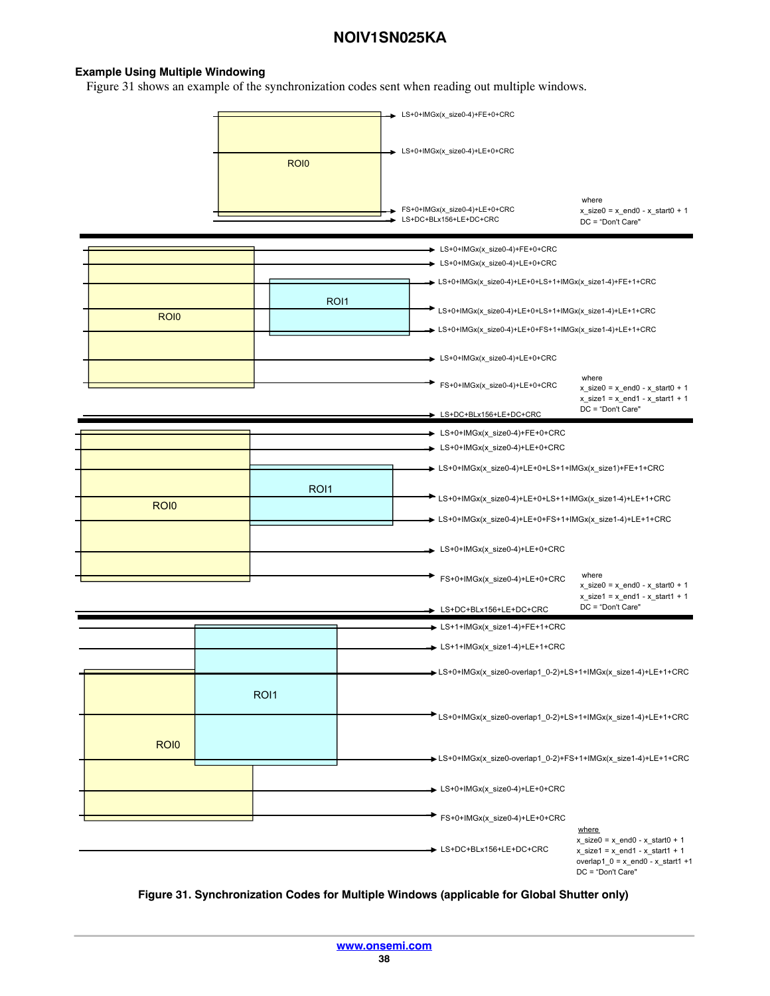#### **Example Using Multiple Windowing**

Figure 31 shows an example of the synchronization codes sent when reading out multiple windows.



### **Figure 31. Synchronization Codes for Multiple Windows (applicable for Global Shutter only)**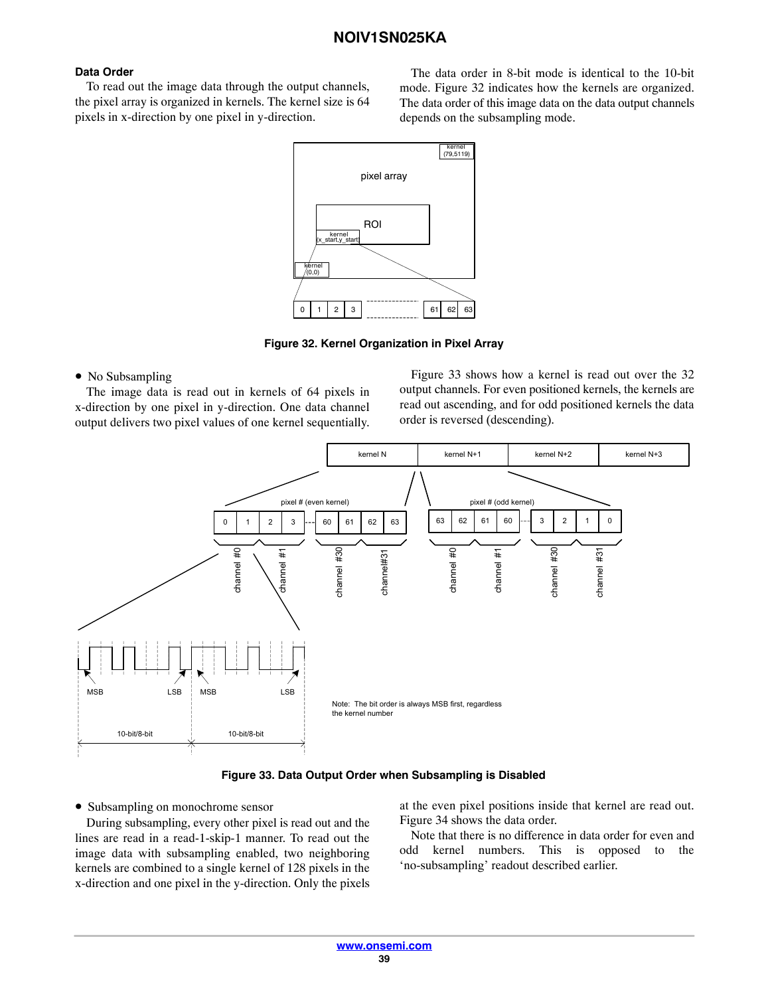### **Data Order**

To read out the image data through the output channels, the pixel array is organized in kernels. The kernel size is 64 pixels in x-direction by one pixel in y-direction.

The data order in 8-bit mode is identical to the 10-bit mode. Figure 32 indicates how the kernels are organized. The data order of this image data on the data output channels depends on the subsampling mode.



**Figure 32. Kernel Organization in Pixel Array**

### • No Subsampling

The image data is read out in kernels of 64 pixels in x-direction by one pixel in y-direction. One data channel output delivers two pixel values of one kernel sequentially.

Figure 33 shows how a kernel is read out over the 32 output channels. For even positioned kernels, the kernels are read out ascending, and for odd positioned kernels the data order is reversed (descending).





• Subsampling on monochrome sensor

During subsampling, every other pixel is read out and the lines are read in a read-1-skip-1 manner. To read out the image data with subsampling enabled, two neighboring kernels are combined to a single kernel of 128 pixels in the x-direction and one pixel in the y-direction. Only the pixels at the even pixel positions inside that kernel are read out. Figure [34](#page-39-0) shows the data order.

Note that there is no difference in data order for even and odd kernel numbers. This is opposed to the 'no-subsampling' readout described earlier.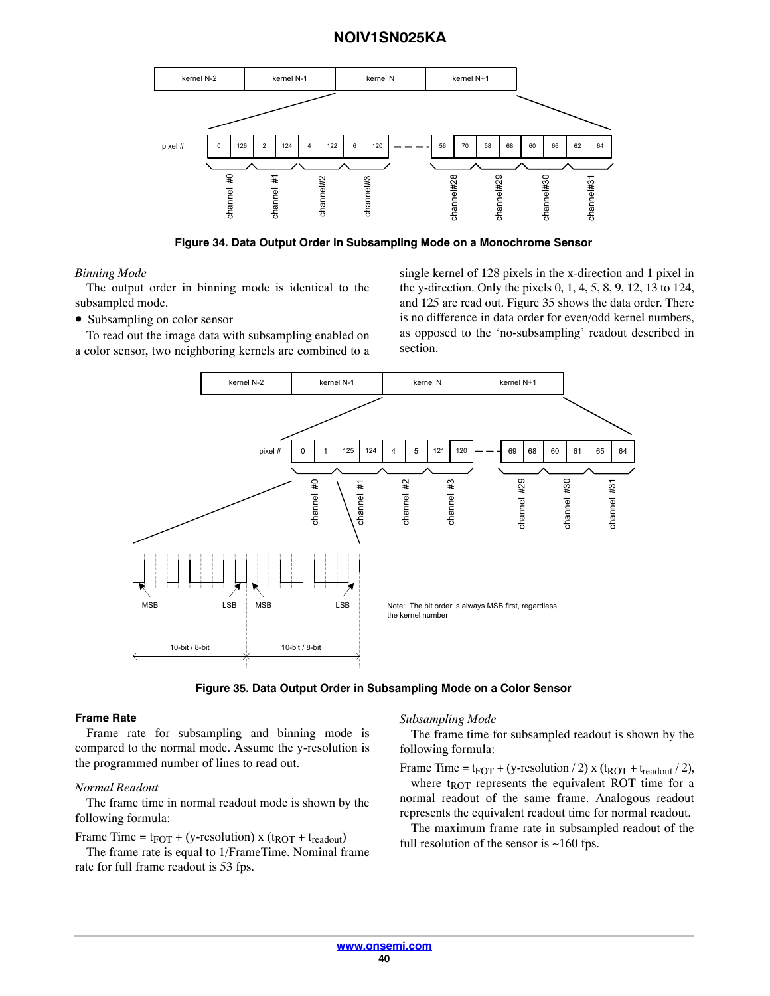<span id="page-39-0"></span>

**Figure 34. Data Output Order in Subsampling Mode on a Monochrome Sensor**

#### *Binning Mode*

The output order in binning mode is identical to the subsampled mode.

• Subsampling on color sensor

To read out the image data with subsampling enabled on a color sensor, two neighboring kernels are combined to a single kernel of 128 pixels in the x-direction and 1 pixel in the y-direction. Only the pixels 0, 1, 4, 5, 8, 9, 12, 13 to 124, and 125 are read out. Figure 35 shows the data order. There is no difference in data order for even/odd kernel numbers, as opposed to the 'no-subsampling' readout described in section.



**Figure 35. Data Output Order in Subsampling Mode on a Color Sensor**

#### **Frame Rate**

Frame rate for subsampling and binning mode is compared to the normal mode. Assume the y-resolution is the programmed number of lines to read out.

### *Normal Readout*

The frame time in normal readout mode is shown by the following formula:

Frame Time =  $t_{\text{FOT}} + (y\text{-resolution}) \times (t_{\text{ROT}} + t_{\text{readout}})$ 

The frame rate is equal to 1/FrameTime. Nominal frame rate for full frame readout is 53 fps.

#### *Subsampling Mode*

The frame time for subsampled readout is shown by the following formula:

Frame Time =  $t_{\text{FOT}}$  + (y-resolution / 2) x ( $t_{\text{ROT}}$  +  $t_{\text{readout}}$  / 2), where  $t_{ROT}$  represents the equivalent ROT time for a normal readout of the same frame. Analogous readout represents the equivalent readout time for normal readout.

The maximum frame rate in subsampled readout of the full resolution of the sensor is  $~160$  fps.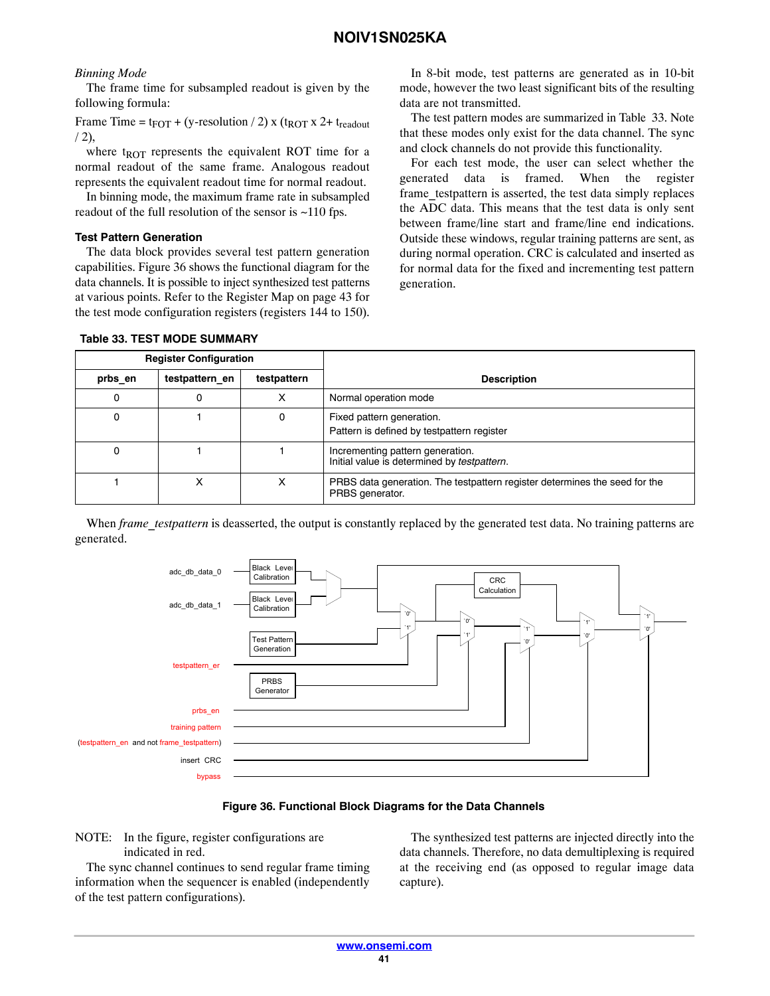### *Binning Mode*

The frame time for subsampled readout is given by the following formula:

Frame Time =  $t_{\text{FOT}}$  + (y-resolution / 2) x ( $t_{\text{ROT}}$  x 2+  $t_{\text{readout}}$  $/ 2),$ 

where  $t_{ROT}$  represents the equivalent ROT time for a normal readout of the same frame. Analogous readout represents the equivalent readout time for normal readout.

In binning mode, the maximum frame rate in subsampled readout of the full resolution of the sensor is ~110 fps.

#### **Test Pattern Generation**

The data block provides several test pattern generation capabilities. Figure 36 shows the functional diagram for the data channels. It is possible to inject synthesized test patterns at various points. Refer to the Register Map on page [43](#page-42-0) for the test mode configuration registers (registers 144 to 150).

In 8-bit mode, test patterns are generated as in 10-bit mode, however the two least significant bits of the resulting data are not transmitted.

The test pattern modes are summarized in Table 33. Note that these modes only exist for the data channel. The sync and clock channels do not provide this functionality.

For each test mode, the user can select whether the generated data is framed. When the register frame testpattern is asserted, the test data simply replaces the ADC data. This means that the test data is only sent between frame/line start and frame/line end indications. Outside these windows, regular training patterns are sent, as during normal operation. CRC is calculated and inserted as for normal data for the fixed and incrementing test pattern generation.

|         | <b>Register Configuration</b> |             |                                                                                               |
|---------|-------------------------------|-------------|-----------------------------------------------------------------------------------------------|
| prbs en | testpattern en                | testpattern | <b>Description</b>                                                                            |
|         | O                             |             | Normal operation mode                                                                         |
|         |                               | o           | Fixed pattern generation.<br>Pattern is defined by testpattern register                       |
|         |                               |             | Incrementing pattern generation.<br>Initial value is determined by testpattern.               |
|         |                               |             | PRBS data generation. The testpattern register determines the seed for the<br>PRBS generator. |

#### **Table 33. TEST MODE SUMMARY**

When *frame\_testpattern* is deasserted, the output is constantly replaced by the generated test data. No training patterns are generated.



### **Figure 36. Functional Block Diagrams for the Data Channels**

NOTE: In the figure, register configurations are indicated in red.

The sync channel continues to send regular frame timing information when the sequencer is enabled (independently of the test pattern configurations).

The synthesized test patterns are injected directly into the data channels. Therefore, no data demultiplexing is required at the receiving end (as opposed to regular image data capture).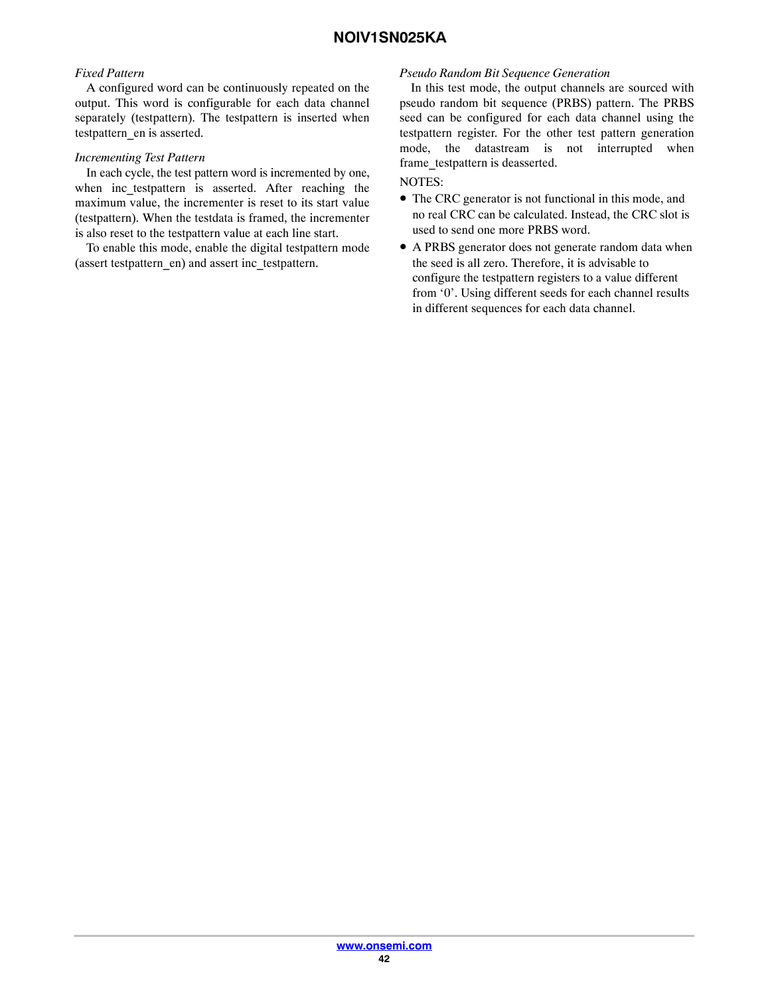### *Fixed Pattern*

A configured word can be continuously repeated on the output. This word is configurable for each data channel separately (testpattern). The testpattern is inserted when testpattern\_en is asserted.

#### *Incrementing Test Pattern*

In each cycle, the test pattern word is incremented by one, when inc testpattern is asserted. After reaching the maximum value, the incrementer is reset to its start value (testpattern). When the testdata is framed, the incrementer is also reset to the testpattern value at each line start.

To enable this mode, enable the digital testpattern mode (assert testpattern\_en) and assert inc\_testpattern.

#### *Pseudo Random Bit Sequence Generation*

In this test mode, the output channels are sourced with pseudo random bit sequence (PRBS) pattern. The PRBS seed can be configured for each data channel using the testpattern register. For the other test pattern generation mode, the datastream is not interrupted when frame\_testpattern is deasserted.

### NOTES:

- The CRC generator is not functional in this mode, and no real CRC can be calculated. Instead, the CRC slot is used to send one more PRBS word.
- A PRBS generator does not generate random data when the seed is all zero. Therefore, it is advisable to configure the testpattern registers to a value different from '0'. Using different seeds for each channel results in different sequences for each data channel.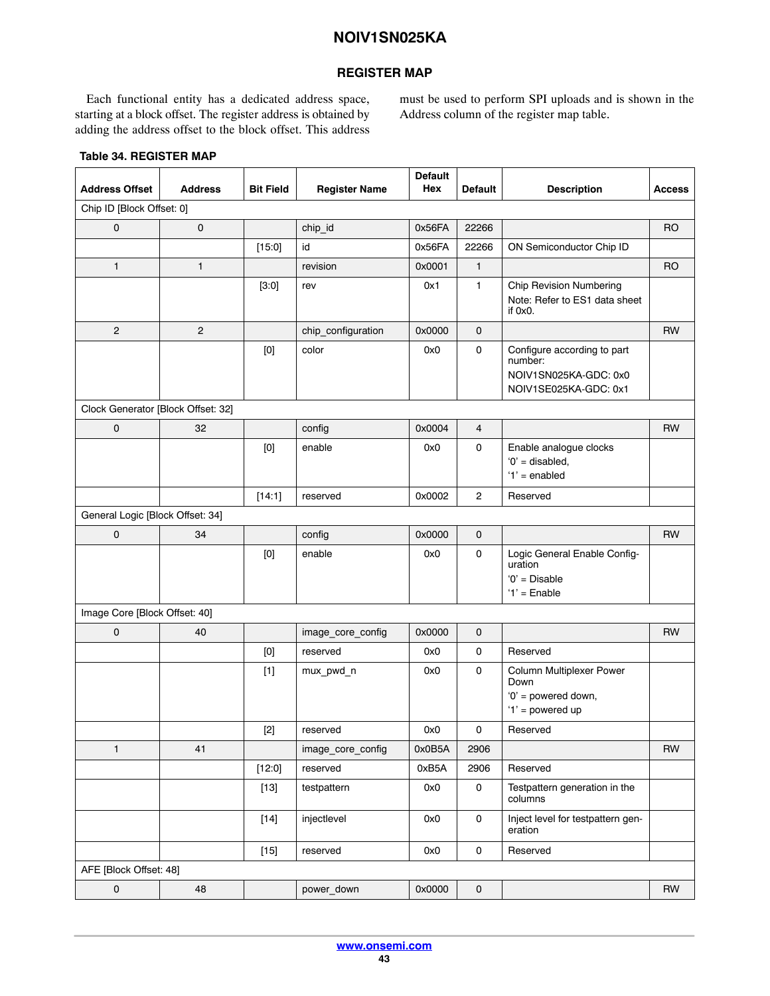### **REGISTER MAP**

<span id="page-42-0"></span>Each functional entity has a dedicated address space, starting at a block offset. The register address is obtained by adding the address offset to the block offset. This address must be used to perform SPI uploads and is shown in the Address column of the register map table.

| <b>Address Offset</b>              | <b>Address</b> | <b>Bit Field</b>                                                                                                                                                                                                                                                                                                                                                                                                                                                                                                                                                                                   | <b>Register Name</b> | <b>Default</b><br>Hex | <b>Default</b>      | <b>Description</b>                                                                       | <b>Access</b>  |
|------------------------------------|----------------|----------------------------------------------------------------------------------------------------------------------------------------------------------------------------------------------------------------------------------------------------------------------------------------------------------------------------------------------------------------------------------------------------------------------------------------------------------------------------------------------------------------------------------------------------------------------------------------------------|----------------------|-----------------------|---------------------|------------------------------------------------------------------------------------------|----------------|
| Chip ID [Block Offset: 0]          |                |                                                                                                                                                                                                                                                                                                                                                                                                                                                                                                                                                                                                    |                      |                       |                     |                                                                                          |                |
| $\mathbf 0$                        | 0              |                                                                                                                                                                                                                                                                                                                                                                                                                                                                                                                                                                                                    | chip_id              | 0x56FA                | 22266               |                                                                                          | R <sub>O</sub> |
|                                    |                | [15:0]                                                                                                                                                                                                                                                                                                                                                                                                                                                                                                                                                                                             | id                   | 0x56FA                | 22266               | ON Semiconductor Chip ID                                                                 |                |
| $\mathbf{1}$                       | $\mathbf{1}$   |                                                                                                                                                                                                                                                                                                                                                                                                                                                                                                                                                                                                    | revision             | 0x0001                | $\mathbf{1}$        |                                                                                          | <b>RO</b>      |
|                                    |                | $[3:0]$                                                                                                                                                                                                                                                                                                                                                                                                                                                                                                                                                                                            | rev                  | 0x1                   | 1                   | <b>Chip Revision Numbering</b><br>Note: Refer to ES1 data sheet<br>if $0x0$ .            |                |
| $\overline{2}$                     | $\mathbf{2}$   |                                                                                                                                                                                                                                                                                                                                                                                                                                                                                                                                                                                                    | chip_configuration   | 0x0000                | 0                   |                                                                                          | <b>RW</b>      |
|                                    |                | [0]                                                                                                                                                                                                                                                                                                                                                                                                                                                                                                                                                                                                | color                | 0x0                   | 0                   | Configure according to part<br>number:<br>NOIV1SN025KA-GDC: 0x0<br>NOIV1SE025KA-GDC: 0x1 |                |
| Clock Generator [Block Offset: 32] |                |                                                                                                                                                                                                                                                                                                                                                                                                                                                                                                                                                                                                    |                      |                       |                     |                                                                                          |                |
| 0                                  | 32             |                                                                                                                                                                                                                                                                                                                                                                                                                                                                                                                                                                                                    | config               | 0x0004                | 4                   |                                                                                          | <b>RW</b>      |
|                                    |                | $[0] % \begin{center} % \includegraphics[width=\linewidth]{imagesSupplemental_3.png} % \end{center} % \caption { % Our method can be used for the use of the image. % Note that the \emph{DefNet}~\cite{bib66} as a function of the \emph{DefNet}~\cite{bib66} as a function of the \emph{DefNet}~\cite{bib66} as a function of the \emph{DefNet}~\cite{bib66} as a function of the \emph{DefNet}~\cite{bib66} as a function of the \emph{DefNet}~\cite{bib66} as a function of the \emph{DefNet}~\cite{bib66} as a function of the \emph{DefNet}~\cite{bib66} as a function of the \emph{DefNet}$ | enable               | 0x0                   | 0                   | Enable analogue clocks<br>$'0'$ = disabled,<br>$'1'$ = enabled                           |                |
|                                    |                | [14:1]                                                                                                                                                                                                                                                                                                                                                                                                                                                                                                                                                                                             | reserved             | 0x0002                | $\overline{c}$      | Reserved                                                                                 |                |
| General Logic [Block Offset: 34]   |                |                                                                                                                                                                                                                                                                                                                                                                                                                                                                                                                                                                                                    |                      |                       |                     |                                                                                          |                |
| $\mathsf{O}\xspace$                | 34             |                                                                                                                                                                                                                                                                                                                                                                                                                                                                                                                                                                                                    | config               | 0x0000                | $\mathbf 0$         |                                                                                          | <b>RW</b>      |
|                                    |                | $[0] % \begin{center} % \includegraphics[width=\linewidth]{imagesSupplemental_3.png} % \end{center} % \caption { % Our method can be used for the use of the image. % Note that the \emph{DefNet}~\cite{bib66} as a function of the \emph{DefNet}~\cite{bib66} as a function of the \emph{DefNet}~\cite{bib66} as a function of the \emph{DefNet}~\cite{bib66} as a function of the \emph{DefNet}~\cite{bib66} as a function of the \emph{DefNet}~\cite{bib66} as a function of the \emph{DefNet}~\cite{bib66} as a function of the \emph{DefNet}~\cite{bib66} as a function of the \emph{DefNet}$ | enable               | 0x0                   | 0                   | Logic General Enable Config-<br>uration<br>$'0'$ = Disable<br>$'1'$ = Enable             |                |
| Image Core [Block Offset: 40]      |                |                                                                                                                                                                                                                                                                                                                                                                                                                                                                                                                                                                                                    |                      |                       |                     |                                                                                          |                |
| $\mathbf 0$                        | 40             |                                                                                                                                                                                                                                                                                                                                                                                                                                                                                                                                                                                                    | image_core_config    | 0x0000                | 0                   |                                                                                          | <b>RW</b>      |
|                                    |                | [0]                                                                                                                                                                                                                                                                                                                                                                                                                                                                                                                                                                                                | reserved             | 0x0                   | 0                   | Reserved                                                                                 |                |
|                                    |                | $[1]$                                                                                                                                                                                                                                                                                                                                                                                                                                                                                                                                                                                              | mux_pwd_n            | 0x0                   | 0                   | Column Multiplexer Power<br>Down<br>'0' = powered down,<br>' $1'$ = powered up           |                |
|                                    |                |                                                                                                                                                                                                                                                                                                                                                                                                                                                                                                                                                                                                    | reserved             | 0x0                   | 0                   | Reserved                                                                                 |                |
| $\mathbf{1}$                       | 41             |                                                                                                                                                                                                                                                                                                                                                                                                                                                                                                                                                                                                    | image_core_config    | 0x0B5A                | 2906                |                                                                                          | <b>RW</b>      |
|                                    |                | [12:0]                                                                                                                                                                                                                                                                                                                                                                                                                                                                                                                                                                                             | reserved             | 0xB5A                 | 2906                | Reserved                                                                                 |                |
|                                    |                | $[13]$                                                                                                                                                                                                                                                                                                                                                                                                                                                                                                                                                                                             | testpattern          | 0x0                   | $\mathsf{O}\xspace$ | Testpattern generation in the<br>columns                                                 |                |
|                                    |                | $[14]$                                                                                                                                                                                                                                                                                                                                                                                                                                                                                                                                                                                             | injectlevel          | 0x0                   | 0                   | Inject level for testpattern gen-<br>eration                                             |                |
|                                    |                | $[15]$                                                                                                                                                                                                                                                                                                                                                                                                                                                                                                                                                                                             | reserved             | 0x0                   | $\mathsf{O}\xspace$ | Reserved                                                                                 |                |
| AFE [Block Offset: 48]             |                |                                                                                                                                                                                                                                                                                                                                                                                                                                                                                                                                                                                                    |                      |                       |                     |                                                                                          |                |
| $\mathsf{O}\xspace$                | 48             |                                                                                                                                                                                                                                                                                                                                                                                                                                                                                                                                                                                                    | power_down           | 0x0000                | $\mathsf{O}\xspace$ |                                                                                          | RW             |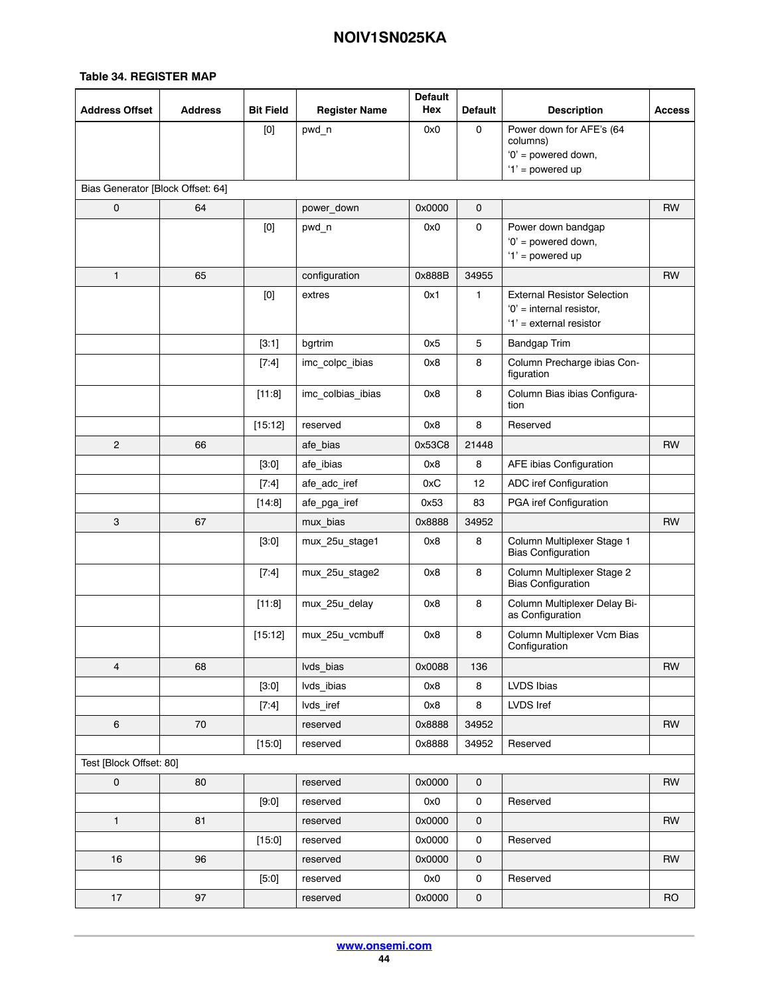| <b>Address Offset</b>             | <b>Address</b> | <b>Bit Field</b> | <b>Register Name</b> | <b>Default</b><br>Hex | <b>Default</b>      | <b>Description</b>                                                                            | <b>Access</b> |
|-----------------------------------|----------------|------------------|----------------------|-----------------------|---------------------|-----------------------------------------------------------------------------------------------|---------------|
|                                   |                | [0]              | pwd n                | 0x0                   | 0                   | Power down for AFE's (64<br>columns)<br>'0' = powered down,<br>'1' = powered up               |               |
| Bias Generator [Block Offset: 64] |                |                  |                      |                       |                     |                                                                                               |               |
| 0                                 | 64             |                  | power_down           | 0x0000                | $\mathbf 0$         |                                                                                               | <b>RW</b>     |
|                                   |                | $[0]$            | pwd_n                | 0x0                   | $\mathsf{O}\xspace$ | Power down bandgap<br>'0' = powered down,<br>'1' = powered up                                 |               |
| $\mathbf{1}$                      | 65             |                  | configuration        | 0x888B                | 34955               |                                                                                               | <b>RW</b>     |
|                                   |                | [0]              | extres               | 0x1                   | $\mathbf{1}$        | <b>External Resistor Selection</b><br>$'0'$ = internal resistor,<br>$'1'$ = external resistor |               |
|                                   |                | [3:1]            | bgrtrim              | 0x5                   | 5                   | <b>Bandgap Trim</b>                                                                           |               |
|                                   |                | $[7:4]$          | imc_colpc_ibias      | 0x8                   | 8                   | Column Precharge ibias Con-<br>figuration                                                     |               |
|                                   |                | [11:8]           | imc_colbias_ibias    | 0x8                   | 8                   | Column Bias ibias Configura-<br>tion                                                          |               |
|                                   |                | [15:12]          | reserved             | 0x8                   | 8                   | Reserved                                                                                      |               |
| $\overline{c}$                    | 66             |                  | afe_bias             | 0x53C8                | 21448               |                                                                                               | RW            |
|                                   |                | [3:0]            | afe ibias            | 0x8                   | 8                   | AFE ibias Configuration                                                                       |               |
|                                   |                | $[7:4]$          | afe_adc_iref         | 0xC                   | 12                  | ADC iref Configuration                                                                        |               |
|                                   |                | [14:8]           | afe_pga_iref         | 0x53                  | 83                  | PGA iref Configuration                                                                        |               |
| 3                                 | 67             |                  | mux_bias             | 0x8888                | 34952               |                                                                                               | <b>RW</b>     |
|                                   |                | $[3:0]$          | mux_25u_stage1       | 0x8                   | 8                   | Column Multiplexer Stage 1<br><b>Bias Configuration</b>                                       |               |
|                                   |                | [7:4]            | mux_25u_stage2       | 0x8                   | 8                   | Column Multiplexer Stage 2<br><b>Bias Configuration</b>                                       |               |
|                                   |                | [11:8]           | mux_25u_delay        | 0x8                   | 8                   | Column Multiplexer Delay Bi-<br>as Configuration                                              |               |
|                                   |                | [15:12]          | mux_25u_vcmbuff      | 0x8                   | 8                   | Column Multiplexer Vcm Bias<br>Configuration                                                  |               |
| 4                                 | 68             |                  | lvds_bias            | 0x0088                | 136                 |                                                                                               | <b>RW</b>     |
|                                   |                | [3:0]            | lvds_ibias           | 0x8                   | 8                   | LVDS Ibias                                                                                    |               |
|                                   |                | [7:4]            | lvds_iref            | 0x8                   | 8                   | LVDS Iref                                                                                     |               |
| 6                                 | 70             |                  | reserved             | 0x8888                | 34952               |                                                                                               | <b>RW</b>     |
|                                   |                | [15:0]           | reserved             | 0x8888                | 34952               | Reserved                                                                                      |               |
| Test [Block Offset: 80]           |                |                  |                      |                       |                     |                                                                                               |               |
| $\mathbf 0$                       | 80             |                  | reserved             | 0x0000                | $\mathsf{O}\xspace$ |                                                                                               | <b>RW</b>     |
|                                   |                | [9:0]            | reserved             | 0x0                   | 0                   | Reserved                                                                                      |               |
| $\mathbf{1}$                      | 81             |                  | reserved             | 0x0000                | 0                   |                                                                                               | <b>RW</b>     |
|                                   |                | [15:0]           | reserved             | 0x0000                | $\pmb{0}$           | Reserved                                                                                      |               |
| 16                                | 96             |                  | reserved             | 0x0000                | 0                   |                                                                                               | RW            |
|                                   |                | [5:0]            | reserved             | 0x0                   | 0                   | Reserved                                                                                      |               |
| 17                                | 97             |                  | reserved             | 0x0000                | $\pmb{0}$           |                                                                                               | <b>RO</b>     |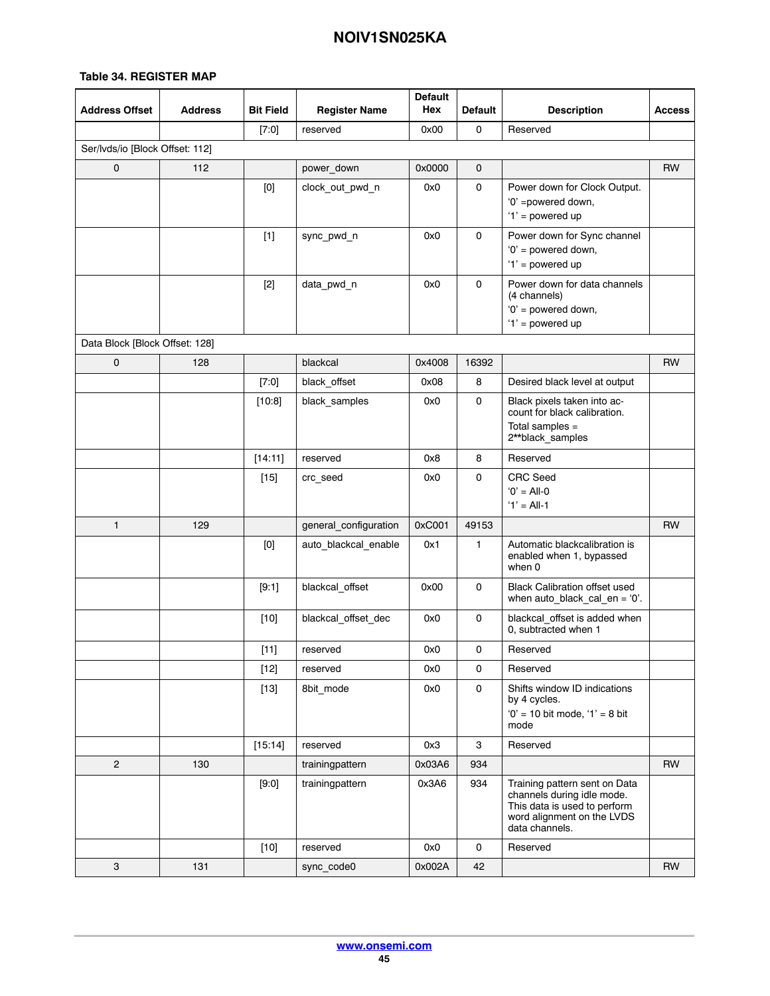| <b>Address Offset</b>           | <b>Address</b> | <b>Bit Field</b> | <b>Register Name</b>  | <b>Default</b><br>Hex | <b>Default</b>      | <b>Description</b>                                                                                                                          | <b>Access</b> |
|---------------------------------|----------------|------------------|-----------------------|-----------------------|---------------------|---------------------------------------------------------------------------------------------------------------------------------------------|---------------|
|                                 |                | $[7:0]$          | reserved              | 0x00                  | $\mathsf{O}\xspace$ | Reserved                                                                                                                                    |               |
| Ser/Ivds/io [Block Offset: 112] |                |                  |                       |                       |                     |                                                                                                                                             |               |
| $\mathsf{o}$                    | 112            |                  | power_down            | 0x0000                | $\mathbf 0$         |                                                                                                                                             | <b>RW</b>     |
|                                 |                | [0]              | clock_out_pwd_n       | 0x0                   | 0                   | Power down for Clock Output.<br>'0' =powered down,<br>'1' = powered up                                                                      |               |
|                                 |                | $[1]$            | sync_pwd_n            | 0x0                   | $\mathbf 0$         | Power down for Sync channel<br>'0' = powered down,<br>'1' = powered up                                                                      |               |
|                                 |                | $[2]$            | data_pwd_n            | 0x0                   | $\mathbf 0$         | Power down for data channels<br>(4 channels)<br>'0' = powered down,<br>$'1'$ = powered up                                                   |               |
| Data Block [Block Offset: 128]  |                |                  |                       |                       |                     |                                                                                                                                             |               |
| 0                               | 128            |                  | blackcal              | 0x4008                | 16392               |                                                                                                                                             | <b>RW</b>     |
|                                 |                | $[7:0]$          | black_offset          | 0x08                  | 8                   | Desired black level at output                                                                                                               |               |
|                                 |                | [10:8]           | black_samples         | 0x0                   | 0                   | Black pixels taken into ac-<br>count for black calibration.                                                                                 |               |
|                                 |                |                  |                       |                       |                     | Total samples =<br>2**black_samples                                                                                                         |               |
|                                 |                | [14:11]          | reserved              | 0x8                   | 8                   | Reserved                                                                                                                                    |               |
|                                 |                | $[15]$           | crc_seed              | 0x0                   | 0                   | <b>CRC</b> Seed<br>$'0' = All-0$<br>$'1' = All-1$                                                                                           |               |
| $\mathbf{1}$                    | 129            |                  | general_configuration | 0xC001                | 49153               |                                                                                                                                             | <b>RW</b>     |
|                                 |                | $[0]$            | auto_blackcal_enable  | 0x1                   | 1                   | Automatic blackcalibration is<br>enabled when 1, bypassed<br>when 0                                                                         |               |
|                                 |                | [9:1]            | blackcal_offset       | 0x00                  | $\mathbf 0$         | <b>Black Calibration offset used</b><br>when $auto\_black\_cal\_en = '0'.$                                                                  |               |
|                                 |                | $[10]$           | blackcal_offset_dec   | 0x0                   | 0                   | blackcal_offset is added when<br>0, subtracted when 1                                                                                       |               |
|                                 |                | $[11]$           | reserved              | 0x0                   | 0                   | Reserved                                                                                                                                    |               |
|                                 |                | $[12]$           | reserved              | 0x0                   | 0                   | Reserved                                                                                                                                    |               |
|                                 |                | $[13]$           | 8bit mode             | 0x0                   | 0                   | Shifts window ID indications<br>by 4 cycles.<br>$'0' = 10$ bit mode, $'1' = 8$ bit<br>mode                                                  |               |
|                                 |                | [15:14]          | reserved              | 0x3                   | 3                   | Reserved                                                                                                                                    |               |
| $\overline{2}$                  | 130            |                  | trainingpattern       | 0x03A6                | 934                 |                                                                                                                                             | <b>RW</b>     |
|                                 |                | [9:0]            | trainingpattern       | 0x3A6                 | 934                 | Training pattern sent on Data<br>channels during idle mode.<br>This data is used to perform<br>word alignment on the LVDS<br>data channels. |               |
|                                 |                | $[10]$           | reserved              | 0x0                   | 0                   | Reserved                                                                                                                                    |               |
| 3                               | 131            |                  | sync code0            | 0x002A                | 42                  |                                                                                                                                             | <b>RW</b>     |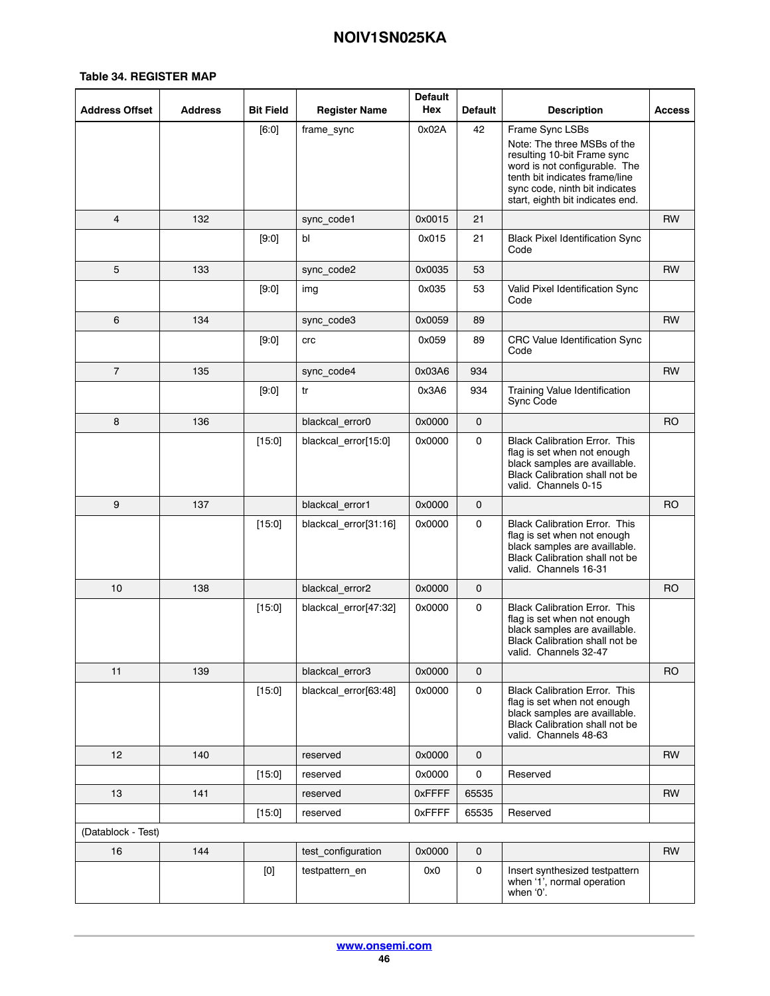| <b>Address Offset</b>   | <b>Address</b> | <b>Bit Field</b>                                                                                                                                                                                                                                                                                                                                                                                                                                                                                                                                                                                   | <b>Register Name</b>  | <b>Default</b><br>Hex | <b>Default</b>      | <b>Description</b>                                                                                                                                                                                                     | <b>Access</b> |
|-------------------------|----------------|----------------------------------------------------------------------------------------------------------------------------------------------------------------------------------------------------------------------------------------------------------------------------------------------------------------------------------------------------------------------------------------------------------------------------------------------------------------------------------------------------------------------------------------------------------------------------------------------------|-----------------------|-----------------------|---------------------|------------------------------------------------------------------------------------------------------------------------------------------------------------------------------------------------------------------------|---------------|
|                         |                | [6:0]                                                                                                                                                                                                                                                                                                                                                                                                                                                                                                                                                                                              | frame_sync            | 0x02A                 | 42                  | Frame Sync LSBs<br>Note: The three MSBs of the<br>resulting 10-bit Frame sync<br>word is not configurable. The<br>tenth bit indicates frame/line<br>sync code, ninth bit indicates<br>start, eighth bit indicates end. |               |
| 4                       | 132            |                                                                                                                                                                                                                                                                                                                                                                                                                                                                                                                                                                                                    | sync_code1            | 0x0015                | 21                  |                                                                                                                                                                                                                        | RW            |
|                         |                | [9:0]                                                                                                                                                                                                                                                                                                                                                                                                                                                                                                                                                                                              | bl                    | 0x015                 | 21                  | <b>Black Pixel Identification Sync</b><br>Code                                                                                                                                                                         |               |
| 5                       | 133            |                                                                                                                                                                                                                                                                                                                                                                                                                                                                                                                                                                                                    | sync_code2            | 0x0035                | 53                  |                                                                                                                                                                                                                        | <b>RW</b>     |
|                         |                | [9:0]                                                                                                                                                                                                                                                                                                                                                                                                                                                                                                                                                                                              | img                   | 0x035                 | 53                  | Valid Pixel Identification Sync<br>Code                                                                                                                                                                                |               |
| 6                       | 134            |                                                                                                                                                                                                                                                                                                                                                                                                                                                                                                                                                                                                    | sync_code3            | 0x0059                | 89                  |                                                                                                                                                                                                                        | <b>RW</b>     |
|                         |                | [9:0]                                                                                                                                                                                                                                                                                                                                                                                                                                                                                                                                                                                              | crc                   | 0x059                 | 89                  | CRC Value Identification Sync<br>Code                                                                                                                                                                                  |               |
| $\overline{\mathbf{7}}$ | 135            |                                                                                                                                                                                                                                                                                                                                                                                                                                                                                                                                                                                                    | sync_code4            | 0x03A6                | 934                 |                                                                                                                                                                                                                        | RW            |
|                         |                | [9:0]                                                                                                                                                                                                                                                                                                                                                                                                                                                                                                                                                                                              | tr                    | 0x3A6                 | 934                 | Training Value Identification<br>Sync Code                                                                                                                                                                             |               |
| 8                       | 136            |                                                                                                                                                                                                                                                                                                                                                                                                                                                                                                                                                                                                    | blackcal_error0       | 0x0000                | $\mathbf 0$         |                                                                                                                                                                                                                        | RO            |
|                         |                | [15:0]                                                                                                                                                                                                                                                                                                                                                                                                                                                                                                                                                                                             | blackcal_error[15:0]  | 0x0000                | 0                   | <b>Black Calibration Error. This</b><br>flag is set when not enough<br>black samples are availlable.<br>Black Calibration shall not be<br>valid. Channels 0-15                                                         |               |
| 9                       | 137            |                                                                                                                                                                                                                                                                                                                                                                                                                                                                                                                                                                                                    | blackcal_error1       | 0x0000                | $\mathbf 0$         |                                                                                                                                                                                                                        | <b>RO</b>     |
|                         |                | [15:0]                                                                                                                                                                                                                                                                                                                                                                                                                                                                                                                                                                                             | blackcal_error[31:16] | 0x0000                | 0                   | <b>Black Calibration Error. This</b><br>flag is set when not enough<br>black samples are availlable.<br>Black Calibration shall not be<br>valid. Channels 16-31                                                        |               |
| 10                      | 138            |                                                                                                                                                                                                                                                                                                                                                                                                                                                                                                                                                                                                    | blackcal_error2       | 0x0000                | 0                   |                                                                                                                                                                                                                        | <b>RO</b>     |
|                         |                | [15:0]                                                                                                                                                                                                                                                                                                                                                                                                                                                                                                                                                                                             | blackcal_error[47:32] | 0x0000                | 0                   | <b>Black Calibration Error. This</b><br>flag is set when not enough<br>black samples are availlable.<br><b>Black Calibration shall not be</b><br>valid. Channels 32-47                                                 |               |
| 11                      | 139            |                                                                                                                                                                                                                                                                                                                                                                                                                                                                                                                                                                                                    | blackcal_error3       | 0x0000                | $\mathbf 0$         |                                                                                                                                                                                                                        | RO            |
|                         |                | [15:0]                                                                                                                                                                                                                                                                                                                                                                                                                                                                                                                                                                                             | blackcal_error[63:48] | 0x0000                | 0                   | <b>Black Calibration Error. This</b><br>flag is set when not enough<br>black samples are availlable.<br>Black Calibration shall not be<br>valid. Channels 48-63                                                        |               |
| 12                      | 140            |                                                                                                                                                                                                                                                                                                                                                                                                                                                                                                                                                                                                    | reserved              | 0x0000                | $\mathbf 0$         |                                                                                                                                                                                                                        | RW            |
|                         |                | [15:0]                                                                                                                                                                                                                                                                                                                                                                                                                                                                                                                                                                                             | reserved              | 0x0000                | 0                   | Reserved                                                                                                                                                                                                               |               |
| 13                      | 141            |                                                                                                                                                                                                                                                                                                                                                                                                                                                                                                                                                                                                    | reserved              | 0xFFFF                | 65535               |                                                                                                                                                                                                                        | RW            |
|                         |                | [15:0]                                                                                                                                                                                                                                                                                                                                                                                                                                                                                                                                                                                             | reserved              | 0xFFFF                | 65535               | Reserved                                                                                                                                                                                                               |               |
| (Datablock - Test)      |                |                                                                                                                                                                                                                                                                                                                                                                                                                                                                                                                                                                                                    |                       |                       |                     |                                                                                                                                                                                                                        |               |
| 16                      | 144            |                                                                                                                                                                                                                                                                                                                                                                                                                                                                                                                                                                                                    | test configuration    | 0x0000                | $\mathbf 0$         |                                                                                                                                                                                                                        | <b>RW</b>     |
|                         |                | $[0] % \begin{center} % \includegraphics[width=\linewidth]{imagesSupplemental_3.png} % \end{center} % \caption { % Our method can be used for the use of the image. % Note that the \emph{DefNet}~\cite{bib66} as a function of the \emph{DefNet}~\cite{bib66} as a function of the \emph{DefNet}~\cite{bib66} as a function of the \emph{DefNet}~\cite{bib66} as a function of the \emph{DefNet}~\cite{bib66} as a function of the \emph{DefNet}~\cite{bib66} as a function of the \emph{DefNet}~\cite{bib66} as a function of the \emph{DefNet}~\cite{bib66} as a function of the \emph{DefNet}$ | testpattern_en        | 0x0                   | $\mathsf{O}\xspace$ | Insert synthesized testpattern<br>when '1', normal operation<br>when '0'.                                                                                                                                              |               |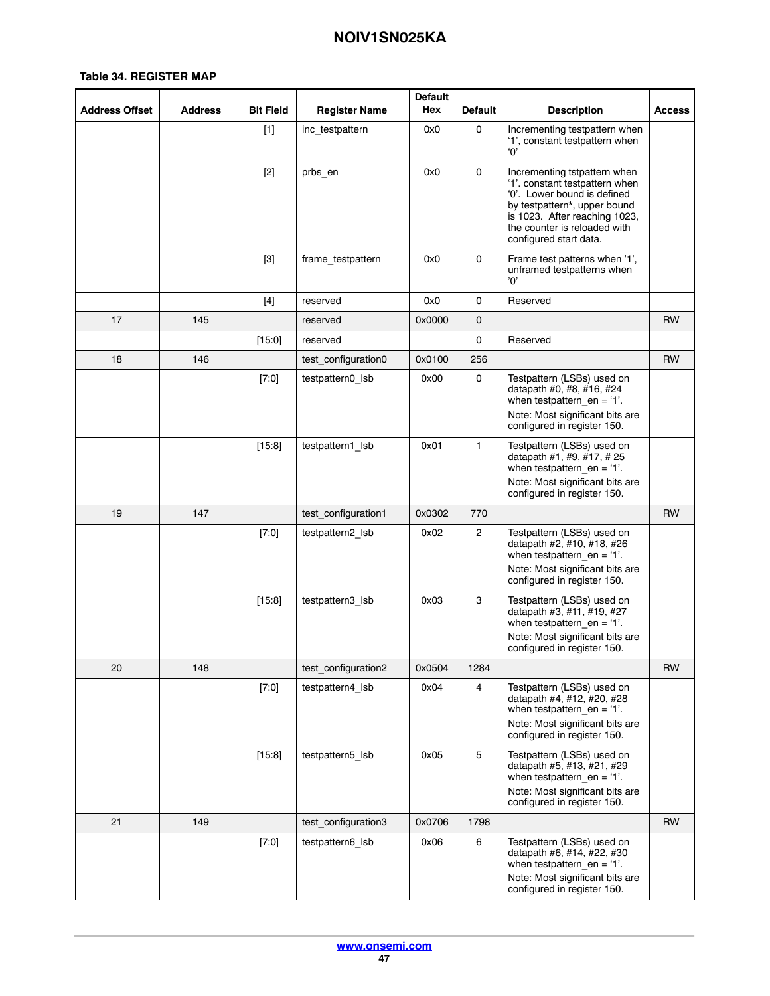| <b>Address Offset</b> | Address | <b>Bit Field</b> | <b>Register Name</b> | <b>Default</b><br>Hex | <b>Default</b> | <b>Description</b>                                                                                                                                                                                                       | <b>Access</b> |
|-----------------------|---------|------------------|----------------------|-----------------------|----------------|--------------------------------------------------------------------------------------------------------------------------------------------------------------------------------------------------------------------------|---------------|
|                       |         | $[1]$            | inc testpattern      | 0x0                   | 0              | Incrementing testpattern when<br>'1', constant testpattern when<br>'ቦ'                                                                                                                                                   |               |
|                       |         | $[2]$            | prbs_en              | 0x0                   | 0              | Incrementing tstpattern when<br>'1'. constant testpattern when<br>'0'. Lower bound is defined<br>by testpattern*, upper bound<br>is 1023. After reaching 1023,<br>the counter is reloaded with<br>configured start data. |               |
|                       |         | $[3]$            | frame_testpattern    | 0x0                   | 0              | Frame test patterns when '1',<br>unframed testpatterns when<br>'n'                                                                                                                                                       |               |
|                       |         | [4]              | reserved             | 0x0                   | 0              | Reserved                                                                                                                                                                                                                 |               |
| 17                    | 145     |                  | reserved             | 0x0000                | 0              |                                                                                                                                                                                                                          | <b>RW</b>     |
|                       |         | [15:0]           | reserved             |                       | 0              | Reserved                                                                                                                                                                                                                 |               |
| 18                    | 146     |                  | test configuration0  | 0x0100                | 256            |                                                                                                                                                                                                                          | <b>RW</b>     |
|                       |         | $[7:0]$          | testpattern0_lsb     | 0x00                  | 0              | Testpattern (LSBs) used on<br>datapath #0, #8, #16, #24<br>when testpattern $en = '1'.$<br>Note: Most significant bits are<br>configured in register 150.                                                                |               |
|                       |         | [15:8]           | testpattern1 lsb     | 0x01                  | $\mathbf{1}$   | Testpattern (LSBs) used on<br>datapath #1, #9, #17, #25<br>when testpattern_en = $1$ '.<br>Note: Most significant bits are<br>configured in register 150.                                                                |               |
| 19                    | 147     |                  | test configuration1  | 0x0302                | 770            |                                                                                                                                                                                                                          | <b>RW</b>     |
|                       |         | [7:0]            | testpattern2_lsb     | 0x02                  | $\overline{2}$ | Testpattern (LSBs) used on<br>datapath #2, #10, #18, #26<br>when testpattern en = $1$ '.<br>Note: Most significant bits are<br>configured in register 150.                                                               |               |
|                       |         | [15:8]           | testpattern3_lsb     | 0x03                  | 3              | Testpattern (LSBs) used on<br>datapath #3, #11, #19, #27<br>when testpattern $en = '1'.$<br>Note: Most significant bits are<br>configured in register 150.                                                               |               |
| 20                    | 148     |                  | test_configuration2  | 0x0504                | 1284           |                                                                                                                                                                                                                          | <b>RW</b>     |
|                       |         | [7:0]            | testpattern4_lsb     | 0x04                  | 4              | Testpattern (LSBs) used on<br>datapath #4, #12, #20, #28<br>when testpattern en = $'1'$ .<br>Note: Most significant bits are<br>configured in register 150.                                                              |               |
|                       |         | [15:8]           | testpattern5_lsb     | 0x05                  | 5              | Testpattern (LSBs) used on<br>datapath #5, #13, #21, #29<br>when testpattern en = $'1'$ .<br>Note: Most significant bits are<br>configured in register 150.                                                              |               |
| 21                    | 149     |                  | test configuration3  | 0x0706                | 1798           |                                                                                                                                                                                                                          | <b>RW</b>     |
|                       |         | [7:0]            | testpattern6_lsb     | 0x06                  | 6              | Testpattern (LSBs) used on<br>datapath #6, #14, #22, #30<br>when testpattern $en = '1'.$<br>Note: Most significant bits are<br>configured in register 150.                                                               |               |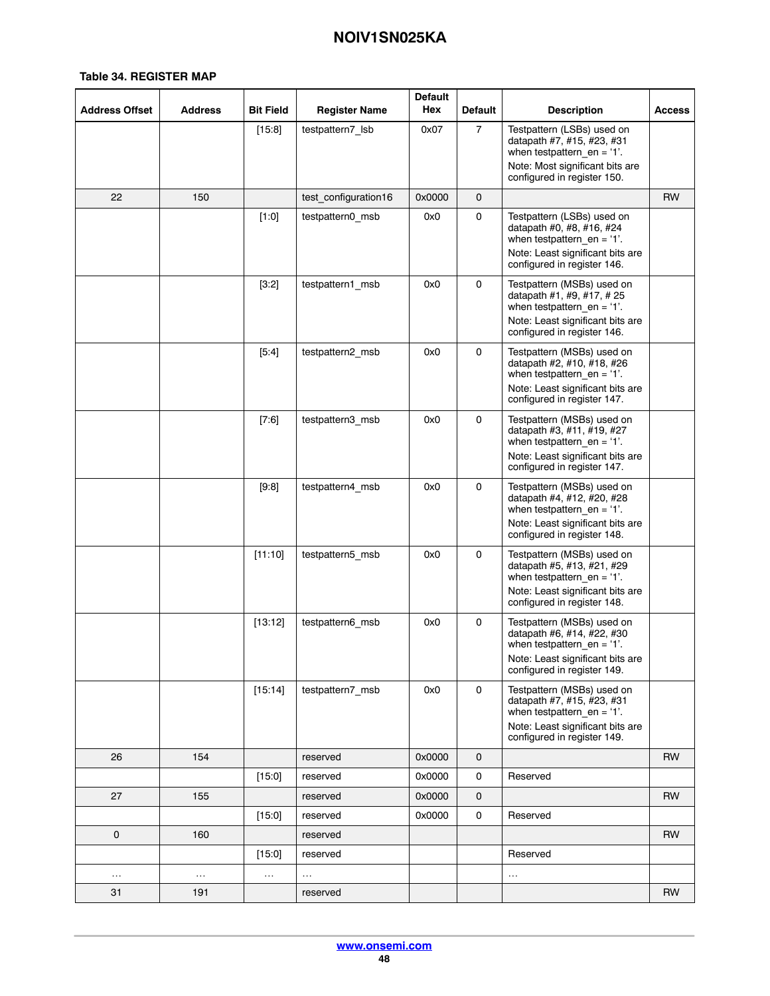| <b>Address Offset</b> | <b>Address</b> | <b>Bit Field</b> | <b>Register Name</b> | <b>Default</b><br>Hex | <b>Default</b> | <b>Description</b>                                                                                                                                             | <b>Access</b> |
|-----------------------|----------------|------------------|----------------------|-----------------------|----------------|----------------------------------------------------------------------------------------------------------------------------------------------------------------|---------------|
|                       |                | [15:8]           | testpattern7_lsb     | 0x07                  | $\overline{7}$ | Testpattern (LSBs) used on<br>datapath #7, #15, #23, #31<br>when testpattern $_{en}$ = '1'.<br>Note: Most significant bits are<br>configured in register 150.  |               |
| 22                    | 150            |                  | test configuration16 | 0x0000                | $\mathbf 0$    |                                                                                                                                                                | RW            |
|                       |                | [1:0]            | testpattern0_msb     | 0x0                   | 0              | Testpattern (LSBs) used on<br>datapath #0, #8, #16, #24<br>when testpattern en = $1$ '.<br>Note: Least significant bits are<br>configured in register 146.     |               |
|                       |                | [3:2]            | testpattern1 msb     | 0x0                   | 0              | Testpattern (MSBs) used on<br>datapath #1, #9, #17, #25<br>when testpattern_en = $'1'.$<br>Note: Least significant bits are<br>configured in register 146.     |               |
|                       |                | [5:4]            | testpattern2_msb     | 0x0                   | $\mathbf 0$    | Testpattern (MSBs) used on<br>datapath #2, #10, #18, #26<br>when testpattern $_{en}$ = '1'.<br>Note: Least significant bits are<br>configured in register 147. |               |
|                       |                | [7:6]            | testpattern3 msb     | 0x0                   | 0              | Testpattern (MSBs) used on<br>datapath #3, #11, #19, #27<br>when testpattern $en = '1'.$<br>Note: Least significant bits are<br>configured in register 147.    |               |
|                       |                | [9:8]            | testpattern4 msb     | 0x0                   | $\mathbf{0}$   | Testpattern (MSBs) used on<br>datapath #4, #12, #20, #28<br>when testpattern $en = '1'.$<br>Note: Least significant bits are<br>configured in register 148.    |               |
|                       |                | [11:10]          | testpattern5 msb     | 0x0                   | 0              | Testpattern (MSBs) used on<br>datapath #5, #13, #21, #29<br>when testpattern en = $1$ '.<br>Note: Least significant bits are<br>configured in register 148.    |               |
|                       |                | [13:12]          | testpattern6 msb     | 0x0                   | $\mathbf{0}$   | Testpattern (MSBs) used on<br>datapath #6, #14, #22, #30<br>when testpattern $en = '1'.$<br>Note: Least significant bits are<br>configured in register 149.    |               |
|                       |                | [15:14]          | testpattern7 msb     | 0x0                   | 0              | Testpattern (MSBs) used on<br>datapath #7, #15, #23, #31<br>when testpattern $en = '1'.$<br>Note: Least significant bits are<br>configured in register 149.    |               |
| 26                    | 154            |                  | reserved             | 0x0000                | $\mathbf 0$    |                                                                                                                                                                | <b>RW</b>     |
|                       |                | [15:0]           | reserved             | 0x0000                | 0              | Reserved                                                                                                                                                       |               |
| 27                    | 155            |                  | reserved             | 0x0000                | 0              |                                                                                                                                                                | <b>RW</b>     |
|                       |                | [15:0]           | reserved             | 0x0000                | 0              | Reserved                                                                                                                                                       |               |
| 0                     | 160            |                  | reserved             |                       |                |                                                                                                                                                                | <b>RW</b>     |
|                       |                | [15:0]           | reserved             |                       |                | Reserved                                                                                                                                                       |               |
| .                     | $\cdots$       | $\ldots$         | $\ldots$             |                       |                | $\sim$                                                                                                                                                         |               |
| 31                    | 191            |                  | reserved             |                       |                |                                                                                                                                                                | <b>RW</b>     |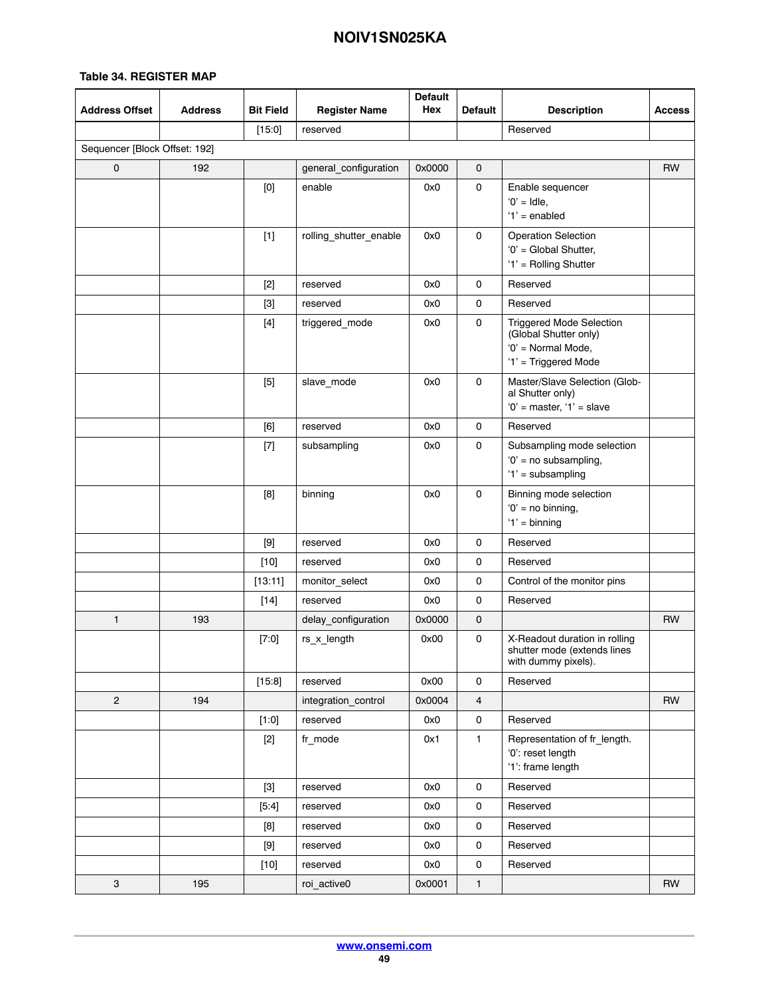| <b>Address Offset</b>         | <b>Address</b> | <b>Bit Field</b>                                                                                                                                                                                                                                                                                                                                                                                                                                                                                                                                                                                   | <b>Register Name</b>   | <b>Default</b><br>Hex | <b>Default</b>      | <b>Description</b>                                                                                     | <b>Access</b> |
|-------------------------------|----------------|----------------------------------------------------------------------------------------------------------------------------------------------------------------------------------------------------------------------------------------------------------------------------------------------------------------------------------------------------------------------------------------------------------------------------------------------------------------------------------------------------------------------------------------------------------------------------------------------------|------------------------|-----------------------|---------------------|--------------------------------------------------------------------------------------------------------|---------------|
|                               |                | [15:0]                                                                                                                                                                                                                                                                                                                                                                                                                                                                                                                                                                                             | reserved               |                       |                     | Reserved                                                                                               |               |
| Sequencer [Block Offset: 192] |                |                                                                                                                                                                                                                                                                                                                                                                                                                                                                                                                                                                                                    |                        |                       |                     |                                                                                                        |               |
| $\mathsf{o}$                  | 192            |                                                                                                                                                                                                                                                                                                                                                                                                                                                                                                                                                                                                    | general_configuration  | 0x0000                | 0                   |                                                                                                        | RW            |
|                               |                | $[0] % \begin{center} % \includegraphics[width=\linewidth]{imagesSupplemental_3.png} % \end{center} % \caption { % Our method can be used for the use of the image. % Note that the \emph{DefNet}~\cite{bib66} as a function of the \emph{DefNet}~\cite{bib66} as a function of the \emph{DefNet}~\cite{bib66} as a function of the \emph{DefNet}~\cite{bib66} as a function of the \emph{DefNet}~\cite{bib66} as a function of the \emph{DefNet}~\cite{bib66} as a function of the \emph{DefNet}~\cite{bib66} as a function of the \emph{DefNet}~\cite{bib66} as a function of the \emph{DefNet}$ | enable                 | 0x0                   | 0                   | Enable sequencer<br>$'0'$ = Idle,<br>$'1'$ = enabled                                                   |               |
|                               |                | $[1]$                                                                                                                                                                                                                                                                                                                                                                                                                                                                                                                                                                                              | rolling_shutter_enable | 0x0                   | 0                   | <b>Operation Selection</b><br>'0' = Global Shutter,<br>'1' = Rolling Shutter                           |               |
|                               |                | $[2]$                                                                                                                                                                                                                                                                                                                                                                                                                                                                                                                                                                                              | reserved               | 0x0                   | 0                   | Reserved                                                                                               |               |
|                               |                | $[3]$                                                                                                                                                                                                                                                                                                                                                                                                                                                                                                                                                                                              | reserved               | 0x0                   | $\mathsf{O}\xspace$ | Reserved                                                                                               |               |
|                               |                | $[4]$                                                                                                                                                                                                                                                                                                                                                                                                                                                                                                                                                                                              | triggered_mode         | 0x0                   | 0                   | <b>Triggered Mode Selection</b><br>(Global Shutter only)<br>'0' = Normal Mode,<br>'1' = Triggered Mode |               |
|                               |                | $[5]$                                                                                                                                                                                                                                                                                                                                                                                                                                                                                                                                                                                              | slave_mode             | 0x0                   | 0                   | Master/Slave Selection (Glob-<br>al Shutter only)<br>$'0'$ = master, $'1'$ = slave                     |               |
|                               |                | [6]                                                                                                                                                                                                                                                                                                                                                                                                                                                                                                                                                                                                | reserved               | 0x0                   | 0                   | Reserved                                                                                               |               |
|                               |                | $[7]$                                                                                                                                                                                                                                                                                                                                                                                                                                                                                                                                                                                              | subsampling            | 0x0                   | 0                   | Subsampling mode selection<br>$'0'$ = no subsampling,<br>'1' = subsampling                             |               |
|                               |                | [8]                                                                                                                                                                                                                                                                                                                                                                                                                                                                                                                                                                                                | binning                | 0x0                   | 0                   | Binning mode selection<br>$'0'$ = no binning,<br>$'1'$ = binning                                       |               |
|                               |                |                                                                                                                                                                                                                                                                                                                                                                                                                                                                                                                                                                                                    | reserved               | 0x0                   | 0                   | Reserved                                                                                               |               |
|                               |                | $[10]$                                                                                                                                                                                                                                                                                                                                                                                                                                                                                                                                                                                             | reserved               | 0x0                   | 0                   | Reserved                                                                                               |               |
|                               |                | [13:11]                                                                                                                                                                                                                                                                                                                                                                                                                                                                                                                                                                                            | monitor_select         | 0x0                   | 0                   | Control of the monitor pins                                                                            |               |
|                               |                | $[14]$                                                                                                                                                                                                                                                                                                                                                                                                                                                                                                                                                                                             | reserved               | 0x0                   | 0                   | Reserved                                                                                               |               |
| $\mathbf{1}$                  | 193            |                                                                                                                                                                                                                                                                                                                                                                                                                                                                                                                                                                                                    | delay_configuration    | 0x0000                | 0                   |                                                                                                        | RW            |
|                               |                | [7:0]                                                                                                                                                                                                                                                                                                                                                                                                                                                                                                                                                                                              | rs_x_length            | 0x00                  | 0                   | X-Readout duration in rolling<br>shutter mode (extends lines<br>with dummy pixels).                    |               |
|                               |                | [15:8]                                                                                                                                                                                                                                                                                                                                                                                                                                                                                                                                                                                             | reserved               | 0x00                  | $\mathsf{O}\xspace$ | Reserved                                                                                               |               |
| $\overline{2}$                | 194            |                                                                                                                                                                                                                                                                                                                                                                                                                                                                                                                                                                                                    | integration_control    | 0x0004                | $\overline{4}$      |                                                                                                        | <b>RW</b>     |
|                               |                | [1:0]                                                                                                                                                                                                                                                                                                                                                                                                                                                                                                                                                                                              | reserved               | 0x0                   | 0                   | Reserved                                                                                               |               |
|                               |                | $[2]$                                                                                                                                                                                                                                                                                                                                                                                                                                                                                                                                                                                              | fr_mode                | 0x1                   | 1                   | Representation of fr_length.<br>'0': reset length<br>'1': frame length                                 |               |
|                               |                |                                                                                                                                                                                                                                                                                                                                                                                                                                                                                                                                                                                                    | reserved               | 0x0                   | 0                   | Reserved                                                                                               |               |
|                               |                | [5:4]                                                                                                                                                                                                                                                                                                                                                                                                                                                                                                                                                                                              | reserved               | 0x0                   | 0                   | Reserved                                                                                               |               |
|                               |                | [8]                                                                                                                                                                                                                                                                                                                                                                                                                                                                                                                                                                                                | reserved               | 0x0                   | 0                   | Reserved                                                                                               |               |
|                               |                |                                                                                                                                                                                                                                                                                                                                                                                                                                                                                                                                                                                                    | reserved               | 0x0                   | 0                   | Reserved                                                                                               |               |
|                               |                | $[10]$                                                                                                                                                                                                                                                                                                                                                                                                                                                                                                                                                                                             | reserved               | 0x0                   | 0                   | Reserved                                                                                               |               |
| 3                             | 195            |                                                                                                                                                                                                                                                                                                                                                                                                                                                                                                                                                                                                    | roi_active0            | 0x0001                | $\mathbf{1}$        |                                                                                                        | RW            |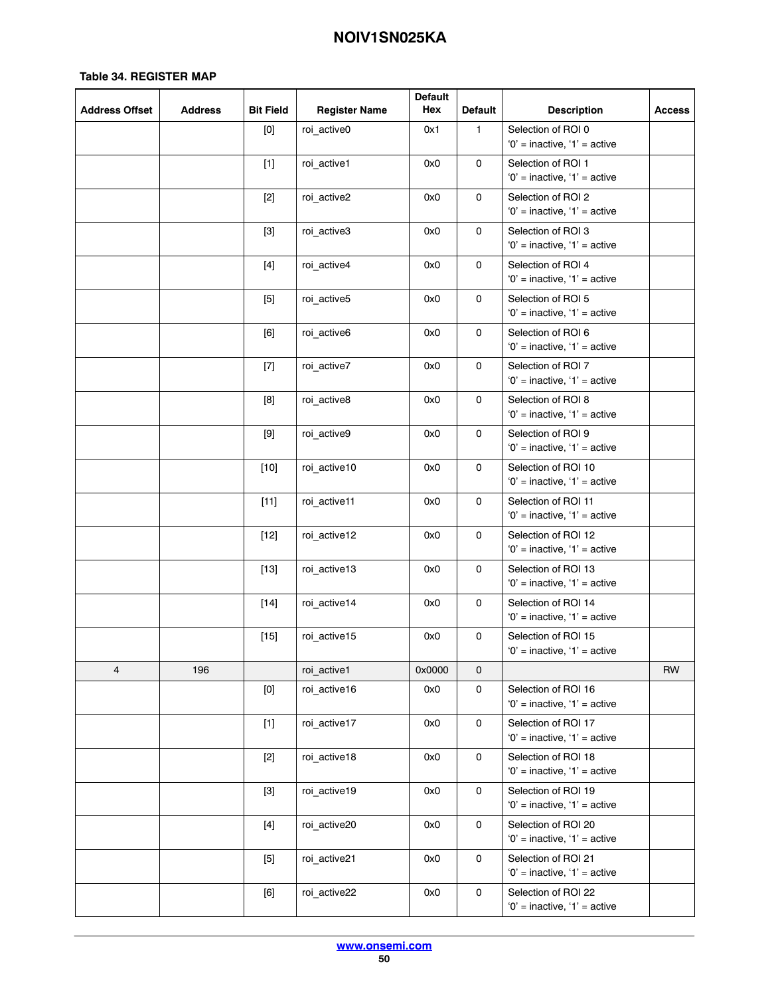| <b>Address Offset</b> | <b>Address</b> | <b>Bit Field</b>                                                                                                                                                                                                                                                                                                                                                                                                                                                                                                                                                                                                                                                                                                                                      | <b>Register Name</b> | <b>Default</b><br>Hex | <b>Default</b> | <b>Description</b>                                      | <b>Access</b> |
|-----------------------|----------------|-------------------------------------------------------------------------------------------------------------------------------------------------------------------------------------------------------------------------------------------------------------------------------------------------------------------------------------------------------------------------------------------------------------------------------------------------------------------------------------------------------------------------------------------------------------------------------------------------------------------------------------------------------------------------------------------------------------------------------------------------------|----------------------|-----------------------|----------------|---------------------------------------------------------|---------------|
|                       |                | $[0] % \begin{center} % \includegraphics[width=\linewidth]{imagesSupplemental_3.png} % \end{center} % \caption { % Our method can be used for the use of the image. % Note that the \emph{DefNet}~\cite{bib66} as a function of the \emph{DefNet}~\cite{bib66} as a function of the \emph{DefNet}~\cite{bib66} as a function of the \emph{DefNet}~\cite{bib66} as a function of the \emph{DefNet}~\cite{bib66} as a function of the \emph{DefNet}~\cite{bib66} as a function of the \emph{DefNet}~\cite{bib66} as a function of the \emph{DefNet}~\cite{bib66} as a function of the \emph{DefNet}$                                                                                                                                                    | roi active0          | 0x1                   | 1              | Selection of ROI 0<br>$'0'$ = inactive, $'1'$ = active  |               |
|                       |                | $[1]$                                                                                                                                                                                                                                                                                                                                                                                                                                                                                                                                                                                                                                                                                                                                                 | roi active1          | 0x0                   | 0              | Selection of ROI 1<br>$'0'$ = inactive, '1' = active    |               |
|                       |                | $[2]$                                                                                                                                                                                                                                                                                                                                                                                                                                                                                                                                                                                                                                                                                                                                                 | roi active2          | 0x0                   | 0              | Selection of ROI 2<br>$'0'$ = inactive, '1' = active    |               |
|                       |                | $[3]$                                                                                                                                                                                                                                                                                                                                                                                                                                                                                                                                                                                                                                                                                                                                                 | roi_active3          | 0x0                   | 0              | Selection of ROI 3<br>$'0'$ = inactive, '1' = active    |               |
|                       |                | $[4]$                                                                                                                                                                                                                                                                                                                                                                                                                                                                                                                                                                                                                                                                                                                                                 | roi_active4          | 0x0                   | $\mathbf 0$    | Selection of ROI 4<br>$'0'$ = inactive, '1' = active    |               |
|                       |                | $[5]$                                                                                                                                                                                                                                                                                                                                                                                                                                                                                                                                                                                                                                                                                                                                                 | roi_active5          | 0x0                   | $\mathsf 0$    | Selection of ROI 5<br>$'0'$ = inactive, $'1'$ = active  |               |
|                       |                | [6]                                                                                                                                                                                                                                                                                                                                                                                                                                                                                                                                                                                                                                                                                                                                                   | roi active6          | 0x0                   | 0              | Selection of ROI 6<br>$'0'$ = inactive, $'1'$ = active  |               |
|                       |                | $[7] \centering% \includegraphics[width=1.0\textwidth]{images/TrDiC-Architecture.png} \caption{The 3D (top) and the 4D (bottom) of the 3D (bottom) and the 4D (bottom) of the 3D (bottom) and the 4D (bottom) of the 3D (bottom).} \label{TrDiC-Architecture}$                                                                                                                                                                                                                                                                                                                                                                                                                                                                                        | roi_active7          | 0x0                   | $\mathsf{O}$   | Selection of ROI 7<br>$'0'$ = inactive, $'1'$ = active  |               |
|                       |                | [8]                                                                                                                                                                                                                                                                                                                                                                                                                                                                                                                                                                                                                                                                                                                                                   | roi active8          | 0x0                   | $\mathbf 0$    | Selection of ROI 8<br>$'0'$ = inactive, $'1'$ = active  |               |
|                       |                |                                                                                                                                                                                                                                                                                                                                                                                                                                                                                                                                                                                                                                                                                                                                                       | roi_active9          | 0x0                   | 0              | Selection of ROI 9<br>$'0'$ = inactive, '1' = active    |               |
|                       |                | $[10]$                                                                                                                                                                                                                                                                                                                                                                                                                                                                                                                                                                                                                                                                                                                                                | roi active10         | 0x0                   | 0              | Selection of ROI 10<br>$'0'$ = inactive, $'1'$ = active |               |
|                       |                | $[11]$                                                                                                                                                                                                                                                                                                                                                                                                                                                                                                                                                                                                                                                                                                                                                | roi_active11         | 0x0                   | 0              | Selection of ROI 11<br>$'0'$ = inactive, $'1'$ = active |               |
|                       |                | $[12]$                                                                                                                                                                                                                                                                                                                                                                                                                                                                                                                                                                                                                                                                                                                                                | roi_active12         | 0x0                   | 0              | Selection of ROI 12<br>'0' = inactive, '1' = active     |               |
|                       |                | $[13]$                                                                                                                                                                                                                                                                                                                                                                                                                                                                                                                                                                                                                                                                                                                                                | roi active13         | 0x0                   | 0              | Selection of ROI 13<br>$'0'$ = inactive, $'1'$ = active |               |
|                       |                | $[14]$                                                                                                                                                                                                                                                                                                                                                                                                                                                                                                                                                                                                                                                                                                                                                | roi active14         | 0x0                   | 0              | Selection of ROI 14<br>$'0'$ = inactive, '1' = active   |               |
|                       |                | $[15]$                                                                                                                                                                                                                                                                                                                                                                                                                                                                                                                                                                                                                                                                                                                                                | roi active15         | 0x0                   | $\mathbf 0$    | Selection of ROI 15<br>'0' = inactive, '1' = active     |               |
| 4                     | 196            |                                                                                                                                                                                                                                                                                                                                                                                                                                                                                                                                                                                                                                                                                                                                                       | roi active1          | 0x0000                | $\mathbf 0$    |                                                         | RW            |
|                       |                | $[0] % \begin{center} % \includegraphics[width=\linewidth]{imagesSupplemental_3.png} % \end{center} % \caption { % Our method is used for the method. % Note that the \emph{exponent} is used for the method. % Note that the \emph{exponent} is used for the method. % Note that the \emph{exponent} is used for the method. % Note that the \emph{exponent} is used for the method. % Note that the \emph{exponent} is used for the method. % Note that the \emph{exportector} is used for the method. % Note that the \emph{exportector} is used for the method. % Note that the \emph{exportector} is used for the method. % Note that the \emph{exportector} is used for the method. % Note that the \emph{exportector} is used for the method.$ | roi active16         | 0x0                   | 0              | Selection of ROI 16<br>$'0'$ = inactive, '1' = active   |               |
|                       |                | $[1]$                                                                                                                                                                                                                                                                                                                                                                                                                                                                                                                                                                                                                                                                                                                                                 | roi active17         | 0x0                   | $\mathbf 0$    | Selection of ROI 17<br>$'0'$ = inactive, '1' = active   |               |
|                       |                | $[2]$                                                                                                                                                                                                                                                                                                                                                                                                                                                                                                                                                                                                                                                                                                                                                 | roi active18         | 0x0                   | $\mathbf 0$    | Selection of ROI 18<br>$'0'$ = inactive, $'1'$ = active |               |
|                       |                | $[3]$                                                                                                                                                                                                                                                                                                                                                                                                                                                                                                                                                                                                                                                                                                                                                 | roi active19         | 0x0                   | 0              | Selection of ROI 19<br>$'0'$ = inactive, $'1'$ = active |               |
|                       |                | $[4]$                                                                                                                                                                                                                                                                                                                                                                                                                                                                                                                                                                                                                                                                                                                                                 | roi active20         | 0x0                   | $\mathsf 0$    | Selection of ROI 20<br>$'0'$ = inactive, '1' = active   |               |
|                       |                | $[5]$                                                                                                                                                                                                                                                                                                                                                                                                                                                                                                                                                                                                                                                                                                                                                 | roi active21         | 0x0                   | $\mathsf{O}$   | Selection of ROI 21<br>$'0'$ = inactive, $'1'$ = active |               |
|                       |                | [6]                                                                                                                                                                                                                                                                                                                                                                                                                                                                                                                                                                                                                                                                                                                                                   | roi active22         | 0x0                   | $\mathsf 0$    | Selection of ROI 22<br>$'0'$ = inactive, $'1'$ = active |               |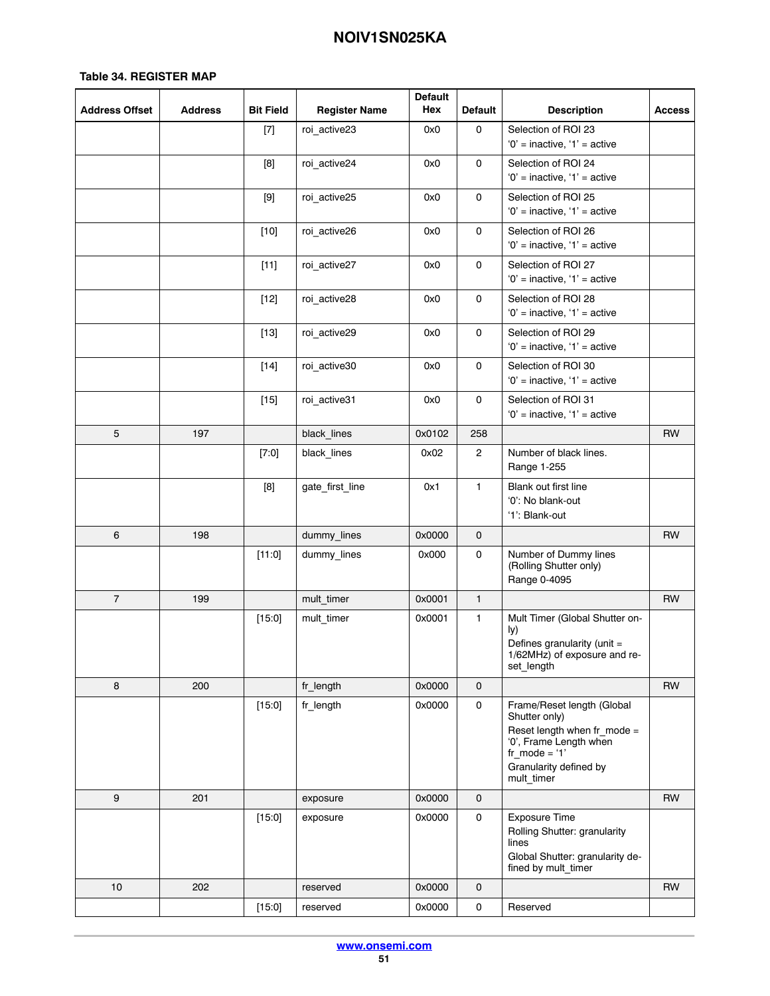| <b>Address Offset</b> | <b>Address</b> | <b>Bit Field</b> | <b>Register Name</b> | <b>Default</b><br>Hex | <b>Default</b> | <b>Description</b>                                                                                                                                              | <b>Access</b> |
|-----------------------|----------------|------------------|----------------------|-----------------------|----------------|-----------------------------------------------------------------------------------------------------------------------------------------------------------------|---------------|
|                       |                | $[7]$            | roi active23         | 0x0                   | 0              | Selection of ROI 23                                                                                                                                             |               |
|                       |                |                  |                      | 0x0                   | 0              | $'0'$ = inactive, '1' = active<br>Selection of ROI 24                                                                                                           |               |
|                       |                | [8]              | roi_active24         |                       |                | $'0'$ = inactive, $'1'$ = active                                                                                                                                |               |
|                       |                | $[9]$            | roi active25         | 0x0                   | 0              | Selection of ROI 25<br>$'0'$ = inactive, '1' = active                                                                                                           |               |
|                       |                | $[10]$           | roi_active26         | 0x0                   | $\mathsf{o}$   | Selection of ROI 26<br>$'0'$ = inactive, $'1'$ = active                                                                                                         |               |
|                       |                | $[11]$           | roi active27         | 0x0                   | 0              | Selection of ROI 27<br>$'0'$ = inactive, '1' = active                                                                                                           |               |
|                       |                | $[12]$           | roi active28         | 0x0                   | 0              | Selection of ROI 28<br>$'0'$ = inactive, $'1'$ = active                                                                                                         |               |
|                       |                | $[13]$           | roi active29         | 0x0                   | 0              | Selection of ROI 29<br>$'0'$ = inactive, '1' = active                                                                                                           |               |
|                       |                | $[14]$           | roi active30         | 0x0                   | 0              | Selection of ROI 30<br>$0'$ = inactive, $1'$ = active                                                                                                           |               |
|                       |                | $[15]$           | roi active31         | 0x0                   | 0              | Selection of ROI 31<br>$'0'$ = inactive, '1' = active                                                                                                           |               |
| 5                     | 197            |                  | black_lines          | 0x0102                | 258            |                                                                                                                                                                 | <b>RW</b>     |
|                       |                | $[7:0]$          | black_lines          | 0x02                  | $\overline{2}$ | Number of black lines.<br>Range 1-255                                                                                                                           |               |
|                       |                | [8]              | gate_first_line      | 0x1                   | $\mathbf{1}$   | Blank out first line<br>'0': No blank-out<br>'1': Blank-out                                                                                                     |               |
| 6                     | 198            |                  | dummy_lines          | 0x0000                | 0              |                                                                                                                                                                 | <b>RW</b>     |
|                       |                | [11:0]           | dummy_lines          | 0x000                 | 0              | Number of Dummy lines<br>(Rolling Shutter only)<br>Range 0-4095                                                                                                 |               |
| $\overline{7}$        | 199            |                  | mult_timer           | 0x0001                | $\mathbf{1}$   |                                                                                                                                                                 | <b>RW</b>     |
|                       |                | [15:0]           | mult_timer           | 0x0001                | 1              | Mult Timer (Global Shutter on-<br>ly)<br>Defines granularity (unit =<br>1/62MHz) of exposure and re-<br>set length                                              |               |
| 8                     | 200            |                  | fr length            | 0x0000                | 0              |                                                                                                                                                                 | <b>RW</b>     |
|                       |                | [15:0]           | fr length            | 0x0000                | 0              | Frame/Reset length (Global<br>Shutter only)<br>Reset length when fr mode =<br>'0', Frame Length when<br>fr mode = $'1'$<br>Granularity defined by<br>mult_timer |               |
| $\mathbf{9}$          | 201            |                  | exposure             | 0x0000                | $\mathsf{O}$   |                                                                                                                                                                 | <b>RW</b>     |
|                       |                | [15:0]           | exposure             | 0x0000                | 0              | Exposure Time<br>Rolling Shutter: granularity<br>lines<br>Global Shutter: granularity de-<br>fined by mult_timer                                                |               |
| 10                    | 202            |                  | reserved             | 0x0000                | $\mathbf 0$    |                                                                                                                                                                 | <b>RW</b>     |
|                       |                | [15:0]           | reserved             | 0x0000                | 0              | Reserved                                                                                                                                                        |               |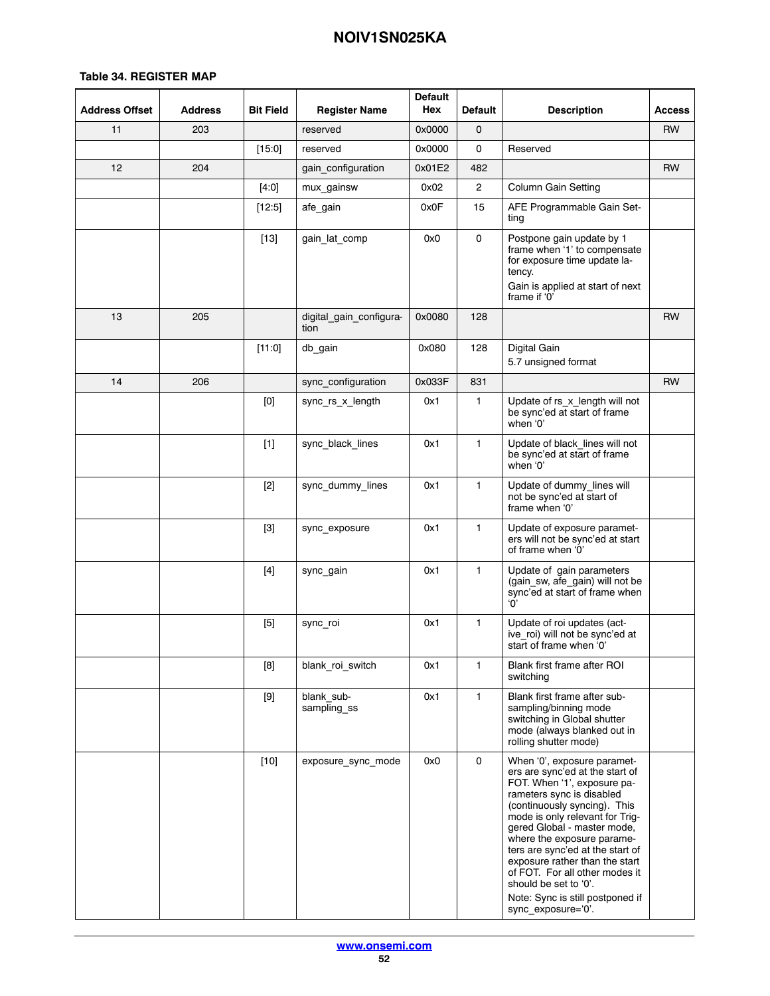| <b>Address Offset</b> | <b>Address</b> | <b>Bit Field</b>                                                                                                                                                                                                                                                                                                                                                                                                                                                                                                                                                                                   | <b>Register Name</b>            | <b>Default</b><br>Hex | <b>Default</b> | <b>Description</b>                                                                                                                                                                                                                                                                                                                                                                                                                                    | <b>Access</b> |
|-----------------------|----------------|----------------------------------------------------------------------------------------------------------------------------------------------------------------------------------------------------------------------------------------------------------------------------------------------------------------------------------------------------------------------------------------------------------------------------------------------------------------------------------------------------------------------------------------------------------------------------------------------------|---------------------------------|-----------------------|----------------|-------------------------------------------------------------------------------------------------------------------------------------------------------------------------------------------------------------------------------------------------------------------------------------------------------------------------------------------------------------------------------------------------------------------------------------------------------|---------------|
| 11                    | 203            |                                                                                                                                                                                                                                                                                                                                                                                                                                                                                                                                                                                                    | reserved                        | 0x0000                | $\mathbf 0$    |                                                                                                                                                                                                                                                                                                                                                                                                                                                       | <b>RW</b>     |
|                       |                | [15:0]                                                                                                                                                                                                                                                                                                                                                                                                                                                                                                                                                                                             | reserved                        | 0x0000                | 0              | Reserved                                                                                                                                                                                                                                                                                                                                                                                                                                              |               |
| 12                    | 204            |                                                                                                                                                                                                                                                                                                                                                                                                                                                                                                                                                                                                    | gain configuration              | 0x01E2                | 482            |                                                                                                                                                                                                                                                                                                                                                                                                                                                       | <b>RW</b>     |
|                       |                | [4:0]                                                                                                                                                                                                                                                                                                                                                                                                                                                                                                                                                                                              | mux_gainsw                      | 0x02                  | $\overline{2}$ | Column Gain Setting                                                                                                                                                                                                                                                                                                                                                                                                                                   |               |
|                       |                | $[12:5]$                                                                                                                                                                                                                                                                                                                                                                                                                                                                                                                                                                                           | afe gain                        | 0x0F                  | 15             | AFE Programmable Gain Set-<br>ting                                                                                                                                                                                                                                                                                                                                                                                                                    |               |
|                       |                | $[13]$                                                                                                                                                                                                                                                                                                                                                                                                                                                                                                                                                                                             | gain_lat_comp                   | 0x0                   | 0              | Postpone gain update by 1<br>frame when '1' to compensate<br>for exposure time update la-<br>tency.<br>Gain is applied at start of next<br>frame if '0'                                                                                                                                                                                                                                                                                               |               |
| 13                    | 205            |                                                                                                                                                                                                                                                                                                                                                                                                                                                                                                                                                                                                    | digital gain configura-<br>tion | 0x0080                | 128            |                                                                                                                                                                                                                                                                                                                                                                                                                                                       | <b>RW</b>     |
|                       |                | [11:0]                                                                                                                                                                                                                                                                                                                                                                                                                                                                                                                                                                                             | db gain                         | 0x080                 | 128            | Digital Gain<br>5.7 unsigned format                                                                                                                                                                                                                                                                                                                                                                                                                   |               |
| 14                    | 206            |                                                                                                                                                                                                                                                                                                                                                                                                                                                                                                                                                                                                    | sync_configuration              | 0x033F                | 831            |                                                                                                                                                                                                                                                                                                                                                                                                                                                       | <b>RW</b>     |
|                       |                | $[0] % \begin{center} % \includegraphics[width=\linewidth]{imagesSupplemental_3.png} % \end{center} % \caption { % Our method can be used for the use of the image. % Note that the \emph{DefNet}~\cite{bib66} as a function of the \emph{DefNet}~\cite{bib66} as a function of the \emph{DefNet}~\cite{bib66} as a function of the \emph{DefNet}~\cite{bib66} as a function of the \emph{DefNet}~\cite{bib66} as a function of the \emph{DefNet}~\cite{bib66} as a function of the \emph{DefNet}~\cite{bib66} as a function of the \emph{DefNet}~\cite{bib66} as a function of the \emph{DefNet}$ | sync_rs_x_length                | 0x1                   | 1              | Update of rs x length will not<br>be sync'ed at start of frame<br>when '0'                                                                                                                                                                                                                                                                                                                                                                            |               |
|                       |                | $[1]$                                                                                                                                                                                                                                                                                                                                                                                                                                                                                                                                                                                              | sync black lines                | 0x1                   | 1              | Update of black lines will not<br>be sync'ed at start of frame<br>when '0'                                                                                                                                                                                                                                                                                                                                                                            |               |
|                       |                | $[2]$                                                                                                                                                                                                                                                                                                                                                                                                                                                                                                                                                                                              | sync_dummy_lines                | 0x1                   | $\mathbf{1}$   | Update of dummy_lines will<br>not be sync'ed at start of<br>frame when '0'                                                                                                                                                                                                                                                                                                                                                                            |               |
|                       |                | $[3]$                                                                                                                                                                                                                                                                                                                                                                                                                                                                                                                                                                                              | sync_exposure                   | 0x1                   | 1              | Update of exposure paramet-<br>ers will not be sync'ed at start<br>of frame when '0'                                                                                                                                                                                                                                                                                                                                                                  |               |
|                       |                | $[4]$                                                                                                                                                                                                                                                                                                                                                                                                                                                                                                                                                                                              | sync_gain                       | 0x1                   | $\mathbf{1}$   | Update of gain parameters<br>(gain_sw, afe_gain) will not be<br>sync'ed at start of frame when<br>'ቦ'                                                                                                                                                                                                                                                                                                                                                 |               |
|                       |                | $[5]$                                                                                                                                                                                                                                                                                                                                                                                                                                                                                                                                                                                              | sync_roi                        | 0x1                   | $\mathbf{1}$   | Update of roi updates (act-<br>ive roi) will not be sync'ed at<br>start of frame when '0'                                                                                                                                                                                                                                                                                                                                                             |               |
|                       |                | [8]                                                                                                                                                                                                                                                                                                                                                                                                                                                                                                                                                                                                | blank roi switch                | 0x1                   | 1              | Blank first frame after ROI<br>switching                                                                                                                                                                                                                                                                                                                                                                                                              |               |
|                       |                |                                                                                                                                                                                                                                                                                                                                                                                                                                                                                                                                                                                                    | blank_sub-<br>sampling_ss       | 0x1                   | $\mathbf{1}$   | Blank first frame after sub-<br>sampling/binning mode<br>switching in Global shutter<br>mode (always blanked out in<br>rolling shutter mode)                                                                                                                                                                                                                                                                                                          |               |
|                       |                | $[10]$                                                                                                                                                                                                                                                                                                                                                                                                                                                                                                                                                                                             | exposure_sync_mode              | 0x0                   | 0              | When '0', exposure paramet-<br>ers are sync'ed at the start of<br>FOT. When '1', exposure pa-<br>rameters sync is disabled<br>(continuously syncing). This<br>mode is only relevant for Trig-<br>gered Global - master mode,<br>where the exposure parame-<br>ters are sync'ed at the start of<br>exposure rather than the start<br>of FOT. For all other modes it<br>should be set to '0'.<br>Note: Sync is still postponed if<br>sync_exposure='0'. |               |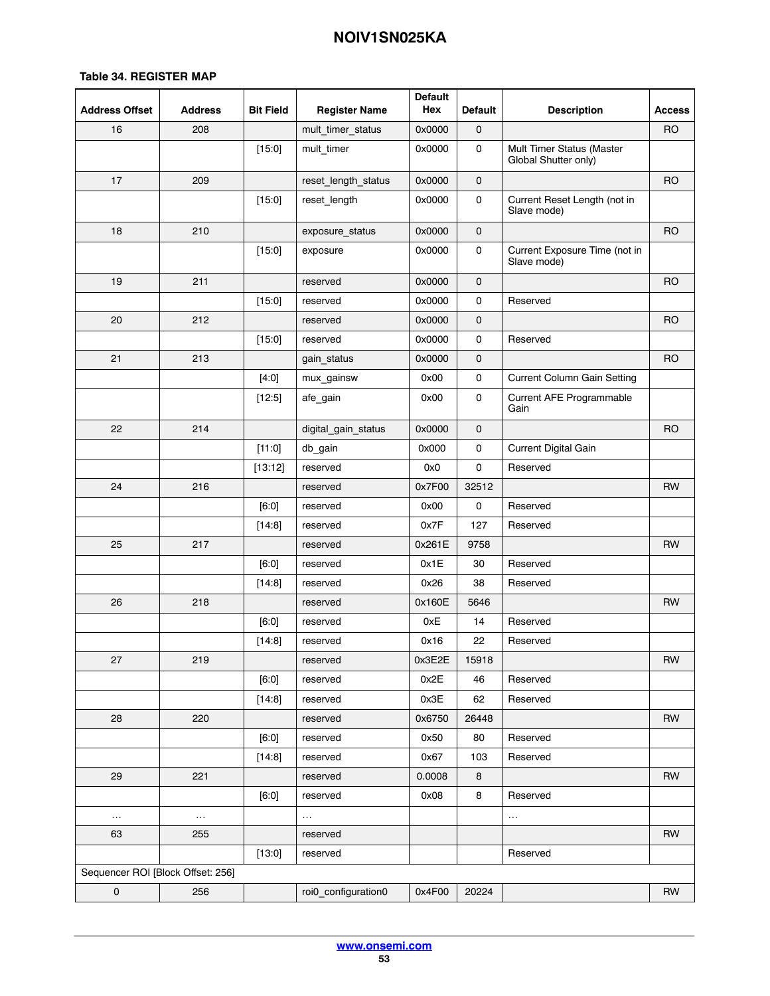| <b>Address Offset</b>             | <b>Address</b> | <b>Bit Field</b> | <b>Register Name</b> | <b>Default</b><br>Hex | <b>Default</b>      | <b>Description</b>                                | <b>Access</b>  |
|-----------------------------------|----------------|------------------|----------------------|-----------------------|---------------------|---------------------------------------------------|----------------|
| 16                                | 208            |                  | mult_timer_status    | 0x0000                | 0                   |                                                   | <b>RO</b>      |
|                                   |                | [15:0]           | mult_timer           | 0x0000                | 0                   | Mult Timer Status (Master<br>Global Shutter only) |                |
| 17                                | 209            |                  | reset length status  | 0x0000                | 0                   |                                                   | <b>RO</b>      |
|                                   |                | [15:0]           | reset_length         | 0x0000                | $\mathsf{O}\xspace$ | Current Reset Length (not in<br>Slave mode)       |                |
| 18                                | 210            |                  | exposure_status      | 0x0000                | $\mathbf 0$         |                                                   | <b>RO</b>      |
|                                   |                | [15:0]           | exposure             | 0x0000                | 0                   | Current Exposure Time (not in<br>Slave mode)      |                |
| 19                                | 211            |                  | reserved             | 0x0000                | $\mathbf 0$         |                                                   | <b>RO</b>      |
|                                   |                | [15:0]           | reserved             | 0x0000                | $\mathsf{O}\xspace$ | Reserved                                          |                |
| 20                                | 212            |                  | reserved             | 0x0000                | $\mathsf{o}$        |                                                   | <b>RO</b>      |
|                                   |                | [15:0]           | reserved             | 0x0000                | $\mathsf{O}\xspace$ | Reserved                                          |                |
| 21                                | 213            |                  | gain_status          | 0x0000                | 0                   |                                                   | R <sub>O</sub> |
|                                   |                | [4:0]            | mux_gainsw           | 0x00                  | 0                   | <b>Current Column Gain Setting</b>                |                |
|                                   |                | $[12:5]$         | afe_gain             | 0x00                  | 0                   | Current AFE Programmable<br>Gain                  |                |
| 22                                | 214            |                  | digital_gain_status  | 0x0000                | 0                   |                                                   | R <sub>O</sub> |
|                                   |                | [11:0]           | db_gain              | 0x000                 | 0                   | Current Digital Gain                              |                |
|                                   |                | [13:12]          | reserved             | 0x0                   | 0                   | Reserved                                          |                |
| 24                                | 216            |                  | reserved             | 0x7F00                | 32512               |                                                   | <b>RW</b>      |
|                                   |                | [6:0]            | reserved             | 0x00                  | 0                   | Reserved                                          |                |
|                                   |                | [14:8]           | reserved             | 0x7F                  | 127                 | Reserved                                          |                |
| 25                                | 217            |                  | reserved             | 0x261E                | 9758                |                                                   | <b>RW</b>      |
|                                   |                | [6:0]            | reserved             | 0x1E                  | 30                  | Reserved                                          |                |
|                                   |                | [14:8]           | reserved             | 0x26                  | 38                  | Reserved                                          |                |
| 26                                | 218            |                  | reserved             | 0x160E                | 5646                |                                                   | <b>RW</b>      |
|                                   |                | [6:0]            | reserved             | 0xE                   | 14                  | Reserved                                          |                |
|                                   |                | [14:8]           | reserved             | 0x16                  | 22                  | Reserved                                          |                |
| 27                                | 219            |                  | reserved             | 0x3E2E                | 15918               |                                                   | <b>RW</b>      |
|                                   |                | [6:0]            | reserved             | 0x2E                  | 46                  | Reserved                                          |                |
|                                   |                | [14:8]           | reserved             | 0x3E                  | 62                  | Reserved                                          |                |
| 28                                | 220            |                  | reserved             | 0x6750                | 26448               |                                                   | <b>RW</b>      |
|                                   |                | [6:0]            | reserved             | 0x50                  | 80                  | Reserved                                          |                |
|                                   |                | [14:8]           | reserved             | 0x67                  | 103                 | Reserved                                          |                |
| 29                                | 221            |                  | reserved             | 0.0008                | 8                   |                                                   | RW             |
|                                   |                | [6:0]            | reserved             | 0x08                  | 8                   | Reserved                                          |                |
| $\sim$ $\sim$                     | $\ldots$       |                  | $\cdots$             |                       |                     | $\ldots$                                          |                |
| 63                                | 255            |                  | reserved             |                       |                     |                                                   | <b>RW</b>      |
|                                   |                | [13:0]           | reserved             |                       |                     | Reserved                                          |                |
| Sequencer ROI [Block Offset: 256] |                |                  |                      |                       |                     |                                                   |                |
| $\mathsf{O}\xspace$               | 256            |                  | roi0_configuration0  | 0x4F00                | 20224               |                                                   | <b>RW</b>      |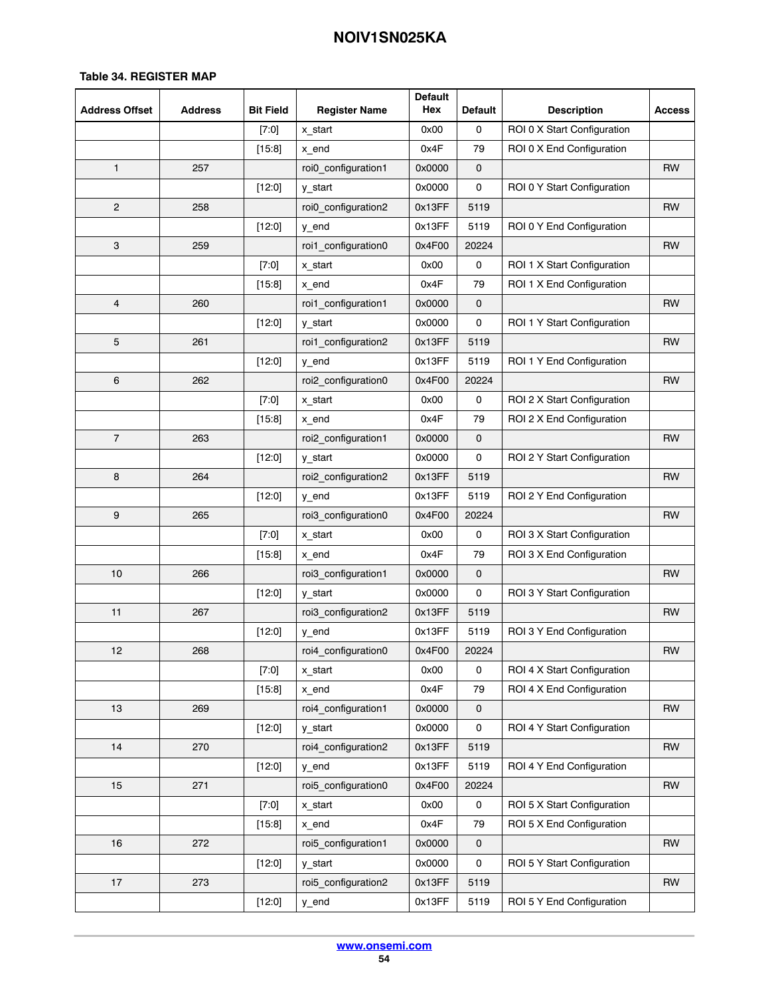| <b>Address Offset</b> | <b>Address</b> | <b>Bit Field</b> | <b>Register Name</b> | <b>Default</b><br>Hex | <b>Default</b> | <b>Description</b>          | <b>Access</b> |
|-----------------------|----------------|------------------|----------------------|-----------------------|----------------|-----------------------------|---------------|
|                       |                | $[7:0]$          | x_start              | 0x00                  | 0              | ROI 0 X Start Configuration |               |
|                       |                | [15.8]           | x_end                | 0x4F                  | 79             | ROI 0 X End Configuration   |               |
| $\mathbf{1}$          | 257            |                  | roi0_configuration1  | 0x0000                | $\mathbf 0$    |                             | RW            |
|                       |                | $[12:0]$         | y_start              | 0x0000                | 0              | ROI 0 Y Start Configuration |               |
| $\overline{2}$        | 258            |                  | roi0_configuration2  | 0x13FF                | 5119           |                             | <b>RW</b>     |
|                       |                | [12:0]           | y_end                | 0x13FF                | 5119           | ROI 0 Y End Configuration   |               |
| 3                     | 259            |                  | roi1_configuration0  | 0x4F00                | 20224          |                             | <b>RW</b>     |
|                       |                | $[7:0]$          | x_start              | 0x00                  | 0              | ROI 1 X Start Configuration |               |
|                       |                | [15:8]           | x_end                | 0x4F                  | 79             | ROI 1 X End Configuration   |               |
| 4                     | 260            |                  | roi1_configuration1  | 0x0000                | 0              |                             | <b>RW</b>     |
|                       |                | $[12:0]$         | y_start              | 0x0000                | 0              | ROI 1 Y Start Configuration |               |
| 5                     | 261            |                  | roi1 configuration2  | 0x13FF                | 5119           |                             | <b>RW</b>     |
|                       |                | [12:0]           | y_end                | 0x13FF                | 5119           | ROI 1 Y End Configuration   |               |
| 6                     | 262            |                  | roi2_configuration0  | 0x4F00                | 20224          |                             | <b>RW</b>     |
|                       |                | $[7:0]$          | x_start              | 0x00                  | 0              | ROI 2 X Start Configuration |               |
|                       |                | [15:8]           | x_end                | 0x4F                  | 79             | ROI 2 X End Configuration   |               |
| $\overline{7}$        | 263            |                  | roi2 configuration1  | 0x0000                | 0              |                             | <b>RW</b>     |
|                       |                | $[12:0]$         | y_start              | 0x0000                | 0              | ROI 2 Y Start Configuration |               |
| 8                     | 264            |                  | roi2_configuration2  | 0x13FF                | 5119           |                             | <b>RW</b>     |
|                       |                | $[12:0]$         | y_end                | 0x13FF                | 5119           | ROI 2 Y End Configuration   |               |
| 9                     | 265            |                  | roi3_configuration0  | 0x4F00                | 20224          |                             | RW            |
|                       |                | $[7:0]$          | x_start              | 0x00                  | 0              | ROI 3 X Start Configuration |               |
|                       |                | [15:8]           | x_end                | 0x4F                  | 79             | ROI 3 X End Configuration   |               |
| 10                    | 266            |                  | roi3_configuration1  | 0x0000                | 0              |                             | <b>RW</b>     |
|                       |                | [12:0]           | y_start              | 0x0000                | 0              | ROI 3 Y Start Configuration |               |
| 11                    | 267            |                  | roi3_configuration2  | 0x13FF                | 5119           |                             | <b>RW</b>     |
|                       |                | [12:0]           | y_end                | 0x13FF                | 5119           | ROI 3 Y End Configuration   |               |
| 12                    | 268            |                  | roi4_configuration0  | 0x4F00                | 20224          |                             | RW            |
|                       |                | [7:0]            | x_start              | 0x00                  | 0              | ROI 4 X Start Configuration |               |
|                       |                | [15:8]           | x_end                | 0x4F                  | 79             | ROI 4 X End Configuration   |               |
| 13                    | 269            |                  | roi4_configuration1  | 0x0000                | 0              |                             | <b>RW</b>     |
|                       |                | [12:0]           | y_start              | 0x0000                | 0              | ROI 4 Y Start Configuration |               |
| 14                    | 270            |                  | roi4_configuration2  | 0x13FF                | 5119           |                             | <b>RW</b>     |
|                       |                | [12:0]           | y_end                | 0x13FF                | 5119           | ROI 4 Y End Configuration   |               |
| 15                    | 271            |                  | roi5_configuration0  | 0x4F00                | 20224          |                             | <b>RW</b>     |
|                       |                | [7:0]            | x_start              | 0x00                  | 0              | ROI 5 X Start Configuration |               |
|                       |                | [15:8]           | x_end                | 0x4F                  | 79             | ROI 5 X End Configuration   |               |
| 16                    | 272            |                  | roi5_configuration1  | 0x0000                | 0              |                             | RW            |
|                       |                | $[12:0]$         | y_start              | 0x0000                | 0              | ROI 5 Y Start Configuration |               |
| 17                    | 273            |                  | roi5_configuration2  | 0x13FF                | 5119           |                             | <b>RW</b>     |
|                       |                | [12:0]           | y_end                |                       | 5119           | ROI 5 Y End Configuration   |               |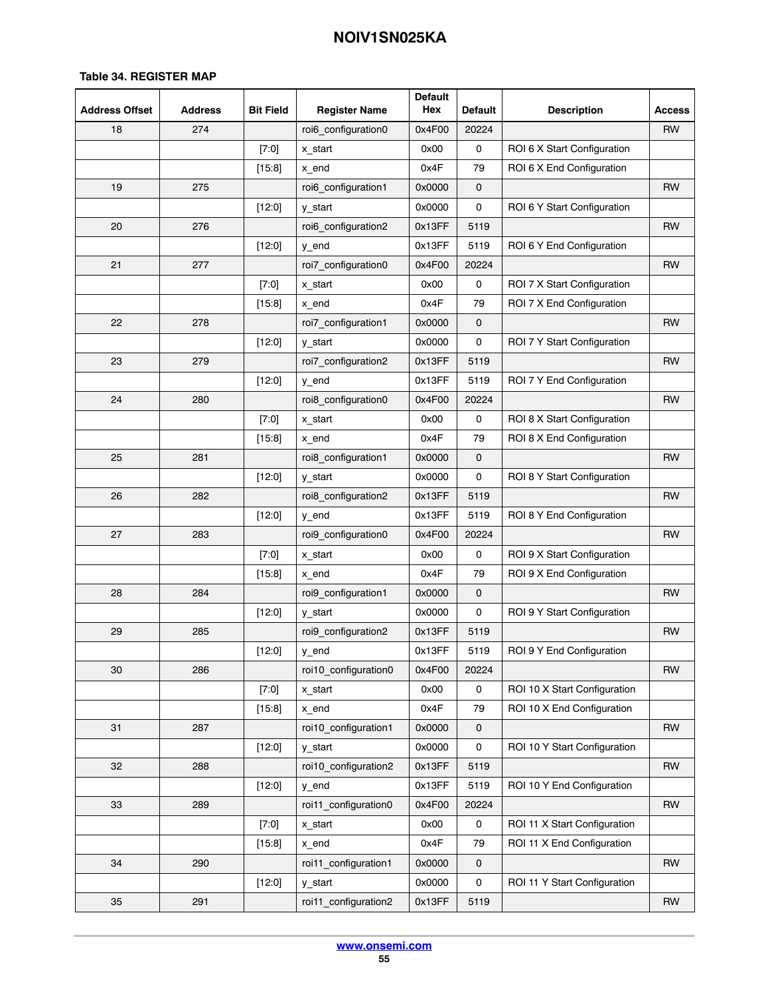| <b>Address Offset</b> | <b>Address</b> | <b>Bit Field</b> | <b>Register Name</b>           | <b>Default</b><br>Hex | <b>Default</b> | <b>Description</b>           | <b>Access</b> |
|-----------------------|----------------|------------------|--------------------------------|-----------------------|----------------|------------------------------|---------------|
| 18                    | 274            |                  | roi6_configuration0            | 0x4F00                | 20224          |                              | RW            |
|                       |                | $[7:0]$          | x start                        | 0x00                  | 0              | ROI 6 X Start Configuration  |               |
|                       |                | [15:8]           | x_end                          | 0x4F                  | 79             | ROI 6 X End Configuration    |               |
| 19                    | 275            |                  | roi6_configuration1            | 0x0000                | 0              |                              | RW            |
|                       |                | $[12:0]$         | y_start                        | 0x0000                | 0              | ROI 6 Y Start Configuration  |               |
| 20                    | 276            |                  | roi6_configuration2            | 0x13FF                | 5119           |                              | <b>RW</b>     |
|                       |                | [12:0]           | y_end                          | 0x13FF                | 5119           | ROI 6 Y End Configuration    |               |
| 21                    | 277            |                  | roi7_configuration0            | 0x4F00                | 20224          |                              | <b>RW</b>     |
|                       |                | $[7:0]$          | x_start                        | 0x00                  | 0              | ROI 7 X Start Configuration  |               |
|                       |                | [15.8]           | x_end                          | 0x4F                  | 79             | ROI 7 X End Configuration    |               |
| 22                    | 278            |                  | roi7_configuration1            | 0x0000                | 0              |                              | RW            |
|                       |                | $[12:0]$         | y_start                        | 0x0000                | 0              | ROI 7 Y Start Configuration  |               |
| 23                    | 279            |                  | roi7_configuration2            | 0x13FF                | 5119           |                              | <b>RW</b>     |
|                       |                | $[12:0]$         | y_end                          | 0x13FF                | 5119           | ROI 7 Y End Configuration    |               |
| 24                    | 280            |                  | roi8 configuration0            | 0x4F00                | 20224          |                              | <b>RW</b>     |
|                       |                | $[7:0]$          | x_start                        | 0x00                  | 0              | ROI 8 X Start Configuration  |               |
|                       |                | [15:8]           | x_end                          | 0x4F                  | 79             | ROI 8 X End Configuration    |               |
| 25                    | 281            |                  | roi8_configuration1            | 0x0000                | 0              |                              | <b>RW</b>     |
|                       |                | [12:0]           | y_start                        | 0x0000                | 0              | ROI 8 Y Start Configuration  |               |
| 26                    | 282            |                  | roi8_configuration2            | 0x13FF                | 5119           |                              | <b>RW</b>     |
|                       |                | [12:0]           | y_end                          | 0x13FF                | 5119           | ROI 8 Y End Configuration    |               |
| 27                    | 283            |                  | roi9_configuration0            | 0x4F00                | 20224          |                              | <b>RW</b>     |
|                       |                | [7:0]            | x_start                        | 0x00                  | 0              | ROI 9 X Start Configuration  |               |
|                       |                | [15:8]           | x_end                          | 0x4F                  | 79             | ROI 9 X End Configuration    |               |
| 28                    | 284            |                  | roi9_configuration1            | 0x0000                | 0              |                              | <b>RW</b>     |
|                       |                | [12:0]           | y_start                        | 0x0000                | 0              | ROI 9 Y Start Configuration  |               |
| 29                    | 285            |                  | roi9_configuration2            | 0x13FF                | 5119           |                              | <b>RW</b>     |
|                       |                | [12:0]           | y_end                          | 0x13FF                | 5119           | ROI 9 Y End Configuration    |               |
| 30                    | 286            |                  | roi10 configuration0           | 0x4F00                | 20224          |                              | RW            |
|                       |                | [7:0]            | x_start                        | 0x00                  | 0              | ROI 10 X Start Configuration |               |
|                       |                | [15:8]           | x_end                          | 0x4F                  | 79             | ROI 10 X End Configuration   |               |
| 31                    | 287            |                  | roi10_configuration1           | 0x0000                | 0              |                              | <b>RW</b>     |
|                       |                | [12:0]           | y_start                        | 0x0000                | 0              | ROI 10 Y Start Configuration |               |
| 32                    | 288            |                  | roi10_configuration2           | 0x13FF                | 5119           |                              | <b>RW</b>     |
|                       |                | [12:0]           | y_end                          | 0x13FF                | 5119           | ROI 10 Y End Configuration   |               |
| 33                    | 289            |                  | roi11 configuration0           | 0x4F00                | 20224          |                              | <b>RW</b>     |
|                       |                | [7:0]            | x_start                        | 0x00                  | 0              | ROI 11 X Start Configuration |               |
|                       |                | [15:8]           | x_end                          | 0x4F                  | 79             | ROI 11 X End Configuration   |               |
| 34                    | 290            |                  | roi11_configuration1           | 0x0000                | 0              |                              | RW            |
|                       |                | $[12:0]$         | y_start                        | 0x0000                | 0              | ROI 11 Y Start Configuration |               |
| 35                    | 291            |                  | roi11_configuration2<br>0x13FF |                       | 5119           |                              | RW            |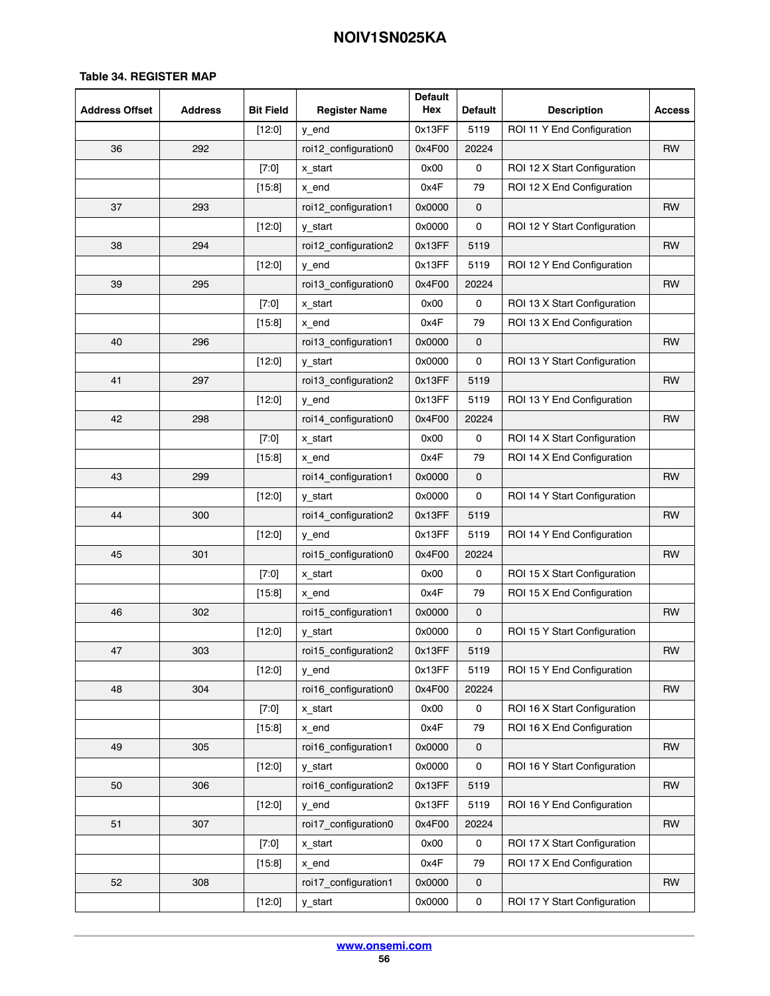| <b>Address Offset</b> | <b>Address</b> | <b>Bit Field</b> | <b>Register Name</b> | <b>Default</b><br>Hex | <b>Default</b>      | <b>Description</b>           | <b>Access</b> |
|-----------------------|----------------|------------------|----------------------|-----------------------|---------------------|------------------------------|---------------|
|                       |                | [12:0]           | y_end                | 0x13FF                | 5119                | ROI 11 Y End Configuration   |               |
| 36                    | 292            |                  | roi12_configuration0 | 0x4F00                | 20224               |                              | <b>RW</b>     |
|                       |                | $[7:0]$          | x_start              | 0x00                  | 0                   | ROI 12 X Start Configuration |               |
|                       |                | [15:8]           | x_end                | 0x4F                  | 79                  | ROI 12 X End Configuration   |               |
| 37                    | 293            |                  | roi12_configuration1 | 0x0000                | 0                   |                              | <b>RW</b>     |
|                       |                | $[12:0]$         | y_start              | 0x0000                | 0                   | ROI 12 Y Start Configuration |               |
| 38                    | 294            |                  | roi12_configuration2 | 0x13FF                | 5119                |                              | RW            |
|                       |                | $[12:0]$         | y_end                | 0x13FF                | 5119                | ROI 12 Y End Configuration   |               |
| 39                    | 295            |                  | roi13 configuration0 | 0x4F00                | 20224               |                              | <b>RW</b>     |
|                       |                | $[7:0]$          | x_start              | 0x00                  | 0                   | ROI 13 X Start Configuration |               |
|                       |                | $[15.8]$         | x_end                | 0x4F                  | 79                  | ROI 13 X End Configuration   |               |
| 40                    | 296            |                  | roi13_configuration1 | 0x0000                | $\mathbf 0$         |                              | RW            |
|                       |                | [12:0]           | y_start              | 0x0000                | 0                   | ROI 13 Y Start Configuration |               |
| 41                    | 297            |                  | roi13_configuration2 | 0x13FF                | 5119                |                              | <b>RW</b>     |
|                       |                | [12:0]           | y_end                | 0x13FF                | 5119                | ROI 13 Y End Configuration   |               |
| 42                    | 298            |                  | roi14_configuration0 | 0x4F00                | 20224               |                              | <b>RW</b>     |
|                       |                | [7:0]            | x_start              | 0x00                  | 0                   | ROI 14 X Start Configuration |               |
|                       |                | [15:8]           | x_end                | 0x4F                  | 79                  | ROI 14 X End Configuration   |               |
| 43                    | 299            |                  | roi14_configuration1 | 0x0000                | 0                   |                              | <b>RW</b>     |
|                       |                | $[12:0]$         | y_start              | 0x0000                | 0                   | ROI 14 Y Start Configuration |               |
| 44                    | 300            |                  | roi14_configuration2 | 0x13FF                | 5119                |                              | RW            |
|                       |                | $[12:0]$         | y_end                | 0x13FF                | 5119                | ROI 14 Y End Configuration   |               |
| 45                    | 301            |                  | roi15_configuration0 | 0x4F00                | 20224               |                              | <b>RW</b>     |
|                       |                | [7:0]            | x_start              | 0x00                  | 0                   | ROI 15 X Start Configuration |               |
|                       |                | [15:8]           | x_end                | 0x4F                  | 79                  | ROI 15 X End Configuration   |               |
| 46                    | 302            |                  | roi15_configuration1 | 0x0000                | 0                   |                              | RW            |
|                       |                | $[12:0]$         | y_start              | 0x0000                | 0                   | ROI 15 Y Start Configuration |               |
| 47                    | 303            |                  | roi15_configuration2 | 0x13FF                | 5119                |                              | <b>RW</b>     |
|                       |                | $[12:0]$         | y_end                | 0x13FF                | 5119                | ROI 15 Y End Configuration   |               |
| 48                    | 304            |                  | roi16_configuration0 | 0x4F00                | 20224               |                              | <b>RW</b>     |
|                       |                | $[7:0]$          | x_start              | 0x00                  | 0                   | ROI 16 X Start Configuration |               |
|                       |                | [15:8]           | x_end                | 0x4F                  | 79                  | ROI 16 X End Configuration   |               |
| 49                    | 305            |                  | roi16_configuration1 | 0x0000                | $\mathsf{O}\xspace$ |                              | RW            |
|                       |                | [12:0]           | y_start              | 0x0000                | 0                   | ROI 16 Y Start Configuration |               |
| 50                    | 306            |                  | roi16_configuration2 | 0x13FF                | 5119                |                              | RW            |
|                       |                | $[12:0]$         | y_end                | 0x13FF                | 5119                | ROI 16 Y End Configuration   |               |
| 51                    | 307            |                  | roi17_configuration0 | 0x4F00                | 20224               |                              | <b>RW</b>     |
|                       |                | $[7:0]$          | x_start              | 0x00                  | 0                   | ROI 17 X Start Configuration |               |
|                       |                | [15:8]           | x_end                | 0x4F                  | 79                  | ROI 17 X End Configuration   |               |
| 52                    | 308            |                  | roi17_configuration1 | 0x0000                | 0                   |                              | RW            |
|                       |                | [12:0]           | y_start              | 0x0000                | $\mathsf{O}\xspace$ | ROI 17 Y Start Configuration |               |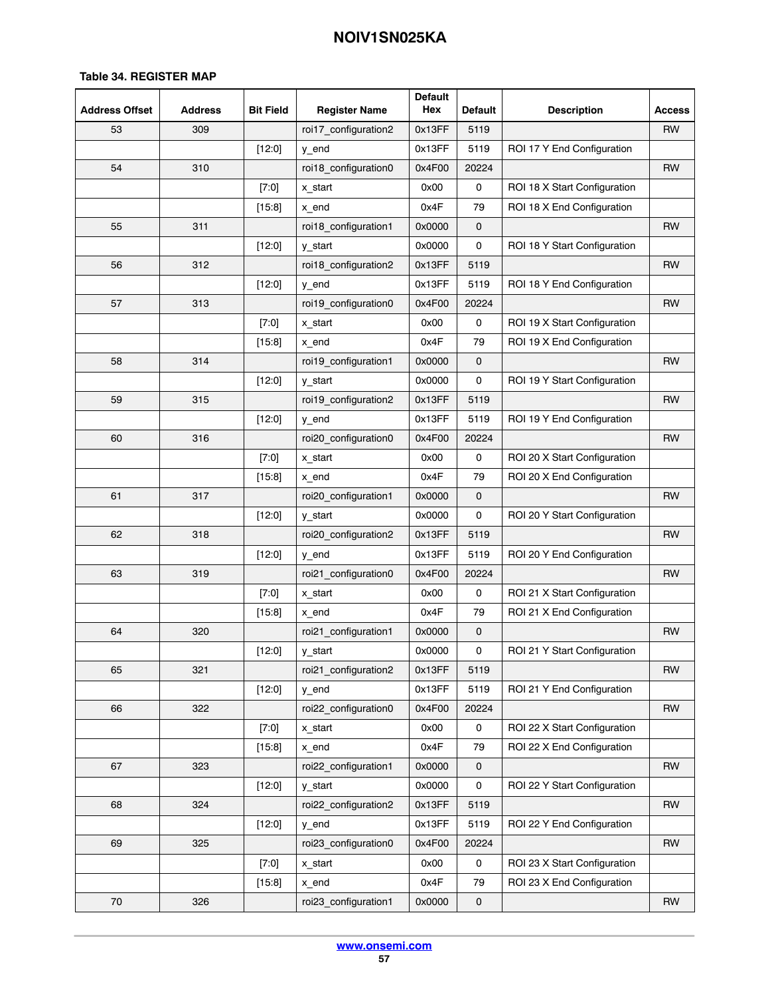| <b>Address Offset</b> | <b>Address</b> | <b>Bit Field</b> | <b>Register Name</b> | <b>Default</b><br>Hex | <b>Default</b>      | <b>Description</b>           | <b>Access</b> |
|-----------------------|----------------|------------------|----------------------|-----------------------|---------------------|------------------------------|---------------|
| 53                    | 309            |                  | roi17_configuration2 | 0x13FF                | 5119                |                              | RW            |
|                       |                | $[12:0]$         | y_end                | 0x13FF                | 5119                | ROI 17 Y End Configuration   |               |
| 54                    | 310            |                  | roi18_configuration0 | 0x4F00                | 20224               |                              | RW            |
|                       |                | $[7:0]$          | x_start              | 0x00                  | 0                   | ROI 18 X Start Configuration |               |
|                       |                | [15:8]           | x_end                | 0x4F                  | 79                  | ROI 18 X End Configuration   |               |
| 55                    | 311            |                  | roi18_configuration1 | 0x0000                | 0                   |                              | <b>RW</b>     |
|                       |                | [12:0]           | y_start              | 0x0000                | 0                   | ROI 18 Y Start Configuration |               |
| 56                    | 312            |                  | roi18_configuration2 | 0x13FF                | 5119                |                              | <b>RW</b>     |
|                       |                | $[12:0]$         | y_end                | 0x13FF                | 5119                | ROI 18 Y End Configuration   |               |
| 57                    | 313            |                  | roi19_configuration0 | 0x4F00                | 20224               |                              | <b>RW</b>     |
|                       |                | $[7:0]$          | x_start              | 0x00                  | 0                   | ROI 19 X Start Configuration |               |
|                       |                | [15:8]           | x_end                | 0x4F                  | 79                  | ROI 19 X End Configuration   |               |
| 58                    | 314            |                  | roi19_configuration1 | 0x0000                | 0                   |                              | <b>RW</b>     |
|                       |                | [12:0]           | y_start              | 0x0000                | 0                   | ROI 19 Y Start Configuration |               |
| 59                    | 315            |                  | roi19_configuration2 | 0x13FF                | 5119                |                              | <b>RW</b>     |
|                       |                | $[12:0]$         | y_end                | 0x13FF                | 5119                | ROI 19 Y End Configuration   |               |
| 60                    | 316            |                  | roi20_configuration0 | 0x4F00                | 20224               |                              | <b>RW</b>     |
|                       |                | $[7:0]$          | x_start              | 0x00                  | 0                   | ROI 20 X Start Configuration |               |
|                       |                | [15:8]           | x_end                | 0x4F                  | 79                  | ROI 20 X End Configuration   |               |
| 61                    | 317            |                  | roi20_configuration1 | 0x0000                | 0                   |                              | <b>RW</b>     |
|                       |                | [12:0]           | y_start              | 0x0000                | 0                   | ROI 20 Y Start Configuration |               |
| 62                    | 318            |                  | roi20_configuration2 | 0x13FF                | 5119                |                              | RW            |
|                       |                | $[12:0]$         | y_end                | 0x13FF                | 5119                | ROI 20 Y End Configuration   |               |
| 63                    | 319            |                  | roi21_configuration0 | 0x4F00                | 20224               |                              | <b>RW</b>     |
|                       |                | $[7:0]$          | x start              | 0x00                  | 0                   | ROI 21 X Start Configuration |               |
|                       |                | [15:8]           | x_end                | 0x4F                  | 79                  | ROI 21 X End Configuration   |               |
| 64                    | 320            |                  | roi21_configuration1 | 0x0000                | 0                   |                              | RW            |
|                       |                | [12:0]           | y_start              | 0x0000                | 0                   | ROI 21 Y Start Configuration |               |
| 65                    | 321            |                  | roi21 configuration2 | 0x13FF                | 5119                |                              | RW            |
|                       |                | [12:0]           | y_end                | 0x13FF                | 5119                | ROI 21 Y End Configuration   |               |
| 66                    | 322            |                  | roi22_configuration0 | 0x4F00                | 20224               |                              | <b>RW</b>     |
|                       |                | $[7:0]$          | x start              | 0x00                  | 0                   | ROI 22 X Start Configuration |               |
|                       |                | [15:8]           | x_end                | 0x4F                  | 79                  | ROI 22 X End Configuration   |               |
| 67                    | 323            |                  | roi22_configuration1 | 0x0000                | 0                   |                              | RW            |
|                       |                | [12:0]           | y_start              | 0x0000                | 0                   | ROI 22 Y Start Configuration |               |
| 68                    | 324            |                  | roi22_configuration2 | 0x13FF                | 5119                |                              | <b>RW</b>     |
|                       |                | $[12:0]$         | y_end                | 0x13FF                | 5119                | ROI 22 Y End Configuration   |               |
| 69                    | 325            |                  | roi23_configuration0 | 0x4F00                | 20224               |                              | <b>RW</b>     |
|                       |                | $[7:0]$          | x_start              | 0x00                  | 0                   | ROI 23 X Start Configuration |               |
|                       |                | [15:8]           | x_end                | 0x4F                  | 79                  | ROI 23 X End Configuration   |               |
| 70                    | 326            |                  | roi23_configuration1 | 0x0000                | $\mathsf{O}\xspace$ |                              | <b>RW</b>     |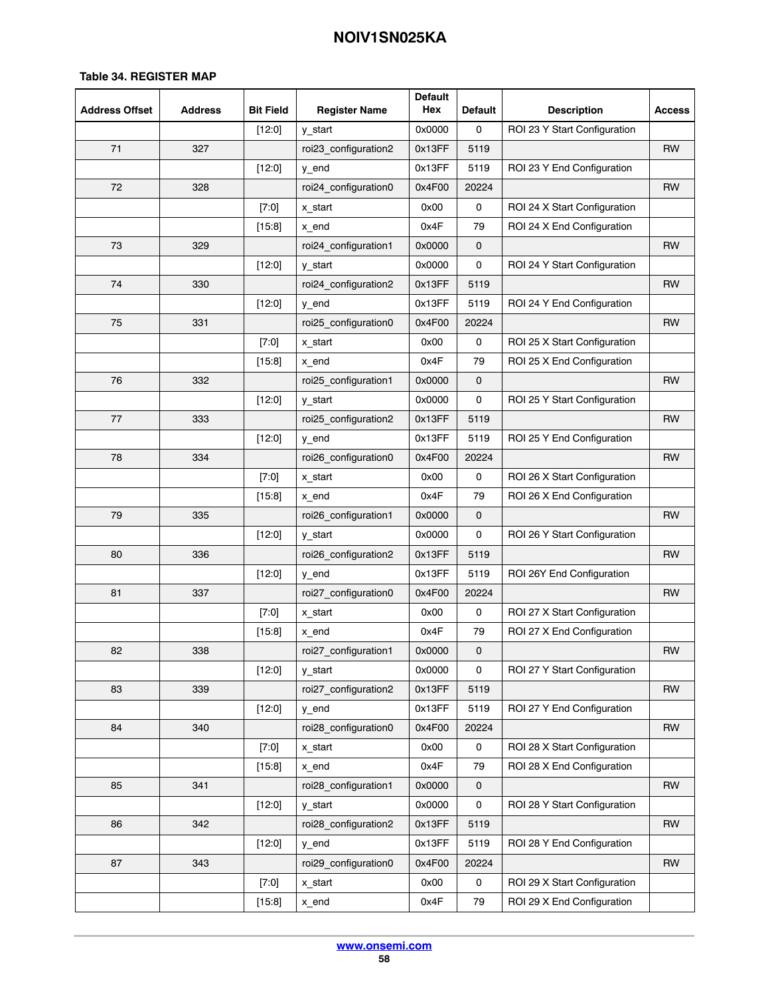| <b>Address Offset</b> | <b>Address</b> | <b>Bit Field</b> | <b>Register Name</b> | <b>Default</b><br>Hex | <b>Default</b>      | <b>Description</b>           | <b>Access</b> |
|-----------------------|----------------|------------------|----------------------|-----------------------|---------------------|------------------------------|---------------|
|                       |                | $[12:0]$         | y_start              | 0x0000                | 0                   | ROI 23 Y Start Configuration |               |
| 71                    | 327            |                  | roi23_configuration2 | 0x13FF                | 5119                |                              | RW            |
|                       |                | [12:0]           | y_end                | 0x13FF                | 5119                | ROI 23 Y End Configuration   |               |
| 72                    | 328            |                  | roi24_configuration0 | 0x4F00                | 20224               |                              | RW            |
|                       |                | $[7:0]$          | x_start              | 0x00                  | 0                   | ROI 24 X Start Configuration |               |
|                       |                | [15:8]           | x_end                | 0x4F                  | 79                  | ROI 24 X End Configuration   |               |
| 73                    | 329            |                  | roi24_configuration1 | 0x0000                | $\mathsf{O}\xspace$ |                              | <b>RW</b>     |
|                       |                | [12:0]           | y_start              | 0x0000                | 0                   | ROI 24 Y Start Configuration |               |
| 74                    | 330            |                  | roi24_configuration2 | 0x13FF                | 5119                |                              | RW            |
|                       |                | $[12:0]$         | y_end                | 0x13FF                | 5119                | ROI 24 Y End Configuration   |               |
| 75                    | 331            |                  | roi25_configuration0 | 0x4F00                | 20224               |                              | RW            |
|                       |                | $[7:0]$          | x start              | 0x00                  | 0                   | ROI 25 X Start Configuration |               |
|                       |                | [15.8]           | x_end                | 0x4F                  | 79                  | ROI 25 X End Configuration   |               |
| 76                    | 332            |                  | roi25_configuration1 | 0x0000                | 0                   |                              | <b>RW</b>     |
|                       |                | $[12:0]$         | y_start              | 0x0000                | 0                   | ROI 25 Y Start Configuration |               |
| 77                    | 333            |                  | roi25_configuration2 | 0x13FF                | 5119                |                              | <b>RW</b>     |
|                       |                | [12:0]           | y_end                | 0x13FF                | 5119                | ROI 25 Y End Configuration   |               |
| 78                    | 334            |                  | roi26_configuration0 | 0x4F00                | 20224               |                              | <b>RW</b>     |
|                       |                | $[7:0]$          | x_start              | 0x00                  | 0                   | ROI 26 X Start Configuration |               |
|                       |                | [15.8]           | x_end                | 0x4F                  | 79                  | ROI 26 X End Configuration   |               |
| 79                    | 335            |                  | roi26_configuration1 | 0x0000                | 0                   |                              | <b>RW</b>     |
|                       |                | $[12:0]$         | y_start              | 0x0000                | 0                   | ROI 26 Y Start Configuration |               |
| 80                    | 336            |                  | roi26_configuration2 | 0x13FF                | 5119                |                              | <b>RW</b>     |
|                       |                | $[12:0]$         | y_end                | 0x13FF                | 5119                | ROI 26Y End Configuration    |               |
| 81                    | 337            |                  | roi27_configuration0 | 0x4F00                | 20224               |                              | RW            |
|                       |                | $[7:0]$          | x_start              | 0x00                  | 0                   | ROI 27 X Start Configuration |               |
|                       |                | [15.8]           | x_end                | 0x4F                  | 79                  | ROI 27 X End Configuration   |               |
| 82                    | 338            |                  | roi27_configuration1 | 0x0000                | $\mathbf 0$         |                              | RW            |
|                       |                | $[12:0]$         | y_start              | 0x0000                | 0                   | ROI 27 Y Start Configuration |               |
| 83                    | 339            |                  | roi27_configuration2 | 0x13FF                | 5119                |                              | RW            |
|                       |                | $[12:0]$         | y_end                | 0x13FF                | 5119                | ROI 27 Y End Configuration   |               |
| 84                    | 340            |                  | roi28_configuration0 | 0x4F00                | 20224               |                              | <b>RW</b>     |
|                       |                | $[7:0]$          | x start              | 0x00                  | 0                   | ROI 28 X Start Configuration |               |
|                       |                | [15:8]           | x end                | 0x4F                  | 79                  | ROI 28 X End Configuration   |               |
| 85                    | 341            |                  | roi28_configuration1 | 0x0000                | $\mathsf{O}\xspace$ |                              | <b>RW</b>     |
|                       |                | [12:0]           | y_start              | 0x0000                | 0                   | ROI 28 Y Start Configuration |               |
| 86                    | 342            |                  | roi28_configuration2 | 0x13FF                | 5119                |                              | RW            |
|                       |                | [12:0]           | y_end                | 0x13FF                | 5119                | ROI 28 Y End Configuration   |               |
| 87                    | 343            |                  | roi29_configuration0 | 0x4F00                | 20224               |                              | RW            |
|                       |                | [7:0]            | x_start              | 0x00                  | 0                   | ROI 29 X Start Configuration |               |
|                       |                | [15:8]           | x_end                | 0x4F                  | 79                  | ROI 29 X End Configuration   |               |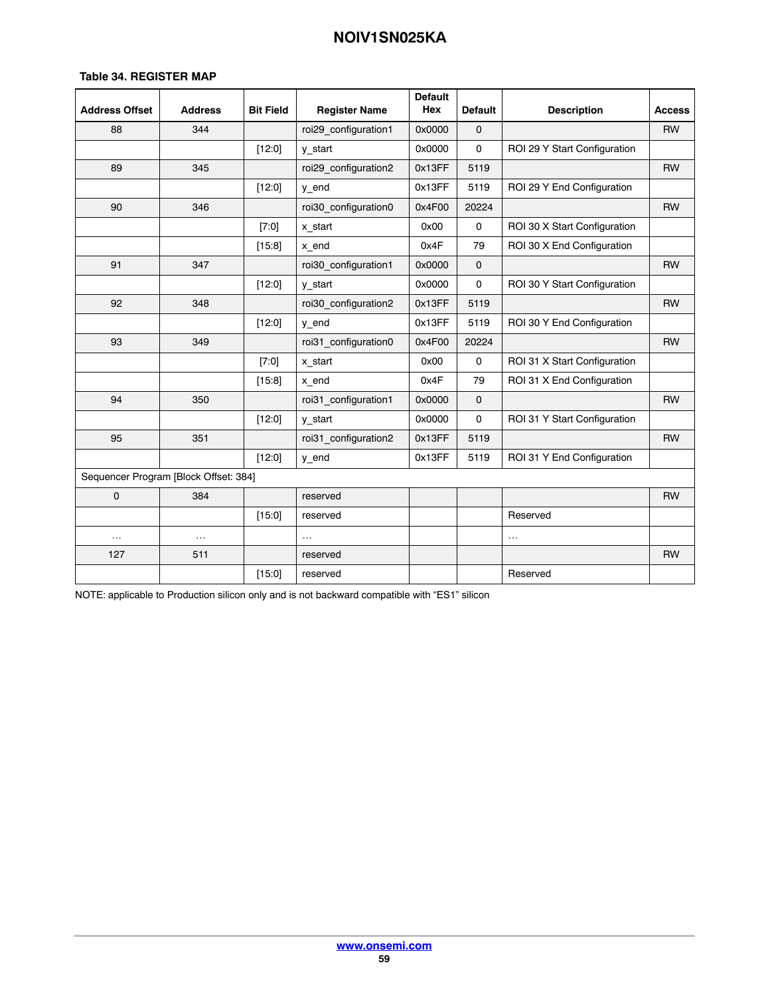### **Table [34.](#page-42-0) REGISTER MAP**

| <b>Address Offset</b> | <b>Address</b>                        | <b>Bit Field</b> | <b>Register Name</b> | <b>Default</b><br>Hex | <b>Default</b> | <b>Description</b>           | <b>Access</b> |
|-----------------------|---------------------------------------|------------------|----------------------|-----------------------|----------------|------------------------------|---------------|
| 88                    | 344                                   |                  | roi29_configuration1 | 0x0000                | $\mathbf 0$    |                              | <b>RW</b>     |
|                       |                                       | $[12:0]$         | y start              | 0x0000                | 0              | ROI 29 Y Start Configuration |               |
| 89                    | 345                                   |                  | roi29 configuration2 | 0x13FF                | 5119           |                              | <b>RW</b>     |
|                       |                                       | [12:0]           | y_end                | 0x13FF                | 5119           | ROI 29 Y End Configuration   |               |
| 90                    | 346                                   |                  | roi30 configuration0 | 0x4F00                | 20224          |                              | <b>RW</b>     |
|                       |                                       | [7:0]            | x_start              | 0x00                  | $\mathbf 0$    | ROI 30 X Start Configuration |               |
|                       |                                       | [15:8]           | x_end                | 0x4F                  | 79             | ROI 30 X End Configuration   |               |
| 91                    | 347                                   |                  | roi30_configuration1 | 0x0000                | $\mathbf 0$    |                              | <b>RW</b>     |
|                       |                                       | [12:0]           | y start              | 0x0000                | $\mathbf 0$    | ROI 30 Y Start Configuration |               |
| 92                    | 348                                   |                  | roi30_configuration2 | 0x13FF                | 5119           |                              | <b>RW</b>     |
|                       |                                       | [12:0]           | y_end                | 0x13FF                | 5119           | ROI 30 Y End Configuration   |               |
| 93                    | 349                                   |                  | roi31_configuration0 | 0x4F00                | 20224          |                              | <b>RW</b>     |
|                       |                                       | [7:0]            | x_start              | 0x00                  | 0              | ROI 31 X Start Configuration |               |
|                       |                                       | [15:8]           | x_end                | 0x4F                  | 79             | ROI 31 X End Configuration   |               |
| 94                    | 350                                   |                  | roi31 configuration1 | 0x0000                | $\mathbf 0$    |                              | <b>RW</b>     |
|                       |                                       | [12:0]           | y start              | 0x0000                | 0              | ROI 31 Y Start Configuration |               |
| 95                    | 351                                   |                  | roi31_configuration2 | 0x13FF                | 5119           |                              | <b>RW</b>     |
|                       |                                       | [12:0]           | y_end                | 0x13FF                | 5119           | ROI 31 Y End Configuration   |               |
|                       | Sequencer Program [Block Offset: 384] |                  |                      |                       |                |                              |               |
| 0                     | 384                                   |                  | reserved             |                       |                |                              | <b>RW</b>     |
|                       |                                       | [15:0]           | reserved             |                       |                | Reserved                     |               |
| $\ldots$              | $\cdots$                              |                  | $\cdots$             |                       |                | $\ldots$                     |               |
| 127                   | 511                                   |                  | reserved             |                       |                |                              | <b>RW</b>     |
|                       |                                       | [15:0]           | reserved             |                       |                | Reserved                     |               |

NOTE: applicable to Production silicon only and is not backward compatible with "ES1" silicon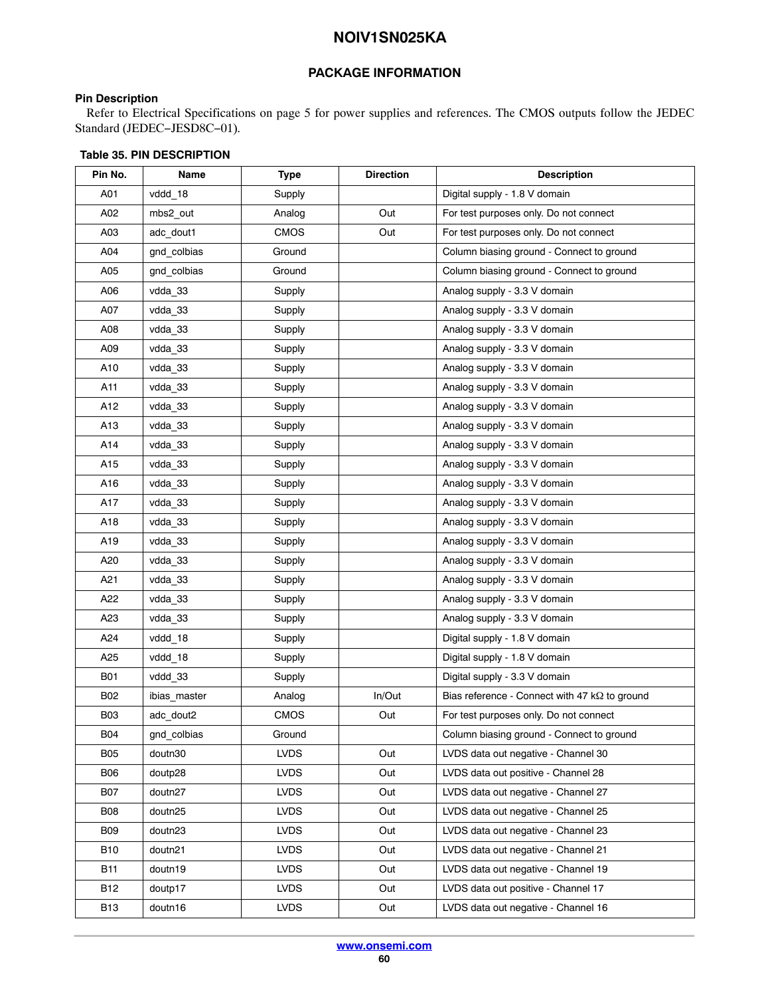### **PACKAGE INFORMATION**

### <span id="page-59-0"></span>**Pin Description**

Refer to Electrical Specifications on page [5](#page-4-0) for power supplies and references. The CMOS outputs follow the JEDEC Standard (JEDEC−JESD8C−01).

| Pin No.         | Name         | <b>Type</b> | <b>Direction</b> | <b>Description</b>                                   |
|-----------------|--------------|-------------|------------------|------------------------------------------------------|
| A01             | vddd 18      | Supply      |                  | Digital supply - 1.8 V domain                        |
| A02             | mbs2_out     | Analog      | Out              | For test purposes only. Do not connect               |
| A03             | adc_dout1    | <b>CMOS</b> | Out              | For test purposes only. Do not connect               |
| A04             | gnd_colbias  | Ground      |                  | Column biasing ground - Connect to ground            |
| A05             | gnd colbias  | Ground      |                  | Column biasing ground - Connect to ground            |
| A06             | vdda 33      | Supply      |                  | Analog supply - 3.3 V domain                         |
| A07             | vdda_33      | Supply      |                  | Analog supply - 3.3 V domain                         |
| A08             | vdda 33      | Supply      |                  | Analog supply - 3.3 V domain                         |
| A09             | vdda_33      | Supply      |                  | Analog supply - 3.3 V domain                         |
| A10             | vdda 33      | Supply      |                  | Analog supply - 3.3 V domain                         |
| A11             | vdda 33      | Supply      |                  | Analog supply - 3.3 V domain                         |
| A12             | vdda 33      | Supply      |                  | Analog supply - 3.3 V domain                         |
| A13             | vdda 33      | Supply      |                  | Analog supply - 3.3 V domain                         |
| A14             | vdda 33      | Supply      |                  | Analog supply - 3.3 V domain                         |
| A15             | vdda_33      | Supply      |                  | Analog supply - 3.3 V domain                         |
| A16             | vdda_33      | Supply      |                  | Analog supply - 3.3 V domain                         |
| A17             | vdda_33      | Supply      |                  | Analog supply - 3.3 V domain                         |
| A18             | vdda 33      | Supply      |                  | Analog supply - 3.3 V domain                         |
| A19             | vdda 33      | Supply      |                  | Analog supply - 3.3 V domain                         |
| A20             | vdda_33      | Supply      |                  | Analog supply - 3.3 V domain                         |
| A <sub>21</sub> | vdda 33      | Supply      |                  | Analog supply - 3.3 V domain                         |
| A22             | vdda 33      | Supply      |                  | Analog supply - 3.3 V domain                         |
| A23             | vdda 33      | Supply      |                  | Analog supply - 3.3 V domain                         |
| A24             | vddd_18      | Supply      |                  | Digital supply - 1.8 V domain                        |
| A <sub>25</sub> | vddd 18      | Supply      |                  | Digital supply - 1.8 V domain                        |
| <b>B01</b>      | vddd 33      | Supply      |                  | Digital supply - 3.3 V domain                        |
| <b>B02</b>      | ibias_master | Analog      | In/Out           | Bias reference - Connect with 47 $k\Omega$ to ground |
| <b>B03</b>      | adc_dout2    | <b>CMOS</b> | Out              | For test purposes only. Do not connect               |
| <b>B04</b>      | gnd colbias  | Ground      |                  | Column biasing ground - Connect to ground            |
| <b>B05</b>      | doutn30      | <b>LVDS</b> | Out              | LVDS data out negative - Channel 30                  |
| <b>B06</b>      | doutp28      | <b>LVDS</b> | Out              | LVDS data out positive - Channel 28                  |
| <b>B07</b>      | doutn27      | <b>LVDS</b> | Out              | LVDS data out negative - Channel 27                  |
| <b>B08</b>      | doutn25      | <b>LVDS</b> | Out              | LVDS data out negative - Channel 25                  |
| <b>B09</b>      | doutn23      | <b>LVDS</b> | Out              | LVDS data out negative - Channel 23                  |
| <b>B10</b>      | doutn21      | LVDS.       | Out              | LVDS data out negative - Channel 21                  |
| B11             | doutn19      | <b>LVDS</b> | Out              | LVDS data out negative - Channel 19                  |
| <b>B12</b>      | doutp17      | <b>LVDS</b> | Out              | LVDS data out positive - Channel 17                  |
| <b>B13</b>      | doutn16      | <b>LVDS</b> | Out              | LVDS data out negative - Channel 16                  |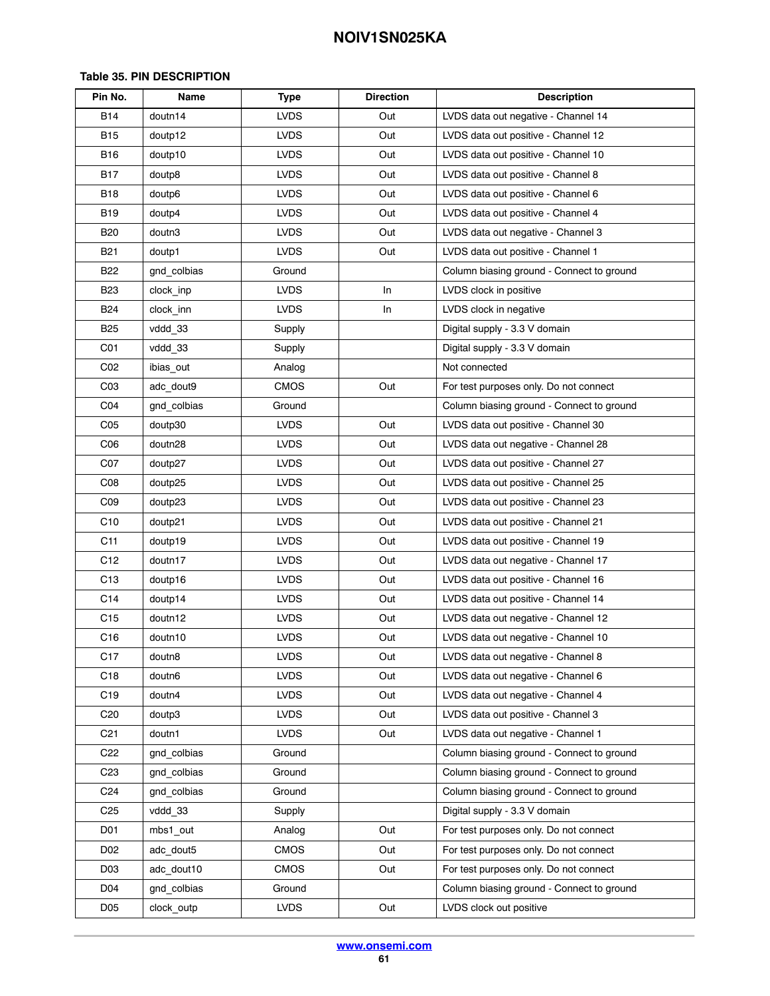| Pin No.         | Name        | <b>Type</b> | <b>Direction</b> | <b>Description</b>                        |
|-----------------|-------------|-------------|------------------|-------------------------------------------|
| <b>B14</b>      | doutn14     | <b>LVDS</b> | Out              | LVDS data out negative - Channel 14       |
| <b>B15</b>      | doutp12     | <b>LVDS</b> | Out              | LVDS data out positive - Channel 12       |
| B16             | doutp10     | <b>LVDS</b> | Out              | LVDS data out positive - Channel 10       |
| <b>B17</b>      | doutp8      | <b>LVDS</b> | Out              | LVDS data out positive - Channel 8        |
| <b>B18</b>      | doutp6      | <b>LVDS</b> | Out              | LVDS data out positive - Channel 6        |
| B <sub>19</sub> | doutp4      | <b>LVDS</b> | Out              | LVDS data out positive - Channel 4        |
| <b>B20</b>      | doutn3      | <b>LVDS</b> | Out              | LVDS data out negative - Channel 3        |
| <b>B21</b>      | doutp1      | <b>LVDS</b> | Out              | LVDS data out positive - Channel 1        |
| <b>B22</b>      | gnd_colbias | Ground      |                  | Column biasing ground - Connect to ground |
| B <sub>23</sub> | clock inp   | <b>LVDS</b> | In               | LVDS clock in positive                    |
| B24             | clock_inn   | <b>LVDS</b> | In               | LVDS clock in negative                    |
| <b>B25</b>      | vddd 33     | Supply      |                  | Digital supply - 3.3 V domain             |
| C <sub>01</sub> | vddd 33     | Supply      |                  | Digital supply - 3.3 V domain             |
| CO <sub>2</sub> | ibias_out   | Analog      |                  | Not connected                             |
| C <sub>03</sub> | adc_dout9   | <b>CMOS</b> | Out              | For test purposes only. Do not connect    |
| CO <sub>4</sub> | gnd_colbias | Ground      |                  | Column biasing ground - Connect to ground |
| C <sub>05</sub> | doutp30     | <b>LVDS</b> | Out              | LVDS data out positive - Channel 30       |
| C <sub>06</sub> | doutn28     | <b>LVDS</b> | Out              | LVDS data out negative - Channel 28       |
| C <sub>07</sub> | doutp27     | <b>LVDS</b> | Out              | LVDS data out positive - Channel 27       |
| C <sub>08</sub> | doutp25     | <b>LVDS</b> | Out              | LVDS data out positive - Channel 25       |
| CO9             | doutp23     | <b>LVDS</b> | Out              | LVDS data out positive - Channel 23       |
| C <sub>10</sub> | doutp21     | <b>LVDS</b> | Out              | LVDS data out positive - Channel 21       |
| C <sub>11</sub> | doutp19     | <b>LVDS</b> | Out              | LVDS data out positive - Channel 19       |
| C <sub>12</sub> | doutn17     | <b>LVDS</b> | Out              | LVDS data out negative - Channel 17       |
| C <sub>13</sub> | doutp16     | <b>LVDS</b> | Out              | LVDS data out positive - Channel 16       |
| C14             | doutp14     | <b>LVDS</b> | Out              | LVDS data out positive - Channel 14       |
| C15             | doutn12     | <b>LVDS</b> | Out              | LVDS data out negative - Channel 12       |
| C16             | doutn10     | <b>LVDS</b> | Out              | LVDS data out negative - Channel 10       |
| C17             | doutn8      | <b>LVDS</b> | Out              | LVDS data out negative - Channel 8        |
| C18             | doutn6      | <b>LVDS</b> | Out              | LVDS data out negative - Channel 6        |
| C <sub>19</sub> | doutn4      | <b>LVDS</b> | Out              | LVDS data out negative - Channel 4        |
| C <sub>20</sub> | doutp3      | <b>LVDS</b> | Out              | LVDS data out positive - Channel 3        |
| C <sub>21</sub> | doutn1      | <b>LVDS</b> | Out              | LVDS data out negative - Channel 1        |
| C <sub>22</sub> | gnd colbias | Ground      |                  | Column biasing ground - Connect to ground |
| C <sub>23</sub> | gnd colbias | Ground      |                  | Column biasing ground - Connect to ground |
| C <sub>24</sub> | gnd colbias | Ground      |                  | Column biasing ground - Connect to ground |
| C25             | vddd 33     | Supply      |                  | Digital supply - 3.3 V domain             |
| D01             | mbs1_out    | Analog      | Out              | For test purposes only. Do not connect    |
| D <sub>02</sub> | adc dout5   | CMOS        | Out              | For test purposes only. Do not connect    |
| D <sub>03</sub> | adc dout10  | CMOS        | Out              | For test purposes only. Do not connect    |
| D <sub>04</sub> | gnd colbias | Ground      |                  | Column biasing ground - Connect to ground |
| D <sub>05</sub> | clock_outp  | <b>LVDS</b> | Out              | LVDS clock out positive                   |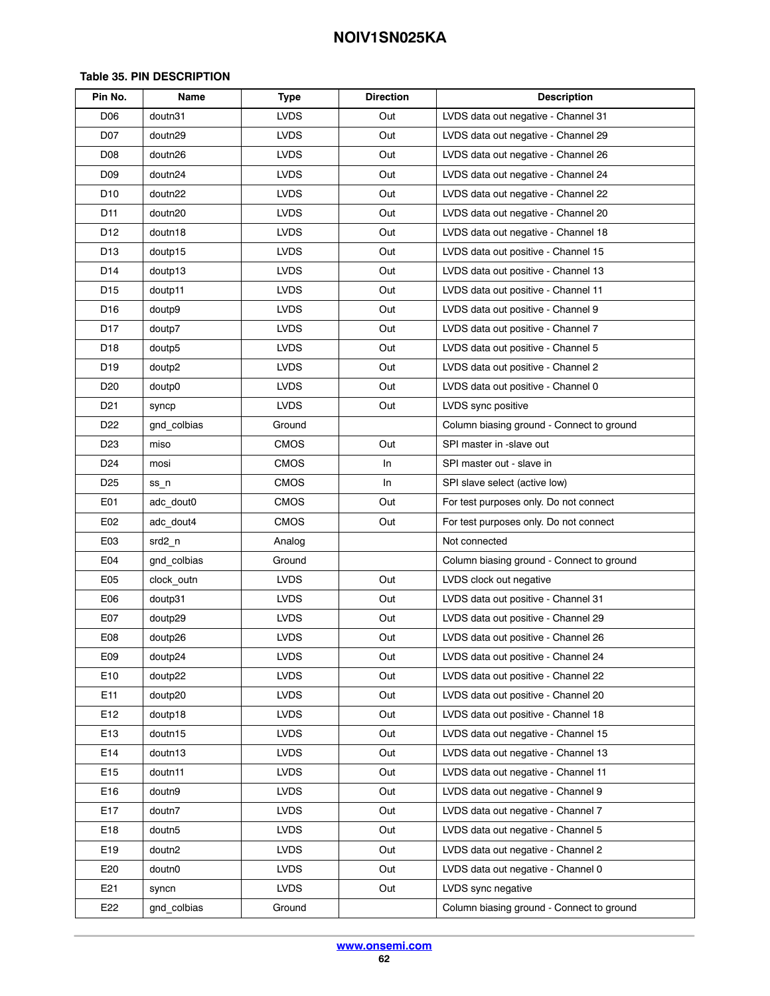| Pin No.         | Name               | <b>Type</b> | <b>Direction</b> | <b>Description</b>                        |
|-----------------|--------------------|-------------|------------------|-------------------------------------------|
| D <sub>06</sub> | doutn31            | <b>LVDS</b> | Out              | LVDS data out negative - Channel 31       |
| D07             | doutn29            | <b>LVDS</b> | Out              | LVDS data out negative - Channel 29       |
| D <sub>08</sub> | doutn26            | <b>LVDS</b> | Out              | LVDS data out negative - Channel 26       |
| D09             | doutn24            | <b>LVDS</b> | Out              | LVDS data out negative - Channel 24       |
| D <sub>10</sub> | doutn22            | <b>LVDS</b> | Out              | LVDS data out negative - Channel 22       |
| D11             | doutn20            | <b>LVDS</b> | Out              | LVDS data out negative - Channel 20       |
| D12             | doutn18            | <b>LVDS</b> | Out              | LVDS data out negative - Channel 18       |
| D <sub>13</sub> | doutp15            | <b>LVDS</b> | Out              | LVDS data out positive - Channel 15       |
| D14             | doutp13            | <b>LVDS</b> | Out              | LVDS data out positive - Channel 13       |
| D <sub>15</sub> | doutp11            | <b>LVDS</b> | Out              | LVDS data out positive - Channel 11       |
| D16             | doutp9             | <b>LVDS</b> | Out              | LVDS data out positive - Channel 9        |
| D17             | doutp7             | <b>LVDS</b> | Out              | LVDS data out positive - Channel 7        |
| D18             | doutp5             | <b>LVDS</b> | Out              | LVDS data out positive - Channel 5        |
| D19             | doutp2             | <b>LVDS</b> | Out              | LVDS data out positive - Channel 2        |
| D20             | doutp0             | <b>LVDS</b> | Out              | LVDS data out positive - Channel 0        |
| D <sub>21</sub> | syncp              | <b>LVDS</b> | Out              | LVDS sync positive                        |
| D22             | gnd_colbias        | Ground      |                  | Column biasing ground - Connect to ground |
| D <sub>23</sub> | miso               | CMOS        | Out              | SPI master in -slave out                  |
| D <sub>24</sub> | mosi               | <b>CMOS</b> | In               | SPI master out - slave in                 |
| D <sub>25</sub> | ss_n               | <b>CMOS</b> | In               | SPI slave select (active low)             |
| E01             | adc dout0          | <b>CMOS</b> | Out              | For test purposes only. Do not connect    |
| E02             | adc dout4          | <b>CMOS</b> | Out              | For test purposes only. Do not connect    |
| E <sub>03</sub> | srd2_n             | Analog      |                  | Not connected                             |
| E04             | gnd_colbias        | Ground      |                  | Column biasing ground - Connect to ground |
| E05             | clock_outn         | <b>LVDS</b> | Out              | LVDS clock out negative                   |
| E <sub>06</sub> | doutp31            | <b>LVDS</b> | Out              | LVDS data out positive - Channel 31       |
| E07             | doutp29            | <b>LVDS</b> | Out              | LVDS data out positive - Channel 29       |
| E08             | doutp26            | <b>LVDS</b> | Out              | LVDS data out positive - Channel 26       |
| E09             | doutp24            | <b>LVDS</b> | Out              | LVDS data out positive - Channel 24       |
| E10             | doutp22            | LVDS        | Out              | LVDS data out positive - Channel 22       |
| E11             | doutp20            | <b>LVDS</b> | Out              | LVDS data out positive - Channel 20       |
| E12             | doutp18            | LVDS.       | Out              | LVDS data out positive - Channel 18       |
| E <sub>13</sub> | doutn15            | <b>LVDS</b> | Out              | LVDS data out negative - Channel 15       |
| E14             | doutn13            | <b>LVDS</b> | Out              | LVDS data out negative - Channel 13       |
| E <sub>15</sub> | doutn11            | <b>LVDS</b> | Out              | LVDS data out negative - Channel 11       |
| E16             | doutn9             | <b>LVDS</b> | Out              | LVDS data out negative - Channel 9        |
| E17             | doutn7             | <b>LVDS</b> | Out              | LVDS data out negative - Channel 7        |
| E18             | doutn <sub>5</sub> | <b>LVDS</b> | Out              | LVDS data out negative - Channel 5        |
| E19             | doutn2             | <b>LVDS</b> | Out              | LVDS data out negative - Channel 2        |
| E20             | doutn0             | <b>LVDS</b> | Out              | LVDS data out negative - Channel 0        |
| E21             | syncn              | LVDS        | Out              | LVDS sync negative                        |
| E22             | gnd_colbias        | Ground      |                  | Column biasing ground - Connect to ground |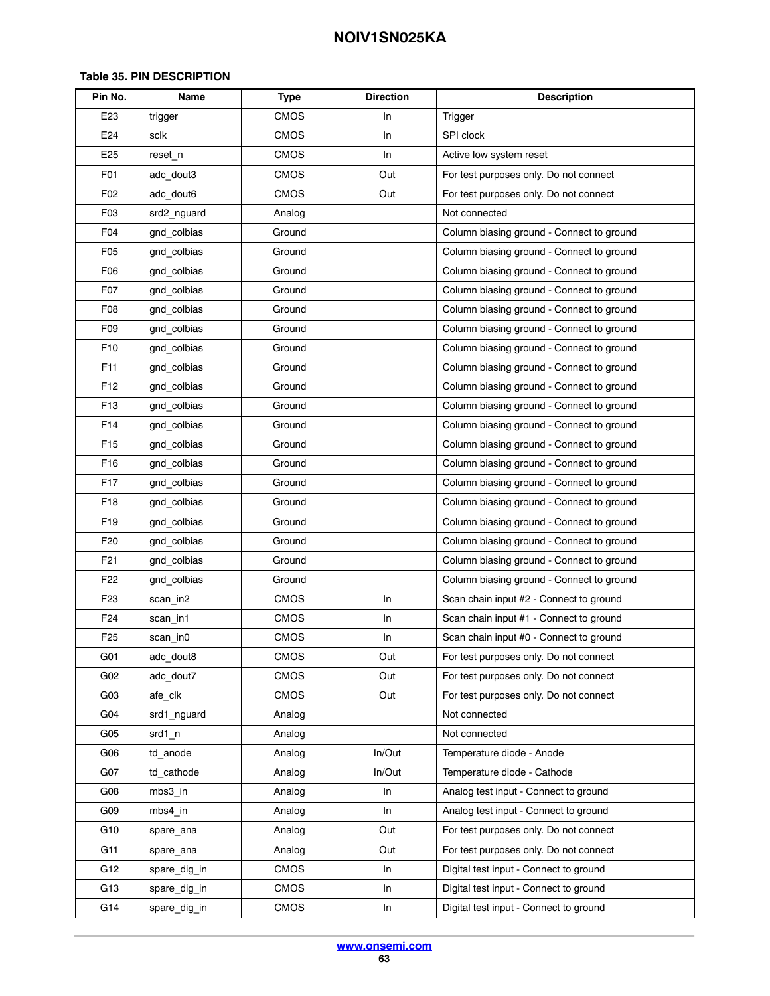| Pin No.          | Name         | <b>Type</b> | <b>Direction</b> | <b>Description</b>                        |  |
|------------------|--------------|-------------|------------------|-------------------------------------------|--|
| E <sub>23</sub>  | trigger      | <b>CMOS</b> | In               | Trigger                                   |  |
| E24              | sclk         | <b>CMOS</b> | In               | SPI clock                                 |  |
| E25              | reset n      | <b>CMOS</b> | In               | Active low system reset                   |  |
| F <sub>0</sub> 1 | adc dout3    | <b>CMOS</b> | Out              | For test purposes only. Do not connect    |  |
| F02              | adc dout6    | <b>CMOS</b> | Out              | For test purposes only. Do not connect    |  |
| F <sub>03</sub>  | srd2 nguard  | Analog      |                  | Not connected                             |  |
| F <sub>04</sub>  | gnd colbias  | Ground      |                  | Column biasing ground - Connect to ground |  |
| F <sub>05</sub>  | gnd colbias  | Ground      |                  | Column biasing ground - Connect to ground |  |
| F <sub>06</sub>  | gnd colbias  | Ground      |                  | Column biasing ground - Connect to ground |  |
| F <sub>0</sub> 7 | gnd colbias  | Ground      |                  | Column biasing ground - Connect to ground |  |
| F <sub>0</sub> 8 | gnd colbias  | Ground      |                  | Column biasing ground - Connect to ground |  |
| F <sub>09</sub>  | gnd colbias  | Ground      |                  | Column biasing ground - Connect to ground |  |
| F <sub>10</sub>  | gnd colbias  | Ground      |                  | Column biasing ground - Connect to ground |  |
| F11              | gnd_colbias  | Ground      |                  | Column biasing ground - Connect to ground |  |
| F <sub>12</sub>  | gnd colbias  | Ground      |                  | Column biasing ground - Connect to ground |  |
| F <sub>13</sub>  | gnd colbias  | Ground      |                  | Column biasing ground - Connect to ground |  |
| F <sub>14</sub>  | gnd_colbias  | Ground      |                  | Column biasing ground - Connect to ground |  |
| F <sub>15</sub>  | gnd colbias  | Ground      |                  | Column biasing ground - Connect to ground |  |
| F <sub>16</sub>  | gnd colbias  | Ground      |                  | Column biasing ground - Connect to ground |  |
| F <sub>17</sub>  | gnd colbias  | Ground      |                  | Column biasing ground - Connect to ground |  |
| F <sub>18</sub>  | gnd colbias  | Ground      |                  | Column biasing ground - Connect to ground |  |
| F <sub>19</sub>  | gnd colbias  | Ground      |                  | Column biasing ground - Connect to ground |  |
| F <sub>20</sub>  | gnd colbias  | Ground      |                  | Column biasing ground - Connect to ground |  |
| F21              | gnd_colbias  | Ground      |                  | Column biasing ground - Connect to ground |  |
| F <sub>22</sub>  | gnd colbias  | Ground      |                  | Column biasing ground - Connect to ground |  |
| F <sub>23</sub>  | scan in2     | <b>CMOS</b> | In               | Scan chain input #2 - Connect to ground   |  |
| F <sub>24</sub>  | scan_in1     | <b>CMOS</b> | In               | Scan chain input #1 - Connect to ground   |  |
| F <sub>25</sub>  | scan_in0     | <b>CMOS</b> | In               | Scan chain input #0 - Connect to ground   |  |
| G <sub>01</sub>  | adc dout8    | <b>CMOS</b> | Out              | For test purposes only. Do not connect    |  |
| G02              | adc dout7    | <b>CMOS</b> | Out              | For test purposes only. Do not connect    |  |
| G03              | afe_clk      | CMOS        | Out              | For test purposes only. Do not connect    |  |
| G04              | srd1 nguard  | Analog      |                  | Not connected                             |  |
| G05              | srd1 n       | Analog      |                  | Not connected                             |  |
| G06              | td anode     | Analog      | In/Out           | Temperature diode - Anode                 |  |
| G07              | td cathode   | Analog      | In/Out           | Temperature diode - Cathode               |  |
| G08              | mbs3 in      | Analog      | In               | Analog test input - Connect to ground     |  |
| G09              | mbs4 in      | Analog      | In               | Analog test input - Connect to ground     |  |
| G10              | spare_ana    | Analog      | Out              | For test purposes only. Do not connect    |  |
| G11              | spare_ana    | Analog      | Out              | For test purposes only. Do not connect    |  |
| G12              | spare_dig_in | <b>CMOS</b> | In               | Digital test input - Connect to ground    |  |
| G13              | spare_dig_in | <b>CMOS</b> | In               | Digital test input - Connect to ground    |  |
| G14              | spare_dig_in | CMOS        | In               | Digital test input - Connect to ground    |  |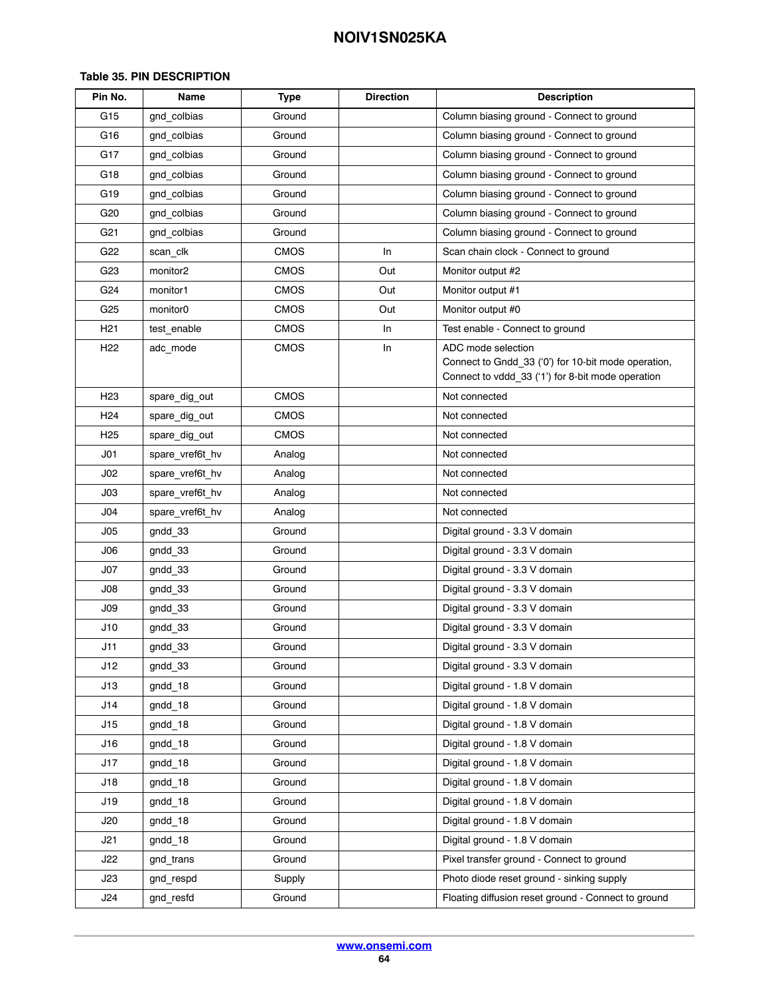| Pin No.         | Name                 | <b>Type</b> | <b>Direction</b> | <b>Description</b>                                                                                                             |  |
|-----------------|----------------------|-------------|------------------|--------------------------------------------------------------------------------------------------------------------------------|--|
| G15             | gnd_colbias          | Ground      |                  | Column biasing ground - Connect to ground                                                                                      |  |
| G16             | gnd colbias          | Ground      |                  | Column biasing ground - Connect to ground                                                                                      |  |
| G17             | gnd colbias          | Ground      |                  | Column biasing ground - Connect to ground                                                                                      |  |
| G18             | gnd colbias          | Ground      |                  | Column biasing ground - Connect to ground                                                                                      |  |
| G19             | gnd colbias          | Ground      |                  | Column biasing ground - Connect to ground                                                                                      |  |
| G20             | gnd colbias          | Ground      |                  | Column biasing ground - Connect to ground                                                                                      |  |
| G21             | gnd colbias          | Ground      |                  | Column biasing ground - Connect to ground                                                                                      |  |
| G22             | scan_clk             | <b>CMOS</b> | In               | Scan chain clock - Connect to ground                                                                                           |  |
| G23             | monitor <sub>2</sub> | <b>CMOS</b> | Out              | Monitor output #2                                                                                                              |  |
| G24             | monitor1             | <b>CMOS</b> | Out              | Monitor output #1                                                                                                              |  |
| G25             | monitor <sub>0</sub> | <b>CMOS</b> | Out              | Monitor output #0                                                                                                              |  |
| H21             | test_enable          | <b>CMOS</b> | In               | Test enable - Connect to ground                                                                                                |  |
| H <sub>22</sub> | adc mode             | <b>CMOS</b> | In               | ADC mode selection<br>Connect to Gndd_33 ('0') for 10-bit mode operation,<br>Connect to vddd_33 ('1') for 8-bit mode operation |  |
| H <sub>23</sub> | spare_dig_out        | <b>CMOS</b> |                  | Not connected                                                                                                                  |  |
| H24             | spare_dig_out        | <b>CMOS</b> |                  | Not connected                                                                                                                  |  |
| H25             | spare_dig_out        | <b>CMOS</b> |                  | Not connected                                                                                                                  |  |
| J <sub>01</sub> | spare_vref6t_hv      | Analog      |                  | Not connected                                                                                                                  |  |
| J <sub>02</sub> | spare_vref6t_hv      | Analog      |                  | Not connected                                                                                                                  |  |
| J03             | spare_vref6t_hv      | Analog      |                  | Not connected                                                                                                                  |  |
| J04             | spare_vref6t_hv      | Analog      |                  | Not connected                                                                                                                  |  |
| J05             | gndd 33              | Ground      |                  | Digital ground - 3.3 V domain                                                                                                  |  |
| J06             | gndd 33              | Ground      |                  | Digital ground - 3.3 V domain                                                                                                  |  |
| J07             | gndd 33              | Ground      |                  | Digital ground - 3.3 V domain                                                                                                  |  |
| J08             | gndd_33              | Ground      |                  | Digital ground - 3.3 V domain                                                                                                  |  |
| J09             | gndd 33              | Ground      |                  | Digital ground - 3.3 V domain                                                                                                  |  |
| J10             | gndd 33              | Ground      |                  | Digital ground - 3.3 V domain                                                                                                  |  |
| J11             | $g$ ndd $_3$ 3       | Ground      |                  | Digital ground - 3.3 V domain                                                                                                  |  |
| J12             | gndd 33              | Ground      |                  | Digital ground - 3.3 V domain                                                                                                  |  |
| J13             | gndd 18              | Ground      |                  | Digital ground - 1.8 V domain                                                                                                  |  |
| J14             | gndd 18              | Ground      |                  | Digital ground - 1.8 V domain                                                                                                  |  |
| J15             | gndd_18              | Ground      |                  | Digital ground - 1.8 V domain                                                                                                  |  |
| J16             | gndd 18              | Ground      |                  | Digital ground - 1.8 V domain                                                                                                  |  |
| J17             | gndd 18              | Ground      |                  | Digital ground - 1.8 V domain                                                                                                  |  |
| J18             | gndd 18              | Ground      |                  | Digital ground - 1.8 V domain                                                                                                  |  |
| J19             | gndd 18              | Ground      |                  | Digital ground - 1.8 V domain                                                                                                  |  |
| J20             | gndd 18              | Ground      |                  | Digital ground - 1.8 V domain                                                                                                  |  |
| J21             | gndd 18              | Ground      |                  | Digital ground - 1.8 V domain                                                                                                  |  |
| J22             | gnd trans            | Ground      |                  | Pixel transfer ground - Connect to ground                                                                                      |  |
| J23             | gnd respd            | Supply      |                  | Photo diode reset ground - sinking supply                                                                                      |  |
| J24             | gnd_resfd            | Ground      |                  | Floating diffusion reset ground - Connect to ground                                                                            |  |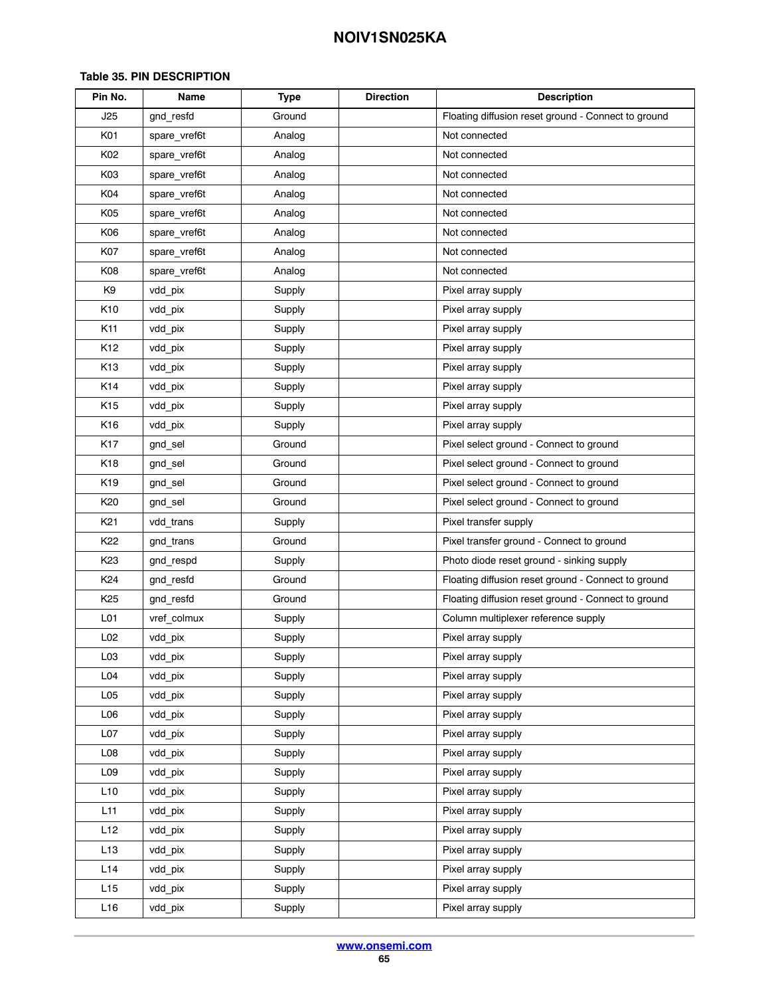| Pin No.          | Name         | <b>Type</b> | <b>Direction</b> | <b>Description</b>                                  |  |
|------------------|--------------|-------------|------------------|-----------------------------------------------------|--|
| J25              | gnd_resfd    | Ground      |                  | Floating diffusion reset ground - Connect to ground |  |
| K01              | spare_vref6t | Analog      |                  | Not connected                                       |  |
| K02              | spare_vref6t | Analog      |                  | Not connected                                       |  |
| K03              | spare_vref6t | Analog      |                  | Not connected                                       |  |
| K04              | spare_vref6t | Analog      |                  | Not connected                                       |  |
| K05              | spare_vref6t | Analog      |                  | Not connected                                       |  |
| K06              | spare_vref6t | Analog      |                  | Not connected                                       |  |
| K07              | spare_vref6t | Analog      |                  | Not connected                                       |  |
| K08              | spare_vref6t | Analog      |                  | Not connected                                       |  |
| K9               | vdd_pix      | Supply      |                  | Pixel array supply                                  |  |
| K10              | vdd_pix      | Supply      |                  | Pixel array supply                                  |  |
| K11              | vdd_pix      | Supply      |                  | Pixel array supply                                  |  |
| K12              | vdd_pix      | Supply      |                  | Pixel array supply                                  |  |
| K <sub>13</sub>  | vdd_pix      | Supply      |                  | Pixel array supply                                  |  |
| K14              | vdd_pix      | Supply      |                  | Pixel array supply                                  |  |
| K <sub>15</sub>  | vdd_pix      | Supply      |                  | Pixel array supply                                  |  |
| K <sub>16</sub>  | vdd_pix      | Supply      |                  | Pixel array supply                                  |  |
| <b>K17</b>       | gnd_sel      | Ground      |                  | Pixel select ground - Connect to ground             |  |
| K <sub>18</sub>  | gnd sel      | Ground      |                  | Pixel select ground - Connect to ground             |  |
| K <sub>19</sub>  | gnd_sel      | Ground      |                  | Pixel select ground - Connect to ground             |  |
| K <sub>20</sub>  | gnd sel      | Ground      |                  | Pixel select ground - Connect to ground             |  |
| K <sub>21</sub>  | vdd trans    | Supply      |                  | Pixel transfer supply                               |  |
| K <sub>22</sub>  | gnd trans    | Ground      |                  | Pixel transfer ground - Connect to ground           |  |
| K <sub>23</sub>  | gnd respd    | Supply      |                  | Photo diode reset ground - sinking supply           |  |
| K <sub>24</sub>  | gnd resfd    | Ground      |                  | Floating diffusion reset ground - Connect to ground |  |
| K <sub>25</sub>  | gnd_resfd    | Ground      |                  | Floating diffusion reset ground - Connect to ground |  |
| L01              | vref_colmux  | Supply      |                  | Column multiplexer reference supply                 |  |
| L <sub>02</sub>  | vdd_pix      | Supply      |                  | Pixel array supply                                  |  |
| L <sub>03</sub>  | vdd_pix      | Supply      |                  | Pixel array supply                                  |  |
| L <sub>04</sub>  | vdd_pix      | Supply      |                  | Pixel array supply                                  |  |
| L <sub>05</sub>  | vdd_pix      | Supply      |                  | Pixel array supply                                  |  |
| L06              | vdd_pix      | Supply      |                  | Pixel array supply                                  |  |
| L <sub>0</sub> 7 | vdd_pix      | Supply      |                  | Pixel array supply                                  |  |
| L08              | vdd_pix      | Supply      |                  | Pixel array supply                                  |  |
| L <sub>09</sub>  | vdd_pix      | Supply      |                  | Pixel array supply                                  |  |
| L10              | vdd pix      | Supply      |                  | Pixel array supply                                  |  |
| L11              | vdd_pix      | Supply      |                  | Pixel array supply                                  |  |
| L12              | vdd_pix      | Supply      |                  | Pixel array supply                                  |  |
| L13              | vdd_pix      | Supply      |                  | Pixel array supply                                  |  |
| L14              | vdd_pix      | Supply      |                  | Pixel array supply                                  |  |
| L15              | vdd_pix      | Supply      |                  | Pixel array supply                                  |  |
| L16              | vdd_pix      | Supply      |                  | Pixel array supply                                  |  |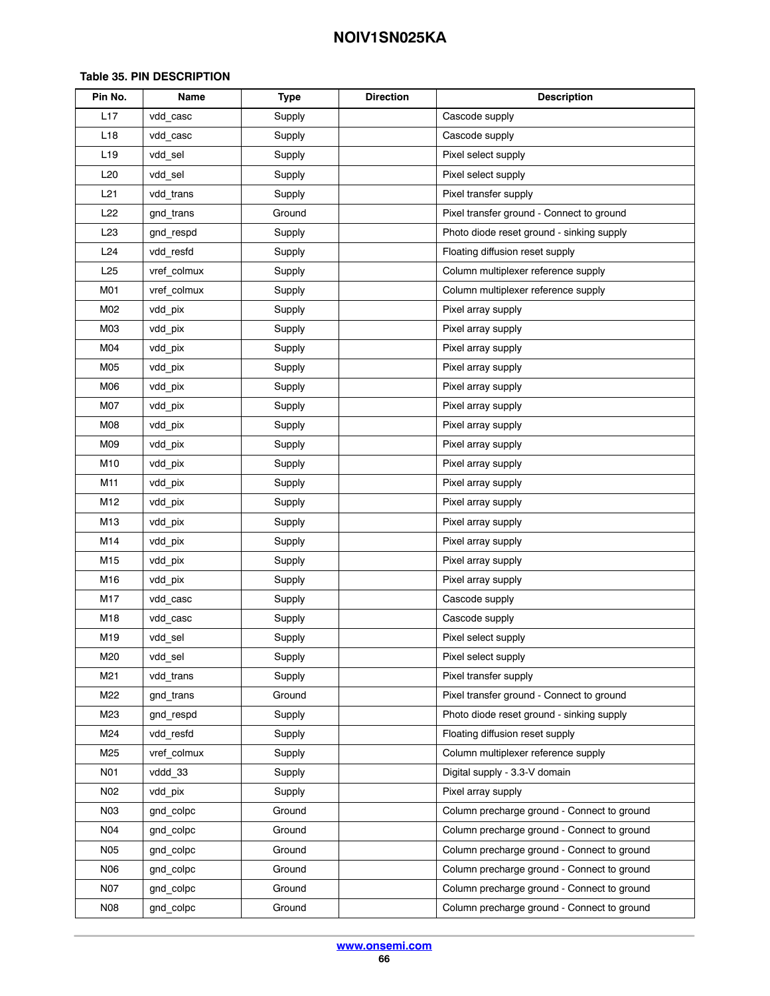| Pin No.         | Name        | <b>Type</b> | <b>Direction</b> | <b>Description</b>                          |  |
|-----------------|-------------|-------------|------------------|---------------------------------------------|--|
| L17             | vdd casc    | Supply      |                  | Cascode supply                              |  |
| L <sub>18</sub> | vdd casc    | Supply      |                  | Cascode supply                              |  |
| L <sub>19</sub> | vdd sel     | Supply      |                  | Pixel select supply                         |  |
| L20             | vdd_sel     | Supply      |                  | Pixel select supply                         |  |
| L21             | vdd trans   | Supply      |                  | Pixel transfer supply                       |  |
| L22             | gnd trans   | Ground      |                  | Pixel transfer ground - Connect to ground   |  |
| L <sub>23</sub> | gnd respd   | Supply      |                  | Photo diode reset ground - sinking supply   |  |
| L24             | vdd_resfd   | Supply      |                  | Floating diffusion reset supply             |  |
| L25             | vref_colmux | Supply      |                  | Column multiplexer reference supply         |  |
| <b>M01</b>      | vref_colmux | Supply      |                  | Column multiplexer reference supply         |  |
| M02             | vdd_pix     | Supply      |                  | Pixel array supply                          |  |
| M03             | vdd_pix     | Supply      |                  | Pixel array supply                          |  |
| M04             | vdd_pix     | Supply      |                  | Pixel array supply                          |  |
| M05             | vdd_pix     | Supply      |                  | Pixel array supply                          |  |
| M06             | vdd pix     | Supply      |                  | Pixel array supply                          |  |
| M07             | vdd_pix     | Supply      |                  | Pixel array supply                          |  |
| <b>M08</b>      | vdd_pix     | Supply      |                  | Pixel array supply                          |  |
| M09             | vdd_pix     | Supply      |                  | Pixel array supply                          |  |
| M10             | vdd_pix     | Supply      |                  | Pixel array supply                          |  |
| M11             | vdd_pix     | Supply      |                  | Pixel array supply                          |  |
| M12             | vdd_pix     | Supply      |                  | Pixel array supply                          |  |
| M13             | vdd pix     | Supply      |                  | Pixel array supply                          |  |
| M14             | vdd_pix     | Supply      |                  | Pixel array supply                          |  |
| M15             | vdd_pix     | Supply      |                  | Pixel array supply                          |  |
| M16             | vdd_pix     | Supply      |                  | Pixel array supply                          |  |
| M17             | vdd_casc    | Supply      |                  | Cascode supply                              |  |
| M18             | vdd_casc    | Supply      |                  | Cascode supply                              |  |
| M19             | vdd_sel     | Supply      |                  | Pixel select supply                         |  |
| M20             | vdd sel     | Supply      |                  | Pixel select supply                         |  |
| M21             | vdd trans   | Supply      |                  | Pixel transfer supply                       |  |
| M22             | gnd trans   | Ground      |                  | Pixel transfer ground - Connect to ground   |  |
| M23             | gnd respd   | Supply      |                  | Photo diode reset ground - sinking supply   |  |
| M24             | vdd resfd   | Supply      |                  | Floating diffusion reset supply             |  |
| M25             | vref_colmux | Supply      |                  | Column multiplexer reference supply         |  |
| N01             | vddd 33     | Supply      |                  | Digital supply - 3.3-V domain               |  |
| N02             | vdd pix     | Supply      |                  | Pixel array supply                          |  |
| N03             | gnd colpc   | Ground      |                  | Column precharge ground - Connect to ground |  |
| N04             | gnd colpc   | Ground      |                  | Column precharge ground - Connect to ground |  |
| <b>N05</b>      | gnd colpc   | Ground      |                  | Column precharge ground - Connect to ground |  |
| <b>N06</b>      | gnd colpc   | Ground      |                  | Column precharge ground - Connect to ground |  |
| N07             | gnd colpc   | Ground      |                  | Column precharge ground - Connect to ground |  |
| <b>N08</b>      | gnd colpc   | Ground      |                  | Column precharge ground - Connect to ground |  |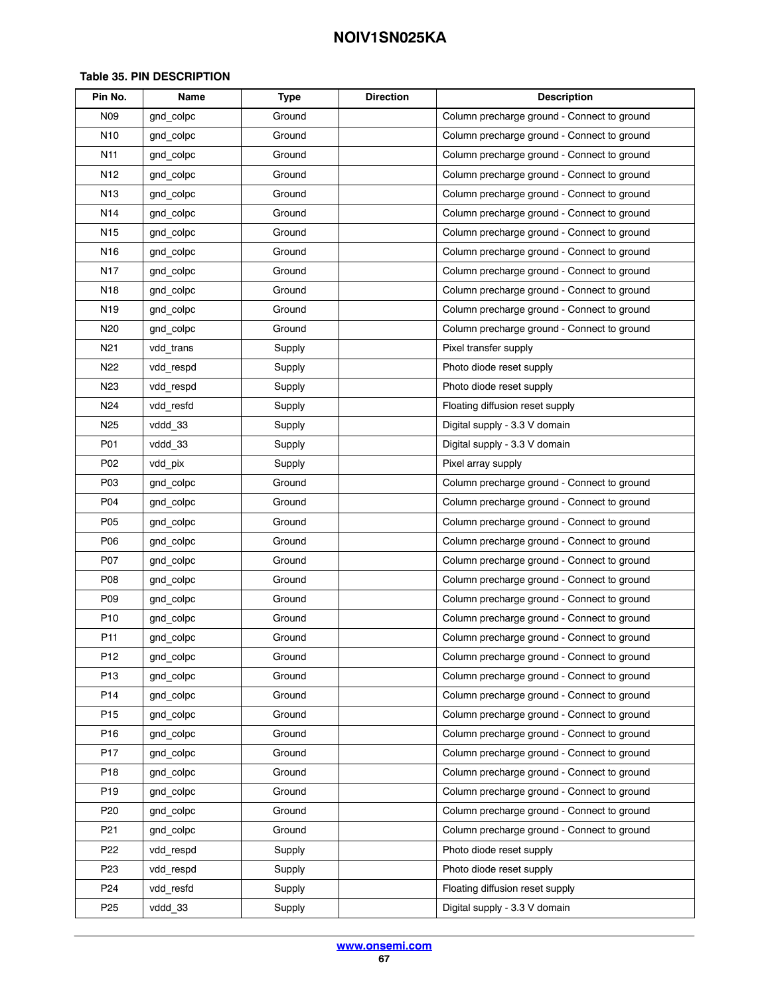| Pin No.         | Name      | <b>Type</b> | <b>Direction</b>                            | <b>Description</b>                          |
|-----------------|-----------|-------------|---------------------------------------------|---------------------------------------------|
| N09             | gnd colpc | Ground      |                                             | Column precharge ground - Connect to ground |
| N <sub>10</sub> | gnd colpc | Ground      |                                             | Column precharge ground - Connect to ground |
| N11             | gnd colpc | Ground      |                                             | Column precharge ground - Connect to ground |
| N12             | gnd colpc | Ground      |                                             | Column precharge ground - Connect to ground |
| N13             | gnd colpc | Ground      |                                             | Column precharge ground - Connect to ground |
| N14             | gnd_colpc | Ground      |                                             | Column precharge ground - Connect to ground |
| N <sub>15</sub> | gnd colpc | Ground      |                                             | Column precharge ground - Connect to ground |
| N16             | gnd colpc | Ground      |                                             | Column precharge ground - Connect to ground |
| N <sub>17</sub> | gnd colpc | Ground      |                                             | Column precharge ground - Connect to ground |
| N <sub>18</sub> | gnd colpc | Ground      |                                             | Column precharge ground - Connect to ground |
| N <sub>19</sub> | gnd colpc | Ground      |                                             | Column precharge ground - Connect to ground |
| N20             | gnd colpc | Ground      |                                             | Column precharge ground - Connect to ground |
| N21             | vdd trans | Supply      |                                             | Pixel transfer supply                       |
| N22             | vdd respd | Supply      |                                             | Photo diode reset supply                    |
| N <sub>23</sub> | vdd_respd | Supply      |                                             | Photo diode reset supply                    |
| N <sub>24</sub> | vdd_resfd | Supply      |                                             | Floating diffusion reset supply             |
| N <sub>25</sub> | vddd 33   | Supply      | Digital supply - 3.3 V domain               |                                             |
| P01             | vddd 33   | Supply      | Digital supply - 3.3 V domain               |                                             |
| P02             | vdd pix   | Supply      |                                             | Pixel array supply                          |
| P03             | gnd colpc | Ground      |                                             | Column precharge ground - Connect to ground |
| P04             | gnd_colpc | Ground      |                                             | Column precharge ground - Connect to ground |
| P05             | gnd colpc | Ground      |                                             | Column precharge ground - Connect to ground |
| P06             | gnd colpc | Ground      |                                             | Column precharge ground - Connect to ground |
| P07             | gnd colpc | Ground      |                                             | Column precharge ground - Connect to ground |
| P08             | gnd colpc | Ground      |                                             | Column precharge ground - Connect to ground |
| P09             | gnd_colpc | Ground      |                                             | Column precharge ground - Connect to ground |
| P <sub>10</sub> | gnd_colpc | Ground      |                                             | Column precharge ground - Connect to ground |
| P <sub>11</sub> | gnd_colpc | Ground      |                                             | Column precharge ground - Connect to ground |
| P <sub>12</sub> | gnd colpc | Ground      |                                             | Column precharge ground - Connect to ground |
| P <sub>13</sub> | gnd colpc | Ground      |                                             | Column precharge ground - Connect to ground |
| P14             | gnd colpc | Ground      |                                             | Column precharge ground - Connect to ground |
| P <sub>15</sub> | gnd colpc | Ground      |                                             | Column precharge ground - Connect to ground |
| P <sub>16</sub> | gnd_colpc | Ground      | Column precharge ground - Connect to ground |                                             |
| P <sub>17</sub> | gnd colpc | Ground      | Column precharge ground - Connect to ground |                                             |
| P18             | gnd colpc | Ground      | Column precharge ground - Connect to ground |                                             |
| P <sub>19</sub> | gnd colpc | Ground      | Column precharge ground - Connect to ground |                                             |
| P <sub>20</sub> | gnd colpc | Ground      |                                             | Column precharge ground - Connect to ground |
| P <sub>21</sub> | gnd colpc | Ground      |                                             | Column precharge ground - Connect to ground |
| P22             | vdd respd | Supply      |                                             | Photo diode reset supply                    |
| P <sub>23</sub> | vdd respd | Supply      |                                             | Photo diode reset supply                    |
| P24             | vdd_resfd | Supply      |                                             | Floating diffusion reset supply             |
| P <sub>25</sub> | vddd 33   | Supply      |                                             | Digital supply - 3.3 V domain               |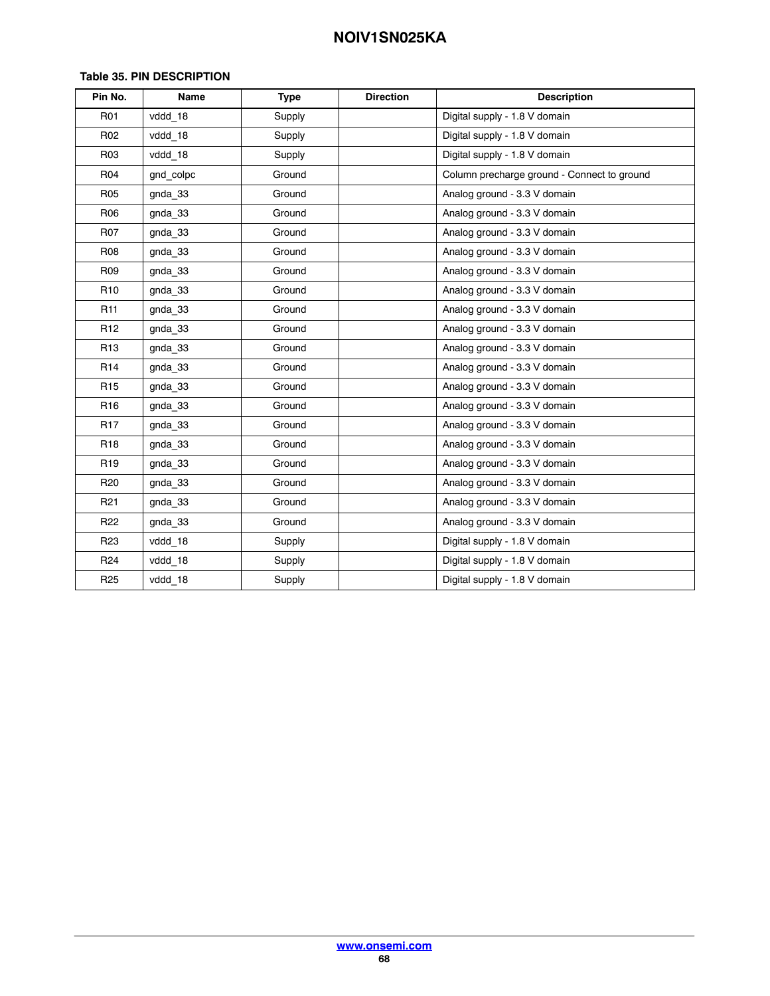| Pin No.         | Name      | <b>Type</b> | <b>Direction</b>              | <b>Description</b>                          |
|-----------------|-----------|-------------|-------------------------------|---------------------------------------------|
| R01             | vddd_18   | Supply      | Digital supply - 1.8 V domain |                                             |
| R <sub>02</sub> | vddd_18   | Supply      |                               | Digital supply - 1.8 V domain               |
| R03             | vddd 18   | Supply      |                               | Digital supply - 1.8 V domain               |
| R04             | gnd colpc | Ground      |                               | Column precharge ground - Connect to ground |
| <b>R05</b>      | gnda_33   | Ground      |                               | Analog ground - 3.3 V domain                |
| <b>R06</b>      | gnda_33   | Ground      |                               | Analog ground - 3.3 V domain                |
| <b>R07</b>      | gnda 33   | Ground      |                               | Analog ground - 3.3 V domain                |
| <b>R08</b>      | gnda_33   | Ground      |                               | Analog ground - 3.3 V domain                |
| <b>R09</b>      | gnda 33   | Ground      |                               | Analog ground - 3.3 V domain                |
| R <sub>10</sub> | gnda 33   | Ground      | Analog ground - 3.3 V domain  |                                             |
| R <sub>11</sub> | gnda_33   | Ground      | Analog ground - 3.3 V domain  |                                             |
| R <sub>12</sub> | gnda 33   | Ground      | Analog ground - 3.3 V domain  |                                             |
| R <sub>13</sub> | gnda 33   | Ground      | Analog ground - 3.3 V domain  |                                             |
| R <sub>14</sub> | gnda 33   | Ground      | Analog ground - 3.3 V domain  |                                             |
| R <sub>15</sub> | gnda_33   | Ground      |                               | Analog ground - 3.3 V domain                |
| R <sub>16</sub> | gnda 33   | Ground      |                               | Analog ground - 3.3 V domain                |
| R <sub>17</sub> | gnda 33   | Ground      | Analog ground - 3.3 V domain  |                                             |
| R <sub>18</sub> | gnda_33   | Ground      | Analog ground - 3.3 V domain  |                                             |
| R <sub>19</sub> | gnda 33   | Ground      | Analog ground - 3.3 V domain  |                                             |
| R <sub>20</sub> | gnda 33   | Ground      | Analog ground - 3.3 V domain  |                                             |
| R <sub>21</sub> | gnda 33   | Ground      | Analog ground - 3.3 V domain  |                                             |
| R <sub>22</sub> | gnda 33   | Ground      | Analog ground - 3.3 V domain  |                                             |
| R <sub>23</sub> | vddd 18   | Supply      |                               | Digital supply - 1.8 V domain               |
| R <sub>24</sub> | vddd 18   | Supply      |                               | Digital supply - 1.8 V domain               |
| R <sub>25</sub> | vddd_18   | Supply      |                               | Digital supply - 1.8 V domain               |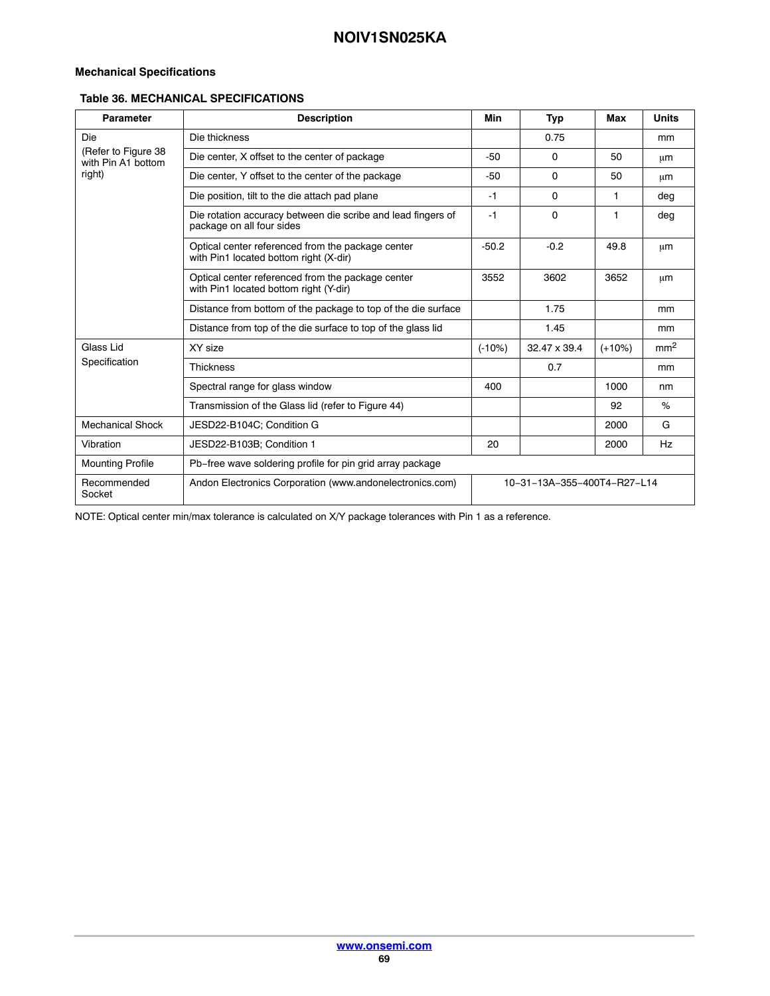### **Mechanical Specifications**

### **Table 36. MECHANICAL SPECIFICATIONS**

| <b>Parameter</b>                          | <b>Description</b>                                                                          | Min                         | <b>Typ</b>   | Max      | <b>Units</b>    |
|-------------------------------------------|---------------------------------------------------------------------------------------------|-----------------------------|--------------|----------|-----------------|
| Die                                       | Die thickness                                                                               |                             | 0.75         |          | <sub>mm</sub>   |
| (Refer to Figure 38<br>with Pin A1 bottom | Die center, X offset to the center of package                                               | $-50$                       | $\mathbf 0$  | 50       | μm              |
| right)                                    | Die center, Y offset to the center of the package                                           | $-50$                       | $\Omega$     | 50       | μm              |
|                                           | Die position, tilt to the die attach pad plane                                              | $-1$                        | $\Omega$     | 1.       | deg             |
|                                           | Die rotation accuracy between die scribe and lead fingers of<br>package on all four sides   |                             | $\mathbf 0$  | 1        | deg             |
|                                           | Optical center referenced from the package center<br>with Pin1 located bottom right (X-dir) | $-50.2$                     | $-0.2$       | 49.8     | μm              |
|                                           | Optical center referenced from the package center<br>with Pin1 located bottom right (Y-dir) | 3552                        | 3602         | 3652     | μm              |
|                                           | Distance from bottom of the package to top of the die surface                               |                             | 1.75         |          | <sub>mm</sub>   |
|                                           | Distance from top of the die surface to top of the glass lid                                |                             | 1.45         |          | mm              |
| Glass Lid                                 | XY size                                                                                     | $(-10%)$                    | 32.47 x 39.4 | $(+10%)$ | mm <sup>2</sup> |
| Specification                             | <b>Thickness</b>                                                                            |                             | 0.7          |          | mm              |
|                                           | Spectral range for glass window                                                             | 400                         |              | 1000     | nm              |
|                                           | Transmission of the Glass lid (refer to Figure 44)                                          |                             |              | 92       | %               |
| <b>Mechanical Shock</b>                   | JESD22-B104C; Condition G                                                                   |                             |              | 2000     | G               |
| Vibration                                 | JESD22-B103B; Condition 1                                                                   | 20                          |              | 2000     | Hz              |
| <b>Mounting Profile</b>                   | Pb-free wave soldering profile for pin grid array package                                   |                             |              |          |                 |
| Recommended<br>Socket                     | Andon Electronics Corporation (www.andonelectronics.com)                                    | 10-31-13A-355-400T4-R27-L14 |              |          |                 |

NOTE: Optical center min/max tolerance is calculated on X/Y package tolerances with Pin 1 as a reference.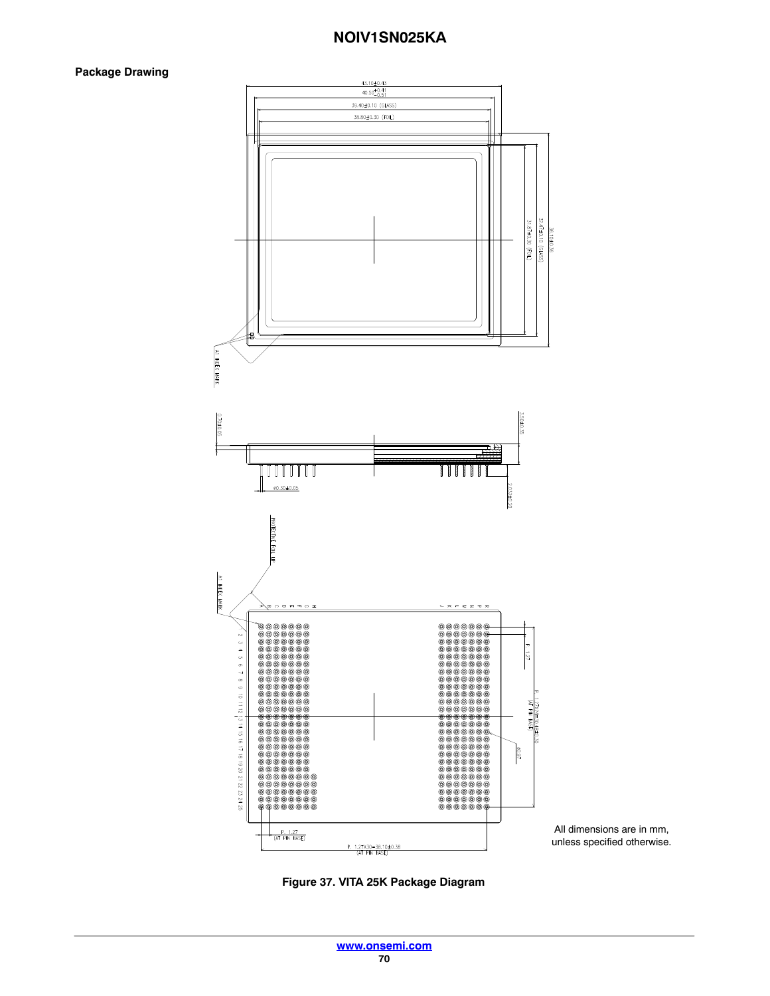### **Package Drawing**



All dimensions are in mm, unless specified otherwise.

**Figure 37. VITA 25K Package Diagram**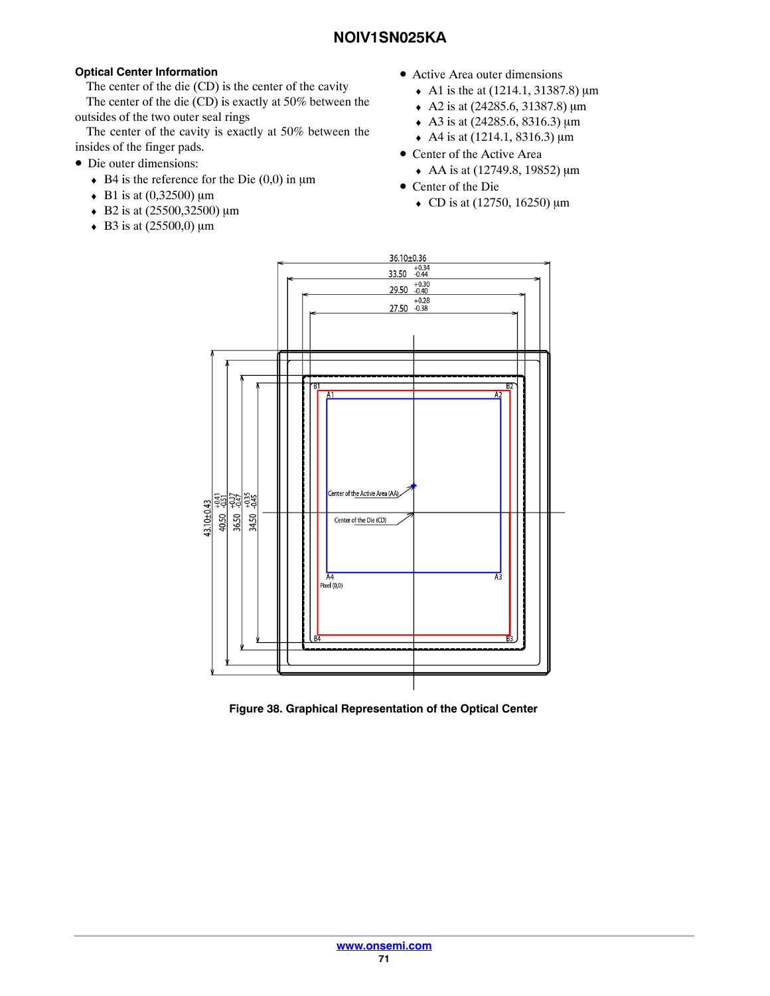### <span id="page-70-0"></span>**Optical Center Information**

The center of the die (CD) is the center of the cavity

The center of the die (CD) is exactly at 50% between the outsides of the two outer seal rings

The center of the cavity is exactly at 50% between the insides of the finger pads.

- Die outer dimensions:
	- $\bullet$  B4 is the reference for the Die (0,0) in  $\mu$ m
	- B1 is at  $(0,32500)$  µm
	- $\triangleleft$  B2 is at (25500,32500) µm
	- $\triangleleft$  B3 is at (25500,0) µm
- Active Area outer dimensions
	- A1 is the at  $(1214.1, 31387.8) \,\text{\mu m}$
	- $\triangle$  A2 is at (24285.6, 31387.8) µm
	- $\triangleleft$  A3 is at (24285.6, 8316.3) µm
	- A4 is at  $(1214.1, 8316.3) \,\text{\mu m}$
- Center of the Active Area
	- $\triangleleft$  AA is at (12749.8, 19852) µm
- Center of the Die
	- CD is at  $(12750, 16250) \mu m$



**Figure 38. Graphical Representation of the Optical Center**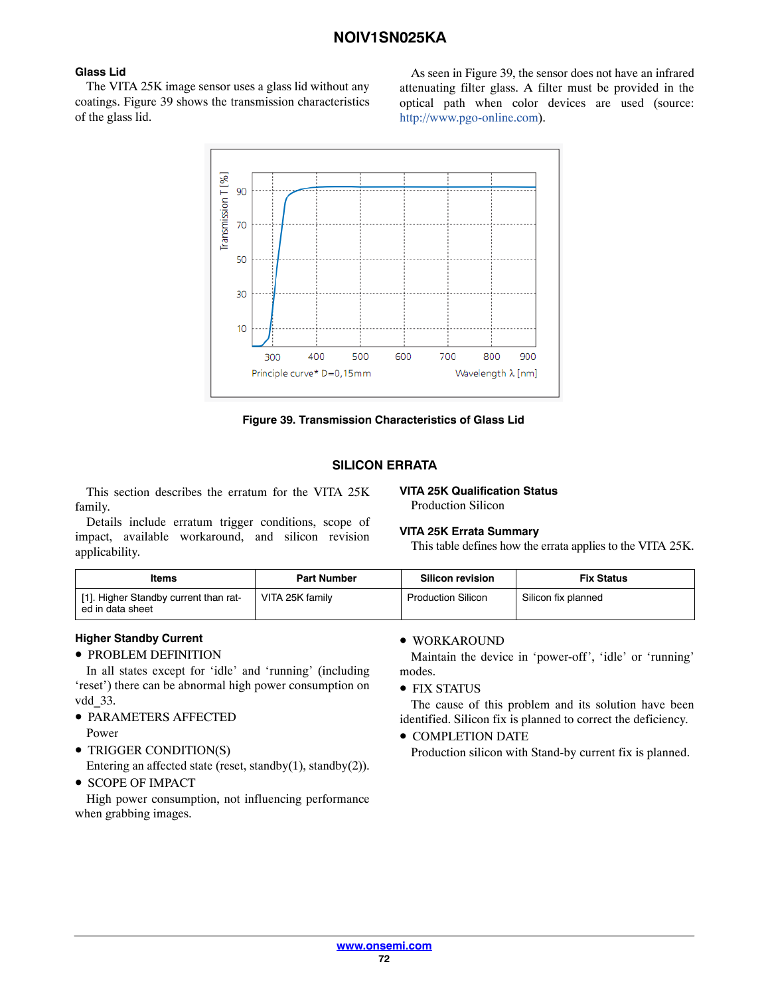### **Glass Lid**

The VITA 25K image sensor uses a glass lid without any coatings. Figure 39 shows the transmission characteristics of the glass lid.

As seen in Figure 39, the sensor does not have an infrared attenuating filter glass. A filter must be provided in the optical path when color devices are used (source: http://www.pgo-online.com).



**Figure 39. Transmission Characteristics of Glass Lid**

### **SILICON ERRATA**

This section describes the erratum for the VITA 25K family.

#### **VITA 25K Qualification Status** Production Silicon

Details include erratum trigger conditions, scope of impact, available workaround, and silicon revision applicability.

### **VITA 25K Errata Summary**

This table defines how the errata applies to the VITA 25K.

| ltems                                                     | <b>Part Number</b> | <b>Silicon revision</b>   | <b>Fix Status</b>   |
|-----------------------------------------------------------|--------------------|---------------------------|---------------------|
| [1]. Higher Standby current than rat-<br>ed in data sheet | VITA 25K family    | <b>Production Silicon</b> | Silicon fix planned |

### **Higher Standby Current**

• PROBLEM DEFINITION

In all states except for 'idle' and 'running' (including 'reset') there can be abnormal high power consumption on vdd\_33.

- PARAMETERS AFFECTED Power
- TRIGGER CONDITION(S)
- Entering an affected state (reset, standby(1), standby(2)). • SCOPE OF IMPACT
- 

High power consumption, not influencing performance when grabbing images.

### • WORKAROUND

Maintain the device in 'power-off', 'idle' or 'running' modes.

• FIX STATUS

The cause of this problem and its solution have been identified. Silicon fix is planned to correct the deficiency.

• COMPLETION DATE

Production silicon with Stand-by current fix is planned.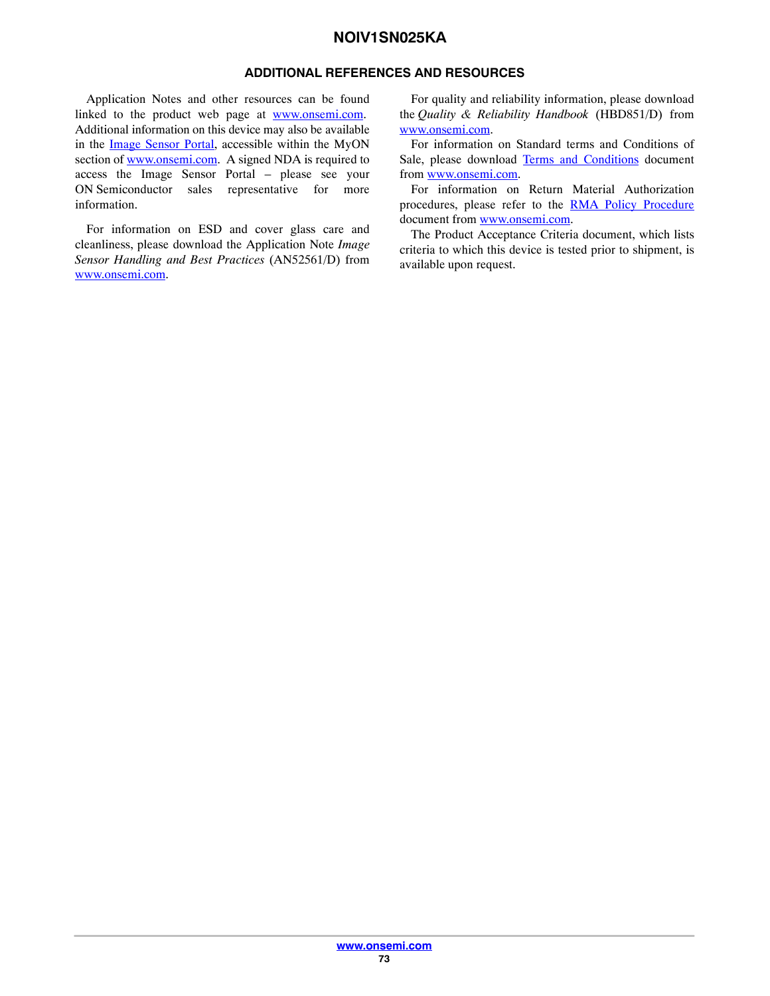#### **ADDITIONAL REFERENCES AND RESOURCES**

Application Notes and other resources can be found linked to the product web page at [www.onsemi.com](http://onsemi.com). Additional information on this device may also be available in the [Image Sensor Portal](https://www.onsemi.com/PowerSolutions/myon/erCispFolder.do), accessible within the MyON section of [www.onsemi.com.](http://onsemi.com) A signed NDA is required to access the Image Sensor Portal – please see your ON Semiconductor sales representative for more information.

For information on ESD and cover glass care and cleanliness, please download the Application Note *Image Sensor Handling and Best Practices* (AN52561/D) from [www.onsemi.com.](http://onsemi.com)

For quality and reliability information, please download the *Quality & Reliability Handbook* (HBD851/D) from [www.onsemi.com.](http://onsemi.com)

For information on Standard terms and Conditions of Sale, please download [Terms and Conditions](http://www.onsemi.com/site/pdf/ONSEMI_T&C.pdf) document from [www.onsemi.com.](http://onsemi.com)

For information on Return Material Authorization procedures, please refer to the [RMA Policy Procedure](http://www.onsemi.com/site/pdf/CAT_Returns_FailureAnalysis.pdf) document from [www.onsemi.com.](http://onsemi.com)

The Product Acceptance Criteria document, which lists criteria to which this device is tested prior to shipment, is available upon request.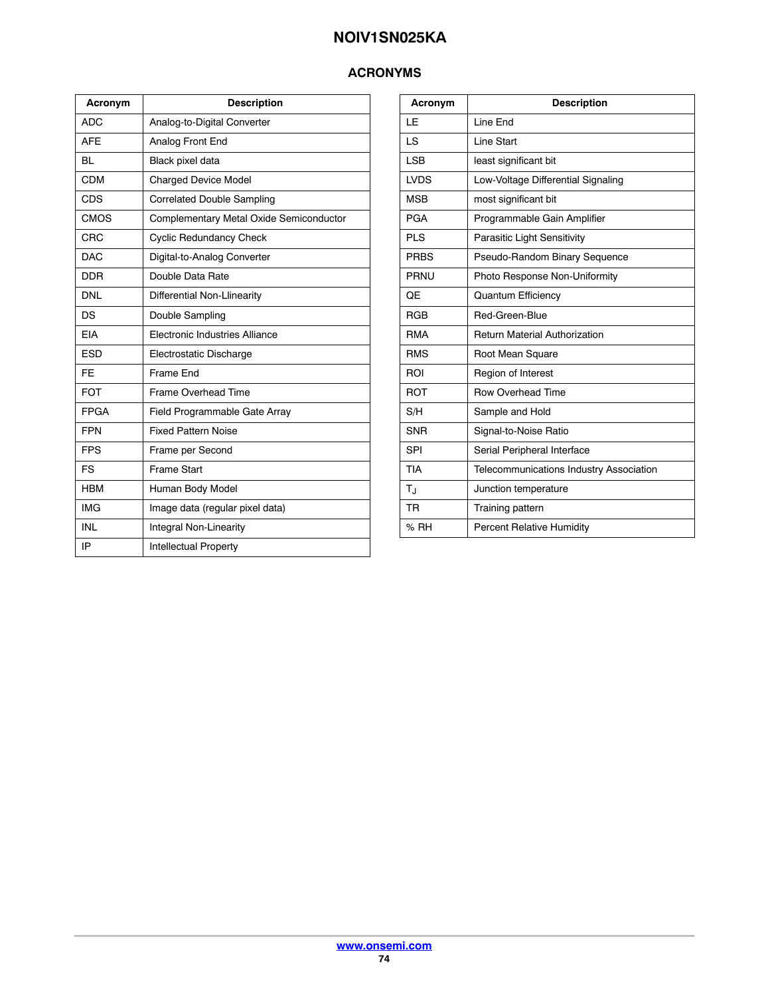## **ACRONYMS**

| Acronym     | <b>Description</b>                      |
|-------------|-----------------------------------------|
| <b>ADC</b>  | Analog-to-Digital Converter             |
| <b>AFF</b>  | Analog Front End                        |
| <b>BL</b>   | Black pixel data                        |
| CDM         | <b>Charged Device Model</b>             |
| <b>CDS</b>  | <b>Correlated Double Sampling</b>       |
| <b>CMOS</b> | Complementary Metal Oxide Semiconductor |
| CRC         | <b>Cyclic Redundancy Check</b>          |
| <b>DAC</b>  | Digital-to-Analog Converter             |
| <b>DDR</b>  | Double Data Rate                        |
| <b>DNL</b>  | Differential Non-Llinearity             |
| DS          | Double Sampling                         |
| <b>EIA</b>  | Electronic Industries Alliance          |
| <b>ESD</b>  | Electrostatic Discharge                 |
| <b>FE</b>   | Frame End                               |
| <b>FOT</b>  | <b>Frame Overhead Time</b>              |
| <b>FPGA</b> | Field Programmable Gate Array           |
| <b>FPN</b>  | <b>Fixed Pattern Noise</b>              |
| <b>FPS</b>  | Frame per Second                        |
| <b>FS</b>   | Frame Start                             |
| <b>HBM</b>  | Human Body Model                        |
| <b>IMG</b>  | Image data (regular pixel data)         |
| <b>INL</b>  | Integral Non-Linearity                  |
| IP          | Intellectual Property                   |

| Acronym     | <b>Description</b>                             |
|-------------|------------------------------------------------|
| LE          | Line End                                       |
| LS          | Line Start                                     |
| <b>LSB</b>  | least significant bit                          |
| <b>LVDS</b> | Low-Voltage Differential Signaling             |
| <b>MSB</b>  | most significant bit                           |
| <b>PGA</b>  | Programmable Gain Amplifier                    |
| <b>PLS</b>  | Parasitic Light Sensitivity                    |
| <b>PRBS</b> | Pseudo-Random Binary Sequence                  |
| <b>PRNU</b> | Photo Response Non-Uniformity                  |
| QE          | <b>Quantum Efficiency</b>                      |
| <b>RGB</b>  | Red-Green-Blue                                 |
| <b>RMA</b>  | <b>Return Material Authorization</b>           |
| <b>RMS</b>  | Root Mean Square                               |
| ROI         | Region of Interest                             |
| <b>ROT</b>  | <b>Row Overhead Time</b>                       |
| S/H         | Sample and Hold                                |
| <b>SNR</b>  | Signal-to-Noise Ratio                          |
| SPI         | Serial Peripheral Interface                    |
| <b>TIA</b>  | <b>Telecommunications Industry Association</b> |
| $T_{\rm J}$ | Junction temperature                           |
| <b>TR</b>   | Training pattern                               |
| % RH        | Percent Relative Humidity                      |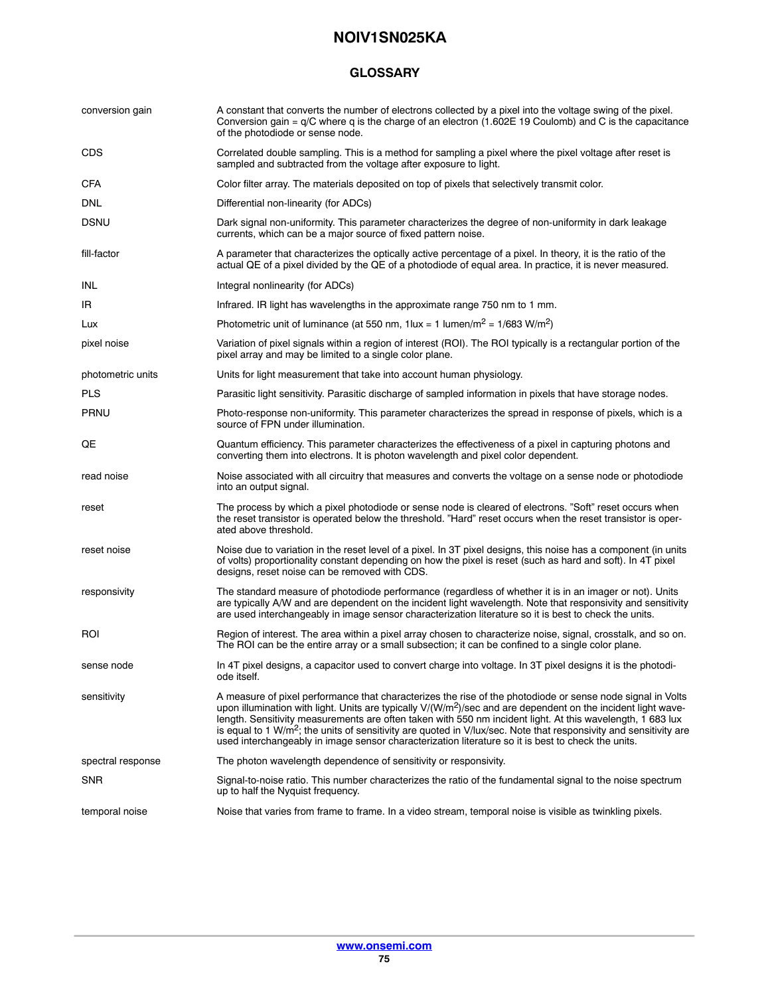#### **GLOSSARY**

| conversion gain   | A constant that converts the number of electrons collected by a pixel into the voltage swing of the pixel.<br>Conversion gain = $q/C$ where q is the charge of an electron (1.602E 19 Coulomb) and C is the capacitance<br>of the photodiode or sense node.                                                                                                                                                                                                                                                                                                                        |
|-------------------|------------------------------------------------------------------------------------------------------------------------------------------------------------------------------------------------------------------------------------------------------------------------------------------------------------------------------------------------------------------------------------------------------------------------------------------------------------------------------------------------------------------------------------------------------------------------------------|
| <b>CDS</b>        | Correlated double sampling. This is a method for sampling a pixel where the pixel voltage after reset is<br>sampled and subtracted from the voltage after exposure to light.                                                                                                                                                                                                                                                                                                                                                                                                       |
| <b>CFA</b>        | Color filter array. The materials deposited on top of pixels that selectively transmit color.                                                                                                                                                                                                                                                                                                                                                                                                                                                                                      |
| <b>DNL</b>        | Differential non-linearity (for ADCs)                                                                                                                                                                                                                                                                                                                                                                                                                                                                                                                                              |
| <b>DSNU</b>       | Dark signal non-uniformity. This parameter characterizes the degree of non-uniformity in dark leakage<br>currents, which can be a major source of fixed pattern noise.                                                                                                                                                                                                                                                                                                                                                                                                             |
| fill-factor       | A parameter that characterizes the optically active percentage of a pixel. In theory, it is the ratio of the<br>actual QE of a pixel divided by the QE of a photodiode of equal area. In practice, it is never measured.                                                                                                                                                                                                                                                                                                                                                           |
| INL               | Integral nonlinearity (for ADCs)                                                                                                                                                                                                                                                                                                                                                                                                                                                                                                                                                   |
| IR                | Infrared. IR light has wavelengths in the approximate range 750 nm to 1 mm.                                                                                                                                                                                                                                                                                                                                                                                                                                                                                                        |
| Lux               | Photometric unit of luminance (at 550 nm, $1$ lux = 1 lumen/m <sup>2</sup> = $1/683$ W/m <sup>2</sup> )                                                                                                                                                                                                                                                                                                                                                                                                                                                                            |
| pixel noise       | Variation of pixel signals within a region of interest (ROI). The ROI typically is a rectangular portion of the<br>pixel array and may be limited to a single color plane.                                                                                                                                                                                                                                                                                                                                                                                                         |
| photometric units | Units for light measurement that take into account human physiology.                                                                                                                                                                                                                                                                                                                                                                                                                                                                                                               |
| <b>PLS</b>        | Parasitic light sensitivity. Parasitic discharge of sampled information in pixels that have storage nodes.                                                                                                                                                                                                                                                                                                                                                                                                                                                                         |
| <b>PRNU</b>       | Photo-response non-uniformity. This parameter characterizes the spread in response of pixels, which is a<br>source of FPN under illumination.                                                                                                                                                                                                                                                                                                                                                                                                                                      |
| QE                | Quantum efficiency. This parameter characterizes the effectiveness of a pixel in capturing photons and<br>converting them into electrons. It is photon wavelength and pixel color dependent.                                                                                                                                                                                                                                                                                                                                                                                       |
| read noise        | Noise associated with all circuitry that measures and converts the voltage on a sense node or photodiode<br>into an output signal.                                                                                                                                                                                                                                                                                                                                                                                                                                                 |
| reset             | The process by which a pixel photodiode or sense node is cleared of electrons. "Soft" reset occurs when<br>the reset transistor is operated below the threshold. "Hard" reset occurs when the reset transistor is oper-<br>ated above threshold.                                                                                                                                                                                                                                                                                                                                   |
| reset noise       | Noise due to variation in the reset level of a pixel. In 3T pixel designs, this noise has a component (in units<br>of volts) proportionality constant depending on how the pixel is reset (such as hard and soft). In 4T pixel<br>designs, reset noise can be removed with CDS.                                                                                                                                                                                                                                                                                                    |
| responsivity      | The standard measure of photodiode performance (regardless of whether it is in an imager or not). Units<br>are typically A/W and are dependent on the incident light wavelength. Note that responsivity and sensitivity<br>are used interchangeably in image sensor characterization literature so it is best to check the units.                                                                                                                                                                                                                                                  |
| ROI               | Region of interest. The area within a pixel array chosen to characterize noise, signal, crosstalk, and so on.<br>The ROI can be the entire array or a small subsection; it can be confined to a single color plane.                                                                                                                                                                                                                                                                                                                                                                |
| sense node        | In 4T pixel designs, a capacitor used to convert charge into voltage. In 3T pixel designs it is the photodi-<br>ode itself.                                                                                                                                                                                                                                                                                                                                                                                                                                                        |
| sensitivity       | A measure of pixel performance that characterizes the rise of the photodiode or sense node signal in Volts<br>upon illumination with light. Units are typically $V/(W/m^2)/sec$ and are dependent on the incident light wave-<br>length. Sensitivity measurements are often taken with 550 nm incident light. At this wavelength, 1 683 lux<br>is equal to 1 W/m <sup>2</sup> ; the units of sensitivity are quoted in V/lux/sec. Note that responsivity and sensitivity are<br>used interchangeably in image sensor characterization literature so it is best to check the units. |
| spectral response | The photon wavelength dependence of sensitivity or responsivity.                                                                                                                                                                                                                                                                                                                                                                                                                                                                                                                   |
| <b>SNR</b>        | Signal-to-noise ratio. This number characterizes the ratio of the fundamental signal to the noise spectrum<br>up to half the Nyquist frequency.                                                                                                                                                                                                                                                                                                                                                                                                                                    |
| temporal noise    | Noise that varies from frame to frame. In a video stream, temporal noise is visible as twinkling pixels.                                                                                                                                                                                                                                                                                                                                                                                                                                                                           |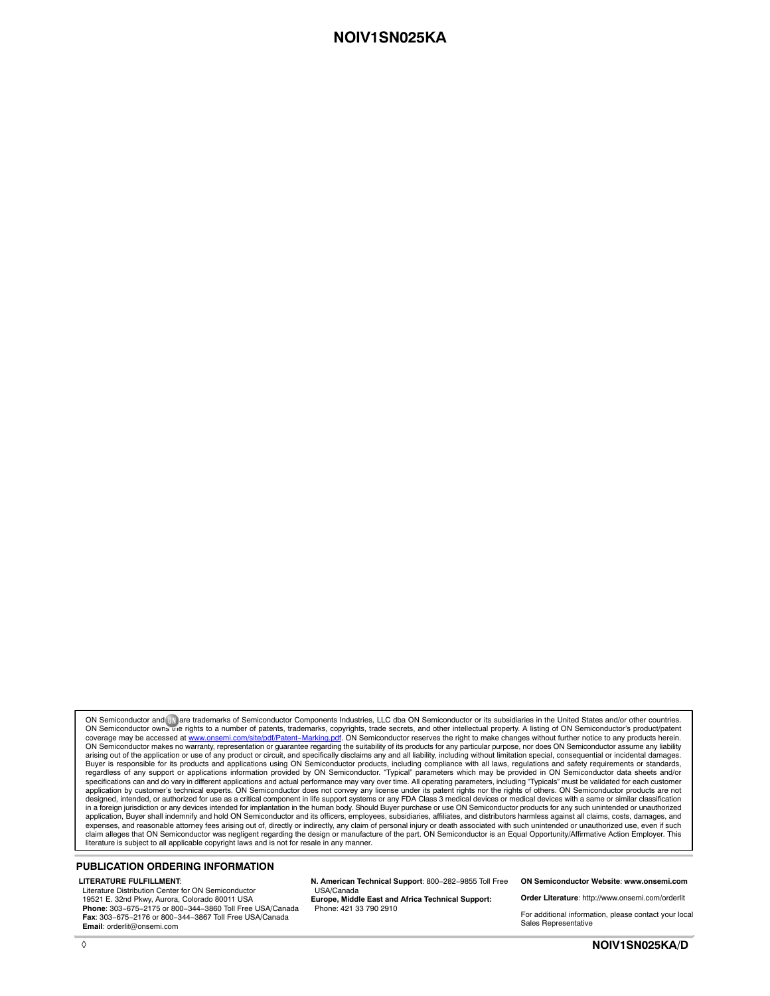ON Semiconductor and ⊍ ]are trademarks of Semiconductor Components Industries, LLC dba ON Semiconductor or its subsidiaries in the United States and/or other countries.<br>ON Semiconductor owns me rights to a number of paten ON Semiconductor makes no warranty, representation or guarantee regarding the suitability of its products for any particular purpose, nor does ON Semiconductor assume any liability arising out of the application or use of any product or circuit, and specifically disclaims any and all liability, including without limitation special, consequential or incidental damages.<br>Buyer is responsible for its pro regardless of any support or applications information provided by ON Semiconductor. "Typical" parameters which may be provided in ON Semiconductor data sheets and/or<br>specifications can and do vary in different applications application by customer's technical experts. ON Semiconductor does not convey any license under its patent rights nor the rights of others. ON Semiconductor products are not designed, intended, or authorized for use as a critical component in life support systems or any FDA Class 3 medical devices or medical devices with a same or similar classification<br>in a foreign jurisdiction or any devices application, Buyer shall indemnify and hold ON Semiconductor and its officers, employees, subsidiaries, affiliates, and distributors harmless against all claims, costs, damages, and expenses, and reasonable attorney fees arising out of, directly or indirectly, any claim of personal injury or death associated with such unintended or unauthorized use, even if such<br>claim alleges that ON Semiconductor was literature is subject to all applicable copyright laws and is not for resale in any manner.

#### **PUBLICATION ORDERING INFORMATION**

#### **LITERATURE FULFILLMENT**:

Literature Distribution Center for ON Semiconductor 19521 E. 32nd Pkwy, Aurora, Colorado 80011 USA **Phone**: 303−675−2175 or 800−344−3860 Toll Free USA/Canada **Fax**: 303−675−2176 or 800−344−3867 Toll Free USA/Canada **Email**: orderlit@onsemi.com

**N. American Technical Support**: 800−282−9855 Toll Free USA/Canada

**Europe, Middle East and Africa Technical Support:** Phone: 421 33 790 2910

**ON Semiconductor Website**: **www.onsemi.com**

**Order Literature**: http://www.onsemi.com/orderlit

For additional information, please contact your local Sales Representative

◊